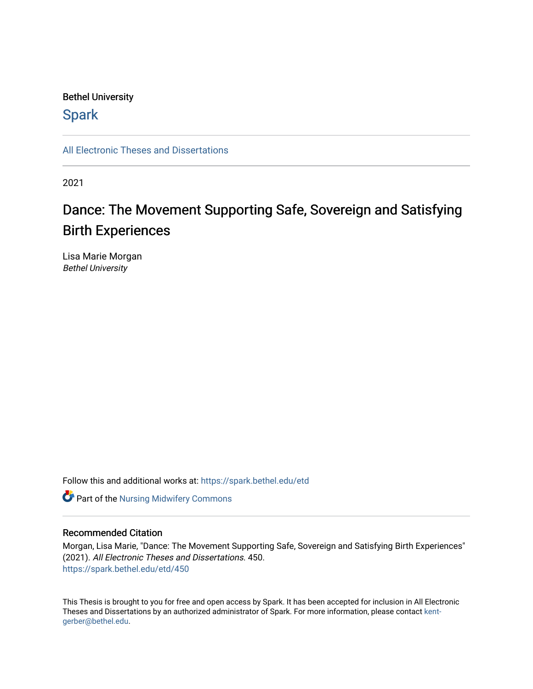# Bethel University

# **Spark**

[All Electronic Theses and Dissertations](https://spark.bethel.edu/etd) 

2021

# Dance: The Movement Supporting Safe, Sovereign and Satisfying Birth Experiences

Lisa Marie Morgan Bethel University

Follow this and additional works at: [https://spark.bethel.edu/etd](https://spark.bethel.edu/etd?utm_source=spark.bethel.edu%2Fetd%2F450&utm_medium=PDF&utm_campaign=PDFCoverPages)



## Recommended Citation

Morgan, Lisa Marie, "Dance: The Movement Supporting Safe, Sovereign and Satisfying Birth Experiences" (2021). All Electronic Theses and Dissertations. 450. [https://spark.bethel.edu/etd/450](https://spark.bethel.edu/etd/450?utm_source=spark.bethel.edu%2Fetd%2F450&utm_medium=PDF&utm_campaign=PDFCoverPages)

This Thesis is brought to you for free and open access by Spark. It has been accepted for inclusion in All Electronic Theses and Dissertations by an authorized administrator of Spark. For more information, please contact [kent](mailto:kent-gerber@bethel.edu)[gerber@bethel.edu.](mailto:kent-gerber@bethel.edu)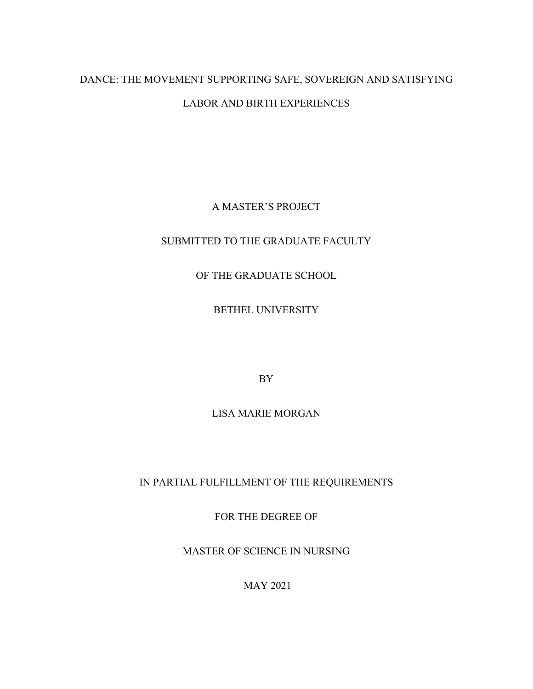# DANCE: THE MOVEMENT SUPPORTING SAFE, SOVEREIGN AND SATISFYING

# LABOR AND BIRTH EXPERIENCES

A MASTER'S PROJECT

# SUBMITTED TO THE GRADUATE FACULTY

OF THE GRADUATE SCHOOL

BETHEL UNIVERSITY

BY

# LISA MARIE MORGAN

IN PARTIAL FULFILLMENT OF THE REQUIREMENTS

FOR THE DEGREE OF

MASTER OF SCIENCE IN NURSING

MAY 2021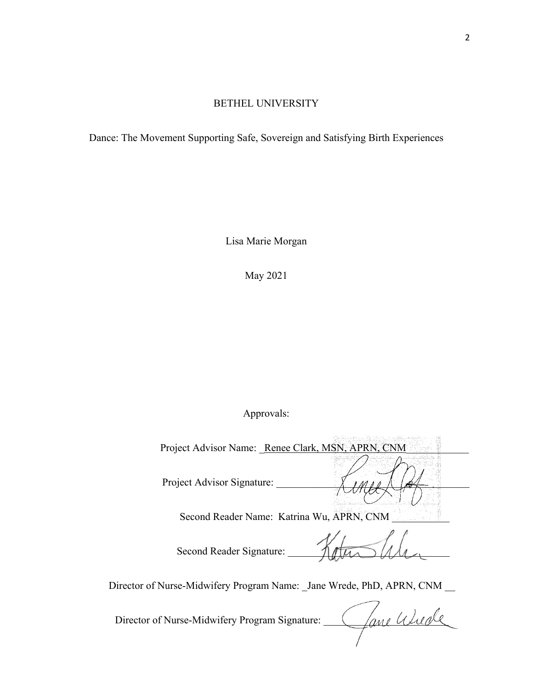# BETHEL UNIVERSITY

Dance: The Movement Supporting Safe, Sovereign and Satisfying Birth Experiences

Lisa Marie Morgan

May 2021

# Approvals:

| Project Advisor Name: Renee Clark, MSN, APRN, CNM                    |
|----------------------------------------------------------------------|
| Project Advisor Signature:                                           |
| Second Reader Name: Katrina Wu, APRN, CNM                            |
| Second Reader Signature:                                             |
| Director of Nurse-Midwifery Program Name: Jane Wrede, PhD, APRN, CNM |

Director of Nurse-Midwifery Program Signature: \_\_\_\_\_\_\_\_\_\_\_\_\_\_\_\_\_\_\_\_\_\_\_\_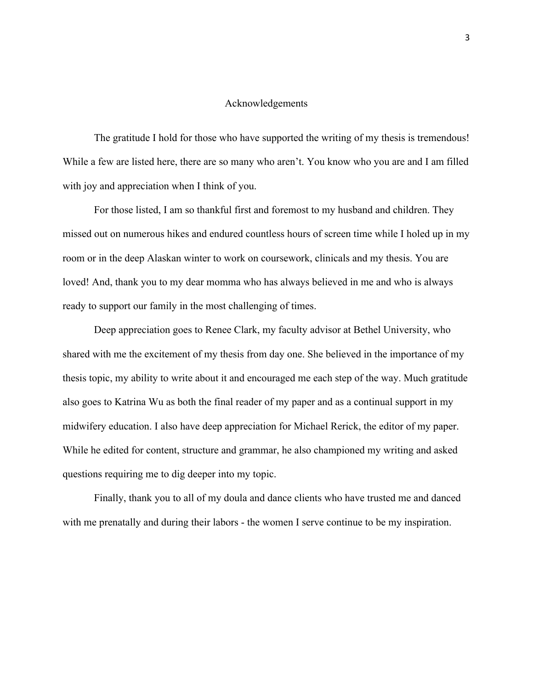#### Acknowledgements

The gratitude I hold for those who have supported the writing of my thesis is tremendous! While a few are listed here, there are so many who aren't. You know who you are and I am filled with joy and appreciation when I think of you.

For those listed, I am so thankful first and foremost to my husband and children. They missed out on numerous hikes and endured countless hours of screen time while I holed up in my room or in the deep Alaskan winter to work on coursework, clinicals and my thesis. You are loved! And, thank you to my dear momma who has always believed in me and who is always ready to support our family in the most challenging of times.

Deep appreciation goes to Renee Clark, my faculty advisor at Bethel University, who shared with me the excitement of my thesis from day one. She believed in the importance of my thesis topic, my ability to write about it and encouraged me each step of the way. Much gratitude also goes to Katrina Wu as both the final reader of my paper and as a continual support in my midwifery education. I also have deep appreciation for Michael Rerick, the editor of my paper. While he edited for content, structure and grammar, he also championed my writing and asked questions requiring me to dig deeper into my topic.

Finally, thank you to all of my doula and dance clients who have trusted me and danced with me prenatally and during their labors - the women I serve continue to be my inspiration.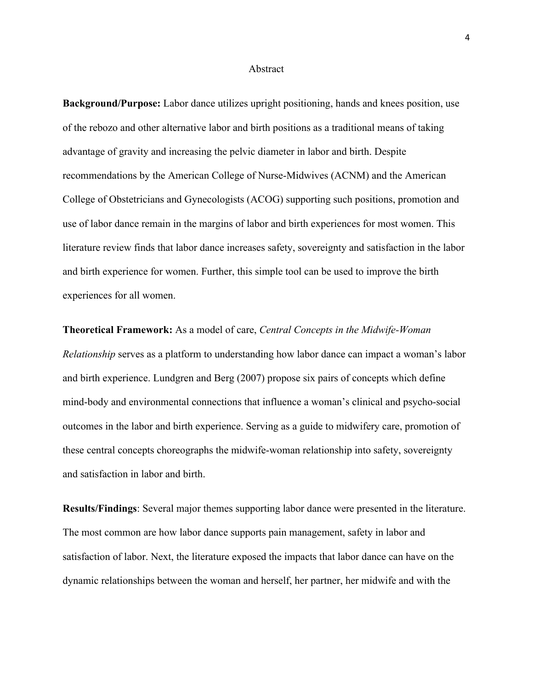#### Abstract

**Background/Purpose:** Labor dance utilizes upright positioning, hands and knees position, use of the rebozo and other alternative labor and birth positions as a traditional means of taking advantage of gravity and increasing the pelvic diameter in labor and birth. Despite recommendations by the American College of Nurse-Midwives (ACNM) and the American College of Obstetricians and Gynecologists (ACOG) supporting such positions, promotion and use of labor dance remain in the margins of labor and birth experiences for most women. This literature review finds that labor dance increases safety, sovereignty and satisfaction in the labor and birth experience for women. Further, this simple tool can be used to improve the birth experiences for all women.

**Theoretical Framework:** As a model of care, *Central Concepts in the Midwife-Woman Relationship* serves as a platform to understanding how labor dance can impact a woman's labor and birth experience. Lundgren and Berg (2007) propose six pairs of concepts which define mind-body and environmental connections that influence a woman's clinical and psycho-social outcomes in the labor and birth experience. Serving as a guide to midwifery care, promotion of these central concepts choreographs the midwife-woman relationship into safety, sovereignty and satisfaction in labor and birth.

**Results/Findings**: Several major themes supporting labor dance were presented in the literature. The most common are how labor dance supports pain management, safety in labor and satisfaction of labor. Next, the literature exposed the impacts that labor dance can have on the dynamic relationships between the woman and herself, her partner, her midwife and with the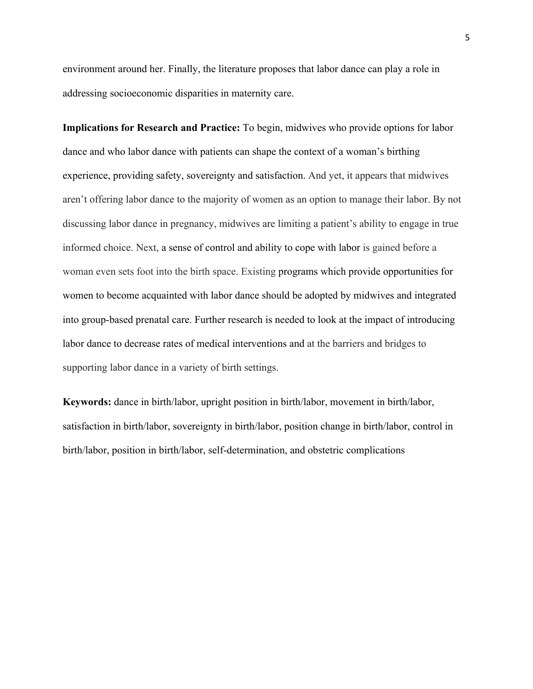environment around her. Finally, the literature proposes that labor dance can play a role in addressing socioeconomic disparities in maternity care.

**Implications for Research and Practice:** To begin, midwives who provide options for labor dance and who labor dance with patients can shape the context of a woman's birthing experience, providing safety, sovereignty and satisfaction. And yet, it appears that midwives aren't offering labor dance to the majority of women as an option to manage their labor. By not discussing labor dance in pregnancy, midwives are limiting a patient's ability to engage in true informed choice. Next, a sense of control and ability to cope with labor is gained before a woman even sets foot into the birth space. Existing programs which provide opportunities for women to become acquainted with labor dance should be adopted by midwives and integrated into group-based prenatal care. Further research is needed to look at the impact of introducing labor dance to decrease rates of medical interventions and at the barriers and bridges to supporting labor dance in a variety of birth settings.

**Keywords:** dance in birth/labor, upright position in birth/labor, movement in birth/labor, satisfaction in birth/labor, sovereignty in birth/labor, position change in birth/labor, control in birth/labor, position in birth/labor, self-determination, and obstetric complications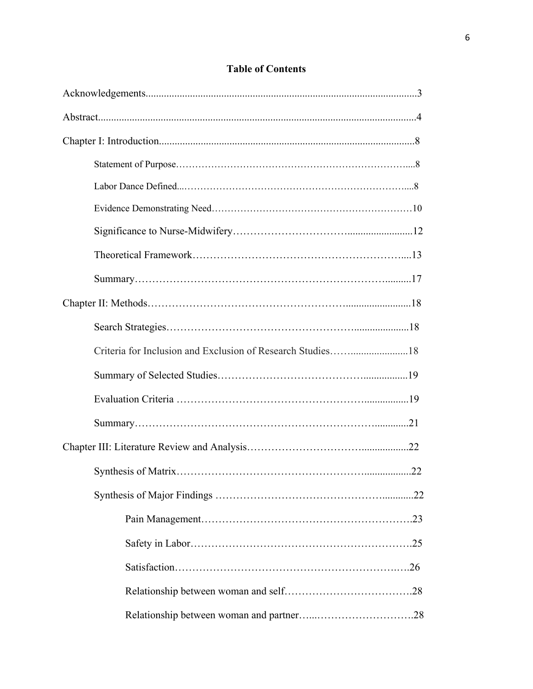# **Table of Contents**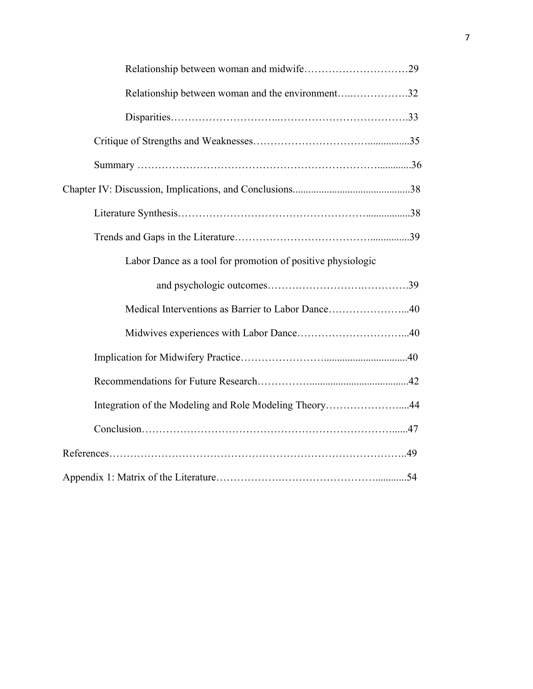| Relationship between woman and the environment32            |  |
|-------------------------------------------------------------|--|
|                                                             |  |
|                                                             |  |
|                                                             |  |
|                                                             |  |
|                                                             |  |
|                                                             |  |
| Labor Dance as a tool for promotion of positive physiologic |  |
|                                                             |  |
| Medical Interventions as Barrier to Labor Dance40           |  |
|                                                             |  |
|                                                             |  |
|                                                             |  |
| Integration of the Modeling and Role Modeling Theory44      |  |
|                                                             |  |
|                                                             |  |
|                                                             |  |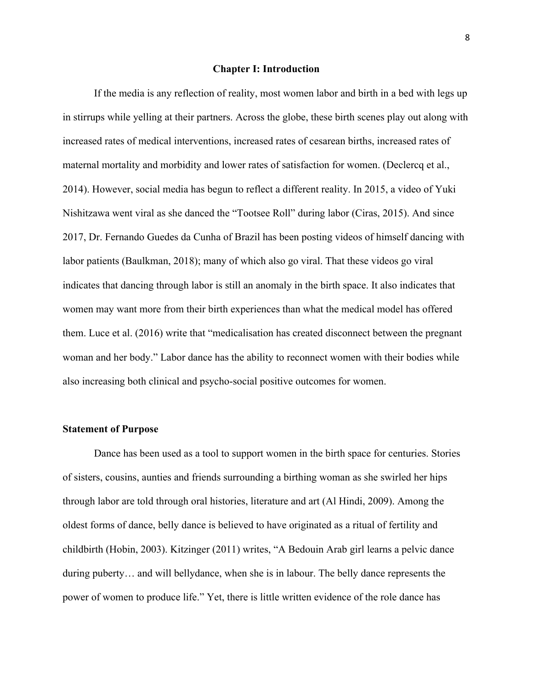#### **Chapter I: Introduction**

If the media is any reflection of reality, most women labor and birth in a bed with legs up in stirrups while yelling at their partners. Across the globe, these birth scenes play out along with increased rates of medical interventions, increased rates of cesarean births, increased rates of maternal mortality and morbidity and lower rates of satisfaction for women. (Declercq et al., 2014). However, social media has begun to reflect a different reality. In 2015, a video of Yuki Nishitzawa went viral as she danced the "Tootsee Roll" during labor (Ciras, 2015). And since 2017, Dr. Fernando Guedes da Cunha of Brazil has been posting videos of himself dancing with labor patients (Baulkman, 2018); many of which also go viral. That these videos go viral indicates that dancing through labor is still an anomaly in the birth space. It also indicates that women may want more from their birth experiences than what the medical model has offered them. Luce et al. (2016) write that "medicalisation has created disconnect between the pregnant woman and her body." Labor dance has the ability to reconnect women with their bodies while also increasing both clinical and psycho-social positive outcomes for women.

#### **Statement of Purpose**

Dance has been used as a tool to support women in the birth space for centuries. Stories of sisters, cousins, aunties and friends surrounding a birthing woman as she swirled her hips through labor are told through oral histories, literature and art (Al Hindi, 2009). Among the oldest forms of dance, belly dance is believed to have originated as a ritual of fertility and childbirth (Hobin, 2003). Kitzinger (2011) writes, "A Bedouin Arab girl learns a pelvic dance during puberty… and will bellydance, when she is in labour. The belly dance represents the power of women to produce life." Yet, there is little written evidence of the role dance has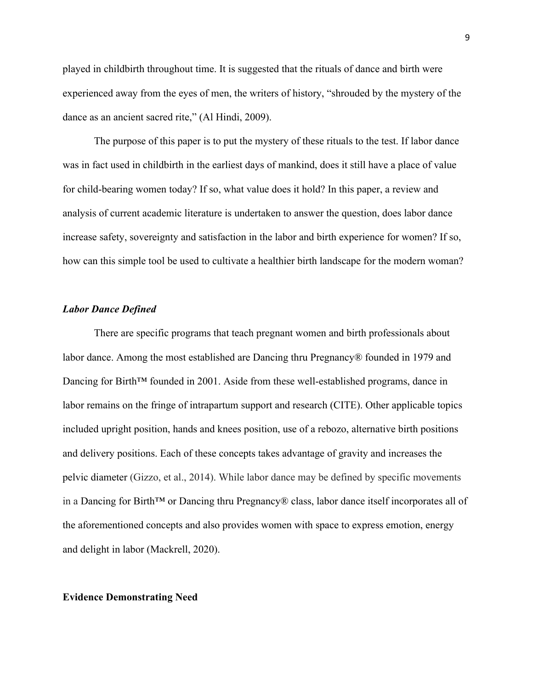played in childbirth throughout time. It is suggested that the rituals of dance and birth were experienced away from the eyes of men, the writers of history, "shrouded by the mystery of the dance as an ancient sacred rite," (Al Hindi, 2009).

The purpose of this paper is to put the mystery of these rituals to the test. If labor dance was in fact used in childbirth in the earliest days of mankind, does it still have a place of value for child-bearing women today? If so, what value does it hold? In this paper, a review and analysis of current academic literature is undertaken to answer the question, does labor dance increase safety, sovereignty and satisfaction in the labor and birth experience for women? If so, how can this simple tool be used to cultivate a healthier birth landscape for the modern woman?

#### *Labor Dance Defined*

There are specific programs that teach pregnant women and birth professionals about labor dance. Among the most established are Dancing thru Pregnancy® founded in 1979 and Dancing for Birth<sup>™</sup> founded in 2001. Aside from these well-established programs, dance in labor remains on the fringe of intrapartum support and research (CITE). Other applicable topics included upright position, hands and knees position, use of a rebozo, alternative birth positions and delivery positions. Each of these concepts takes advantage of gravity and increases the pelvic diameter (Gizzo, et al., 2014). While labor dance may be defined by specific movements in a Dancing for Birth™ or Dancing thru Pregnancy® class, labor dance itself incorporates all of the aforementioned concepts and also provides women with space to express emotion, energy and delight in labor (Mackrell, 2020).

#### **Evidence Demonstrating Need**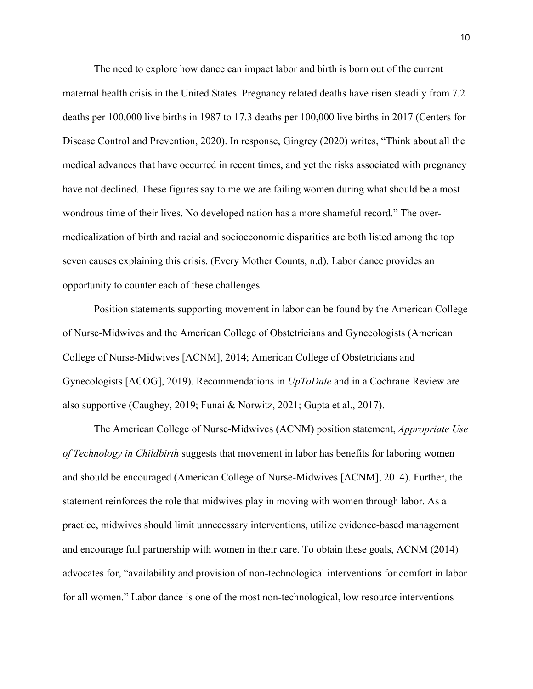The need to explore how dance can impact labor and birth is born out of the current maternal health crisis in the United States. Pregnancy related deaths have risen steadily from 7.2 deaths per 100,000 live births in 1987 to 17.3 deaths per 100,000 live births in 2017 (Centers for Disease Control and Prevention, 2020). In response, Gingrey (2020) writes, "Think about all the medical advances that have occurred in recent times, and yet the risks associated with pregnancy have not declined. These figures say to me we are failing women during what should be a most wondrous time of their lives. No developed nation has a more shameful record." The overmedicalization of birth and racial and socioeconomic disparities are both listed among the top seven causes explaining this crisis. (Every Mother Counts, n.d). Labor dance provides an opportunity to counter each of these challenges.

Position statements supporting movement in labor can be found by the American College of Nurse-Midwives and the American College of Obstetricians and Gynecologists (American College of Nurse-Midwives [ACNM], 2014; American College of Obstetricians and Gynecologists [ACOG], 2019). Recommendations in *UpToDate* and in a Cochrane Review are also supportive (Caughey, 2019; Funai & Norwitz, 2021; Gupta et al., 2017).

The American College of Nurse-Midwives (ACNM) position statement, *Appropriate Use of Technology in Childbirth* suggests that movement in labor has benefits for laboring women and should be encouraged (American College of Nurse-Midwives [ACNM], 2014). Further, the statement reinforces the role that midwives play in moving with women through labor. As a practice, midwives should limit unnecessary interventions, utilize evidence-based management and encourage full partnership with women in their care. To obtain these goals, ACNM (2014) advocates for, "availability and provision of non-technological interventions for comfort in labor for all women." Labor dance is one of the most non-technological, low resource interventions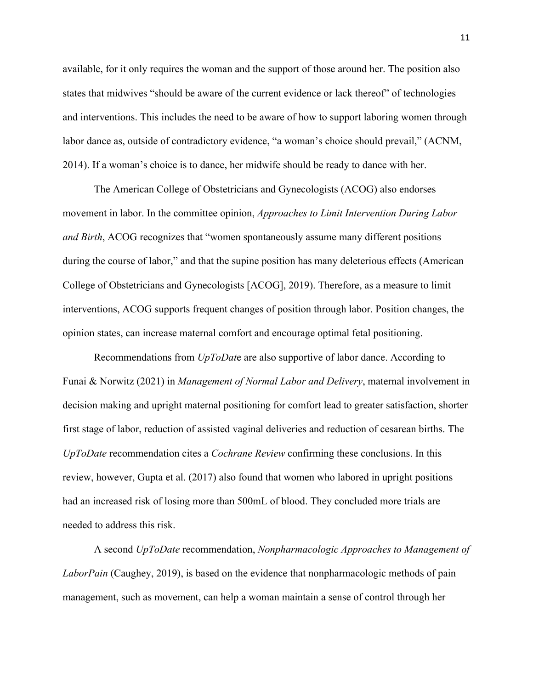available, for it only requires the woman and the support of those around her. The position also states that midwives "should be aware of the current evidence or lack thereof" of technologies and interventions. This includes the need to be aware of how to support laboring women through labor dance as, outside of contradictory evidence, "a woman's choice should prevail," (ACNM, 2014). If a woman's choice is to dance, her midwife should be ready to dance with her.

The American College of Obstetricians and Gynecologists (ACOG) also endorses movement in labor. In the committee opinion, *Approaches to Limit Intervention During Labor and Birth*, ACOG recognizes that "women spontaneously assume many different positions during the course of labor," and that the supine position has many deleterious effects (American College of Obstetricians and Gynecologists [ACOG], 2019). Therefore, as a measure to limit interventions, ACOG supports frequent changes of position through labor. Position changes, the opinion states, can increase maternal comfort and encourage optimal fetal positioning.

Recommendations from *UpToDat*e are also supportive of labor dance. According to Funai & Norwitz (2021) in *Management of Normal Labor and Delivery*, maternal involvement in decision making and upright maternal positioning for comfort lead to greater satisfaction, shorter first stage of labor, reduction of assisted vaginal deliveries and reduction of cesarean births. The *UpToDate* recommendation cites a *Cochrane Review* confirming these conclusions. In this review, however, Gupta et al. (2017) also found that women who labored in upright positions had an increased risk of losing more than 500mL of blood. They concluded more trials are needed to address this risk.

A second *UpToDate* recommendation, *Nonpharmacologic Approaches to Management of LaborPain* (Caughey, 2019), is based on the evidence that nonpharmacologic methods of pain management, such as movement, can help a woman maintain a sense of control through her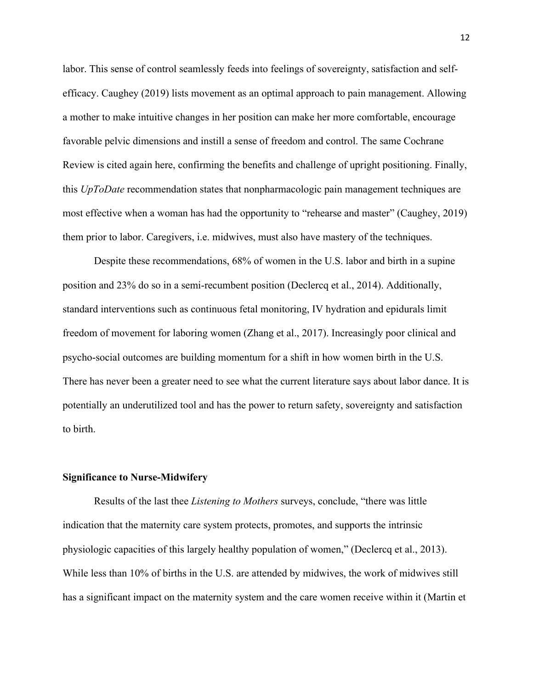labor. This sense of control seamlessly feeds into feelings of sovereignty, satisfaction and selfefficacy. Caughey (2019) lists movement as an optimal approach to pain management. Allowing a mother to make intuitive changes in her position can make her more comfortable, encourage favorable pelvic dimensions and instill a sense of freedom and control. The same Cochrane Review is cited again here, confirming the benefits and challenge of upright positioning. Finally, this *UpToDate* recommendation states that nonpharmacologic pain management techniques are most effective when a woman has had the opportunity to "rehearse and master" (Caughey, 2019) them prior to labor. Caregivers, i.e. midwives, must also have mastery of the techniques.

Despite these recommendations, 68% of women in the U.S. labor and birth in a supine position and 23% do so in a semi-recumbent position (Declercq et al., 2014). Additionally, standard interventions such as continuous fetal monitoring, IV hydration and epidurals limit freedom of movement for laboring women (Zhang et al., 2017). Increasingly poor clinical and psycho-social outcomes are building momentum for a shift in how women birth in the U.S. There has never been a greater need to see what the current literature says about labor dance. It is potentially an underutilized tool and has the power to return safety, sovereignty and satisfaction to birth.

#### **Significance to Nurse-Midwifery**

Results of the last thee *Listening to Mothers* surveys, conclude, "there was little indication that the maternity care system protects, promotes, and supports the intrinsic physiologic capacities of this largely healthy population of women," (Declercq et al., 2013). While less than 10% of births in the U.S. are attended by midwives, the work of midwives still has a significant impact on the maternity system and the care women receive within it (Martin et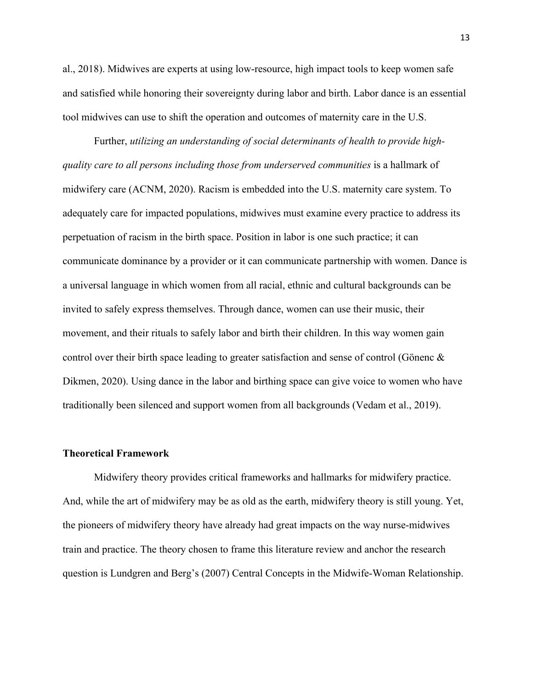al., 2018). Midwives are experts at using low-resource, high impact tools to keep women safe and satisfied while honoring their sovereignty during labor and birth. Labor dance is an essential tool midwives can use to shift the operation and outcomes of maternity care in the U.S.

Further, *utilizing an understanding of social determinants of health to provide highquality care to all persons including those from underserved communities* is a hallmark of midwifery care (ACNM, 2020). Racism is embedded into the U.S. maternity care system. To adequately care for impacted populations, midwives must examine every practice to address its perpetuation of racism in the birth space. Position in labor is one such practice; it can communicate dominance by a provider or it can communicate partnership with women. Dance is a universal language in which women from all racial, ethnic and cultural backgrounds can be invited to safely express themselves. Through dance, women can use their music, their movement, and their rituals to safely labor and birth their children. In this way women gain control over their birth space leading to greater satisfaction and sense of control (Gönenc & Dikmen, 2020). Using dance in the labor and birthing space can give voice to women who have traditionally been silenced and support women from all backgrounds (Vedam et al., 2019).

#### **Theoretical Framework**

Midwifery theory provides critical frameworks and hallmarks for midwifery practice. And, while the art of midwifery may be as old as the earth, midwifery theory is still young. Yet, the pioneers of midwifery theory have already had great impacts on the way nurse-midwives train and practice. The theory chosen to frame this literature review and anchor the research question is Lundgren and Berg's (2007) Central Concepts in the Midwife-Woman Relationship.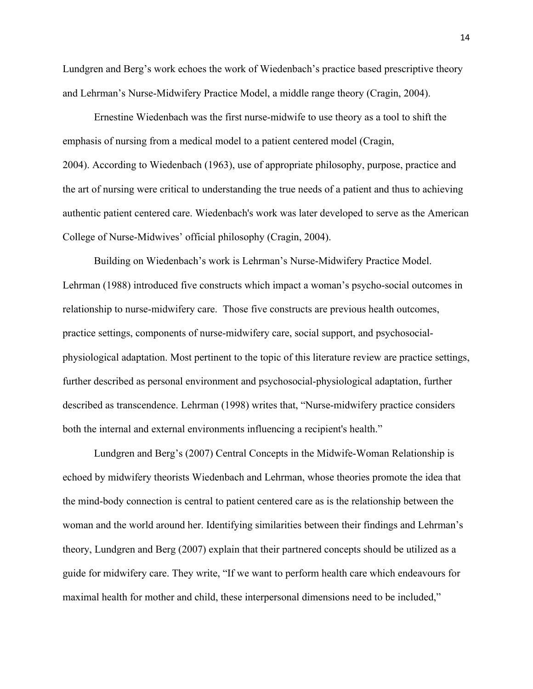Lundgren and Berg's work echoes the work of Wiedenbach's practice based prescriptive theory and Lehrman's Nurse-Midwifery Practice Model, a middle range theory (Cragin, 2004).

Ernestine Wiedenbach was the first nurse-midwife to use theory as a tool to shift the emphasis of nursing from a medical model to a patient centered model (Cragin, 2004). According to Wiedenbach (1963), use of appropriate philosophy, purpose, practice and the art of nursing were critical to understanding the true needs of a patient and thus to achieving authentic patient centered care. Wiedenbach's work was later developed to serve as the American College of Nurse-Midwives' official philosophy (Cragin, 2004).

Building on Wiedenbach's work is Lehrman's Nurse-Midwifery Practice Model. Lehrman (1988) introduced five constructs which impact a woman's psycho-social outcomes in relationship to nurse-midwifery care. Those five constructs are previous health outcomes, practice settings, components of nurse-midwifery care, social support, and psychosocialphysiological adaptation. Most pertinent to the topic of this literature review are practice settings, further described as personal environment and psychosocial-physiological adaptation, further described as transcendence. Lehrman (1998) writes that, "Nurse-midwifery practice considers both the internal and external environments influencing a recipient's health."

Lundgren and Berg's (2007) Central Concepts in the Midwife-Woman Relationship is echoed by midwifery theorists Wiedenbach and Lehrman, whose theories promote the idea that the mind-body connection is central to patient centered care as is the relationship between the woman and the world around her. Identifying similarities between their findings and Lehrman's theory, Lundgren and Berg (2007) explain that their partnered concepts should be utilized as a guide for midwifery care. They write, "If we want to perform health care which endeavours for maximal health for mother and child, these interpersonal dimensions need to be included,"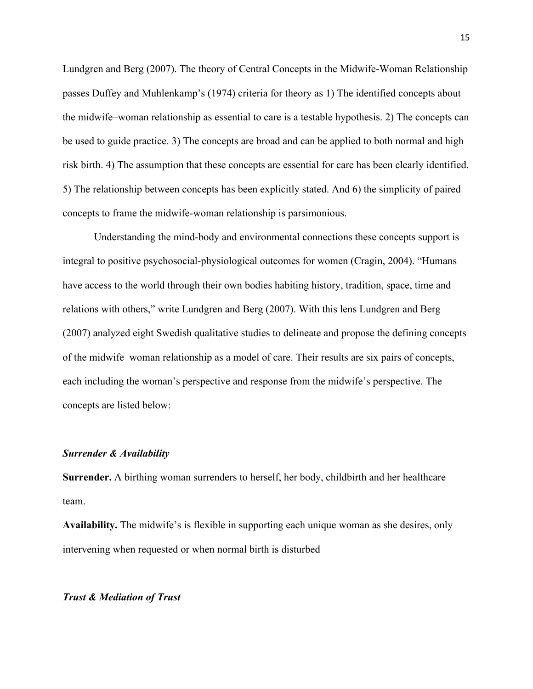Lundgren and Berg (2007). The theory of Central Concepts in the Midwife-Woman Relationship passes Duffey and Muhlenkamp's (1974) criteria for theory as 1) The identified concepts about the midwife–woman relationship as essential to care is a testable hypothesis. 2) The concepts can be used to guide practice. 3) The concepts are broad and can be applied to both normal and high risk birth. 4) The assumption that these concepts are essential for care has been clearly identified. 5) The relationship between concepts has been explicitly stated. And 6) the simplicity of paired concepts to frame the midwife-woman relationship is parsimonious.

Understanding the mind-body and environmental connections these concepts support is integral to positive psychosocial-physiological outcomes for women (Cragin, 2004). "Humans" have access to the world through their own bodies habiting history, tradition, space, time and relations with others," write Lundgren and Berg (2007). With this lens Lundgren and Berg (2007) analyzed eight Swedish qualitative studies to delineate and propose the defining concepts of the midwife–woman relationship as a model of care. Their results are six pairs of concepts, each including the woman's perspective and response from the midwife's perspective. The concepts are listed below:

#### *Surrender & Availability*

**Surrender.** A birthing woman surrenders to herself, her body, childbirth and her healthcare team.

**Availability.** The midwife's is flexible in supporting each unique woman as she desires, only intervening when requested or when normal birth is disturbed

## *Trust & Mediation of Trust*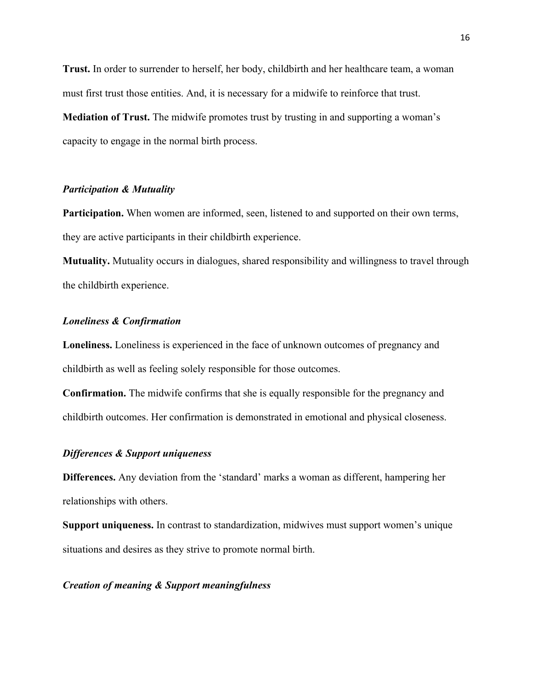**Trust.** In order to surrender to herself, her body, childbirth and her healthcare team, a woman must first trust those entities. And, it is necessary for a midwife to reinforce that trust.

**Mediation of Trust.** The midwife promotes trust by trusting in and supporting a woman's capacity to engage in the normal birth process.

# *Participation & Mutuality*

**Participation.** When women are informed, seen, listened to and supported on their own terms, they are active participants in their childbirth experience.

**Mutuality.** Mutuality occurs in dialogues, shared responsibility and willingness to travel through the childbirth experience.

# *Loneliness & Confirmation*

**Loneliness.** Loneliness is experienced in the face of unknown outcomes of pregnancy and childbirth as well as feeling solely responsible for those outcomes.

**Confirmation.** The midwife confirms that she is equally responsible for the pregnancy and childbirth outcomes. Her confirmation is demonstrated in emotional and physical closeness.

### *Differences & Support uniqueness*

**Differences.** Any deviation from the 'standard' marks a woman as different, hampering her relationships with others.

**Support uniqueness.** In contrast to standardization, midwives must support women's unique situations and desires as they strive to promote normal birth.

### *Creation of meaning & Support meaningfulness*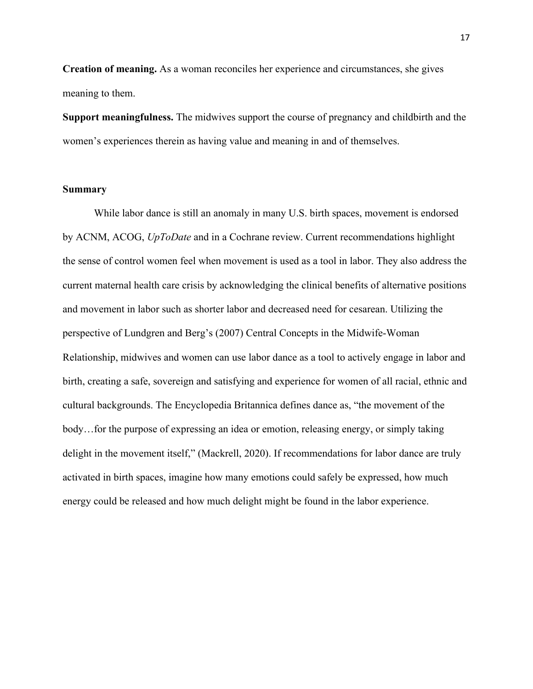**Creation of meaning.** As a woman reconciles her experience and circumstances, she gives meaning to them.

**Support meaningfulness.** The midwives support the course of pregnancy and childbirth and the women's experiences therein as having value and meaning in and of themselves.

### **Summary**

While labor dance is still an anomaly in many U.S. birth spaces, movement is endorsed by ACNM, ACOG, *UpToDate* and in a Cochrane review. Current recommendations highlight the sense of control women feel when movement is used as a tool in labor. They also address the current maternal health care crisis by acknowledging the clinical benefits of alternative positions and movement in labor such as shorter labor and decreased need for cesarean. Utilizing the perspective of Lundgren and Berg's (2007) Central Concepts in the Midwife-Woman Relationship, midwives and women can use labor dance as a tool to actively engage in labor and birth, creating a safe, sovereign and satisfying and experience for women of all racial, ethnic and cultural backgrounds. The Encyclopedia Britannica defines dance as, "the movement of the body…for the purpose of expressing an idea or emotion, releasing energy, or simply taking delight in the movement itself," (Mackrell, 2020). If recommendations for labor dance are truly activated in birth spaces, imagine how many emotions could safely be expressed, how much energy could be released and how much delight might be found in the labor experience.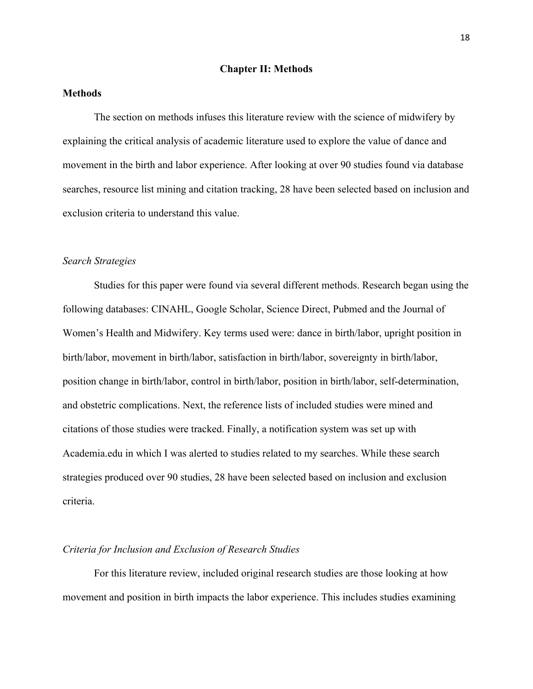#### **Chapter II: Methods**

### **Methods**

The section on methods infuses this literature review with the science of midwifery by explaining the critical analysis of academic literature used to explore the value of dance and movement in the birth and labor experience. After looking at over 90 studies found via database searches, resource list mining and citation tracking, 28 have been selected based on inclusion and exclusion criteria to understand this value.

#### *Search Strategies*

Studies for this paper were found via several different methods. Research began using the following databases: CINAHL, Google Scholar, Science Direct, Pubmed and the Journal of Women's Health and Midwifery. Key terms used were: dance in birth/labor, upright position in birth/labor, movement in birth/labor, satisfaction in birth/labor, sovereignty in birth/labor, position change in birth/labor, control in birth/labor, position in birth/labor, self-determination, and obstetric complications. Next, the reference lists of included studies were mined and citations of those studies were tracked. Finally, a notification system was set up with Academia.edu in which I was alerted to studies related to my searches. While these search strategies produced over 90 studies, 28 have been selected based on inclusion and exclusion criteria.

### *Criteria for Inclusion and Exclusion of Research Studies*

For this literature review, included original research studies are those looking at how movement and position in birth impacts the labor experience. This includes studies examining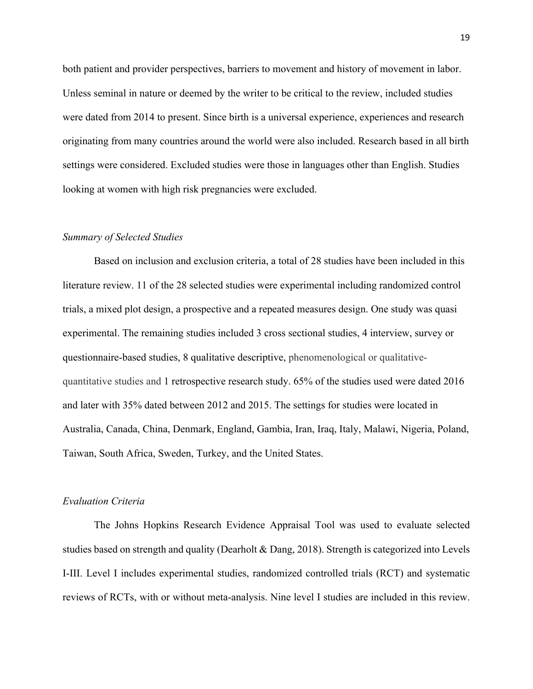both patient and provider perspectives, barriers to movement and history of movement in labor. Unless seminal in nature or deemed by the writer to be critical to the review, included studies were dated from 2014 to present. Since birth is a universal experience, experiences and research originating from many countries around the world were also included. Research based in all birth settings were considered. Excluded studies were those in languages other than English. Studies looking at women with high risk pregnancies were excluded.

### *Summary of Selected Studies*

Based on inclusion and exclusion criteria, a total of 28 studies have been included in this literature review. 11 of the 28 selected studies were experimental including randomized control trials, a mixed plot design, a prospective and a repeated measures design. One study was quasi experimental. The remaining studies included 3 cross sectional studies, 4 interview, survey or questionnaire-based studies, 8 qualitative descriptive, phenomenological or qualitativequantitative studies and 1 retrospective research study. 65% of the studies used were dated 2016 and later with 35% dated between 2012 and 2015. The settings for studies were located in Australia, Canada, China, Denmark, England, Gambia, Iran, Iraq, Italy, Malawi, Nigeria, Poland, Taiwan, South Africa, Sweden, Turkey, and the United States.

#### *Evaluation Criteria*

The Johns Hopkins Research Evidence Appraisal Tool was used to evaluate selected studies based on strength and quality (Dearholt & Dang, 2018). Strength is categorized into Levels I-III. Level I includes experimental studies, randomized controlled trials (RCT) and systematic reviews of RCTs, with or without meta-analysis. Nine level I studies are included in this review.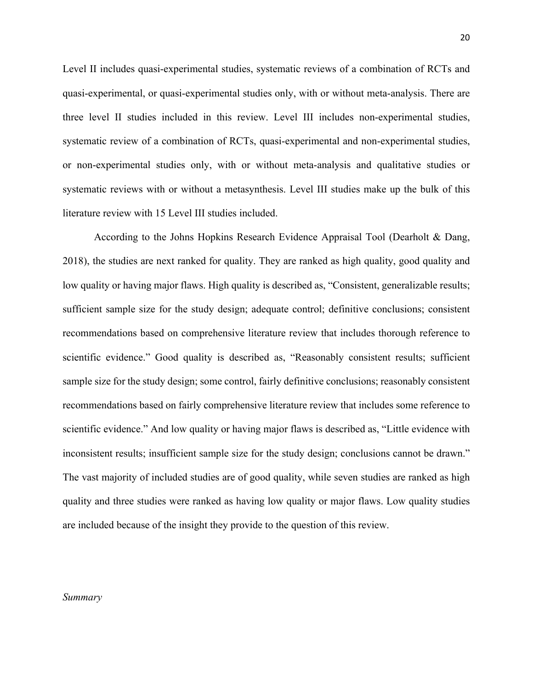Level II includes quasi-experimental studies, systematic reviews of a combination of RCTs and quasi-experimental, or quasi-experimental studies only, with or without meta-analysis. There are three level II studies included in this review. Level III includes non-experimental studies, systematic review of a combination of RCTs, quasi-experimental and non-experimental studies, or non-experimental studies only, with or without meta-analysis and qualitative studies or systematic reviews with or without a metasynthesis. Level III studies make up the bulk of this literature review with 15 Level III studies included.

According to the Johns Hopkins Research Evidence Appraisal Tool (Dearholt & Dang, 2018), the studies are next ranked for quality. They are ranked as high quality, good quality and low quality or having major flaws. High quality is described as, "Consistent, generalizable results; sufficient sample size for the study design; adequate control; definitive conclusions; consistent recommendations based on comprehensive literature review that includes thorough reference to scientific evidence." Good quality is described as, "Reasonably consistent results; sufficient sample size for the study design; some control, fairly definitive conclusions; reasonably consistent recommendations based on fairly comprehensive literature review that includes some reference to scientific evidence." And low quality or having major flaws is described as, "Little evidence with inconsistent results; insufficient sample size for the study design; conclusions cannot be drawn." The vast majority of included studies are of good quality, while seven studies are ranked as high quality and three studies were ranked as having low quality or major flaws. Low quality studies are included because of the insight they provide to the question of this review.

#### *Summary*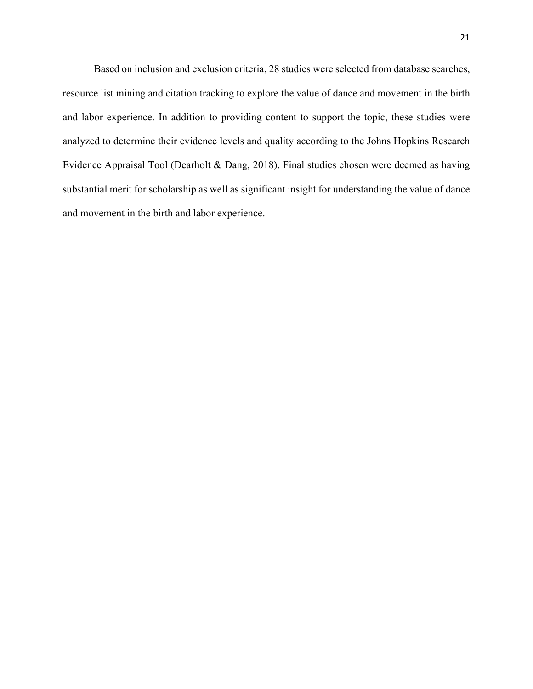Based on inclusion and exclusion criteria, 28 studies were selected from database searches, resource list mining and citation tracking to explore the value of dance and movement in the birth and labor experience. In addition to providing content to support the topic, these studies were analyzed to determine their evidence levels and quality according to the Johns Hopkins Research Evidence Appraisal Tool (Dearholt & Dang, 2018). Final studies chosen were deemed as having substantial merit for scholarship as well as significant insight for understanding the value of dance and movement in the birth and labor experience.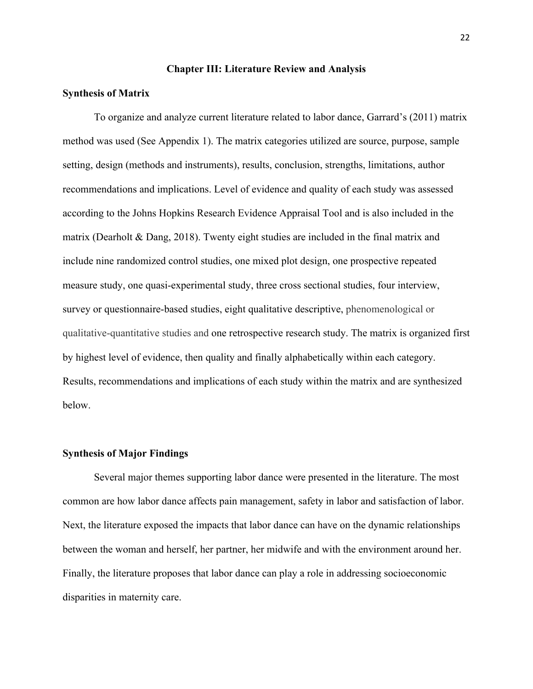#### **Chapter III: Literature Review and Analysis**

#### **Synthesis of Matrix**

To organize and analyze current literature related to labor dance, Garrard's (2011) matrix method was used (See Appendix 1). The matrix categories utilized are source, purpose, sample setting, design (methods and instruments), results, conclusion, strengths, limitations, author recommendations and implications. Level of evidence and quality of each study was assessed according to the Johns Hopkins Research Evidence Appraisal Tool and is also included in the matrix (Dearholt & Dang, 2018). Twenty eight studies are included in the final matrix and include nine randomized control studies, one mixed plot design, one prospective repeated measure study, one quasi-experimental study, three cross sectional studies, four interview, survey or questionnaire-based studies, eight qualitative descriptive, phenomenological or qualitative-quantitative studies and one retrospective research study. The matrix is organized first by highest level of evidence, then quality and finally alphabetically within each category. Results, recommendations and implications of each study within the matrix and are synthesized below.

#### **Synthesis of Major Findings**

Several major themes supporting labor dance were presented in the literature. The most common are how labor dance affects pain management, safety in labor and satisfaction of labor. Next, the literature exposed the impacts that labor dance can have on the dynamic relationships between the woman and herself, her partner, her midwife and with the environment around her. Finally, the literature proposes that labor dance can play a role in addressing socioeconomic disparities in maternity care.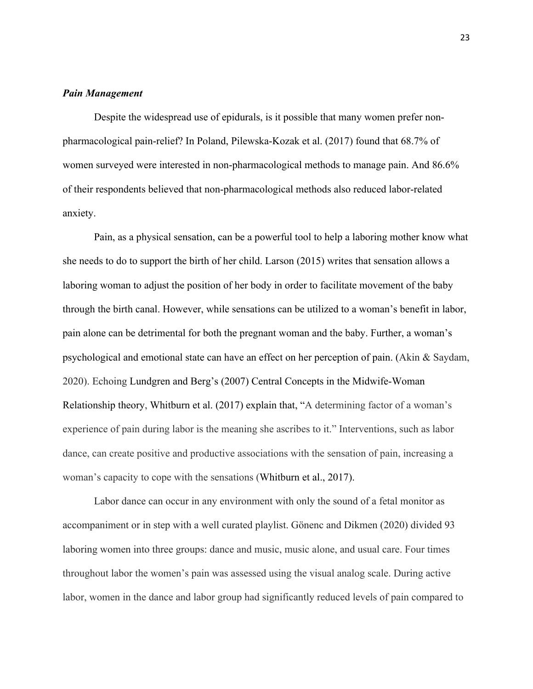### *Pain Management*

Despite the widespread use of epidurals, is it possible that many women prefer nonpharmacological pain-relief? In Poland, Pilewska-Kozak et al. (2017) found that 68.7% of women surveyed were interested in non-pharmacological methods to manage pain. And 86.6% of their respondents believed that non-pharmacological methods also reduced labor-related anxiety.

Pain, as a physical sensation, can be a powerful tool to help a laboring mother know what she needs to do to support the birth of her child. Larson (2015) writes that sensation allows a laboring woman to adjust the position of her body in order to facilitate movement of the baby through the birth canal. However, while sensations can be utilized to a woman's benefit in labor, pain alone can be detrimental for both the pregnant woman and the baby. Further, a woman's psychological and emotional state can have an effect on her perception of pain. (Akin & Saydam, 2020). Echoing Lundgren and Berg's (2007) Central Concepts in the Midwife-Woman Relationship theory, Whitburn et al. (2017) explain that, "A determining factor of a woman's experience of pain during labor is the meaning she ascribes to it." Interventions, such as labor dance, can create positive and productive associations with the sensation of pain, increasing a woman's capacity to cope with the sensations (Whitburn et al., 2017).

Labor dance can occur in any environment with only the sound of a fetal monitor as accompaniment or in step with a well curated playlist. Gönenc and Dikmen (2020) divided 93 laboring women into three groups: dance and music, music alone, and usual care. Four times throughout labor the women's pain was assessed using the visual analog scale. During active labor, women in the dance and labor group had significantly reduced levels of pain compared to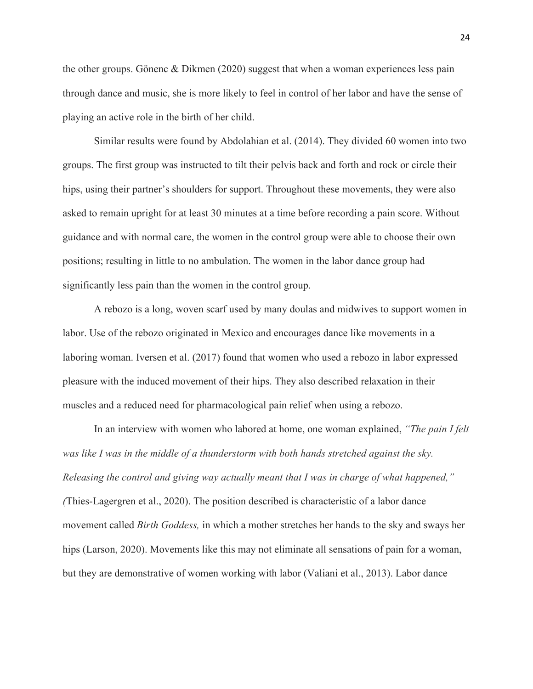the other groups. Gönenc & Dikmen (2020) suggest that when a woman experiences less pain through dance and music, she is more likely to feel in control of her labor and have the sense of playing an active role in the birth of her child.

Similar results were found by Abdolahian et al. (2014). They divided 60 women into two groups. The first group was instructed to tilt their pelvis back and forth and rock or circle their hips, using their partner's shoulders for support. Throughout these movements, they were also asked to remain upright for at least 30 minutes at a time before recording a pain score. Without guidance and with normal care, the women in the control group were able to choose their own positions; resulting in little to no ambulation. The women in the labor dance group had significantly less pain than the women in the control group.

A rebozo is a long, woven scarf used by many doulas and midwives to support women in labor. Use of the rebozo originated in Mexico and encourages dance like movements in a laboring woman. Iversen et al. (2017) found that women who used a rebozo in labor expressed pleasure with the induced movement of their hips. They also described relaxation in their muscles and a reduced need for pharmacological pain relief when using a rebozo.

In an interview with women who labored at home, one woman explained, *"The pain I felt was like I was in the middle of a thunderstorm with both hands stretched against the sky. Releasing the control and giving way actually meant that I was in charge of what happened," (*Thies-Lagergren et al., 2020). The position described is characteristic of a labor dance movement called *Birth Goddess,* in which a mother stretches her hands to the sky and sways her hips (Larson, 2020). Movements like this may not eliminate all sensations of pain for a woman, but they are demonstrative of women working with labor (Valiani et al., 2013). Labor dance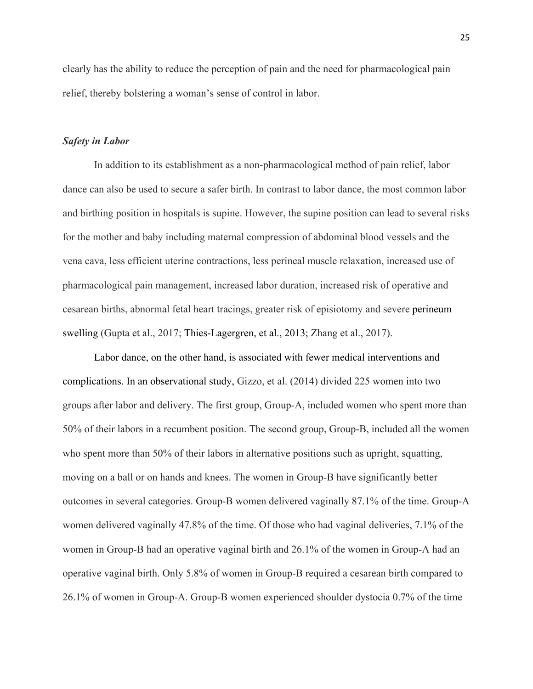clearly has the ability to reduce the perception of pain and the need for pharmacological pain relief, thereby bolstering a woman's sense of control in labor.

#### *Safety in Labor*

In addition to its establishment as a non-pharmacological method of pain relief, labor dance can also be used to secure a safer birth. In contrast to labor dance, the most common labor and birthing position in hospitals is supine. However, the supine position can lead to several risks for the mother and baby including maternal compression of abdominal blood vessels and the vena cava, less efficient uterine contractions, less perineal muscle relaxation, increased use of pharmacological pain management, increased labor duration, increased risk of operative and cesarean births, abnormal fetal heart tracings, greater risk of episiotomy and severe perineum swelling (Gupta et al., 2017; Thies-Lagergren, et al., 2013; Zhang et al., 2017).

Labor dance, on the other hand, is associated with fewer medical interventions and complications. In an observational study, Gizzo, et al. (2014) divided 225 women into two groups after labor and delivery. The first group, Group-A, included women who spent more than 50% of their labors in a recumbent position. The second group, Group-B, included all the women who spent more than 50% of their labors in alternative positions such as upright, squatting, moving on a ball or on hands and knees. The women in Group-B have significantly better outcomes in several categories. Group-B women delivered vaginally 87.1% of the time. Group-A women delivered vaginally 47.8% of the time. Of those who had vaginal deliveries, 7.1% of the women in Group-B had an operative vaginal birth and 26.1% of the women in Group-A had an operative vaginal birth. Only 5.8% of women in Group-B required a cesarean birth compared to 26.1% of women in Group-A. Group-B women experienced shoulder dystocia 0.7% of the time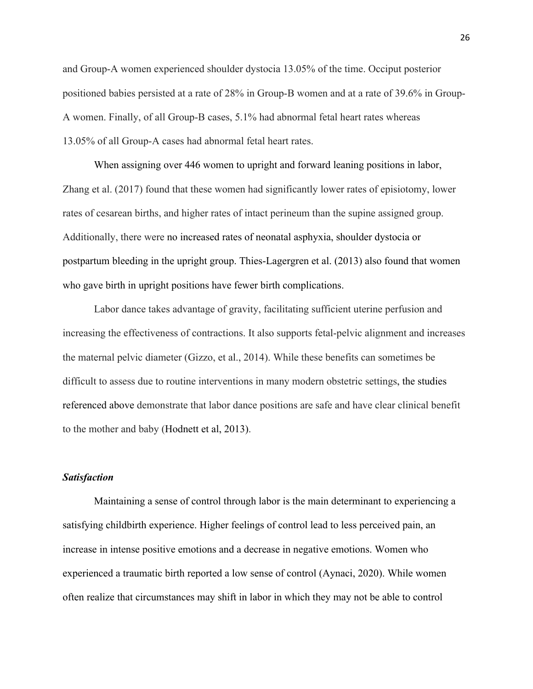and Group-A women experienced shoulder dystocia 13.05% of the time. Occiput posterior positioned babies persisted at a rate of 28% in Group-B women and at a rate of 39.6% in Group-A women. Finally, of all Group-B cases, 5.1% had abnormal fetal heart rates whereas 13.05% of all Group-A cases had abnormal fetal heart rates.

When assigning over 446 women to upright and forward leaning positions in labor, Zhang et al. (2017) found that these women had significantly lower rates of episiotomy, lower rates of cesarean births, and higher rates of intact perineum than the supine assigned group. Additionally, there were no increased rates of neonatal asphyxia, shoulder dystocia or postpartum bleeding in the upright group. Thies-Lagergren et al. (2013) also found that women who gave birth in upright positions have fewer birth complications.

Labor dance takes advantage of gravity, facilitating sufficient uterine perfusion and increasing the effectiveness of contractions. It also supports fetal-pelvic alignment and increases the maternal pelvic diameter (Gizzo, et al., 2014). While these benefits can sometimes be difficult to assess due to routine interventions in many modern obstetric settings, the studies referenced above demonstrate that labor dance positions are safe and have clear clinical benefit to the mother and baby (Hodnett et al, 2013).

#### *Satisfaction*

Maintaining a sense of control through labor is the main determinant to experiencing a satisfying childbirth experience. Higher feelings of control lead to less perceived pain, an increase in intense positive emotions and a decrease in negative emotions. Women who experienced a traumatic birth reported a low sense of control (Aynaci, 2020). While women often realize that circumstances may shift in labor in which they may not be able to control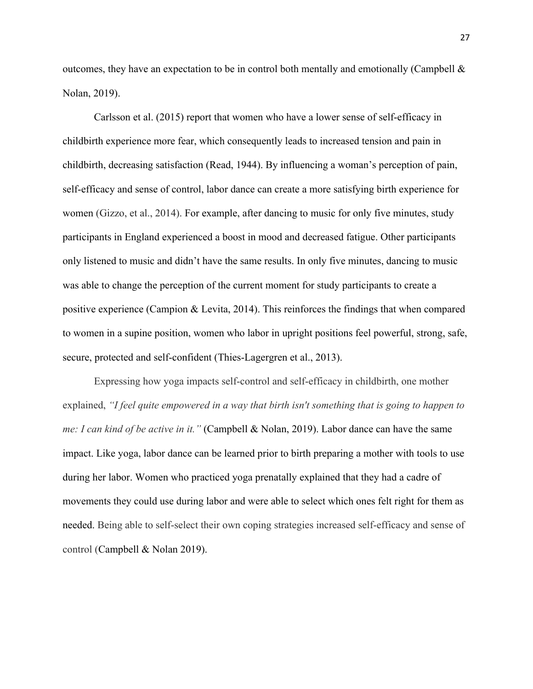outcomes, they have an expectation to be in control both mentally and emotionally (Campbell  $\&$ Nolan, 2019).

Carlsson et al. (2015) report that women who have a lower sense of self-efficacy in childbirth experience more fear, which consequently leads to increased tension and pain in childbirth, decreasing satisfaction (Read, 1944). By influencing a woman's perception of pain, self-efficacy and sense of control, labor dance can create a more satisfying birth experience for women (Gizzo, et al., 2014). For example, after dancing to music for only five minutes, study participants in England experienced a boost in mood and decreased fatigue. Other participants only listened to music and didn't have the same results. In only five minutes, dancing to music was able to change the perception of the current moment for study participants to create a positive experience (Campion & Levita, 2014). This reinforces the findings that when compared to women in a supine position, women who labor in upright positions feel powerful, strong, safe, secure, protected and self-confident (Thies-Lagergren et al., 2013).

Expressing how yoga impacts self-control and self-efficacy in childbirth, one mother explained, *"I feel quite empowered in a way that birth isn't something that is going to happen to me: I can kind of be active in it."* (Campbell & Nolan, 2019). Labor dance can have the same impact. Like yoga, labor dance can be learned prior to birth preparing a mother with tools to use during her labor. Women who practiced yoga prenatally explained that they had a cadre of movements they could use during labor and were able to select which ones felt right for them as needed. Being able to self-select their own coping strategies increased self-efficacy and sense of control (Campbell & Nolan 2019).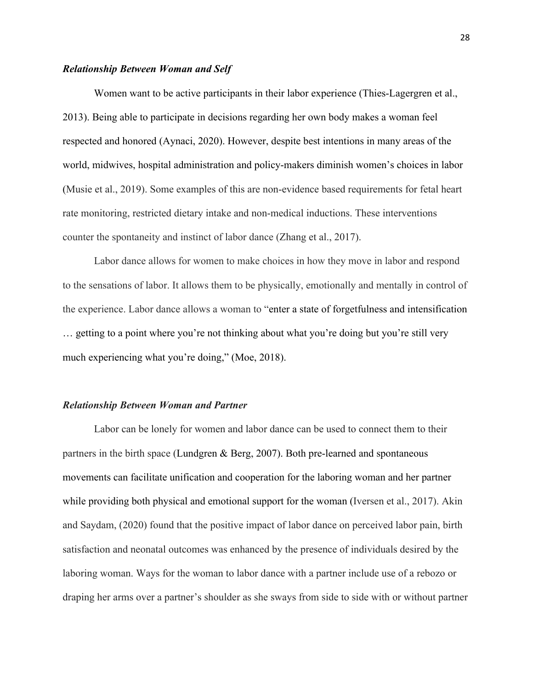#### *Relationship Between Woman and Self*

Women want to be active participants in their labor experience (Thies-Lagergren et al., 2013). Being able to participate in decisions regarding her own body makes a woman feel respected and honored (Aynaci, 2020). However, despite best intentions in many areas of the world, midwives, hospital administration and policy-makers diminish women's choices in labor (Musie et al., 2019). Some examples of this are non-evidence based requirements for fetal heart rate monitoring, restricted dietary intake and non-medical inductions. These interventions counter the spontaneity and instinct of labor dance (Zhang et al., 2017).

Labor dance allows for women to make choices in how they move in labor and respond to the sensations of labor. It allows them to be physically, emotionally and mentally in control of the experience. Labor dance allows a woman to "enter a state of forgetfulness and intensification … getting to a point where you're not thinking about what you're doing but you're still very much experiencing what you're doing," (Moe, 2018).

#### *Relationship Between Woman and Partner*

Labor can be lonely for women and labor dance can be used to connect them to their partners in the birth space (Lundgren & Berg, 2007). Both pre-learned and spontaneous movements can facilitate unification and cooperation for the laboring woman and her partner while providing both physical and emotional support for the woman (Iversen et al., 2017). Akin and Saydam, (2020) found that the positive impact of labor dance on perceived labor pain, birth satisfaction and neonatal outcomes was enhanced by the presence of individuals desired by the laboring woman. Ways for the woman to labor dance with a partner include use of a rebozo or draping her arms over a partner's shoulder as she sways from side to side with or without partner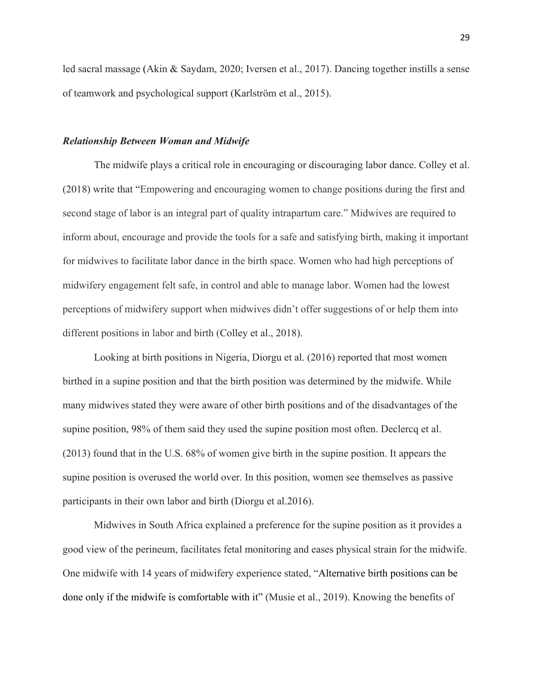led sacral massage (Akin & Saydam, 2020; Iversen et al., 2017). Dancing together instills a sense of teamwork and psychological support (Karlström et al., 2015).

#### *Relationship Between Woman and Midwife*

The midwife plays a critical role in encouraging or discouraging labor dance. Colley et al. (2018) write that "Empowering and encouraging women to change positions during the first and second stage of labor is an integral part of quality intrapartum care." Midwives are required to inform about, encourage and provide the tools for a safe and satisfying birth, making it important for midwives to facilitate labor dance in the birth space. Women who had high perceptions of midwifery engagement felt safe, in control and able to manage labor. Women had the lowest perceptions of midwifery support when midwives didn't offer suggestions of or help them into different positions in labor and birth (Colley et al., 2018).

Looking at birth positions in Nigeria, Diorgu et al. (2016) reported that most women birthed in a supine position and that the birth position was determined by the midwife. While many midwives stated they were aware of other birth positions and of the disadvantages of the supine position, 98% of them said they used the supine position most often. Declercq et al. (2013) found that in the U.S. 68% of women give birth in the supine position. It appears the supine position is overused the world over. In this position, women see themselves as passive participants in their own labor and birth (Diorgu et al.2016).

Midwives in South Africa explained a preference for the supine position as it provides a good view of the perineum, facilitates fetal monitoring and eases physical strain for the midwife. One midwife with 14 years of midwifery experience stated, "Alternative birth positions can be done only if the midwife is comfortable with it" (Musie et al., 2019). Knowing the benefits of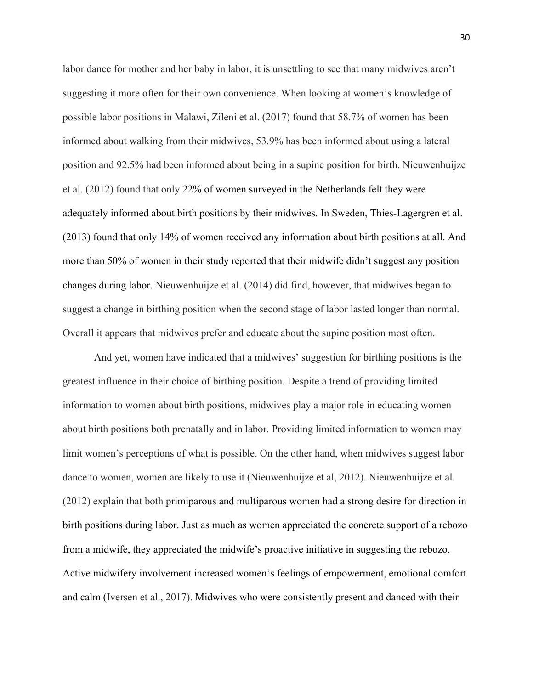labor dance for mother and her baby in labor, it is unsettling to see that many midwives aren't suggesting it more often for their own convenience. When looking at women's knowledge of possible labor positions in Malawi, Zileni et al. (2017) found that 58.7% of women has been informed about walking from their midwives, 53.9% has been informed about using a lateral position and 92.5% had been informed about being in a supine position for birth. Nieuwenhuijze et al. (2012) found that only 22% of women surveyed in the Netherlands felt they were adequately informed about birth positions by their midwives. In Sweden, Thies-Lagergren et al. (2013) found that only 14% of women received any information about birth positions at all. And more than 50% of women in their study reported that their midwife didn't suggest any position changes during labor. Nieuwenhuijze et al. (2014) did find, however, that midwives began to suggest a change in birthing position when the second stage of labor lasted longer than normal. Overall it appears that midwives prefer and educate about the supine position most often.

And yet, women have indicated that a midwives' suggestion for birthing positions is the greatest influence in their choice of birthing position. Despite a trend of providing limited information to women about birth positions, midwives play a major role in educating women about birth positions both prenatally and in labor. Providing limited information to women may limit women's perceptions of what is possible. On the other hand, when midwives suggest labor dance to women, women are likely to use it (Nieuwenhuijze et al, 2012). Nieuwenhuijze et al. (2012) explain that both primiparous and multiparous women had a strong desire for direction in birth positions during labor. Just as much as women appreciated the concrete support of a rebozo from a midwife, they appreciated the midwife's proactive initiative in suggesting the rebozo. Active midwifery involvement increased women's feelings of empowerment, emotional comfort and calm (Iversen et al., 2017). Midwives who were consistently present and danced with their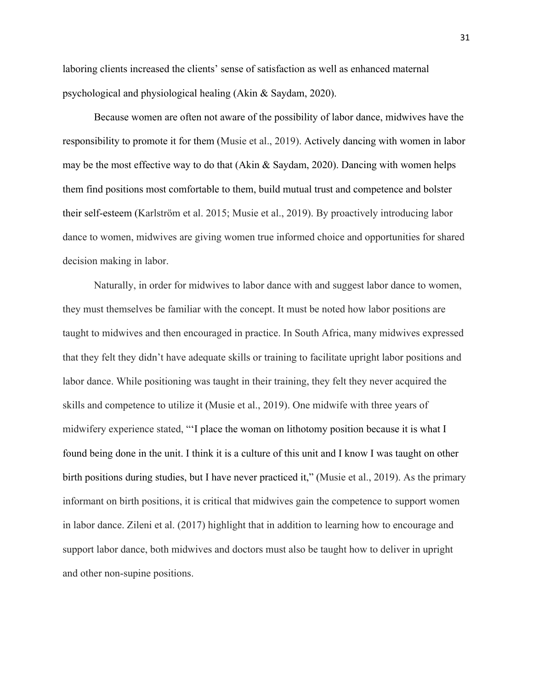laboring clients increased the clients' sense of satisfaction as well as enhanced maternal psychological and physiological healing (Akin & Saydam, 2020).

Because women are often not aware of the possibility of labor dance, midwives have the responsibility to promote it for them (Musie et al., 2019). Actively dancing with women in labor may be the most effective way to do that (Akin & Saydam, 2020). Dancing with women helps them find positions most comfortable to them, build mutual trust and competence and bolster their self-esteem (Karlström et al. 2015; Musie et al., 2019). By proactively introducing labor dance to women, midwives are giving women true informed choice and opportunities for shared decision making in labor.

Naturally, in order for midwives to labor dance with and suggest labor dance to women, they must themselves be familiar with the concept. It must be noted how labor positions are taught to midwives and then encouraged in practice. In South Africa, many midwives expressed that they felt they didn't have adequate skills or training to facilitate upright labor positions and labor dance. While positioning was taught in their training, they felt they never acquired the skills and competence to utilize it (Musie et al., 2019). One midwife with three years of midwifery experience stated, "'I place the woman on lithotomy position because it is what I found being done in the unit. I think it is a culture of this unit and I know I was taught on other birth positions during studies, but I have never practiced it," (Musie et al., 2019). As the primary informant on birth positions, it is critical that midwives gain the competence to support women in labor dance. Zileni et al. (2017) highlight that in addition to learning how to encourage and support labor dance, both midwives and doctors must also be taught how to deliver in upright and other non-supine positions.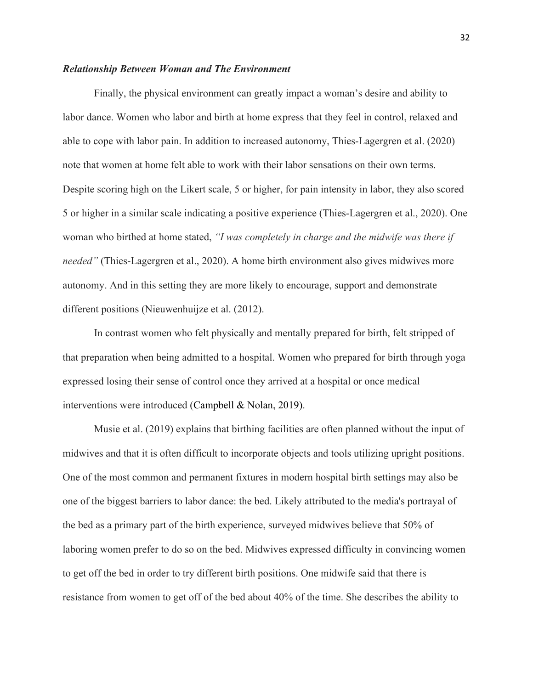### *Relationship Between Woman and The Environment*

Finally, the physical environment can greatly impact a woman's desire and ability to labor dance. Women who labor and birth at home express that they feel in control, relaxed and able to cope with labor pain. In addition to increased autonomy, Thies-Lagergren et al. (2020) note that women at home felt able to work with their labor sensations on their own terms. Despite scoring high on the Likert scale, 5 or higher, for pain intensity in labor, they also scored 5 or higher in a similar scale indicating a positive experience (Thies-Lagergren et al., 2020). One woman who birthed at home stated, *"I was completely in charge and the midwife was there if needed"* (Thies-Lagergren et al., 2020). A home birth environment also gives midwives more autonomy. And in this setting they are more likely to encourage, support and demonstrate different positions (Nieuwenhuijze et al. (2012).

In contrast women who felt physically and mentally prepared for birth, felt stripped of that preparation when being admitted to a hospital. Women who prepared for birth through yoga expressed losing their sense of control once they arrived at a hospital or once medical interventions were introduced (Campbell & Nolan, 2019).

Musie et al. (2019) explains that birthing facilities are often planned without the input of midwives and that it is often difficult to incorporate objects and tools utilizing upright positions. One of the most common and permanent fixtures in modern hospital birth settings may also be one of the biggest barriers to labor dance: the bed. Likely attributed to the media's portrayal of the bed as a primary part of the birth experience, surveyed midwives believe that 50% of laboring women prefer to do so on the bed. Midwives expressed difficulty in convincing women to get off the bed in order to try different birth positions. One midwife said that there is resistance from women to get off of the bed about 40% of the time. She describes the ability to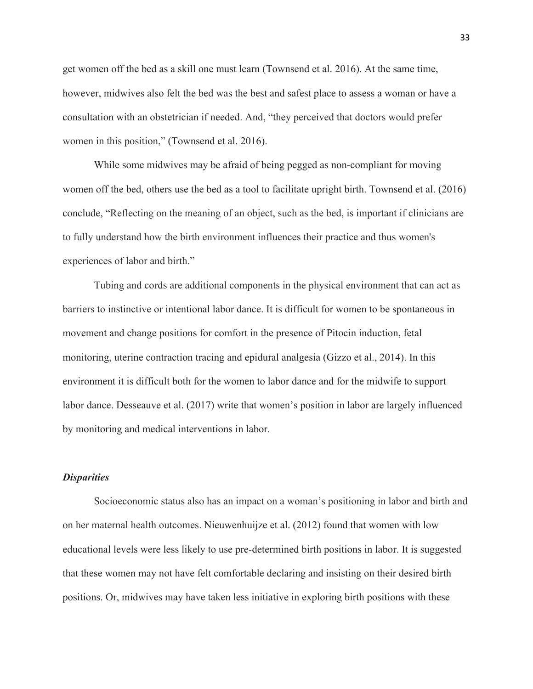get women off the bed as a skill one must learn (Townsend et al. 2016). At the same time, however, midwives also felt the bed was the best and safest place to assess a woman or have a consultation with an obstetrician if needed. And, "they perceived that doctors would prefer women in this position," (Townsend et al. 2016).

While some midwives may be afraid of being pegged as non-compliant for moving women off the bed, others use the bed as a tool to facilitate upright birth. Townsend et al. (2016) conclude, "Reflecting on the meaning of an object, such as the bed, is important if clinicians are to fully understand how the birth environment influences their practice and thus women's experiences of labor and birth."

Tubing and cords are additional components in the physical environment that can act as barriers to instinctive or intentional labor dance. It is difficult for women to be spontaneous in movement and change positions for comfort in the presence of Pitocin induction, fetal monitoring, uterine contraction tracing and epidural analgesia (Gizzo et al., 2014). In this environment it is difficult both for the women to labor dance and for the midwife to support labor dance. Desseauve et al. (2017) write that women's position in labor are largely influenced by monitoring and medical interventions in labor.

#### *Disparities*

Socioeconomic status also has an impact on a woman's positioning in labor and birth and on her maternal health outcomes. Nieuwenhuijze et al. (2012) found that women with low educational levels were less likely to use pre-determined birth positions in labor. It is suggested that these women may not have felt comfortable declaring and insisting on their desired birth positions. Or, midwives may have taken less initiative in exploring birth positions with these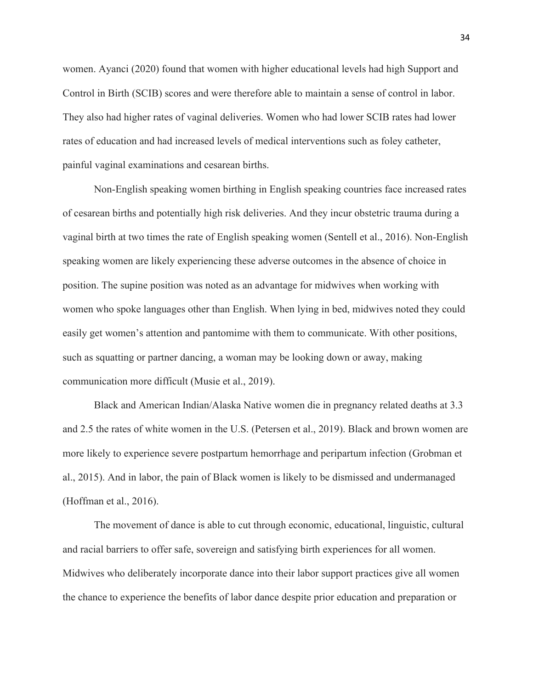women. Ayanci (2020) found that women with higher educational levels had high Support and Control in Birth (SCIB) scores and were therefore able to maintain a sense of control in labor. They also had higher rates of vaginal deliveries. Women who had lower SCIB rates had lower rates of education and had increased levels of medical interventions such as foley catheter, painful vaginal examinations and cesarean births.

Non-English speaking women birthing in English speaking countries face increased rates of cesarean births and potentially high risk deliveries. And they incur obstetric trauma during a vaginal birth at two times the rate of English speaking women (Sentell et al., 2016). Non-English speaking women are likely experiencing these adverse outcomes in the absence of choice in position. The supine position was noted as an advantage for midwives when working with women who spoke languages other than English. When lying in bed, midwives noted they could easily get women's attention and pantomime with them to communicate. With other positions, such as squatting or partner dancing, a woman may be looking down or away, making communication more difficult (Musie et al., 2019).

Black and American Indian/Alaska Native women die in pregnancy related deaths at 3.3 and 2.5 the rates of white women in the U.S. (Petersen et al., 2019). Black and brown women are more likely to experience severe postpartum hemorrhage and peripartum infection (Grobman et al., 2015). And in labor, the pain of Black women is likely to be dismissed and undermanaged (Hoffman et al., 2016).

The movement of dance is able to cut through economic, educational, linguistic, cultural and racial barriers to offer safe, sovereign and satisfying birth experiences for all women. Midwives who deliberately incorporate dance into their labor support practices give all women the chance to experience the benefits of labor dance despite prior education and preparation or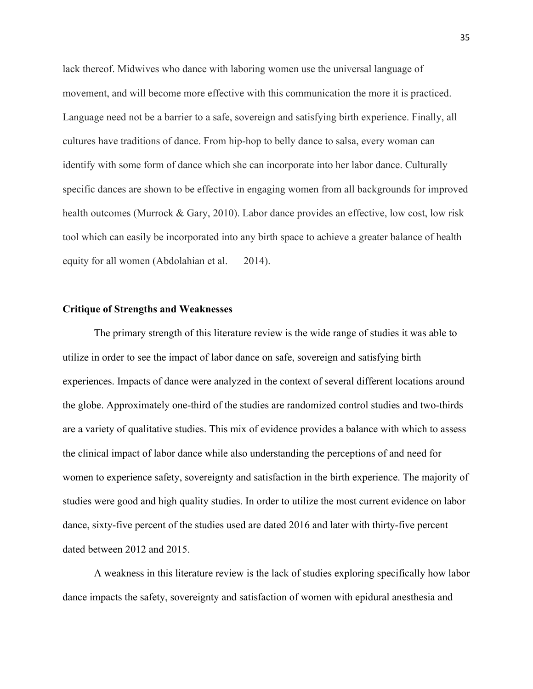lack thereof. Midwives who dance with laboring women use the universal language of movement, and will become more effective with this communication the more it is practiced. Language need not be a barrier to a safe, sovereign and satisfying birth experience. Finally, all cultures have traditions of dance. From hip-hop to belly dance to salsa, every woman can identify with some form of dance which she can incorporate into her labor dance. Culturally specific dances are shown to be effective in engaging women from all backgrounds for improved health outcomes (Murrock & Gary, 2010). Labor dance provides an effective, low cost, low risk tool which can easily be incorporated into any birth space to achieve a greater balance of health equity for all women (Abdolahian et al. 2014).

#### **Critique of Strengths and Weaknesses**

The primary strength of this literature review is the wide range of studies it was able to utilize in order to see the impact of labor dance on safe, sovereign and satisfying birth experiences. Impacts of dance were analyzed in the context of several different locations around the globe. Approximately one-third of the studies are randomized control studies and two-thirds are a variety of qualitative studies. This mix of evidence provides a balance with which to assess the clinical impact of labor dance while also understanding the perceptions of and need for women to experience safety, sovereignty and satisfaction in the birth experience. The majority of studies were good and high quality studies. In order to utilize the most current evidence on labor dance, sixty-five percent of the studies used are dated 2016 and later with thirty-five percent dated between 2012 and 2015.

A weakness in this literature review is the lack of studies exploring specifically how labor dance impacts the safety, sovereignty and satisfaction of women with epidural anesthesia and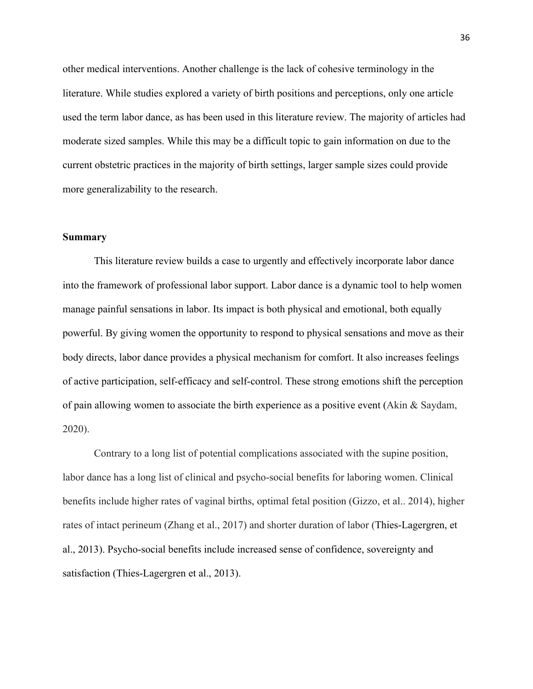other medical interventions. Another challenge is the lack of cohesive terminology in the literature. While studies explored a variety of birth positions and perceptions, only one article used the term labor dance, as has been used in this literature review. The majority of articles had moderate sized samples. While this may be a difficult topic to gain information on due to the current obstetric practices in the majority of birth settings, larger sample sizes could provide more generalizability to the research.

### **Summary**

This literature review builds a case to urgently and effectively incorporate labor dance into the framework of professional labor support. Labor dance is a dynamic tool to help women manage painful sensations in labor. Its impact is both physical and emotional, both equally powerful. By giving women the opportunity to respond to physical sensations and move as their body directs, labor dance provides a physical mechanism for comfort. It also increases feelings of active participation, self-efficacy and self-control. These strong emotions shift the perception of pain allowing women to associate the birth experience as a positive event (Akin & Saydam, 2020).

Contrary to a long list of potential complications associated with the supine position, labor dance has a long list of clinical and psycho-social benefits for laboring women. Clinical benefits include higher rates of vaginal births, optimal fetal position (Gizzo, et al.. 2014), higher rates of intact perineum (Zhang et al., 2017) and shorter duration of labor (Thies-Lagergren, et al., 2013). Psycho-social benefits include increased sense of confidence, sovereignty and satisfaction (Thies-Lagergren et al., 2013).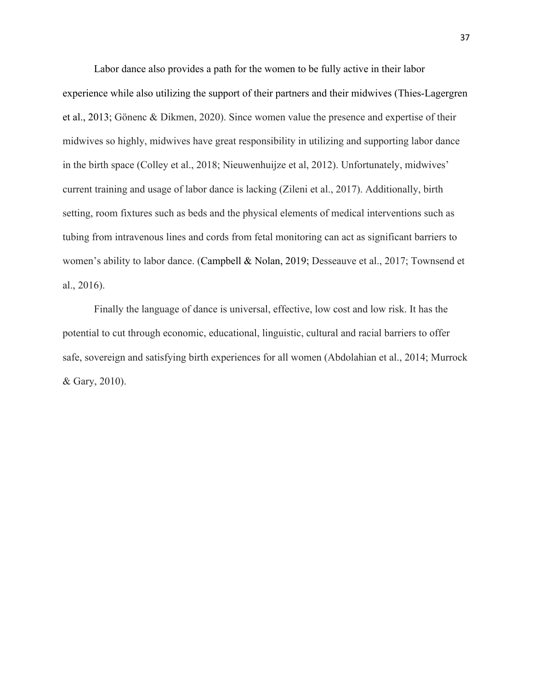Labor dance also provides a path for the women to be fully active in their labor experience while also utilizing the support of their partners and their midwives (Thies-Lagergren et al., 2013; Gönenc & Dikmen, 2020). Since women value the presence and expertise of their midwives so highly, midwives have great responsibility in utilizing and supporting labor dance in the birth space (Colley et al., 2018; Nieuwenhuijze et al, 2012). Unfortunately, midwives' current training and usage of labor dance is lacking (Zileni et al., 2017). Additionally, birth setting, room fixtures such as beds and the physical elements of medical interventions such as tubing from intravenous lines and cords from fetal monitoring can act as significant barriers to women's ability to labor dance. (Campbell & Nolan, 2019; Desseauve et al., 2017; Townsend et al., 2016).

Finally the language of dance is universal, effective, low cost and low risk. It has the potential to cut through economic, educational, linguistic, cultural and racial barriers to offer safe, sovereign and satisfying birth experiences for all women (Abdolahian et al., 2014; Murrock & Gary, 2010).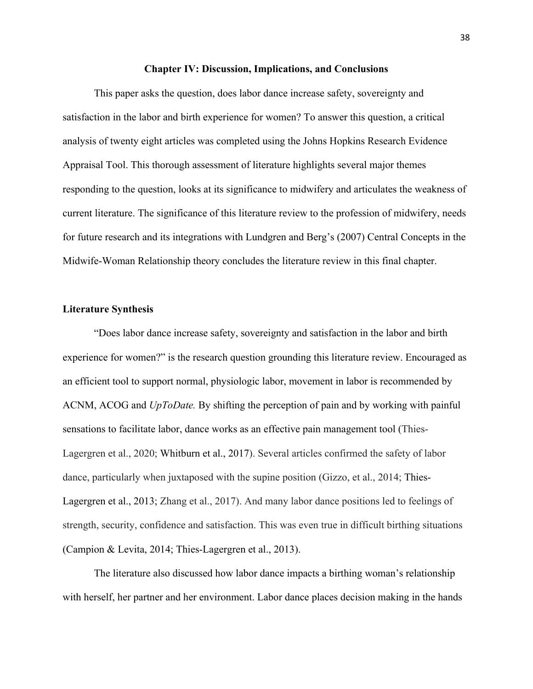#### **Chapter IV: Discussion, Implications, and Conclusions**

This paper asks the question, does labor dance increase safety, sovereignty and satisfaction in the labor and birth experience for women? To answer this question, a critical analysis of twenty eight articles was completed using the Johns Hopkins Research Evidence Appraisal Tool. This thorough assessment of literature highlights several major themes responding to the question, looks at its significance to midwifery and articulates the weakness of current literature. The significance of this literature review to the profession of midwifery, needs for future research and its integrations with Lundgren and Berg's (2007) Central Concepts in the Midwife-Woman Relationship theory concludes the literature review in this final chapter.

### **Literature Synthesis**

"Does labor dance increase safety, sovereignty and satisfaction in the labor and birth experience for women?" is the research question grounding this literature review. Encouraged as an efficient tool to support normal, physiologic labor, movement in labor is recommended by ACNM, ACOG and *UpToDate.* By shifting the perception of pain and by working with painful sensations to facilitate labor, dance works as an effective pain management tool (Thies-Lagergren et al., 2020; Whitburn et al., 2017). Several articles confirmed the safety of labor dance, particularly when juxtaposed with the supine position (Gizzo, et al., 2014; Thies-Lagergren et al., 2013; Zhang et al., 2017). And many labor dance positions led to feelings of strength, security, confidence and satisfaction. This was even true in difficult birthing situations (Campion & Levita, 2014; Thies-Lagergren et al., 2013).

The literature also discussed how labor dance impacts a birthing woman's relationship with herself, her partner and her environment. Labor dance places decision making in the hands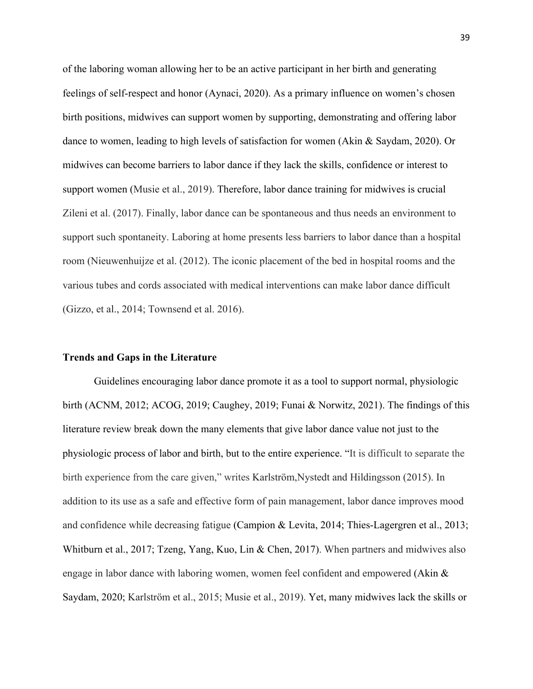of the laboring woman allowing her to be an active participant in her birth and generating feelings of self-respect and honor (Aynaci, 2020). As a primary influence on women's chosen birth positions, midwives can support women by supporting, demonstrating and offering labor dance to women, leading to high levels of satisfaction for women (Akin & Saydam, 2020). Or midwives can become barriers to labor dance if they lack the skills, confidence or interest to support women (Musie et al., 2019). Therefore, labor dance training for midwives is crucial Zileni et al. (2017). Finally, labor dance can be spontaneous and thus needs an environment to support such spontaneity. Laboring at home presents less barriers to labor dance than a hospital room (Nieuwenhuijze et al. (2012). The iconic placement of the bed in hospital rooms and the various tubes and cords associated with medical interventions can make labor dance difficult (Gizzo, et al., 2014; Townsend et al. 2016).

#### **Trends and Gaps in the Literature**

Guidelines encouraging labor dance promote it as a tool to support normal, physiologic birth (ACNM, 2012; ACOG, 2019; Caughey, 2019; Funai & Norwitz, 2021). The findings of this literature review break down the many elements that give labor dance value not just to the physiologic process of labor and birth, but to the entire experience. "It is difficult to separate the birth experience from the care given," writes Karlström,Nystedt and Hildingsson (2015). In addition to its use as a safe and effective form of pain management, labor dance improves mood and confidence while decreasing fatigue (Campion & Levita, 2014; Thies-Lagergren et al., 2013; Whitburn et al., 2017; Tzeng, Yang, Kuo, Lin & Chen, 2017). When partners and midwives also engage in labor dance with laboring women, women feel confident and empowered (Akin & Saydam, 2020; Karlström et al., 2015; Musie et al., 2019). Yet, many midwives lack the skills or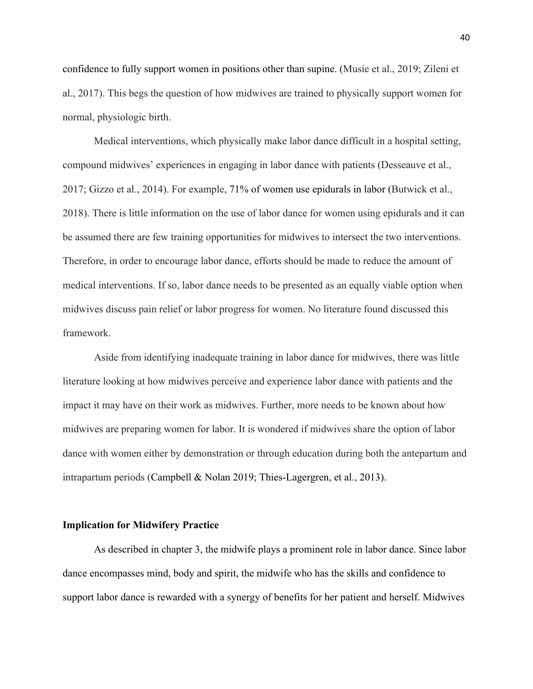confidence to fully support women in positions other than supine. (Musie et al., 2019; Zileni et al., 2017). This begs the question of how midwives are trained to physically support women for normal, physiologic birth.

Medical interventions, which physically make labor dance difficult in a hospital setting, compound midwives' experiences in engaging in labor dance with patients (Desseauve et al., 2017; Gizzo et al., 2014). For example, 71% of women use epidurals in labor (Butwick et al., 2018). There is little information on the use of labor dance for women using epidurals and it can be assumed there are few training opportunities for midwives to intersect the two interventions. Therefore, in order to encourage labor dance, efforts should be made to reduce the amount of medical interventions. If so, labor dance needs to be presented as an equally viable option when midwives discuss pain relief or labor progress for women. No literature found discussed this framework.

Aside from identifying inadequate training in labor dance for midwives, there was little literature looking at how midwives perceive and experience labor dance with patients and the impact it may have on their work as midwives. Further, more needs to be known about how midwives are preparing women for labor. It is wondered if midwives share the option of labor dance with women either by demonstration or through education during both the antepartum and intrapartum periods (Campbell & Nolan 2019; Thies-Lagergren, et al., 2013).

#### **Implication for Midwifery Practice**

As described in chapter 3, the midwife plays a prominent role in labor dance. Since labor dance encompasses mind, body and spirit, the midwife who has the skills and confidence to support labor dance is rewarded with a synergy of benefits for her patient and herself. Midwives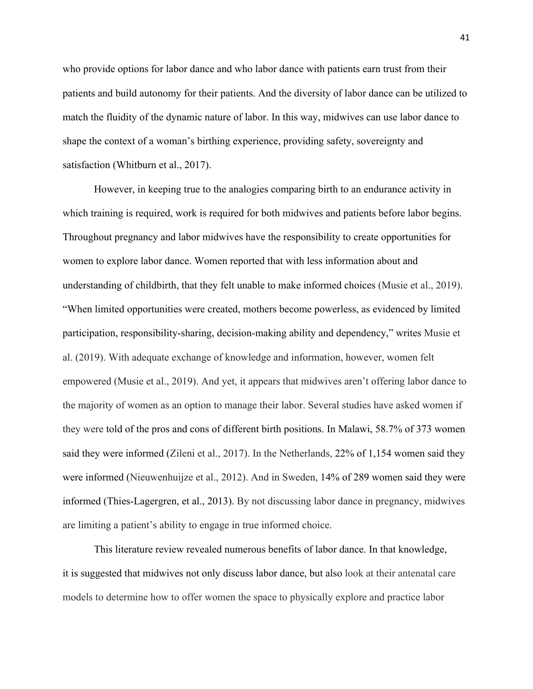who provide options for labor dance and who labor dance with patients earn trust from their patients and build autonomy for their patients. And the diversity of labor dance can be utilized to match the fluidity of the dynamic nature of labor. In this way, midwives can use labor dance to shape the context of a woman's birthing experience, providing safety, sovereignty and satisfaction (Whitburn et al., 2017).

However, in keeping true to the analogies comparing birth to an endurance activity in which training is required, work is required for both midwives and patients before labor begins. Throughout pregnancy and labor midwives have the responsibility to create opportunities for women to explore labor dance. Women reported that with less information about and understanding of childbirth, that they felt unable to make informed choices (Musie et al., 2019). "When limited opportunities were created, mothers become powerless, as evidenced by limited participation, responsibility-sharing, decision-making ability and dependency," writes Musie et al. (2019). With adequate exchange of knowledge and information, however, women felt empowered (Musie et al., 2019). And yet, it appears that midwives aren't offering labor dance to the majority of women as an option to manage their labor. Several studies have asked women if they were told of the pros and cons of different birth positions. In Malawi, 58.7% of 373 women said they were informed (Zileni et al., 2017). In the Netherlands, 22% of 1,154 women said they were informed (Nieuwenhuijze et al., 2012). And in Sweden, 14% of 289 women said they were informed (Thies-Lagergren, et al., 2013). By not discussing labor dance in pregnancy, midwives are limiting a patient's ability to engage in true informed choice.

This literature review revealed numerous benefits of labor dance. In that knowledge, it is suggested that midwives not only discuss labor dance, but also look at their antenatal care models to determine how to offer women the space to physically explore and practice labor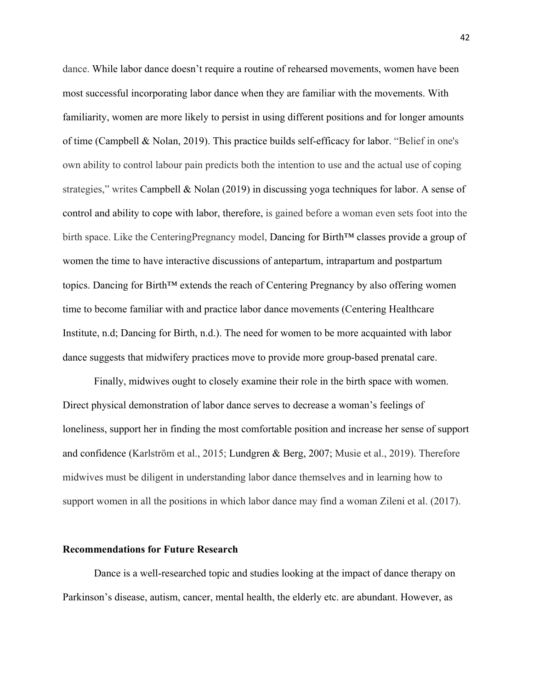dance. While labor dance doesn't require a routine of rehearsed movements, women have been most successful incorporating labor dance when they are familiar with the movements. With familiarity, women are more likely to persist in using different positions and for longer amounts of time (Campbell & Nolan, 2019). This practice builds self-efficacy for labor. "Belief in one's own ability to control labour pain predicts both the intention to use and the actual use of coping strategies," writes Campbell & Nolan (2019) in discussing yoga techniques for labor. A sense of control and ability to cope with labor, therefore, is gained before a woman even sets foot into the birth space. Like the CenteringPregnancy model, Dancing for Birth™ classes provide a group of women the time to have interactive discussions of antepartum, intrapartum and postpartum topics. Dancing for Birth™ extends the reach of Centering Pregnancy by also offering women time to become familiar with and practice labor dance movements (Centering Healthcare Institute, n.d; Dancing for Birth, n.d.). The need for women to be more acquainted with labor dance suggests that midwifery practices move to provide more group-based prenatal care.

Finally, midwives ought to closely examine their role in the birth space with women. Direct physical demonstration of labor dance serves to decrease a woman's feelings of loneliness, support her in finding the most comfortable position and increase her sense of support and confidence (Karlström et al., 2015; Lundgren & Berg, 2007; Musie et al., 2019). Therefore midwives must be diligent in understanding labor dance themselves and in learning how to support women in all the positions in which labor dance may find a woman Zileni et al. (2017).

#### **Recommendations for Future Research**

Dance is a well-researched topic and studies looking at the impact of dance therapy on Parkinson's disease, autism, cancer, mental health, the elderly etc. are abundant. However, as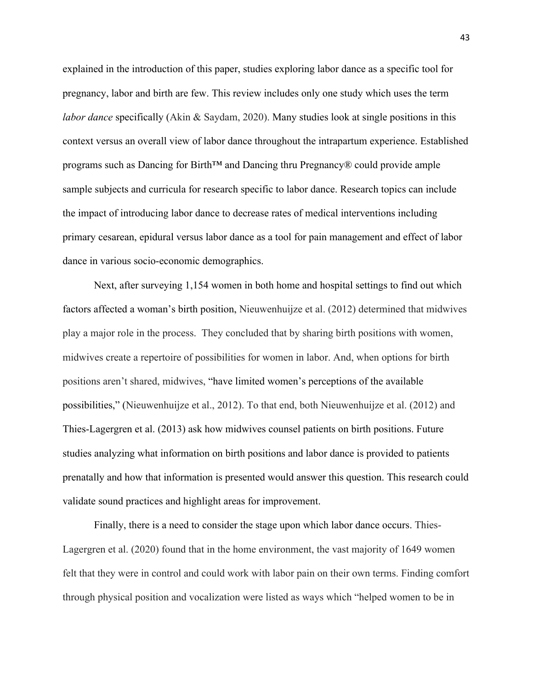explained in the introduction of this paper, studies exploring labor dance as a specific tool for pregnancy, labor and birth are few. This review includes only one study which uses the term *labor dance* specifically (Akin & Saydam, 2020). Many studies look at single positions in this context versus an overall view of labor dance throughout the intrapartum experience. Established programs such as Dancing for Birth™ and Dancing thru Pregnancy® could provide ample sample subjects and curricula for research specific to labor dance. Research topics can include the impact of introducing labor dance to decrease rates of medical interventions including primary cesarean, epidural versus labor dance as a tool for pain management and effect of labor dance in various socio-economic demographics.

Next, after surveying 1,154 women in both home and hospital settings to find out which factors affected a woman's birth position, Nieuwenhuijze et al. (2012) determined that midwives play a major role in the process. They concluded that by sharing birth positions with women, midwives create a repertoire of possibilities for women in labor. And, when options for birth positions aren't shared, midwives, "have limited women's perceptions of the available possibilities," (Nieuwenhuijze et al., 2012). To that end, both Nieuwenhuijze et al. (2012) and Thies-Lagergren et al. (2013) ask how midwives counsel patients on birth positions. Future studies analyzing what information on birth positions and labor dance is provided to patients prenatally and how that information is presented would answer this question. This research could validate sound practices and highlight areas for improvement.

Finally, there is a need to consider the stage upon which labor dance occurs. Thies-Lagergren et al. (2020) found that in the home environment, the vast majority of 1649 women felt that they were in control and could work with labor pain on their own terms. Finding comfort through physical position and vocalization were listed as ways which "helped women to be in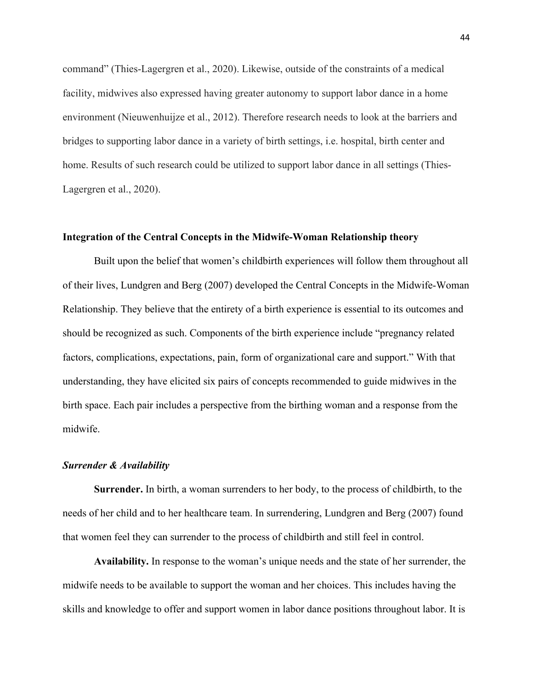command" (Thies-Lagergren et al., 2020). Likewise, outside of the constraints of a medical facility, midwives also expressed having greater autonomy to support labor dance in a home environment (Nieuwenhuijze et al., 2012). Therefore research needs to look at the barriers and bridges to supporting labor dance in a variety of birth settings, i.e. hospital, birth center and home. Results of such research could be utilized to support labor dance in all settings (Thies-Lagergren et al., 2020).

### **Integration of the Central Concepts in the Midwife-Woman Relationship theory**

Built upon the belief that women's childbirth experiences will follow them throughout all of their lives, Lundgren and Berg (2007) developed the Central Concepts in the Midwife-Woman Relationship. They believe that the entirety of a birth experience is essential to its outcomes and should be recognized as such. Components of the birth experience include "pregnancy related factors, complications, expectations, pain, form of organizational care and support." With that understanding, they have elicited six pairs of concepts recommended to guide midwives in the birth space. Each pair includes a perspective from the birthing woman and a response from the midwife.

### *Surrender & Availability*

**Surrender.** In birth, a woman surrenders to her body, to the process of childbirth, to the needs of her child and to her healthcare team. In surrendering, Lundgren and Berg (2007) found that women feel they can surrender to the process of childbirth and still feel in control.

**Availability.** In response to the woman's unique needs and the state of her surrender, the midwife needs to be available to support the woman and her choices. This includes having the skills and knowledge to offer and support women in labor dance positions throughout labor. It is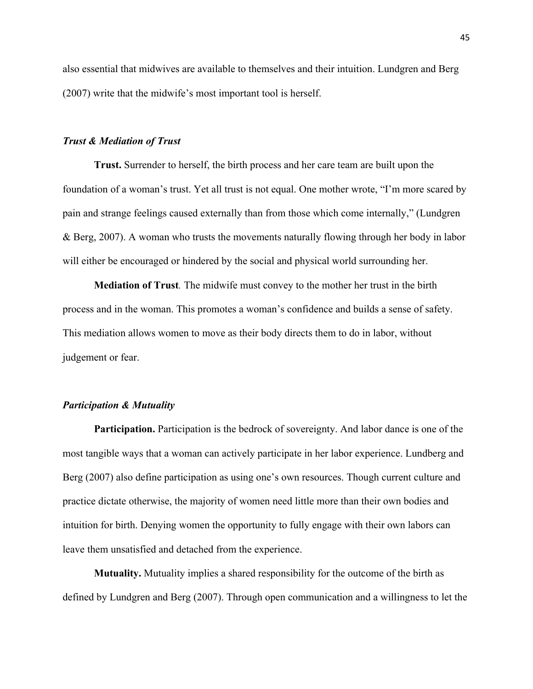also essential that midwives are available to themselves and their intuition. Lundgren and Berg (2007) write that the midwife's most important tool is herself.

### *Trust & Mediation of Trust*

**Trust.** Surrender to herself, the birth process and her care team are built upon the foundation of a woman's trust. Yet all trust is not equal. One mother wrote, "I'm more scared by pain and strange feelings caused externally than from those which come internally," (Lundgren & Berg, 2007). A woman who trusts the movements naturally flowing through her body in labor will either be encouraged or hindered by the social and physical world surrounding her.

**Mediation of Trust***.* The midwife must convey to the mother her trust in the birth process and in the woman. This promotes a woman's confidence and builds a sense of safety. This mediation allows women to move as their body directs them to do in labor, without judgement or fear.

### *Participation & Mutuality*

**Participation.** Participation is the bedrock of sovereignty. And labor dance is one of the most tangible ways that a woman can actively participate in her labor experience. Lundberg and Berg (2007) also define participation as using one's own resources. Though current culture and practice dictate otherwise, the majority of women need little more than their own bodies and intuition for birth. Denying women the opportunity to fully engage with their own labors can leave them unsatisfied and detached from the experience.

**Mutuality.** Mutuality implies a shared responsibility for the outcome of the birth as defined by Lundgren and Berg (2007). Through open communication and a willingness to let the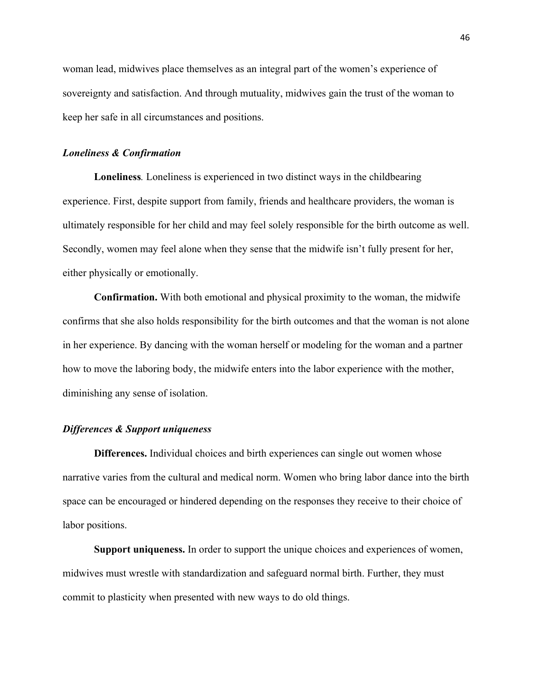woman lead, midwives place themselves as an integral part of the women's experience of sovereignty and satisfaction. And through mutuality, midwives gain the trust of the woman to keep her safe in all circumstances and positions.

## *Loneliness & Confirmation*

**Loneliness***.* Loneliness is experienced in two distinct ways in the childbearing experience. First, despite support from family, friends and healthcare providers, the woman is ultimately responsible for her child and may feel solely responsible for the birth outcome as well. Secondly, women may feel alone when they sense that the midwife isn't fully present for her, either physically or emotionally.

**Confirmation.** With both emotional and physical proximity to the woman, the midwife confirms that she also holds responsibility for the birth outcomes and that the woman is not alone in her experience. By dancing with the woman herself or modeling for the woman and a partner how to move the laboring body, the midwife enters into the labor experience with the mother, diminishing any sense of isolation.

### *Differences & Support uniqueness*

**Differences.** Individual choices and birth experiences can single out women whose narrative varies from the cultural and medical norm. Women who bring labor dance into the birth space can be encouraged or hindered depending on the responses they receive to their choice of labor positions.

**Support uniqueness.** In order to support the unique choices and experiences of women, midwives must wrestle with standardization and safeguard normal birth. Further, they must commit to plasticity when presented with new ways to do old things.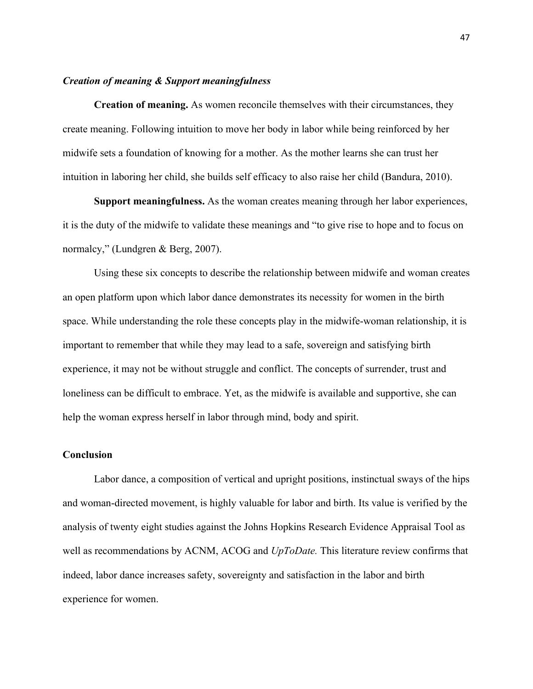### *Creation of meaning & Support meaningfulness*

**Creation of meaning.** As women reconcile themselves with their circumstances, they create meaning. Following intuition to move her body in labor while being reinforced by her midwife sets a foundation of knowing for a mother. As the mother learns she can trust her intuition in laboring her child, she builds self efficacy to also raise her child (Bandura, 2010).

**Support meaningfulness.** As the woman creates meaning through her labor experiences, it is the duty of the midwife to validate these meanings and "to give rise to hope and to focus on normalcy," (Lundgren & Berg, 2007).

Using these six concepts to describe the relationship between midwife and woman creates an open platform upon which labor dance demonstrates its necessity for women in the birth space. While understanding the role these concepts play in the midwife-woman relationship, it is important to remember that while they may lead to a safe, sovereign and satisfying birth experience, it may not be without struggle and conflict. The concepts of surrender, trust and loneliness can be difficult to embrace. Yet, as the midwife is available and supportive, she can help the woman express herself in labor through mind, body and spirit.

## **Conclusion**

Labor dance, a composition of vertical and upright positions, instinctual sways of the hips and woman-directed movement, is highly valuable for labor and birth. Its value is verified by the analysis of twenty eight studies against the Johns Hopkins Research Evidence Appraisal Tool as well as recommendations by ACNM, ACOG and *UpToDate.* This literature review confirms that indeed, labor dance increases safety, sovereignty and satisfaction in the labor and birth experience for women.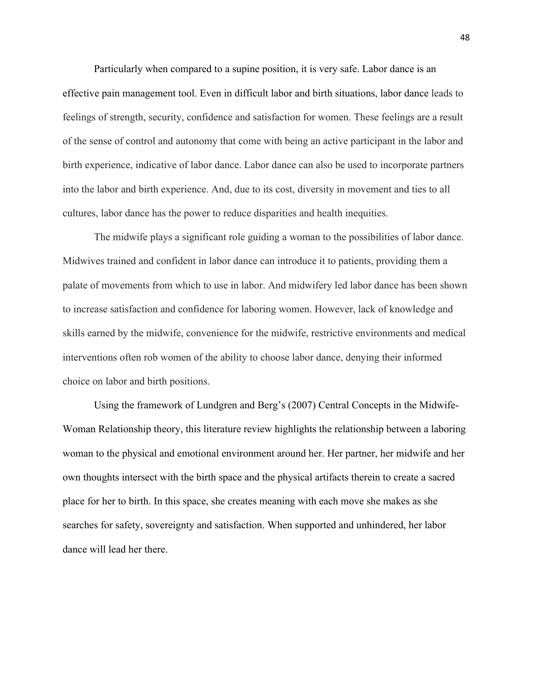Particularly when compared to a supine position, it is very safe. Labor dance is an effective pain management tool. Even in difficult labor and birth situations, labor dance leads to feelings of strength, security, confidence and satisfaction for women. These feelings are a result of the sense of control and autonomy that come with being an active participant in the labor and birth experience, indicative of labor dance. Labor dance can also be used to incorporate partners into the labor and birth experience. And, due to its cost, diversity in movement and ties to all cultures, labor dance has the power to reduce disparities and health inequities.

The midwife plays a significant role guiding a woman to the possibilities of labor dance. Midwives trained and confident in labor dance can introduce it to patients, providing them a palate of movements from which to use in labor. And midwifery led labor dance has been shown to increase satisfaction and confidence for laboring women. However, lack of knowledge and skills earned by the midwife, convenience for the midwife, restrictive environments and medical interventions often rob women of the ability to choose labor dance, denying their informed choice on labor and birth positions.

Using the framework of Lundgren and Berg's (2007) Central Concepts in the Midwife-Woman Relationship theory, this literature review highlights the relationship between a laboring woman to the physical and emotional environment around her. Her partner, her midwife and her own thoughts intersect with the birth space and the physical artifacts therein to create a sacred place for her to birth. In this space, she creates meaning with each move she makes as she searches for safety, sovereignty and satisfaction. When supported and unhindered, her labor dance will lead her there.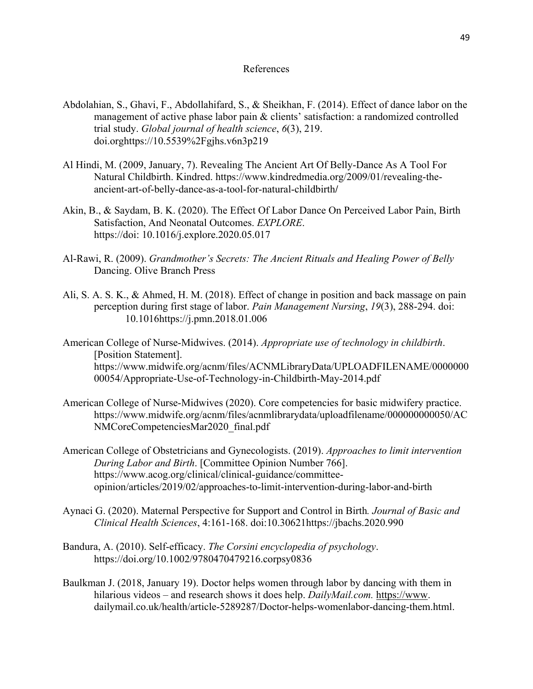### References

- Abdolahian, S., Ghavi, F., Abdollahifard, S., & Sheikhan, F. (2014). Effect of dance labor on the management of active phase labor pain & clients' satisfaction: a randomized controlled trial study. *Global journal of health science*, *6*(3), 219. doi.orghttps://10.5539%2Fgjhs.v6n3p219
- Al Hindi, M. (2009, January, 7). Revealing The Ancient Art Of Belly-Dance As A Tool For Natural Childbirth. Kindred. https://www.kindredmedia.org/2009/01/revealing-theancient-art-of-belly-dance-as-a-tool-for-natural-childbirth**/**
- Akin, B., & Saydam, B. K. (2020). The Effect Of Labor Dance On Perceived Labor Pain, Birth Satisfaction, And Neonatal Outcomes. *EXPLORE*. https://doi: 10.1016/j.explore.2020.05.017
- Al-Rawi, R. (2009). *Grandmother's Secrets: The Ancient Rituals and Healing Power of Belly* Dancing. Olive Branch Press
- Ali, S. A. S. K., & Ahmed, H. M. (2018). Effect of change in position and back massage on pain perception during first stage of labor. *Pain Management Nursing*, *19*(3), 288-294. doi: 10.1016https://j.pmn.2018.01.006
- American College of Nurse-Midwives. (2014). *Appropriate use of technology in childbirth*. [Position Statement]. https://www.midwife.org/acnm/files/ACNMLibraryData/UPLOADFILENAME/0000000 00054/Appropriate-Use-of-Technology-in-Childbirth-May-2014.pdf
- American College of Nurse-Midwives (2020). Core competencies for basic midwifery practice. https://www.midwife.org/acnm/files/acnmlibrarydata/uploadfilename/000000000050/AC NMCoreCompetenciesMar2020\_final.pdf
- American College of Obstetricians and Gynecologists. (2019). *Approaches to limit intervention During Labor and Birth*. [Committee Opinion Number 766]. https://www.acog.org/clinical/clinical-guidance/committeeopinion/articles/2019/02/approaches-to-limit-intervention-during-labor-and-birth
- Aynaci G. (2020). Maternal Perspective for Support and Control in Birth*. Journal of Basic and Clinical Health Sciences*, 4:161-168. doi:10.30621https://jbachs.2020.990
- Bandura, A. (2010). Self‐efficacy. *The Corsini encyclopedia of psychology*. https://doi.org/10.1002/9780470479216.corpsy0836
- Baulkman J. (2018, January 19). Doctor helps women through labor by dancing with them in hilarious videos – and research shows it does help. *DailyMail.com.* https://www. dailymail.co.uk/health/article-5289287/Doctor-helps-womenlabor-dancing-them.html.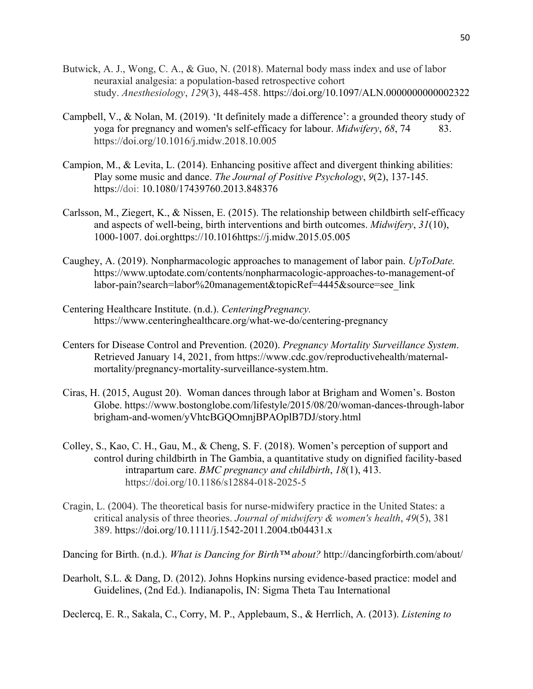- Butwick, A. J., Wong, C. A., & Guo, N. (2018). Maternal body mass index and use of labor neuraxial analgesia: a population-based retrospective cohort study. *Anesthesiology*, *129*(3), 448-458. https://doi.org/10.1097/ALN.0000000000002322
- Campbell, V., & Nolan, M. (2019). 'It definitely made a difference': a grounded theory study of yoga for pregnancy and women's self-efficacy for labour. *Midwifery*, *68*, 74 83. https://doi.org/10.1016/j.midw.2018.10.005
- Campion, M., & Levita, L. (2014). Enhancing positive affect and divergent thinking abilities: Play some music and dance. *The Journal of Positive Psychology*, *9*(2), 137-145. https://doi: 10.1080/17439760.2013.848376
- Carlsson, M., Ziegert, K., & Nissen, E. (2015). The relationship between childbirth self-efficacy and aspects of well-being, birth interventions and birth outcomes. *Midwifery*, *31*(10), 1000-1007. doi.orghttps://10.1016https://j.midw.2015.05.005
- Caughey, A. (2019). Nonpharmacologic approaches to management of labor pain. *UpToDate.* https://www.uptodate.com/contents/nonpharmacologic-approaches-to-management-of labor-pain?search=labor%20management&topicRef=4445&source=see\_link
- Centering Healthcare Institute. (n.d.). *CenteringPregnancy.* https://www.centeringhealthcare.org/what-we-do/centering-pregnancy
- Centers for Disease Control and Prevention. (2020). *Pregnancy Mortality Surveillance System*. Retrieved January 14, 2021, from https://www.cdc.gov/reproductivehealth/maternalmortality/pregnancy-mortality-surveillance-system.htm.
- Ciras, H. (2015, August 20). Woman dances through labor at Brigham and Women's. Boston Globe. https://www.bostonglobe.com/lifestyle/2015/08/20/woman-dances-through-labor brigham-and-women/yVhtcBGQOmnjBPAOplB7DJ/story.html
- Colley, S., Kao, C. H., Gau, M., & Cheng, S. F. (2018). Women's perception of support and control during childbirth in The Gambia, a quantitative study on dignified facility-based intrapartum care. *BMC pregnancy and childbirth*, *18*(1), 413. https://doi.org/10.1186/s12884-018-2025-5
- Cragin, L. (2004). The theoretical basis for nurse‐midwifery practice in the United States: a critical analysis of three theories. *Journal of midwifery & women's health*, *49*(5), 381 389. https://doi.org/10.1111/j.1542-2011.2004.tb04431.x
- Dancing for Birth. (n.d.). *What is Dancing for Birth™ about?* http://dancingforbirth.com/about/
- Dearholt, S.L. & Dang, D. (2012). Johns Hopkins nursing evidence-based practice: model and Guidelines, (2nd Ed.). Indianapolis, IN: Sigma Theta Tau International

Declercq, E. R., Sakala, C., Corry, M. P., Applebaum, S., & Herrlich, A. (2013). *Listening to*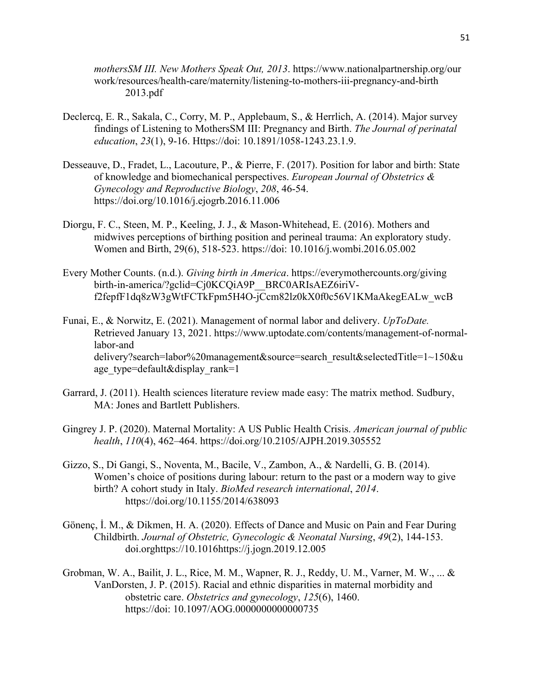*mothersSM III. New Mothers Speak Out, 2013*. https://www.nationalpartnership.org/our work/resources/health-care/maternity/listening-to-mothers-iii-pregnancy-and-birth 2013.pdf

- Declercq, E. R., Sakala, C., Corry, M. P., Applebaum, S., & Herrlich, A. (2014). Major survey findings of Listening to MothersSM III: Pregnancy and Birth. *The Journal of perinatal education*, *23*(1), 9-16. Https://doi: 10.1891/1058-1243.23.1.9.
- Desseauve, D., Fradet, L., Lacouture, P., & Pierre, F. (2017). Position for labor and birth: State of knowledge and biomechanical perspectives. *European Journal of Obstetrics & Gynecology and Reproductive Biology*, *208*, 46-54. https://doi.org/10.1016/j.ejogrb.2016.11.006
- Diorgu, F. C., Steen, M. P., Keeling, J. J., & Mason-Whitehead, E. (2016). Mothers and midwives perceptions of birthing position and perineal trauma: An exploratory study. Women and Birth, 29(6), 518-523. https://doi: 10.1016/j.wombi.2016.05.002
- Every Mother Counts. (n.d.). *Giving birth in America*. https://everymothercounts.org/giving birth-in-america/?gclid=Cj0KCQiA9P\_BRC0ARIsAEZ6iriVf2fepfF1dq8zW3gWtFCTkFpm5H4O-jCcm82lz0kX0f0c56V1KMaAkegEALw\_wcB
- Funai, E., & Norwitz, E. (2021). Management of normal labor and delivery. *UpToDate.* Retrieved January 13, 2021. https://www.uptodate.com/contents/management-of-normallabor-and delivery?search=labor%20management&source=search\_result&selectedTitle=1~150&u age\_type=default&display\_rank=1
- Garrard, J. (2011). Health sciences literature review made easy: The matrix method. Sudbury, MA: Jones and Bartlett Publishers.
- Gingrey J. P. (2020). Maternal Mortality: A US Public Health Crisis. *American journal of public health*, *110*(4), 462–464. https://doi.org/10.2105/AJPH.2019.305552
- Gizzo, S., Di Gangi, S., Noventa, M., Bacile, V., Zambon, A., & Nardelli, G. B. (2014). Women's choice of positions during labour: return to the past or a modern way to give birth? A cohort study in Italy. *BioMed research international*, *2014*. https://doi.org/10.1155/2014/638093
- Gönenç, İ. M., & Dikmen, H. A. (2020). Effects of Dance and Music on Pain and Fear During Childbirth. *Journal of Obstetric, Gynecologic & Neonatal Nursing*, *49*(2), 144-153. doi.orghttps://10.1016https://j.jogn.2019.12.005
- Grobman, W. A., Bailit, J. L., Rice, M. M., Wapner, R. J., Reddy, U. M., Varner, M. W., ... & VanDorsten, J. P. (2015). Racial and ethnic disparities in maternal morbidity and obstetric care. *Obstetrics and gynecology*, *125*(6), 1460. https://doi: 10.1097/AOG.0000000000000735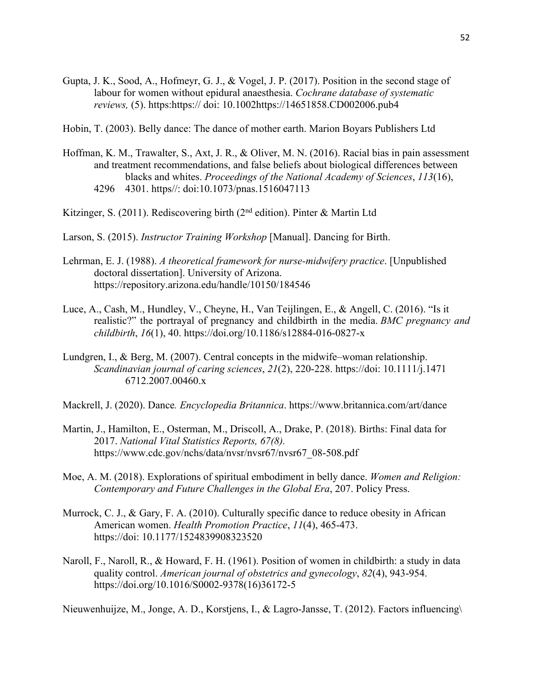- Gupta, J. K., Sood, A., Hofmeyr, G. J., & Vogel, J. P. (2017). Position in the second stage of labour for women without epidural anaesthesia. *Cochrane database of systematic reviews,* (5). https:https:// doi: 10.1002https://14651858.CD002006.pub4
- Hobin, T. (2003). Belly dance: The dance of mother earth. Marion Boyars Publishers Ltd
- Hoffman, K. M., Trawalter, S., Axt, J. R., & Oliver, M. N. (2016). Racial bias in pain assessment and treatment recommendations, and false beliefs about biological differences between blacks and whites. *Proceedings of the National Academy of Sciences*, *113*(16), 4296 4301. https//: doi:10.1073/pnas.1516047113
- Kitzinger, S. (2011). Rediscovering birth ( $2<sup>nd</sup>$  edition). Pinter & Martin Ltd
- Larson, S. (2015). *Instructor Training Workshop* [Manual]. Dancing for Birth.
- Lehrman, E. J. (1988). *A theoretical framework for nurse-midwifery practice*. [Unpublished doctoral dissertation]. University of Arizona. https://repository.arizona.edu/handle/10150/184546
- Luce, A., Cash, M., Hundley, V., Cheyne, H., Van Teijlingen, E., & Angell, C. (2016). "Is it realistic?" the portrayal of pregnancy and childbirth in the media. *BMC pregnancy and childbirth*, *16*(1), 40. https://doi.org/10.1186/s12884-016-0827-x
- Lundgren, I., & Berg, M. (2007). Central concepts in the midwife–woman relationship. *Scandinavian journal of caring sciences*, *21*(2), 220-228. https://doi: 10.1111/j.1471 6712.2007.00460.x
- Mackrell, J. (2020). Dance*. Encyclopedia Britannica*. https://www.britannica.com/art/dance
- Martin, J., Hamilton, E., Osterman, M., Driscoll, A., Drake, P. (2018). Births: Final data for 2017. *National Vital Statistics Reports, 67(8).*  https://www.cdc.gov/nchs/data/nvsr/nvsr67/nvsr67\_08-508.pdf
- Moe, A. M. (2018). Explorations of spiritual embodiment in belly dance. *Women and Religion: Contemporary and Future Challenges in the Global Era*, 207. Policy Press.
- Murrock, C. J., & Gary, F. A. (2010). Culturally specific dance to reduce obesity in African American women. *Health Promotion Practice*, *11*(4), 465-473. https://doi: 10.1177/1524839908323520
- Naroll, F., Naroll, R., & Howard, F. H. (1961). Position of women in childbirth: a study in data quality control. *American journal of obstetrics and gynecology*, *82*(4), 943-954. https://doi.org/10.1016/S0002-9378(16)36172-5

Nieuwenhuijze, M., Jonge, A. D., Korstjens, I., & Lagro-Jansse, T. (2012). Factors influencing\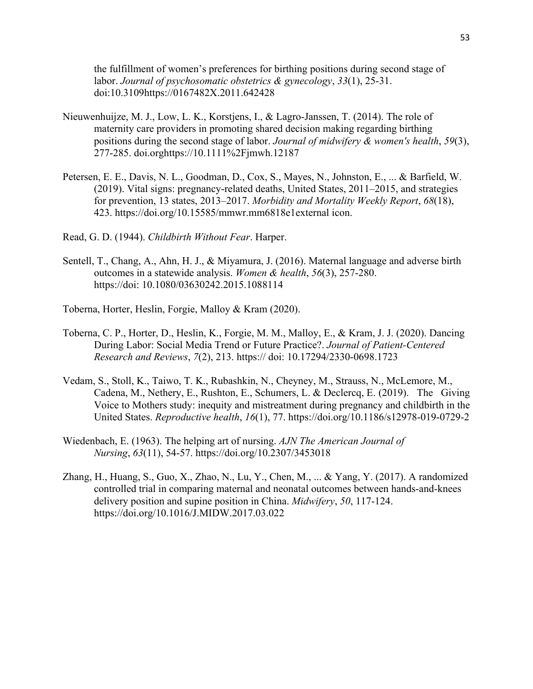the fulfillment of women's preferences for birthing positions during second stage of labor. *Journal of psychosomatic obstetrics & gynecology*, *33*(1), 25-31. doi:10.3109https://0167482X.2011.642428

- Nieuwenhuijze, M. J., Low, L. K., Korstjens, I., & Lagro‐Janssen, T. (2014). The role of maternity care providers in promoting shared decision making regarding birthing positions during the second stage of labor. *Journal of midwifery & women's health*, *59*(3), 277-285. doi.orghttps://10.1111%2Fjmwh.12187
- Petersen, E. E., Davis, N. L., Goodman, D., Cox, S., Mayes, N., Johnston, E., ... & Barfield, W. (2019). Vital signs: pregnancy-related deaths, United States, 2011–2015, and strategies for prevention, 13 states, 2013–2017. *Morbidity and Mortality Weekly Report*, *68*(18), 423. https://doi.org/10.15585/mmwr.mm6818e1external icon.
- Read, G. D. (1944). *Childbirth Without Fear*. Harper.
- Sentell, T., Chang, A., Ahn, H. J., & Miyamura, J. (2016). Maternal language and adverse birth outcomes in a statewide analysis. *Women & health*, *56*(3), 257-280. https://doi: 10.1080/03630242.2015.1088114
- Toberna, Horter, Heslin, Forgie, Malloy & Kram (2020).
- Toberna, C. P., Horter, D., Heslin, K., Forgie, M. M., Malloy, E., & Kram, J. J. (2020). Dancing During Labor: Social Media Trend or Future Practice?. *Journal of Patient-Centered Research and Reviews*, *7*(2), 213. https:// doi: 10.17294/2330-0698.1723
- Vedam, S., Stoll, K., Taiwo, T. K., Rubashkin, N., Cheyney, M., Strauss, N., McLemore, M., Cadena, M., Nethery, E., Rushton, E., Schumers, L. & Declercq, E. (2019). The Giving Voice to Mothers study: inequity and mistreatment during pregnancy and childbirth in the United States. *Reproductive health*, *16*(1), 77. https://doi.org/10.1186/s12978-019-0729-2
- Wiedenbach, E. (1963). The helping art of nursing. *AJN The American Journal of Nursing*, *63*(11), 54-57. https://doi.org/10.2307/3453018
- Zhang, H., Huang, S., Guo, X., Zhao, N., Lu, Y., Chen, M., ... & Yang, Y. (2017). A randomized controlled trial in comparing maternal and neonatal outcomes between hands-and-knees delivery position and supine position in China. *Midwifery*, *50*, 117-124. https://doi.org/10.1016/J.MIDW.2017.03.022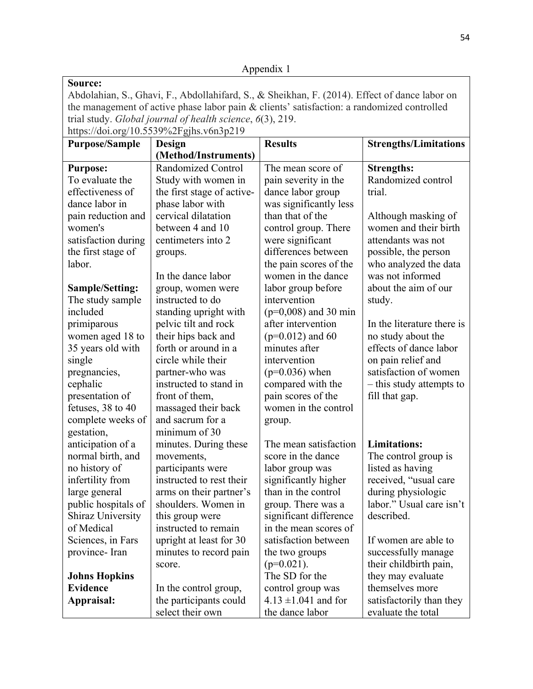| Source:                                                                                       |                                                              |                                 |                                             |  |
|-----------------------------------------------------------------------------------------------|--------------------------------------------------------------|---------------------------------|---------------------------------------------|--|
| Abdolahian, S., Ghavi, F., Abdollahifard, S., & Sheikhan, F. (2014). Effect of dance labor on |                                                              |                                 |                                             |  |
| the management of active phase labor pain & clients' satisfaction: a randomized controlled    |                                                              |                                 |                                             |  |
|                                                                                               | trial study. Global journal of health science, $6(3)$ , 219. |                                 |                                             |  |
|                                                                                               | https://doi.org/10.5539%2Fgjhs.v6n3p219                      |                                 |                                             |  |
| <b>Purpose/Sample</b>                                                                         | Design                                                       | <b>Results</b>                  | <b>Strengths/Limitations</b>                |  |
|                                                                                               | (Method/Instruments)                                         |                                 |                                             |  |
| <b>Purpose:</b>                                                                               | <b>Randomized Control</b>                                    | The mean score of               | <b>Strengths:</b>                           |  |
| To evaluate the                                                                               | Study with women in                                          | pain severity in the            | Randomized control                          |  |
| effectiveness of                                                                              | the first stage of active-                                   | dance labor group               | trial.                                      |  |
| dance labor in                                                                                | phase labor with                                             | was significantly less          |                                             |  |
| pain reduction and                                                                            | cervical dilatation                                          | than that of the                | Although masking of                         |  |
| women's                                                                                       | between 4 and 10                                             | control group. There            | women and their birth                       |  |
| satisfaction during                                                                           | centimeters into 2                                           | were significant                | attendants was not                          |  |
| the first stage of                                                                            | groups.                                                      | differences between             | possible, the person                        |  |
| labor.                                                                                        |                                                              | the pain scores of the          | who analyzed the data                       |  |
|                                                                                               | In the dance labor                                           | women in the dance              | was not informed                            |  |
| <b>Sample/Setting:</b>                                                                        | group, women were                                            | labor group before              | about the aim of our                        |  |
| The study sample                                                                              | instructed to do                                             | intervention                    | study.                                      |  |
| included                                                                                      | standing upright with                                        | $(p=0,008)$ and 30 min          |                                             |  |
| primiparous                                                                                   | pelvic tilt and rock                                         | after intervention              | In the literature there is                  |  |
| women aged 18 to                                                                              | their hips back and                                          | $(p=0.012)$ and 60              | no study about the                          |  |
| 35 years old with                                                                             | forth or around in a                                         | minutes after                   | effects of dance labor                      |  |
| single                                                                                        | circle while their                                           | intervention                    | on pain relief and                          |  |
| pregnancies,                                                                                  | partner-who was                                              | $(p=0.036)$ when                | satisfaction of women                       |  |
| cephalic                                                                                      | instructed to stand in                                       | compared with the               | – this study attempts to                    |  |
| presentation of                                                                               | front of them,                                               | pain scores of the              | fill that gap.                              |  |
| fetuses, 38 to 40                                                                             | massaged their back                                          | women in the control            |                                             |  |
| complete weeks of                                                                             | and sacrum for a                                             | group.                          |                                             |  |
| gestation,                                                                                    | minimum of 30                                                |                                 |                                             |  |
| anticipation of a                                                                             | minutes. During these                                        | The mean satisfaction           | <b>Limitations:</b>                         |  |
| normal birth, and                                                                             | movements,                                                   | score in the dance              | The control group is                        |  |
| no history of                                                                                 | participants were                                            | labor group was                 | listed as having                            |  |
| infertility from                                                                              | instructed to rest their                                     | significantly higher            | received, "usual care                       |  |
| large general                                                                                 | arms on their partner's                                      | than in the control             | during physiologic                          |  |
| public hospitals of                                                                           | shoulders. Women in                                          | group. There was a              | labor." Usual care isn't                    |  |
| <b>Shiraz University</b>                                                                      | this group were                                              | significant difference          | described.                                  |  |
| of Medical                                                                                    | instructed to remain                                         | in the mean scores of           |                                             |  |
| Sciences, in Fars                                                                             | upright at least for 30                                      | satisfaction between            | If women are able to                        |  |
| province-Iran                                                                                 | minutes to record pain                                       | the two groups                  | successfully manage                         |  |
|                                                                                               | score.                                                       | $(p=0.021)$ .<br>The SD for the | their childbirth pain,<br>they may evaluate |  |
| <b>Johns Hopkins</b><br><b>Evidence</b>                                                       |                                                              | control group was               | themselves more                             |  |
| Appraisal:                                                                                    | In the control group,<br>the participants could              | $4.13 \pm 1.041$ and for        | satisfactorily than they                    |  |
|                                                                                               | select their own                                             | the dance labor                 | evaluate the total                          |  |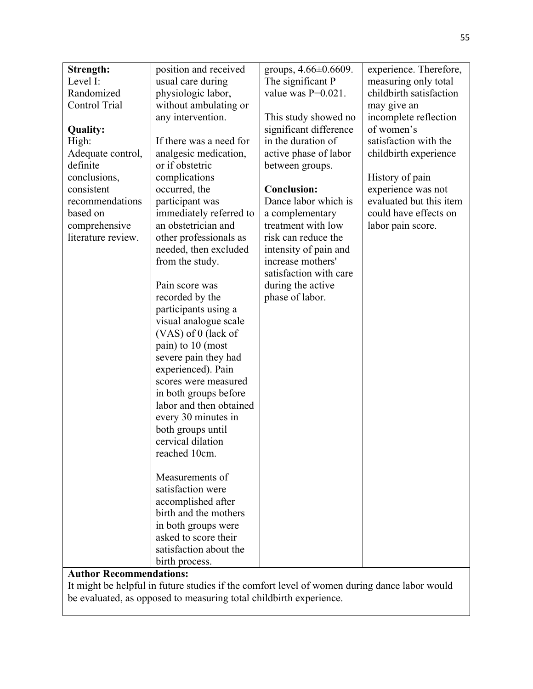| Strength:                      | position and received   | groups, $4.66 \pm 0.6609$ . | experience. Therefore,  |
|--------------------------------|-------------------------|-----------------------------|-------------------------|
| Level I:                       | usual care during       | The significant P           | measuring only total    |
| Randomized                     | physiologic labor,      | value was $P=0.021$ .       | childbirth satisfaction |
| <b>Control Trial</b>           | without ambulating or   |                             | may give an             |
|                                | any intervention.       | This study showed no        | incomplete reflection   |
| <b>Quality:</b>                |                         | significant difference      | of women's              |
| High:                          | If there was a need for | in the duration of          | satisfaction with the   |
| Adequate control,              | analgesic medication,   | active phase of labor       | childbirth experience   |
| definite                       | or if obstetric         | between groups.             |                         |
| conclusions,                   | complications           |                             | History of pain         |
| consistent                     | occurred, the           | <b>Conclusion:</b>          | experience was not      |
| recommendations                | participant was         | Dance labor which is        | evaluated but this item |
| based on                       | immediately referred to | a complementary             | could have effects on   |
| comprehensive                  | an obstetrician and     | treatment with low          | labor pain score.       |
| literature review.             | other professionals as  | risk can reduce the         |                         |
|                                | needed, then excluded   | intensity of pain and       |                         |
|                                | from the study.         | increase mothers'           |                         |
|                                |                         | satisfaction with care      |                         |
|                                | Pain score was          | during the active           |                         |
|                                | recorded by the         | phase of labor.             |                         |
|                                | participants using a    |                             |                         |
|                                | visual analogue scale   |                             |                         |
|                                | (VAS) of 0 (lack of     |                             |                         |
|                                | pain) to 10 (most       |                             |                         |
|                                | severe pain they had    |                             |                         |
|                                | experienced). Pain      |                             |                         |
|                                | scores were measured    |                             |                         |
|                                | in both groups before   |                             |                         |
|                                | labor and then obtained |                             |                         |
|                                | every 30 minutes in     |                             |                         |
|                                | both groups until       |                             |                         |
|                                | cervical dilation       |                             |                         |
|                                | reached 10cm.           |                             |                         |
|                                | Measurements of         |                             |                         |
|                                | satisfaction were       |                             |                         |
|                                | accomplished after      |                             |                         |
|                                | birth and the mothers   |                             |                         |
|                                | in both groups were     |                             |                         |
|                                | asked to score their    |                             |                         |
|                                | satisfaction about the  |                             |                         |
|                                | birth process.          |                             |                         |
| <b>Author Recommendations:</b> |                         |                             |                         |

It might be helpful in future studies if the comfort level of women during dance labor would be evaluated, as opposed to measuring total childbirth experience.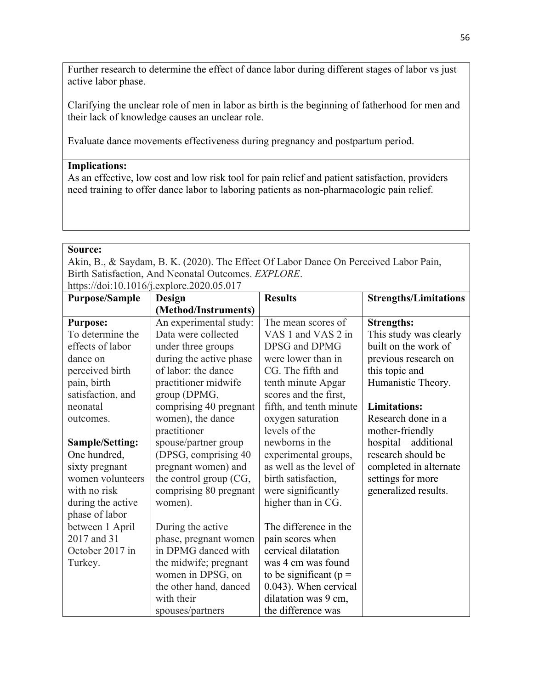Further research to determine the effect of dance labor during different stages of labor vs just active labor phase.

Clarifying the unclear role of men in labor as birth is the beginning of fatherhood for men and their lack of knowledge causes an unclear role.

Evaluate dance movements effectiveness during pregnancy and postpartum period.

# **Implications:**

As an effective, low cost and low risk tool for pain relief and patient satisfaction, providers need training to offer dance labor to laboring patients as non-pharmacologic pain relief.

## **Source:**

Akin, B., & Saydam, B. K. (2020). The Effect Of Labor Dance On Perceived Labor Pain, Birth Satisfaction, And Neonatal Outcomes. *EXPLORE*. https://doi:10.1016/j.explore.2020.05.017

|                        | $\text{I11}$ $\text{I11}$ $\text{I11}$ $\text{I11}$ $\text{I11}$ $\text{I11}$ $\text{I11}$ $\text{I21}$ $\text{I11}$ $\text{I21}$ $\text{I21}$ $\text{I21}$ $\text{I11}$ |                           |                              |
|------------------------|--------------------------------------------------------------------------------------------------------------------------------------------------------------------------|---------------------------|------------------------------|
| <b>Purpose/Sample</b>  | <b>Design</b>                                                                                                                                                            | <b>Results</b>            | <b>Strengths/Limitations</b> |
|                        | (Method/Instruments)                                                                                                                                                     |                           |                              |
| <b>Purpose:</b>        | An experimental study:                                                                                                                                                   | The mean scores of        | <b>Strengths:</b>            |
| To determine the       | Data were collected                                                                                                                                                      | VAS 1 and VAS 2 in        | This study was clearly       |
| effects of labor       | under three groups                                                                                                                                                       | DPSG and DPMG             | built on the work of         |
| dance on               | during the active phase                                                                                                                                                  | were lower than in        | previous research on         |
| perceived birth        | of labor: the dance                                                                                                                                                      | CG. The fifth and         | this topic and               |
| pain, birth            | practitioner midwife                                                                                                                                                     | tenth minute Apgar        | Humanistic Theory.           |
| satisfaction, and      | group (DPMG,                                                                                                                                                             | scores and the first,     |                              |
| neonatal               | comprising 40 pregnant                                                                                                                                                   | fifth, and tenth minute   | <b>Limitations:</b>          |
| outcomes.              | women), the dance                                                                                                                                                        | oxygen saturation         | Research done in a           |
|                        | practitioner                                                                                                                                                             | levels of the             | mother-friendly              |
| <b>Sample/Setting:</b> | spouse/partner group                                                                                                                                                     | newborns in the           | hospital – additional        |
| One hundred,           | (DPSG, comprising 40)                                                                                                                                                    | experimental groups,      | research should be           |
| sixty pregnant         | pregnant women) and                                                                                                                                                      | as well as the level of   | completed in alternate       |
| women volunteers       | the control group (CG,                                                                                                                                                   | birth satisfaction,       | settings for more            |
| with no risk           | comprising 80 pregnant                                                                                                                                                   | were significantly        | generalized results.         |
| during the active      | women).                                                                                                                                                                  | higher than in CG.        |                              |
| phase of labor         |                                                                                                                                                                          |                           |                              |
| between 1 April        | During the active                                                                                                                                                        | The difference in the     |                              |
| 2017 and 31            | phase, pregnant women                                                                                                                                                    | pain scores when          |                              |
| October 2017 in        | in DPMG danced with                                                                                                                                                      | cervical dilatation       |                              |
| Turkey.                | the midwife; pregnant                                                                                                                                                    | was 4 cm was found        |                              |
|                        | women in DPSG, on                                                                                                                                                        | to be significant ( $p =$ |                              |
|                        | the other hand, danced                                                                                                                                                   | 0.043). When cervical     |                              |
|                        | with their                                                                                                                                                               | dilatation was 9 cm,      |                              |
|                        | spouses/partners                                                                                                                                                         | the difference was        |                              |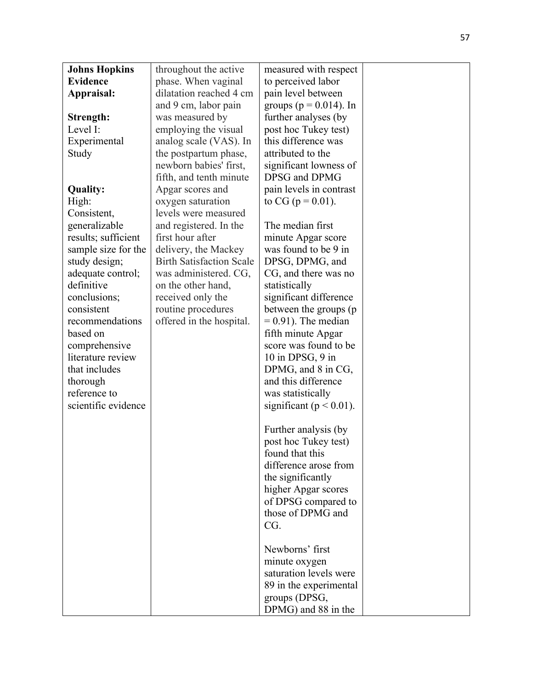| <b>Johns Hopkins</b>                | throughout the active           | measured with respect                   |  |
|-------------------------------------|---------------------------------|-----------------------------------------|--|
| <b>Evidence</b>                     | phase. When vaginal             | to perceived labor                      |  |
| Appraisal:                          | dilatation reached 4 cm         | pain level between                      |  |
|                                     |                                 |                                         |  |
|                                     | and 9 cm, labor pain            | groups ( $p = 0.014$ ). In              |  |
| Strength:                           | was measured by                 | further analyses (by                    |  |
| Level I:                            | employing the visual            | post hoc Tukey test)                    |  |
| Experimental                        | analog scale (VAS). In          | this difference was                     |  |
| Study                               | the postpartum phase,           | attributed to the                       |  |
|                                     | newborn babies' first,          | significant lowness of<br>DPSG and DPMG |  |
|                                     | fifth, and tenth minute         |                                         |  |
| <b>Quality:</b>                     | Apgar scores and                | pain levels in contrast                 |  |
| High:                               | oxygen saturation               | to CG ( $p = 0.01$ ).                   |  |
| Consistent,                         | levels were measured            |                                         |  |
| generalizable                       | and registered. In the          | The median first                        |  |
| results; sufficient                 | first hour after                | minute Apgar score                      |  |
| sample size for the                 | delivery, the Mackey            | was found to be 9 in                    |  |
| study design;                       | <b>Birth Satisfaction Scale</b> | DPSG, DPMG, and                         |  |
| adequate control;                   | was administered. CG,           | CG, and there was no                    |  |
| definitive                          | on the other hand,              | statistically                           |  |
| conclusions;                        | received only the               | significant difference                  |  |
| consistent                          | routine procedures              | between the groups (p                   |  |
| recommendations                     | offered in the hospital.        | $= 0.91$ ). The median                  |  |
| based on                            |                                 | fifth minute Apgar                      |  |
| comprehensive                       |                                 | score was found to be                   |  |
| literature review                   |                                 | 10 in DPSG, $9$ in                      |  |
| that includes                       |                                 | DPMG, and 8 in CG,                      |  |
| thorough                            |                                 | and this difference                     |  |
| reference to<br>scientific evidence |                                 | was statistically                       |  |
|                                     |                                 | significant ( $p < 0.01$ ).             |  |
|                                     |                                 | Further analysis (by                    |  |
|                                     |                                 | post hoc Tukey test)                    |  |
|                                     |                                 | found that this                         |  |
|                                     |                                 | difference arose from                   |  |
|                                     |                                 | the significantly                       |  |
|                                     |                                 | higher Apgar scores                     |  |
|                                     |                                 | of DPSG compared to                     |  |
|                                     |                                 | those of DPMG and                       |  |
|                                     |                                 | CG.                                     |  |
|                                     |                                 | Newborns' first                         |  |
|                                     |                                 | minute oxygen                           |  |
|                                     |                                 | saturation levels were                  |  |
|                                     |                                 | 89 in the experimental                  |  |
|                                     |                                 | groups (DPSG,                           |  |
|                                     |                                 | DPMG) and 88 in the                     |  |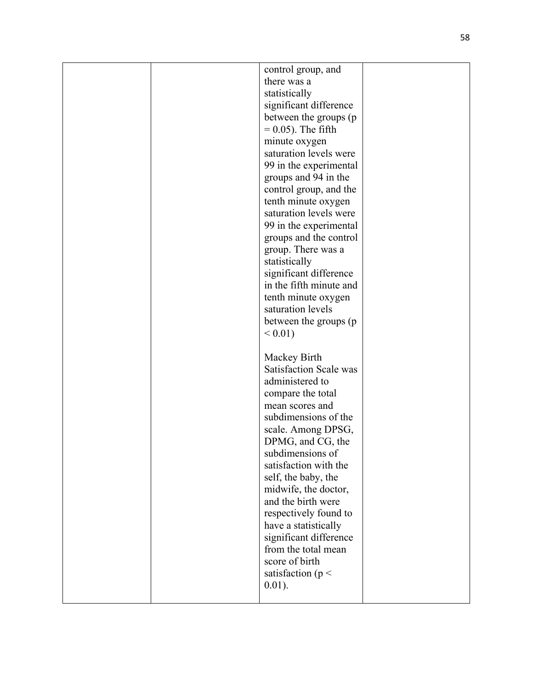|  | control group, and            |  |
|--|-------------------------------|--|
|  | there was a                   |  |
|  |                               |  |
|  | statistically                 |  |
|  | significant difference        |  |
|  | between the groups (p         |  |
|  |                               |  |
|  | $= 0.05$ ). The fifth         |  |
|  | minute oxygen                 |  |
|  | saturation levels were        |  |
|  |                               |  |
|  | 99 in the experimental        |  |
|  | groups and 94 in the          |  |
|  | control group, and the        |  |
|  | tenth minute oxygen           |  |
|  |                               |  |
|  | saturation levels were        |  |
|  | 99 in the experimental        |  |
|  | groups and the control        |  |
|  |                               |  |
|  | group. There was a            |  |
|  | statistically                 |  |
|  | significant difference        |  |
|  | in the fifth minute and       |  |
|  |                               |  |
|  | tenth minute oxygen           |  |
|  | saturation levels             |  |
|  | between the groups (p         |  |
|  |                               |  |
|  | $< 0.01$ )                    |  |
|  |                               |  |
|  | Mackey Birth                  |  |
|  | <b>Satisfaction Scale was</b> |  |
|  |                               |  |
|  | administered to               |  |
|  | compare the total             |  |
|  | mean scores and               |  |
|  |                               |  |
|  | subdimensions of the          |  |
|  | scale. Among DPSG,            |  |
|  | DPMG, and CG, the             |  |
|  | subdimensions of              |  |
|  |                               |  |
|  | satisfaction with the         |  |
|  | self, the baby, the           |  |
|  | midwife, the doctor,          |  |
|  | and the birth were            |  |
|  |                               |  |
|  | respectively found to         |  |
|  | have a statistically          |  |
|  | significant difference        |  |
|  |                               |  |
|  | from the total mean           |  |
|  | score of birth                |  |
|  | satisfaction ( $p <$          |  |
|  |                               |  |
|  | $0.01$ ).                     |  |
|  |                               |  |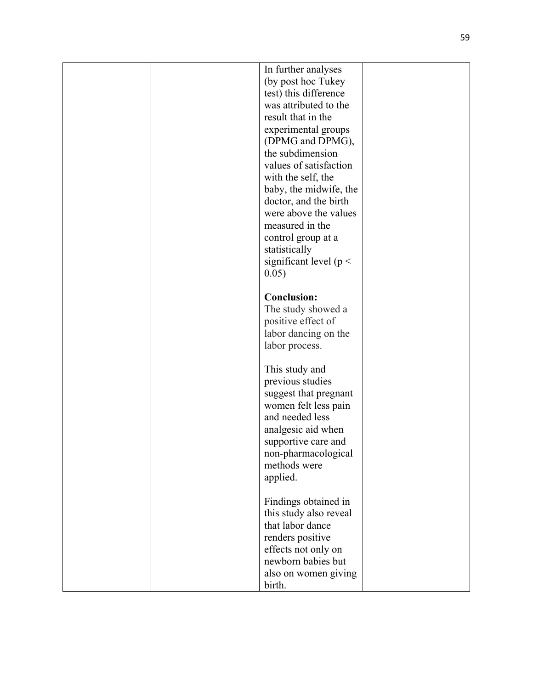| In further analyses       |  |
|---------------------------|--|
| (by post hoc Tukey)       |  |
| test) this difference     |  |
| was attributed to the     |  |
| result that in the        |  |
| experimental groups       |  |
| (DPMG and DPMG),          |  |
| the subdimension          |  |
| values of satisfaction    |  |
| with the self, the        |  |
| baby, the midwife, the    |  |
| doctor, and the birth     |  |
| were above the values     |  |
| measured in the           |  |
|                           |  |
| control group at a        |  |
| statistically             |  |
| significant level ( $p <$ |  |
| 0.05)                     |  |
|                           |  |
| <b>Conclusion:</b>        |  |
| The study showed a        |  |
| positive effect of        |  |
| labor dancing on the      |  |
| labor process.            |  |
|                           |  |
| This study and            |  |
| previous studies          |  |
| suggest that pregnant     |  |
| women felt less pain      |  |
| and needed less           |  |
| analgesic aid when        |  |
| supportive care and       |  |
| non-pharmacological       |  |
| methods were              |  |
| applied.                  |  |
|                           |  |
| Findings obtained in      |  |
| this study also reveal    |  |
| that labor dance          |  |
| renders positive          |  |
| effects not only on       |  |
| newborn babies but        |  |
| also on women giving      |  |
| birth.                    |  |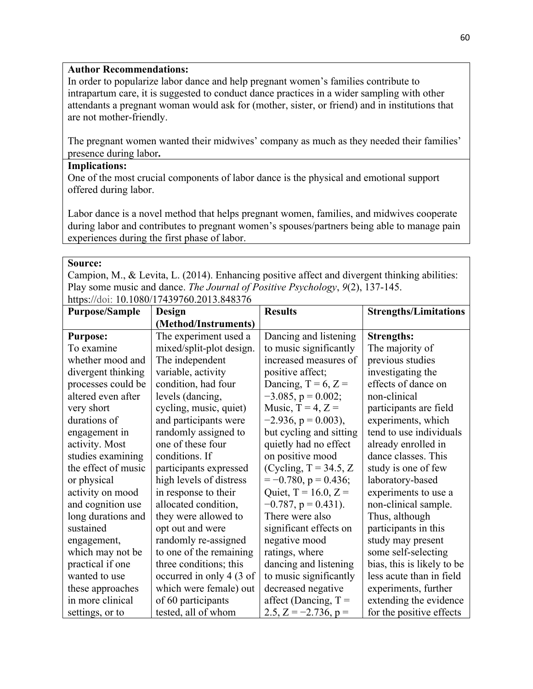# **Author Recommendations:**

In order to popularize labor dance and help pregnant women's families contribute to intrapartum care, it is suggested to conduct dance practices in a wider sampling with other attendants a pregnant woman would ask for (mother, sister, or friend) and in institutions that are not mother-friendly.

The pregnant women wanted their midwives' company as much as they needed their families' presence during labor**.**

## **Implications:**

One of the most crucial components of labor dance is the physical and emotional support offered during labor.

Labor dance is a novel method that helps pregnant women, families, and midwives cooperate during labor and contributes to pregnant women's spouses/partners being able to manage pain experiences during the first phase of labor.

### **Source:**

Campion, M., & Levita, L. (2014). Enhancing positive affect and divergent thinking abilities: Play some music and dance. *The Journal of Positive Psychology*, *9*(2), 137-145. https://doi: 10.1080/17439760.2013.848376

| <b>Purpose/Sample</b> | <b>Design</b>            | <b>Results</b>            | <b>Strengths/Limitations</b> |
|-----------------------|--------------------------|---------------------------|------------------------------|
|                       | (Method/Instruments)     |                           |                              |
| <b>Purpose:</b>       | The experiment used a    | Dancing and listening     | <b>Strengths:</b>            |
| To examine            | mixed/split-plot design. | to music significantly    | The majority of              |
| whether mood and      | The independent          | increased measures of     | previous studies             |
| divergent thinking    | variable, activity       | positive affect;          | investigating the            |
| processes could be    | condition, had four      | Dancing, $T = 6$ , $Z =$  | effects of dance on          |
| altered even after    | levels (dancing,         | $-3.085$ , p = 0.002;     | non-clinical                 |
| very short            | cycling, music, quiet)   | Music, $T = 4$ , $Z =$    | participants are field       |
| durations of          | and participants were    | $-2.936$ , $p = 0.003$ ), | experiments, which           |
| engagement in         | randomly assigned to     | but cycling and sitting   | tend to use individuals      |
| activity. Most        | one of these four        | quietly had no effect     | already enrolled in          |
| studies examining     | conditions. If           | on positive mood          | dance classes. This          |
| the effect of music   | participants expressed   | (Cycling, $T = 34.5, Z$   | study is one of few          |
| or physical           | high levels of distress  | $= -0.780$ , p = 0.436;   | laboratory-based             |
| activity on mood      | in response to their     | Quiet, $T = 16.0, Z =$    | experiments to use a         |
| and cognition use     | allocated condition,     | $-0.787$ , p = 0.431).    | non-clinical sample.         |
| long durations and    | they were allowed to     | There were also           | Thus, although               |
| sustained             | opt out and were         | significant effects on    | participants in this         |
| engagement,           | randomly re-assigned     | negative mood             | study may present            |
| which may not be      | to one of the remaining  | ratings, where            | some self-selecting          |
| practical if one      | three conditions; this   | dancing and listening     | bias, this is likely to be   |
| wanted to use         | occurred in only 4 (3 of | to music significantly    | less acute than in field     |
| these approaches      | which were female) out   | decreased negative        | experiments, further         |
| in more clinical      | of 60 participants       | affect (Dancing, $T =$    | extending the evidence       |
| settings, or to       | tested, all of whom      | 2.5, $Z = -2.736$ , $p =$ | for the positive effects     |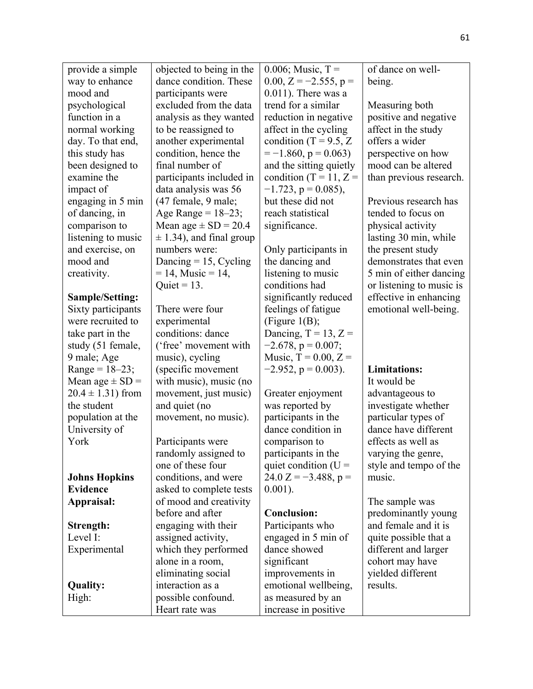| provide a simple                                                                                                                                                                                                                                                                                                                                                                                                                                                                                                                                                                                                                  |                                                                                                                                                                                                                                                                                                                                                                                                                                                                                                                                                                                                                                                                                                                                                                                                                                                                                                                                              |                                                                                                                                                                                                                                                                                                                                                                                                                                                                                                                                                                                                                                                                                                                                                                                                                                                                                                                   |                                                                                                                                                                                                                                                                                                                                                                                                                                                                                                                                                                                                                                                                                                                                                                                   |
|-----------------------------------------------------------------------------------------------------------------------------------------------------------------------------------------------------------------------------------------------------------------------------------------------------------------------------------------------------------------------------------------------------------------------------------------------------------------------------------------------------------------------------------------------------------------------------------------------------------------------------------|----------------------------------------------------------------------------------------------------------------------------------------------------------------------------------------------------------------------------------------------------------------------------------------------------------------------------------------------------------------------------------------------------------------------------------------------------------------------------------------------------------------------------------------------------------------------------------------------------------------------------------------------------------------------------------------------------------------------------------------------------------------------------------------------------------------------------------------------------------------------------------------------------------------------------------------------|-------------------------------------------------------------------------------------------------------------------------------------------------------------------------------------------------------------------------------------------------------------------------------------------------------------------------------------------------------------------------------------------------------------------------------------------------------------------------------------------------------------------------------------------------------------------------------------------------------------------------------------------------------------------------------------------------------------------------------------------------------------------------------------------------------------------------------------------------------------------------------------------------------------------|-----------------------------------------------------------------------------------------------------------------------------------------------------------------------------------------------------------------------------------------------------------------------------------------------------------------------------------------------------------------------------------------------------------------------------------------------------------------------------------------------------------------------------------------------------------------------------------------------------------------------------------------------------------------------------------------------------------------------------------------------------------------------------------|
| way to enhance                                                                                                                                                                                                                                                                                                                                                                                                                                                                                                                                                                                                                    | objected to being in the<br>dance condition. These                                                                                                                                                                                                                                                                                                                                                                                                                                                                                                                                                                                                                                                                                                                                                                                                                                                                                           | 0.006; Music, $T =$<br>0.00, $Z = -2.555$ , $p =$                                                                                                                                                                                                                                                                                                                                                                                                                                                                                                                                                                                                                                                                                                                                                                                                                                                                 | of dance on well-<br>being.                                                                                                                                                                                                                                                                                                                                                                                                                                                                                                                                                                                                                                                                                                                                                       |
| mood and                                                                                                                                                                                                                                                                                                                                                                                                                                                                                                                                                                                                                          | participants were                                                                                                                                                                                                                                                                                                                                                                                                                                                                                                                                                                                                                                                                                                                                                                                                                                                                                                                            | $0.011$ ). There was a                                                                                                                                                                                                                                                                                                                                                                                                                                                                                                                                                                                                                                                                                                                                                                                                                                                                                            |                                                                                                                                                                                                                                                                                                                                                                                                                                                                                                                                                                                                                                                                                                                                                                                   |
| psychological                                                                                                                                                                                                                                                                                                                                                                                                                                                                                                                                                                                                                     | excluded from the data                                                                                                                                                                                                                                                                                                                                                                                                                                                                                                                                                                                                                                                                                                                                                                                                                                                                                                                       | trend for a similar                                                                                                                                                                                                                                                                                                                                                                                                                                                                                                                                                                                                                                                                                                                                                                                                                                                                                               | Measuring both                                                                                                                                                                                                                                                                                                                                                                                                                                                                                                                                                                                                                                                                                                                                                                    |
| function in a                                                                                                                                                                                                                                                                                                                                                                                                                                                                                                                                                                                                                     |                                                                                                                                                                                                                                                                                                                                                                                                                                                                                                                                                                                                                                                                                                                                                                                                                                                                                                                                              |                                                                                                                                                                                                                                                                                                                                                                                                                                                                                                                                                                                                                                                                                                                                                                                                                                                                                                                   |                                                                                                                                                                                                                                                                                                                                                                                                                                                                                                                                                                                                                                                                                                                                                                                   |
|                                                                                                                                                                                                                                                                                                                                                                                                                                                                                                                                                                                                                                   |                                                                                                                                                                                                                                                                                                                                                                                                                                                                                                                                                                                                                                                                                                                                                                                                                                                                                                                                              |                                                                                                                                                                                                                                                                                                                                                                                                                                                                                                                                                                                                                                                                                                                                                                                                                                                                                                                   |                                                                                                                                                                                                                                                                                                                                                                                                                                                                                                                                                                                                                                                                                                                                                                                   |
|                                                                                                                                                                                                                                                                                                                                                                                                                                                                                                                                                                                                                                   |                                                                                                                                                                                                                                                                                                                                                                                                                                                                                                                                                                                                                                                                                                                                                                                                                                                                                                                                              |                                                                                                                                                                                                                                                                                                                                                                                                                                                                                                                                                                                                                                                                                                                                                                                                                                                                                                                   |                                                                                                                                                                                                                                                                                                                                                                                                                                                                                                                                                                                                                                                                                                                                                                                   |
|                                                                                                                                                                                                                                                                                                                                                                                                                                                                                                                                                                                                                                   |                                                                                                                                                                                                                                                                                                                                                                                                                                                                                                                                                                                                                                                                                                                                                                                                                                                                                                                                              |                                                                                                                                                                                                                                                                                                                                                                                                                                                                                                                                                                                                                                                                                                                                                                                                                                                                                                                   |                                                                                                                                                                                                                                                                                                                                                                                                                                                                                                                                                                                                                                                                                                                                                                                   |
|                                                                                                                                                                                                                                                                                                                                                                                                                                                                                                                                                                                                                                   |                                                                                                                                                                                                                                                                                                                                                                                                                                                                                                                                                                                                                                                                                                                                                                                                                                                                                                                                              |                                                                                                                                                                                                                                                                                                                                                                                                                                                                                                                                                                                                                                                                                                                                                                                                                                                                                                                   |                                                                                                                                                                                                                                                                                                                                                                                                                                                                                                                                                                                                                                                                                                                                                                                   |
|                                                                                                                                                                                                                                                                                                                                                                                                                                                                                                                                                                                                                                   |                                                                                                                                                                                                                                                                                                                                                                                                                                                                                                                                                                                                                                                                                                                                                                                                                                                                                                                                              |                                                                                                                                                                                                                                                                                                                                                                                                                                                                                                                                                                                                                                                                                                                                                                                                                                                                                                                   |                                                                                                                                                                                                                                                                                                                                                                                                                                                                                                                                                                                                                                                                                                                                                                                   |
|                                                                                                                                                                                                                                                                                                                                                                                                                                                                                                                                                                                                                                   |                                                                                                                                                                                                                                                                                                                                                                                                                                                                                                                                                                                                                                                                                                                                                                                                                                                                                                                                              |                                                                                                                                                                                                                                                                                                                                                                                                                                                                                                                                                                                                                                                                                                                                                                                                                                                                                                                   |                                                                                                                                                                                                                                                                                                                                                                                                                                                                                                                                                                                                                                                                                                                                                                                   |
|                                                                                                                                                                                                                                                                                                                                                                                                                                                                                                                                                                                                                                   |                                                                                                                                                                                                                                                                                                                                                                                                                                                                                                                                                                                                                                                                                                                                                                                                                                                                                                                                              |                                                                                                                                                                                                                                                                                                                                                                                                                                                                                                                                                                                                                                                                                                                                                                                                                                                                                                                   |                                                                                                                                                                                                                                                                                                                                                                                                                                                                                                                                                                                                                                                                                                                                                                                   |
|                                                                                                                                                                                                                                                                                                                                                                                                                                                                                                                                                                                                                                   |                                                                                                                                                                                                                                                                                                                                                                                                                                                                                                                                                                                                                                                                                                                                                                                                                                                                                                                                              |                                                                                                                                                                                                                                                                                                                                                                                                                                                                                                                                                                                                                                                                                                                                                                                                                                                                                                                   |                                                                                                                                                                                                                                                                                                                                                                                                                                                                                                                                                                                                                                                                                                                                                                                   |
|                                                                                                                                                                                                                                                                                                                                                                                                                                                                                                                                                                                                                                   |                                                                                                                                                                                                                                                                                                                                                                                                                                                                                                                                                                                                                                                                                                                                                                                                                                                                                                                                              |                                                                                                                                                                                                                                                                                                                                                                                                                                                                                                                                                                                                                                                                                                                                                                                                                                                                                                                   |                                                                                                                                                                                                                                                                                                                                                                                                                                                                                                                                                                                                                                                                                                                                                                                   |
|                                                                                                                                                                                                                                                                                                                                                                                                                                                                                                                                                                                                                                   |                                                                                                                                                                                                                                                                                                                                                                                                                                                                                                                                                                                                                                                                                                                                                                                                                                                                                                                                              |                                                                                                                                                                                                                                                                                                                                                                                                                                                                                                                                                                                                                                                                                                                                                                                                                                                                                                                   |                                                                                                                                                                                                                                                                                                                                                                                                                                                                                                                                                                                                                                                                                                                                                                                   |
|                                                                                                                                                                                                                                                                                                                                                                                                                                                                                                                                                                                                                                   |                                                                                                                                                                                                                                                                                                                                                                                                                                                                                                                                                                                                                                                                                                                                                                                                                                                                                                                                              |                                                                                                                                                                                                                                                                                                                                                                                                                                                                                                                                                                                                                                                                                                                                                                                                                                                                                                                   |                                                                                                                                                                                                                                                                                                                                                                                                                                                                                                                                                                                                                                                                                                                                                                                   |
|                                                                                                                                                                                                                                                                                                                                                                                                                                                                                                                                                                                                                                   |                                                                                                                                                                                                                                                                                                                                                                                                                                                                                                                                                                                                                                                                                                                                                                                                                                                                                                                                              |                                                                                                                                                                                                                                                                                                                                                                                                                                                                                                                                                                                                                                                                                                                                                                                                                                                                                                                   |                                                                                                                                                                                                                                                                                                                                                                                                                                                                                                                                                                                                                                                                                                                                                                                   |
|                                                                                                                                                                                                                                                                                                                                                                                                                                                                                                                                                                                                                                   |                                                                                                                                                                                                                                                                                                                                                                                                                                                                                                                                                                                                                                                                                                                                                                                                                                                                                                                                              |                                                                                                                                                                                                                                                                                                                                                                                                                                                                                                                                                                                                                                                                                                                                                                                                                                                                                                                   |                                                                                                                                                                                                                                                                                                                                                                                                                                                                                                                                                                                                                                                                                                                                                                                   |
|                                                                                                                                                                                                                                                                                                                                                                                                                                                                                                                                                                                                                                   |                                                                                                                                                                                                                                                                                                                                                                                                                                                                                                                                                                                                                                                                                                                                                                                                                                                                                                                                              |                                                                                                                                                                                                                                                                                                                                                                                                                                                                                                                                                                                                                                                                                                                                                                                                                                                                                                                   |                                                                                                                                                                                                                                                                                                                                                                                                                                                                                                                                                                                                                                                                                                                                                                                   |
|                                                                                                                                                                                                                                                                                                                                                                                                                                                                                                                                                                                                                                   |                                                                                                                                                                                                                                                                                                                                                                                                                                                                                                                                                                                                                                                                                                                                                                                                                                                                                                                                              |                                                                                                                                                                                                                                                                                                                                                                                                                                                                                                                                                                                                                                                                                                                                                                                                                                                                                                                   |                                                                                                                                                                                                                                                                                                                                                                                                                                                                                                                                                                                                                                                                                                                                                                                   |
|                                                                                                                                                                                                                                                                                                                                                                                                                                                                                                                                                                                                                                   |                                                                                                                                                                                                                                                                                                                                                                                                                                                                                                                                                                                                                                                                                                                                                                                                                                                                                                                                              |                                                                                                                                                                                                                                                                                                                                                                                                                                                                                                                                                                                                                                                                                                                                                                                                                                                                                                                   |                                                                                                                                                                                                                                                                                                                                                                                                                                                                                                                                                                                                                                                                                                                                                                                   |
|                                                                                                                                                                                                                                                                                                                                                                                                                                                                                                                                                                                                                                   |                                                                                                                                                                                                                                                                                                                                                                                                                                                                                                                                                                                                                                                                                                                                                                                                                                                                                                                                              |                                                                                                                                                                                                                                                                                                                                                                                                                                                                                                                                                                                                                                                                                                                                                                                                                                                                                                                   |                                                                                                                                                                                                                                                                                                                                                                                                                                                                                                                                                                                                                                                                                                                                                                                   |
|                                                                                                                                                                                                                                                                                                                                                                                                                                                                                                                                                                                                                                   |                                                                                                                                                                                                                                                                                                                                                                                                                                                                                                                                                                                                                                                                                                                                                                                                                                                                                                                                              |                                                                                                                                                                                                                                                                                                                                                                                                                                                                                                                                                                                                                                                                                                                                                                                                                                                                                                                   |                                                                                                                                                                                                                                                                                                                                                                                                                                                                                                                                                                                                                                                                                                                                                                                   |
|                                                                                                                                                                                                                                                                                                                                                                                                                                                                                                                                                                                                                                   |                                                                                                                                                                                                                                                                                                                                                                                                                                                                                                                                                                                                                                                                                                                                                                                                                                                                                                                                              |                                                                                                                                                                                                                                                                                                                                                                                                                                                                                                                                                                                                                                                                                                                                                                                                                                                                                                                   |                                                                                                                                                                                                                                                                                                                                                                                                                                                                                                                                                                                                                                                                                                                                                                                   |
|                                                                                                                                                                                                                                                                                                                                                                                                                                                                                                                                                                                                                                   |                                                                                                                                                                                                                                                                                                                                                                                                                                                                                                                                                                                                                                                                                                                                                                                                                                                                                                                                              |                                                                                                                                                                                                                                                                                                                                                                                                                                                                                                                                                                                                                                                                                                                                                                                                                                                                                                                   |                                                                                                                                                                                                                                                                                                                                                                                                                                                                                                                                                                                                                                                                                                                                                                                   |
|                                                                                                                                                                                                                                                                                                                                                                                                                                                                                                                                                                                                                                   |                                                                                                                                                                                                                                                                                                                                                                                                                                                                                                                                                                                                                                                                                                                                                                                                                                                                                                                                              |                                                                                                                                                                                                                                                                                                                                                                                                                                                                                                                                                                                                                                                                                                                                                                                                                                                                                                                   |                                                                                                                                                                                                                                                                                                                                                                                                                                                                                                                                                                                                                                                                                                                                                                                   |
|                                                                                                                                                                                                                                                                                                                                                                                                                                                                                                                                                                                                                                   |                                                                                                                                                                                                                                                                                                                                                                                                                                                                                                                                                                                                                                                                                                                                                                                                                                                                                                                                              |                                                                                                                                                                                                                                                                                                                                                                                                                                                                                                                                                                                                                                                                                                                                                                                                                                                                                                                   |                                                                                                                                                                                                                                                                                                                                                                                                                                                                                                                                                                                                                                                                                                                                                                                   |
|                                                                                                                                                                                                                                                                                                                                                                                                                                                                                                                                                                                                                                   |                                                                                                                                                                                                                                                                                                                                                                                                                                                                                                                                                                                                                                                                                                                                                                                                                                                                                                                                              |                                                                                                                                                                                                                                                                                                                                                                                                                                                                                                                                                                                                                                                                                                                                                                                                                                                                                                                   |                                                                                                                                                                                                                                                                                                                                                                                                                                                                                                                                                                                                                                                                                                                                                                                   |
|                                                                                                                                                                                                                                                                                                                                                                                                                                                                                                                                                                                                                                   |                                                                                                                                                                                                                                                                                                                                                                                                                                                                                                                                                                                                                                                                                                                                                                                                                                                                                                                                              |                                                                                                                                                                                                                                                                                                                                                                                                                                                                                                                                                                                                                                                                                                                                                                                                                                                                                                                   |                                                                                                                                                                                                                                                                                                                                                                                                                                                                                                                                                                                                                                                                                                                                                                                   |
|                                                                                                                                                                                                                                                                                                                                                                                                                                                                                                                                                                                                                                   |                                                                                                                                                                                                                                                                                                                                                                                                                                                                                                                                                                                                                                                                                                                                                                                                                                                                                                                                              |                                                                                                                                                                                                                                                                                                                                                                                                                                                                                                                                                                                                                                                                                                                                                                                                                                                                                                                   |                                                                                                                                                                                                                                                                                                                                                                                                                                                                                                                                                                                                                                                                                                                                                                                   |
|                                                                                                                                                                                                                                                                                                                                                                                                                                                                                                                                                                                                                                   |                                                                                                                                                                                                                                                                                                                                                                                                                                                                                                                                                                                                                                                                                                                                                                                                                                                                                                                                              |                                                                                                                                                                                                                                                                                                                                                                                                                                                                                                                                                                                                                                                                                                                                                                                                                                                                                                                   |                                                                                                                                                                                                                                                                                                                                                                                                                                                                                                                                                                                                                                                                                                                                                                                   |
|                                                                                                                                                                                                                                                                                                                                                                                                                                                                                                                                                                                                                                   |                                                                                                                                                                                                                                                                                                                                                                                                                                                                                                                                                                                                                                                                                                                                                                                                                                                                                                                                              |                                                                                                                                                                                                                                                                                                                                                                                                                                                                                                                                                                                                                                                                                                                                                                                                                                                                                                                   |                                                                                                                                                                                                                                                                                                                                                                                                                                                                                                                                                                                                                                                                                                                                                                                   |
|                                                                                                                                                                                                                                                                                                                                                                                                                                                                                                                                                                                                                                   |                                                                                                                                                                                                                                                                                                                                                                                                                                                                                                                                                                                                                                                                                                                                                                                                                                                                                                                                              |                                                                                                                                                                                                                                                                                                                                                                                                                                                                                                                                                                                                                                                                                                                                                                                                                                                                                                                   |                                                                                                                                                                                                                                                                                                                                                                                                                                                                                                                                                                                                                                                                                                                                                                                   |
|                                                                                                                                                                                                                                                                                                                                                                                                                                                                                                                                                                                                                                   |                                                                                                                                                                                                                                                                                                                                                                                                                                                                                                                                                                                                                                                                                                                                                                                                                                                                                                                                              |                                                                                                                                                                                                                                                                                                                                                                                                                                                                                                                                                                                                                                                                                                                                                                                                                                                                                                                   |                                                                                                                                                                                                                                                                                                                                                                                                                                                                                                                                                                                                                                                                                                                                                                                   |
|                                                                                                                                                                                                                                                                                                                                                                                                                                                                                                                                                                                                                                   |                                                                                                                                                                                                                                                                                                                                                                                                                                                                                                                                                                                                                                                                                                                                                                                                                                                                                                                                              |                                                                                                                                                                                                                                                                                                                                                                                                                                                                                                                                                                                                                                                                                                                                                                                                                                                                                                                   |                                                                                                                                                                                                                                                                                                                                                                                                                                                                                                                                                                                                                                                                                                                                                                                   |
|                                                                                                                                                                                                                                                                                                                                                                                                                                                                                                                                                                                                                                   |                                                                                                                                                                                                                                                                                                                                                                                                                                                                                                                                                                                                                                                                                                                                                                                                                                                                                                                                              |                                                                                                                                                                                                                                                                                                                                                                                                                                                                                                                                                                                                                                                                                                                                                                                                                                                                                                                   |                                                                                                                                                                                                                                                                                                                                                                                                                                                                                                                                                                                                                                                                                                                                                                                   |
|                                                                                                                                                                                                                                                                                                                                                                                                                                                                                                                                                                                                                                   |                                                                                                                                                                                                                                                                                                                                                                                                                                                                                                                                                                                                                                                                                                                                                                                                                                                                                                                                              |                                                                                                                                                                                                                                                                                                                                                                                                                                                                                                                                                                                                                                                                                                                                                                                                                                                                                                                   |                                                                                                                                                                                                                                                                                                                                                                                                                                                                                                                                                                                                                                                                                                                                                                                   |
|                                                                                                                                                                                                                                                                                                                                                                                                                                                                                                                                                                                                                                   |                                                                                                                                                                                                                                                                                                                                                                                                                                                                                                                                                                                                                                                                                                                                                                                                                                                                                                                                              |                                                                                                                                                                                                                                                                                                                                                                                                                                                                                                                                                                                                                                                                                                                                                                                                                                                                                                                   |                                                                                                                                                                                                                                                                                                                                                                                                                                                                                                                                                                                                                                                                                                                                                                                   |
|                                                                                                                                                                                                                                                                                                                                                                                                                                                                                                                                                                                                                                   |                                                                                                                                                                                                                                                                                                                                                                                                                                                                                                                                                                                                                                                                                                                                                                                                                                                                                                                                              |                                                                                                                                                                                                                                                                                                                                                                                                                                                                                                                                                                                                                                                                                                                                                                                                                                                                                                                   |                                                                                                                                                                                                                                                                                                                                                                                                                                                                                                                                                                                                                                                                                                                                                                                   |
|                                                                                                                                                                                                                                                                                                                                                                                                                                                                                                                                                                                                                                   |                                                                                                                                                                                                                                                                                                                                                                                                                                                                                                                                                                                                                                                                                                                                                                                                                                                                                                                                              |                                                                                                                                                                                                                                                                                                                                                                                                                                                                                                                                                                                                                                                                                                                                                                                                                                                                                                                   |                                                                                                                                                                                                                                                                                                                                                                                                                                                                                                                                                                                                                                                                                                                                                                                   |
|                                                                                                                                                                                                                                                                                                                                                                                                                                                                                                                                                                                                                                   |                                                                                                                                                                                                                                                                                                                                                                                                                                                                                                                                                                                                                                                                                                                                                                                                                                                                                                                                              |                                                                                                                                                                                                                                                                                                                                                                                                                                                                                                                                                                                                                                                                                                                                                                                                                                                                                                                   |                                                                                                                                                                                                                                                                                                                                                                                                                                                                                                                                                                                                                                                                                                                                                                                   |
|                                                                                                                                                                                                                                                                                                                                                                                                                                                                                                                                                                                                                                   |                                                                                                                                                                                                                                                                                                                                                                                                                                                                                                                                                                                                                                                                                                                                                                                                                                                                                                                                              |                                                                                                                                                                                                                                                                                                                                                                                                                                                                                                                                                                                                                                                                                                                                                                                                                                                                                                                   |                                                                                                                                                                                                                                                                                                                                                                                                                                                                                                                                                                                                                                                                                                                                                                                   |
|                                                                                                                                                                                                                                                                                                                                                                                                                                                                                                                                                                                                                                   |                                                                                                                                                                                                                                                                                                                                                                                                                                                                                                                                                                                                                                                                                                                                                                                                                                                                                                                                              |                                                                                                                                                                                                                                                                                                                                                                                                                                                                                                                                                                                                                                                                                                                                                                                                                                                                                                                   |                                                                                                                                                                                                                                                                                                                                                                                                                                                                                                                                                                                                                                                                                                                                                                                   |
|                                                                                                                                                                                                                                                                                                                                                                                                                                                                                                                                                                                                                                   |                                                                                                                                                                                                                                                                                                                                                                                                                                                                                                                                                                                                                                                                                                                                                                                                                                                                                                                                              |                                                                                                                                                                                                                                                                                                                                                                                                                                                                                                                                                                                                                                                                                                                                                                                                                                                                                                                   |                                                                                                                                                                                                                                                                                                                                                                                                                                                                                                                                                                                                                                                                                                                                                                                   |
|                                                                                                                                                                                                                                                                                                                                                                                                                                                                                                                                                                                                                                   |                                                                                                                                                                                                                                                                                                                                                                                                                                                                                                                                                                                                                                                                                                                                                                                                                                                                                                                                              |                                                                                                                                                                                                                                                                                                                                                                                                                                                                                                                                                                                                                                                                                                                                                                                                                                                                                                                   |                                                                                                                                                                                                                                                                                                                                                                                                                                                                                                                                                                                                                                                                                                                                                                                   |
|                                                                                                                                                                                                                                                                                                                                                                                                                                                                                                                                                                                                                                   |                                                                                                                                                                                                                                                                                                                                                                                                                                                                                                                                                                                                                                                                                                                                                                                                                                                                                                                                              |                                                                                                                                                                                                                                                                                                                                                                                                                                                                                                                                                                                                                                                                                                                                                                                                                                                                                                                   |                                                                                                                                                                                                                                                                                                                                                                                                                                                                                                                                                                                                                                                                                                                                                                                   |
| normal working<br>day. To that end,<br>this study has<br>been designed to<br>examine the<br>impact of<br>engaging in 5 min<br>of dancing, in<br>comparison to<br>listening to music<br>and exercise, on<br>mood and<br>creativity.<br><b>Sample/Setting:</b><br>Sixty participants<br>were recruited to<br>take part in the<br>study (51 female,<br>9 male; Age<br>$Range = 18 - 23;$<br>Mean age $\pm$ SD =<br>$20.4 \pm 1.31$ ) from<br>the student<br>population at the<br>University of<br>York<br><b>Johns Hopkins</b><br><b>Evidence</b><br>Appraisal:<br>Strength:<br>Level I:<br>Experimental<br><b>Quality:</b><br>High: | analysis as they wanted<br>to be reassigned to<br>another experimental<br>condition, hence the<br>final number of<br>participants included in<br>data analysis was 56<br>(47 female, 9 male;<br>Age Range = $18-23$ ;<br>Mean age $\pm$ SD = 20.4<br>$\pm$ 1.34), and final group<br>numbers were:<br>Dancing $= 15$ , Cycling<br>$= 14$ , Music = 14,<br>Quiet = $13$ .<br>There were four<br>experimental<br>conditions: dance<br>('free' movement with<br>music), cycling<br>(specific movement<br>with music), music (no<br>movement, just music)<br>and quiet (no<br>movement, no music).<br>Participants were<br>randomly assigned to<br>one of these four<br>conditions, and were<br>asked to complete tests<br>of mood and creativity<br>before and after<br>engaging with their<br>assigned activity,<br>which they performed<br>alone in a room,<br>eliminating social<br>interaction as a<br>possible confound.<br>Heart rate was | reduction in negative<br>affect in the cycling<br>condition (T = $9.5$ , Z<br>$=-1.860$ , $p = 0.063$ )<br>and the sitting quietly<br>condition (T = 11, Z =<br>$-1.723$ , p = 0.085),<br>but these did not<br>reach statistical<br>significance.<br>Only participants in<br>the dancing and<br>listening to music<br>conditions had<br>significantly reduced<br>feelings of fatigue<br>(Figure $1(B)$ ;<br>Dancing, $T = 13$ , $Z =$<br>$-2.678$ , p = 0.007;<br>Music, $T = 0.00$ , $Z =$<br>$-2.952$ , $p = 0.003$ ).<br>Greater enjoyment<br>was reported by<br>participants in the<br>dance condition in<br>comparison to<br>participants in the<br>quiet condition ( $U =$<br>24.0 Z = $-3.488$ , p =<br>$0.001$ ).<br><b>Conclusion:</b><br>Participants who<br>engaged in 5 min of<br>dance showed<br>significant<br>improvements in<br>emotional wellbeing,<br>as measured by an<br>increase in positive | positive and negative<br>affect in the study<br>offers a wider<br>perspective on how<br>mood can be altered<br>than previous research.<br>Previous research has<br>tended to focus on<br>physical activity<br>lasting 30 min, while<br>the present study<br>demonstrates that even<br>5 min of either dancing<br>or listening to music is<br>effective in enhancing<br>emotional well-being.<br><b>Limitations:</b><br>It would be<br>advantageous to<br>investigate whether<br>particular types of<br>dance have different<br>effects as well as<br>varying the genre,<br>style and tempo of the<br>music.<br>The sample was<br>predominantly young<br>and female and it is<br>quite possible that a<br>different and larger<br>cohort may have<br>yielded different<br>results. |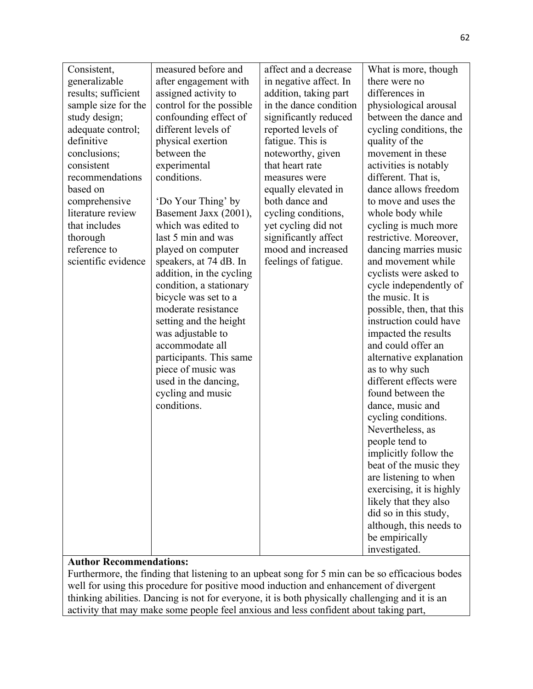| Consistent,         | measured before and      | affect and a decrease  | What is more, though      |
|---------------------|--------------------------|------------------------|---------------------------|
| generalizable       | after engagement with    | in negative affect. In | there were no             |
| results; sufficient | assigned activity to     | addition, taking part  | differences in            |
| sample size for the | control for the possible | in the dance condition | physiological arousal     |
| study design;       | confounding effect of    | significantly reduced  | between the dance and     |
| adequate control;   | different levels of      | reported levels of     | cycling conditions, the   |
| definitive          | physical exertion        | fatigue. This is       | quality of the            |
| conclusions;        | between the              | noteworthy, given      | movement in these         |
|                     |                          | that heart rate        |                           |
| consistent          | experimental             |                        | activities is notably     |
| recommendations     | conditions.              | measures were          | different. That is,       |
| based on            |                          | equally elevated in    | dance allows freedom      |
| comprehensive       | 'Do Your Thing' by       | both dance and         | to move and uses the      |
| literature review   | Basement Jaxx (2001),    | cycling conditions,    | whole body while          |
| that includes       | which was edited to      | yet cycling did not    | cycling is much more      |
| thorough            | last 5 min and was       | significantly affect   | restrictive. Moreover,    |
| reference to        | played on computer       | mood and increased     | dancing marries music     |
| scientific evidence | speakers, at 74 dB. In   | feelings of fatigue.   | and movement while        |
|                     | addition, in the cycling |                        | cyclists were asked to    |
|                     | condition, a stationary  |                        | cycle independently of    |
|                     | bicycle was set to a     |                        | the music. It is          |
|                     | moderate resistance      |                        | possible, then, that this |
|                     | setting and the height   |                        | instruction could have    |
|                     | was adjustable to        |                        | impacted the results      |
|                     | accommodate all          |                        | and could offer an        |
|                     | participants. This same  |                        | alternative explanation   |
|                     | piece of music was       |                        | as to why such            |
|                     | used in the dancing,     |                        | different effects were    |
|                     | cycling and music        |                        | found between the         |
|                     | conditions.              |                        | dance, music and          |
|                     |                          |                        | cycling conditions.       |
|                     |                          |                        | Nevertheless, as          |
|                     |                          |                        | people tend to            |
|                     |                          |                        | implicitly follow the     |
|                     |                          |                        | beat of the music they    |
|                     |                          |                        |                           |
|                     |                          |                        | are listening to when     |
|                     |                          |                        | exercising, it is highly  |
|                     |                          |                        | likely that they also     |
|                     |                          |                        | did so in this study,     |
|                     |                          |                        | although, this needs to   |
|                     |                          |                        | be empirically            |
|                     |                          |                        | investigated.             |

# **Author Recommendations:**

Furthermore, the finding that listening to an upbeat song for 5 min can be so efficacious bodes well for using this procedure for positive mood induction and enhancement of divergent thinking abilities. Dancing is not for everyone, it is both physically challenging and it is an activity that may make some people feel anxious and less confident about taking part,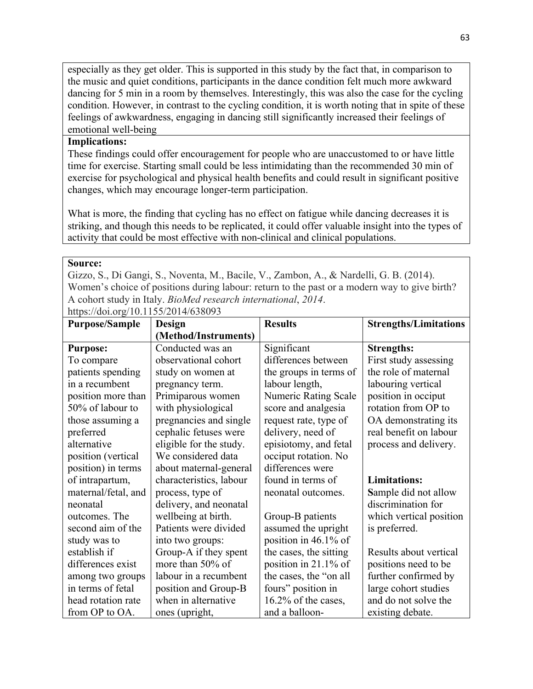especially as they get older. This is supported in this study by the fact that, in comparison to the music and quiet conditions, participants in the dance condition felt much more awkward dancing for 5 min in a room by themselves. Interestingly, this was also the case for the cycling condition. However, in contrast to the cycling condition, it is worth noting that in spite of these feelings of awkwardness, engaging in dancing still significantly increased their feelings of emotional well-being

## **Implications:**

These findings could offer encouragement for people who are unaccustomed to or have little time for exercise. Starting small could be less intimidating than the recommended 30 min of exercise for psychological and physical health benefits and could result in significant positive changes, which may encourage longer-term participation.

What is more, the finding that cycling has no effect on fatigue while dancing decreases it is striking, and though this needs to be replicated, it could offer valuable insight into the types of activity that could be most effective with non-clinical and clinical populations.

### **Source:**

Gizzo, S., Di Gangi, S., Noventa, M., Bacile, V., Zambon, A., & Nardelli, G. B. (2014). Women's choice of positions during labour: return to the past or a modern way to give birth? A cohort study in Italy. *BioMed research international*, *2014*.

| <b>Purpose/Sample</b> | Design                  | <b>Results</b>              | <b>Strengths/Limitations</b> |
|-----------------------|-------------------------|-----------------------------|------------------------------|
|                       | (Method/Instruments)    |                             |                              |
| <b>Purpose:</b>       | Conducted was an        | Significant                 | <b>Strengths:</b>            |
| To compare            | observational cohort    | differences between         | First study assessing        |
| patients spending     | study on women at       | the groups in terms of      | the role of maternal         |
| in a recumbent        | pregnancy term.         | labour length,              | labouring vertical           |
| position more than    | Primiparous women       | <b>Numeric Rating Scale</b> | position in occiput          |
| 50% of labour to      | with physiological      | score and analgesia         | rotation from OP to          |
| those assuming a      | pregnancies and single  | request rate, type of       | OA demonstrating its         |
| preferred             | cephalic fetuses were   | delivery, need of           | real benefit on labour       |
| alternative           | eligible for the study. | episiotomy, and fetal       | process and delivery.        |
| position (vertical    | We considered data      | occiput rotation. No        |                              |
| position) in terms    | about maternal-general  | differences were            |                              |
| of intrapartum,       | characteristics, labour | found in terms of           | <b>Limitations:</b>          |
| maternal/fetal, and   | process, type of        | neonatal outcomes.          | Sample did not allow         |
| neonatal              | delivery, and neonatal  |                             | discrimination for           |
| outcomes. The         | wellbeing at birth.     | Group-B patients            | which vertical position      |
| second aim of the     | Patients were divided   | assumed the upright         | is preferred.                |
| study was to          | into two groups:        | position in 46.1% of        |                              |
| establish if          | Group-A if they spent   | the cases, the sitting      | Results about vertical       |
| differences exist     | more than 50% of        | position in 21.1% of        | positions need to be         |
| among two groups      | labour in a recumbent   | the cases, the "on all      | further confirmed by         |
| in terms of fetal     | position and Group-B    | fours" position in          | large cohort studies         |
| head rotation rate    | when in alternative     | 16.2% of the cases,         | and do not solve the         |
| from OP to OA.        | ones (upright,          | and a balloon-              | existing debate.             |

https://doi.org/10.1155/2014/638093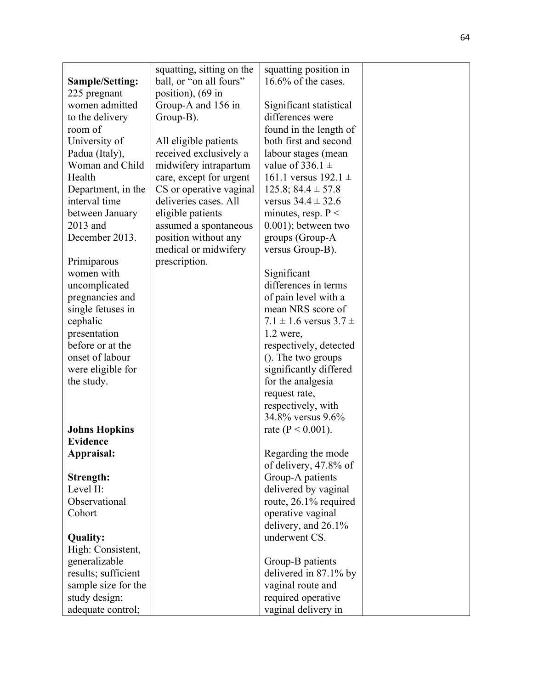|                      | squatting, sitting on the | squatting position in          |  |
|----------------------|---------------------------|--------------------------------|--|
| Sample/Setting:      | ball, or "on all fours"   | $16.6\%$ of the cases.         |  |
| 225 pregnant         | position), (69 in         |                                |  |
| women admitted       | Group-A and 156 in        | Significant statistical        |  |
| to the delivery      | Group-B).                 | differences were               |  |
| room of              |                           | found in the length of         |  |
| University of        | All eligible patients     | both first and second          |  |
| Padua (Italy),       | received exclusively a    | labour stages (mean            |  |
| Woman and Child      | midwifery intrapartum     | value of 336.1 $\pm$           |  |
| Health               | care, except for urgent   | 161.1 versus $192.1 \pm$       |  |
| Department, in the   | CS or operative vaginal   | $125.8$ ; $84.4 \pm 57.8$      |  |
| interval time        | deliveries cases. All     | versus $34.4 \pm 32.6$         |  |
| between January      | eligible patients         | minutes, resp. $P <$           |  |
| 2013 and             | assumed a spontaneous     | $0.001$ ); between two         |  |
| December 2013.       | position without any      | groups (Group-A                |  |
|                      |                           | versus Group-B).               |  |
|                      | medical or midwifery      |                                |  |
| Primiparous          | prescription.             |                                |  |
| women with           |                           | Significant                    |  |
| uncomplicated        |                           | differences in terms           |  |
| pregnancies and      |                           | of pain level with a           |  |
| single fetuses in    |                           | mean NRS score of              |  |
| cephalic             |                           | $7.1 \pm 1.6$ versus $3.7 \pm$ |  |
| presentation         |                           | $1.2$ were,                    |  |
| before or at the     |                           | respectively, detected         |  |
| onset of labour      |                           | (). The two groups             |  |
| were eligible for    |                           | significantly differed         |  |
| the study.           |                           | for the analgesia              |  |
|                      |                           | request rate,                  |  |
|                      |                           | respectively, with             |  |
|                      |                           | 34.8% versus 9.6%              |  |
| <b>Johns Hopkins</b> |                           | rate ( $P < 0.001$ ).          |  |
| <b>Evidence</b>      |                           |                                |  |
| Appraisal:           |                           | Regarding the mode             |  |
|                      |                           | of delivery, 47.8% of          |  |
| Strength:            |                           | Group-A patients               |  |
| Level II:            |                           | delivered by vaginal           |  |
| Observational        |                           | route, 26.1% required          |  |
| Cohort               |                           | operative vaginal              |  |
|                      |                           | delivery, and 26.1%            |  |
| <b>Quality:</b>      |                           | underwent CS.                  |  |
| High: Consistent,    |                           |                                |  |
| generalizable        |                           | Group-B patients               |  |
| results; sufficient  |                           | delivered in 87.1% by          |  |
| sample size for the  |                           | vaginal route and              |  |
| study design;        |                           | required operative             |  |
| adequate control;    |                           | vaginal delivery in            |  |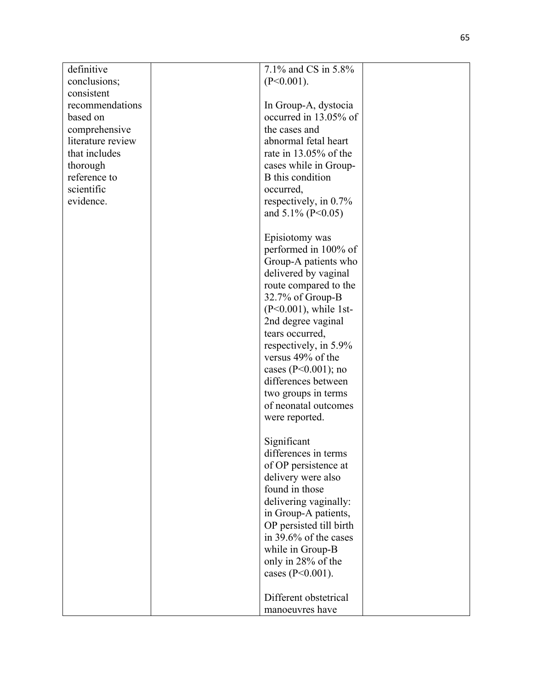| definitive<br>conclusions;  | 7.1% and CS in 5.8%<br>$(P<0.001)$ .            |  |
|-----------------------------|-------------------------------------------------|--|
| consistent                  |                                                 |  |
| recommendations<br>based on | In Group-A, dystocia<br>occurred in 13.05% of   |  |
| comprehensive               | the cases and                                   |  |
| literature review           | abnormal fetal heart                            |  |
| that includes               | rate in 13.05% of the                           |  |
| thorough                    | cases while in Group-                           |  |
| reference to<br>scientific  | B this condition<br>occurred,                   |  |
| evidence.                   | respectively, in 0.7%                           |  |
|                             | and $5.1\%$ (P<0.05)                            |  |
|                             | Episiotomy was                                  |  |
|                             | performed in 100% of                            |  |
|                             | Group-A patients who<br>delivered by vaginal    |  |
|                             | route compared to the                           |  |
|                             | 32.7% of Group-B                                |  |
|                             | $(P<0.001)$ , while 1st-<br>2nd degree vaginal  |  |
|                             | tears occurred,                                 |  |
|                             | respectively, in 5.9%                           |  |
|                             | versus 49% of the                               |  |
|                             | cases ( $P<0.001$ ); no<br>differences between  |  |
|                             | two groups in terms                             |  |
|                             | of neonatal outcomes                            |  |
|                             | were reported.                                  |  |
|                             | Significant                                     |  |
|                             | differences in terms<br>of OP persistence at    |  |
|                             | delivery were also                              |  |
|                             | found in those                                  |  |
|                             | delivering vaginally:                           |  |
|                             | in Group-A patients,<br>OP persisted till birth |  |
|                             | in 39.6% of the cases                           |  |
|                             | while in Group-B                                |  |
|                             | only in 28% of the                              |  |
|                             | cases ( $P<0.001$ ).                            |  |
|                             | Different obstetrical                           |  |
|                             | manoeuvres have                                 |  |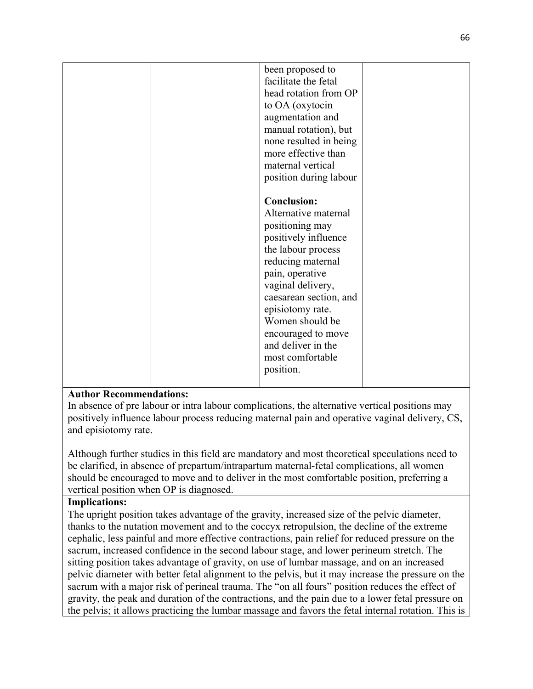| been proposed to<br>facilitate the fetal |  |
|------------------------------------------|--|
| head rotation from OP                    |  |
| to OA (oxytocin                          |  |
| augmentation and                         |  |
| manual rotation), but                    |  |
| none resulted in being                   |  |
| more effective than                      |  |
| maternal vertical                        |  |
| position during labour                   |  |
|                                          |  |
| <b>Conclusion:</b>                       |  |
| Alternative maternal                     |  |
| positioning may                          |  |
| positively influence                     |  |
| the labour process                       |  |
| reducing maternal                        |  |
| pain, operative                          |  |
| vaginal delivery,                        |  |
| caesarean section, and                   |  |
| episiotomy rate.                         |  |
| Women should be                          |  |
| encouraged to move                       |  |
| and deliver in the                       |  |
| most comfortable                         |  |
| position.                                |  |
|                                          |  |

## **Author Recommendations:**

In absence of pre labour or intra labour complications, the alternative vertical positions may positively influence labour process reducing maternal pain and operative vaginal delivery, CS, and episiotomy rate.

Although further studies in this field are mandatory and most theoretical speculations need to be clarified, in absence of prepartum/intrapartum maternal-fetal complications, all women should be encouraged to move and to deliver in the most comfortable position, preferring a vertical position when OP is diagnosed.

## **Implications:**

The upright position takes advantage of the gravity, increased size of the pelvic diameter, thanks to the nutation movement and to the coccyx retropulsion, the decline of the extreme cephalic, less painful and more effective contractions, pain relief for reduced pressure on the sacrum, increased confidence in the second labour stage, and lower perineum stretch. The sitting position takes advantage of gravity, on use of lumbar massage, and on an increased pelvic diameter with better fetal alignment to the pelvis, but it may increase the pressure on the sacrum with a major risk of perineal trauma. The "on all fours" position reduces the effect of gravity, the peak and duration of the contractions, and the pain due to a lower fetal pressure on the pelvis; it allows practicing the lumbar massage and favors the fetal internal rotation. This is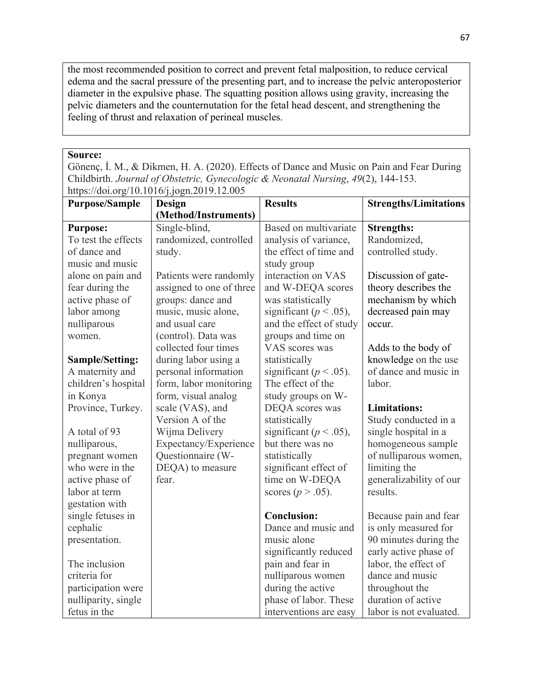the most recommended position to correct and prevent fetal malposition, to reduce cervical edema and the sacral pressure of the presenting part, and to increase the pelvic anteroposterior diameter in the expulsive phase. The squatting position allows using gravity, increasing the pelvic diameters and the counternutation for the fetal head descent, and strengthening the feeling of thrust and relaxation of perineal muscles.

### **Source:**

Gönenç, İ. M., & Dikmen, H. A. (2020). Effects of Dance and Music on Pain and Fear During Childbirth. *Journal of Obstetric, Gynecologic & Neonatal Nursing*, *49*(2), 144-153. https://doi.org/10.1016/j.jogn.2019.12.005

| <b>Purpose/Sample</b>         | <b>Design</b>            | <b>Results</b>                            | <b>Strengths/Limitations</b>            |
|-------------------------------|--------------------------|-------------------------------------------|-----------------------------------------|
|                               | (Method/Instruments)     |                                           |                                         |
| <b>Purpose:</b>               | Single-blind,            | Based on multivariate                     | <b>Strengths:</b>                       |
| To test the effects           | randomized, controlled   | analysis of variance,                     | Randomized,                             |
| of dance and                  | study.                   | the effect of time and                    | controlled study.                       |
| music and music               |                          | study group                               |                                         |
| alone on pain and             | Patients were randomly   | interaction on VAS                        | Discussion of gate-                     |
| fear during the               | assigned to one of three | and W-DEQA scores                         | theory describes the                    |
| active phase of               | groups: dance and        | was statistically                         | mechanism by which                      |
| labor among                   | music, music alone,      | significant ( $p < .05$ ),                | decreased pain may                      |
| nulliparous                   | and usual care           | and the effect of study                   | occur.                                  |
| women.                        | (control). Data was      | groups and time on                        |                                         |
|                               | collected four times     | VAS scores was                            | Adds to the body of                     |
| <b>Sample/Setting:</b>        | during labor using a     | statistically                             | knowledge on the use                    |
| A maternity and               | personal information     | significant ( $p < .05$ ).                | of dance and music in                   |
| children's hospital           | form, labor monitoring   | The effect of the                         | labor.                                  |
| in Konya                      | form, visual analog      | study groups on W-                        |                                         |
| Province, Turkey.             | scale (VAS), and         | DEQA scores was                           | <b>Limitations:</b>                     |
|                               | Version A of the         | statistically                             | Study conducted in a                    |
| A total of 93                 | Wijma Delivery           | significant ( $p < .05$ ),                | single hospital in a                    |
| nulliparous,                  | Expectancy/Experience    | but there was no                          | homogeneous sample                      |
| pregnant women                | Questionnaire (W-        | statistically                             | of nulliparous women,                   |
| who were in the               | DEQA) to measure         | significant effect of                     | limiting the                            |
| active phase of               | fear.                    | time on W-DEQA                            | generalizability of our                 |
| labor at term                 |                          | scores ( $p > .05$ ).                     | results.                                |
| gestation with                |                          |                                           |                                         |
| single fetuses in             |                          | <b>Conclusion:</b><br>Dance and music and | Because pain and fear                   |
| cephalic                      |                          | music alone                               | is only measured for                    |
| presentation.                 |                          |                                           | 90 minutes during the                   |
|                               |                          | significantly reduced                     | early active phase of                   |
| The inclusion<br>criteria for |                          | pain and fear in                          | labor, the effect of<br>dance and music |
|                               |                          | nulliparous women                         |                                         |
| participation were            |                          | during the active                         | throughout the<br>duration of active    |
| nulliparity, single           |                          | phase of labor. These                     |                                         |
| fetus in the                  |                          | interventions are easy                    | labor is not evaluated.                 |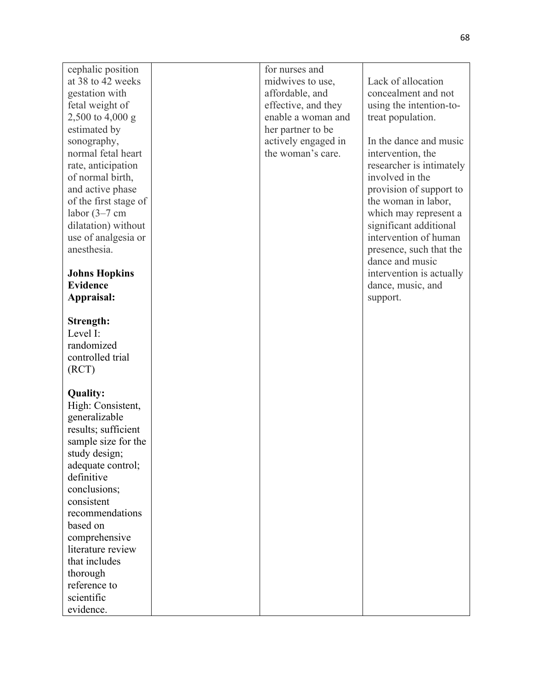| cephalic position                 | for nurses and                           |                          |
|-----------------------------------|------------------------------------------|--------------------------|
| at 38 to 42 weeks                 | midwives to use,                         | Lack of allocation       |
| gestation with                    | affordable, and                          | concealment and not      |
| fetal weight of                   | effective, and they                      | using the intention-to-  |
| 2,500 to 4,000 g                  | enable a woman and                       | treat population.        |
| estimated by                      | her partner to be                        |                          |
|                                   |                                          | In the dance and music   |
| sonography,<br>normal fetal heart | actively engaged in<br>the woman's care. |                          |
|                                   |                                          | intervention, the        |
| rate, anticipation                |                                          | researcher is intimately |
| of normal birth,                  |                                          | involved in the          |
| and active phase                  |                                          | provision of support to  |
| of the first stage of             |                                          | the woman in labor,      |
| labor $(3-7)$ cm                  |                                          | which may represent a    |
| dilatation) without               |                                          | significant additional   |
| use of analgesia or               |                                          | intervention of human    |
| anesthesia.                       |                                          | presence, such that the  |
|                                   |                                          | dance and music          |
| <b>Johns Hopkins</b>              |                                          | intervention is actually |
| <b>Evidence</b>                   |                                          | dance, music, and        |
| Appraisal:                        |                                          | support.                 |
|                                   |                                          |                          |
| Strength:                         |                                          |                          |
| Level I:                          |                                          |                          |
| randomized                        |                                          |                          |
| controlled trial                  |                                          |                          |
| (RCT)                             |                                          |                          |
|                                   |                                          |                          |
| <b>Quality:</b>                   |                                          |                          |
| High: Consistent,                 |                                          |                          |
| generalizable                     |                                          |                          |
| results; sufficient               |                                          |                          |
| sample size for the               |                                          |                          |
| study design;                     |                                          |                          |
| adequate control;                 |                                          |                          |
| definitive                        |                                          |                          |
| conclusions;                      |                                          |                          |
| consistent                        |                                          |                          |
| recommendations                   |                                          |                          |
| based on                          |                                          |                          |
| comprehensive                     |                                          |                          |
| literature review                 |                                          |                          |
| that includes                     |                                          |                          |
| thorough                          |                                          |                          |
| reference to                      |                                          |                          |
| scientific                        |                                          |                          |
| evidence.                         |                                          |                          |
|                                   |                                          |                          |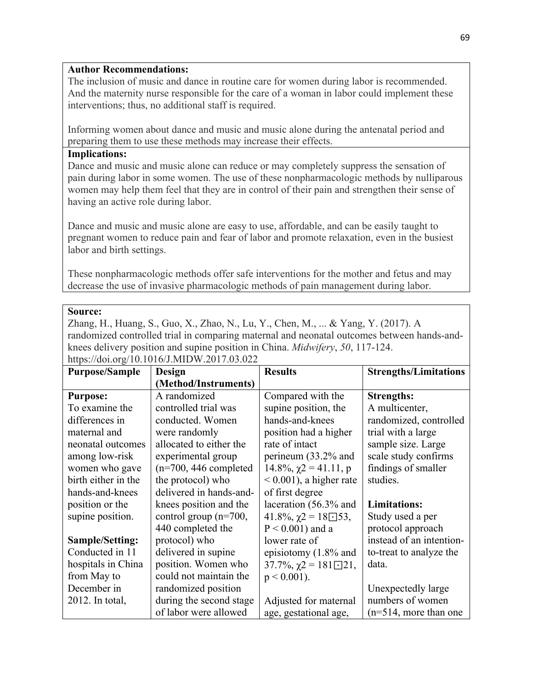# **Author Recommendations:**

The inclusion of music and dance in routine care for women during labor is recommended. And the maternity nurse responsible for the care of a woman in labor could implement these interventions; thus, no additional staff is required.

Informing women about dance and music and music alone during the antenatal period and preparing them to use these methods may increase their effects.

## **Implications:**

Dance and music and music alone can reduce or may completely suppress the sensation of pain during labor in some women. The use of these nonpharmacologic methods by nulliparous women may help them feel that they are in control of their pain and strengthen their sense of having an active role during labor.

Dance and music and music alone are easy to use, affordable, and can be easily taught to pregnant women to reduce pain and fear of labor and promote relaxation, even in the busiest labor and birth settings.

These nonpharmacologic methods offer safe interventions for the mother and fetus and may decrease the use of invasive pharmacologic methods of pain management during labor.

## **Source:**

Zhang, H., Huang, S., Guo, X., Zhao, N., Lu, Y., Chen, M., ... & Yang, Y. (2017). A randomized controlled trial in comparing maternal and neonatal outcomes between hands-andknees delivery position and supine position in China. *Midwifery*, *50*, 117-124.

| <b>Purpose/Sample</b>  | Design                  | <b>Results</b>                            | <b>Strengths/Limitations</b>     |
|------------------------|-------------------------|-------------------------------------------|----------------------------------|
|                        | (Method/Instruments)    |                                           |                                  |
| <b>Purpose:</b>        | A randomized            | Compared with the                         | <b>Strengths:</b>                |
| To examine the         | controlled trial was    | supine position, the                      | A multicenter,                   |
| differences in         | conducted. Women        | hands-and-knees                           | randomized, controlled           |
| maternal and           | were randomly           | position had a higher                     | trial with a large               |
| neonatal outcomes      | allocated to either the | rate of intact                            | sample size. Large               |
| among low-risk         | experimental group      | perineum (33.2% and                       | scale study confirms             |
| women who gave         | $(n=700, 446$ completed | $14.8\%, \gamma2 = 41.11, p$              | findings of smaller              |
| birth either in the    | the protocol) who       | $< 0.001$ ), a higher rate                | studies.                         |
| hands-and-knees        | delivered in hands-and- | of first degree                           |                                  |
| position or the        | knees position and the  | laceration (56.3% and                     | <b>Limitations:</b>              |
| supine position.       | control group $(n=700,$ | $41.8\%, \chi2 = 18\overline{\square}53,$ | Study used a per                 |
|                        | 440 completed the       | $P < 0.001$ ) and a                       | protocol approach                |
| <b>Sample/Setting:</b> | protocol) who           | lower rate of                             | instead of an intention-         |
| Conducted in 11        | delivered in supine     | episiotomy $(1.8\%$ and                   | to-treat to analyze the          |
| hospitals in China     | position. Women who     | $37.7\%, \chi2 = 181 \square 21,$         | data.                            |
| from May to            | could not maintain the  | $p < 0.001$ ).                            |                                  |
| December in            | randomized position     |                                           | Unexpectedly large               |
| 2012. In total,        | during the second stage | Adjusted for maternal                     | numbers of women                 |
|                        | of labor were allowed   | age, gestational age,                     | $(n=514, \text{ more than one})$ |

https://doi.org/10.1016/J.MIDW.2017.03.022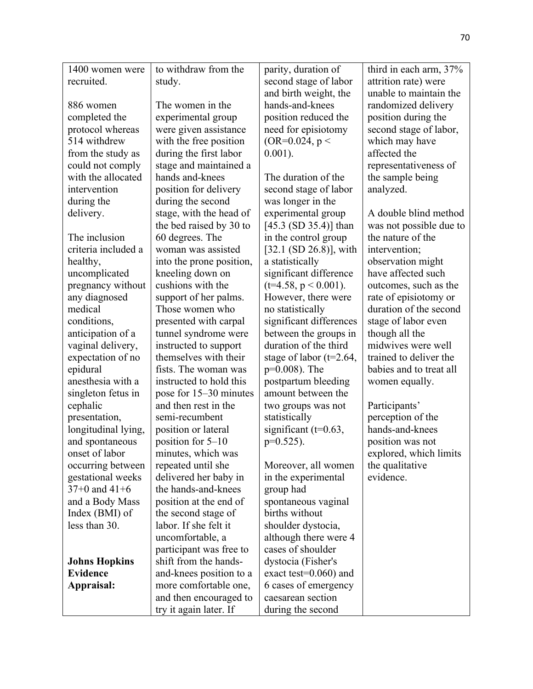| 1400 women were      | to withdraw from the     | parity, duration of       | third in each arm, 37%  |
|----------------------|--------------------------|---------------------------|-------------------------|
| recruited.           | study.                   | second stage of labor     | attrition rate) were    |
|                      |                          | and birth weight, the     | unable to maintain the  |
| 886 women            | The women in the         | hands-and-knees           | randomized delivery     |
| completed the        | experimental group       | position reduced the      | position during the     |
| protocol whereas     | were given assistance    | need for episiotomy       | second stage of labor,  |
| 514 withdrew         | with the free position   | $(OR=0.024, p <$          | which may have          |
| from the study as    | during the first labor   | $0.001$ ).                | affected the            |
| could not comply     | stage and maintained a   |                           | representativeness of   |
| with the allocated   | hands and-knees          | The duration of the       | the sample being        |
| intervention         | position for delivery    | second stage of labor     | analyzed.               |
| during the           | during the second        | was longer in the         |                         |
| delivery.            | stage, with the head of  | experimental group        | A double blind method   |
|                      | the bed raised by 30 to  | $[45.3 (SD 35.4)]$ than   | was not possible due to |
| The inclusion        | 60 degrees. The          | in the control group      | the nature of the       |
| criteria included a  | woman was assisted       | $[32.1 (SD 26.8)]$ , with | intervention;           |
| healthy,             | into the prone position, | a statistically           | observation might       |
| uncomplicated        | kneeling down on         | significant difference    | have affected such      |
| pregnancy without    | cushions with the        | $(t=4.58, p < 0.001)$ .   | outcomes, such as the   |
| any diagnosed        | support of her palms.    | However, there were       | rate of episiotomy or   |
| medical              | Those women who          | no statistically          | duration of the second  |
| conditions,          | presented with carpal    | significant differences   | stage of labor even     |
| anticipation of a    | tunnel syndrome were     | between the groups in     | though all the          |
| vaginal delivery,    | instructed to support    | duration of the third     | midwives were well      |
| expectation of no    | themselves with their    | stage of labor $(t=2.64,$ | trained to deliver the  |
| epidural             | fists. The woman was     | $p=0.008$ ). The          | babies and to treat all |
| anesthesia with a    | instructed to hold this  | postpartum bleeding       | women equally.          |
| singleton fetus in   | pose for 15–30 minutes   | amount between the        |                         |
| cephalic             | and then rest in the     | two groups was not        | Participants'           |
| presentation,        | semi-recumbent           | statistically             | perception of the       |
| longitudinal lying,  | position or lateral      | significant ( $t=0.63$ ,  | hands-and-knees         |
| and spontaneous      | position for $5-10$      | $p=0.525$ ).              | position was not        |
| onset of labor       | minutes, which was       |                           | explored, which limits  |
| occurring between    | repeated until she       | Moreover, all women       | the qualitative         |
| gestational weeks    | delivered her baby in    | in the experimental       | evidence.               |
| $37+0$ and $41+6$    | the hands-and-knees      | group had                 |                         |
| and a Body Mass      | position at the end of   | spontaneous vaginal       |                         |
| Index (BMI) of       | the second stage of      | births without            |                         |
| less than 30.        | labor. If she felt it    | shoulder dystocia,        |                         |
|                      | uncomfortable, a         | although there were 4     |                         |
|                      | participant was free to  | cases of shoulder         |                         |
| <b>Johns Hopkins</b> | shift from the hands-    | dystocia (Fisher's        |                         |
| <b>Evidence</b>      | and-knees position to a  | exact test= $0.060$ ) and |                         |
| Appraisal:           | more comfortable one,    | 6 cases of emergency      |                         |
|                      | and then encouraged to   | caesarean section         |                         |
|                      | try it again later. If   | during the second         |                         |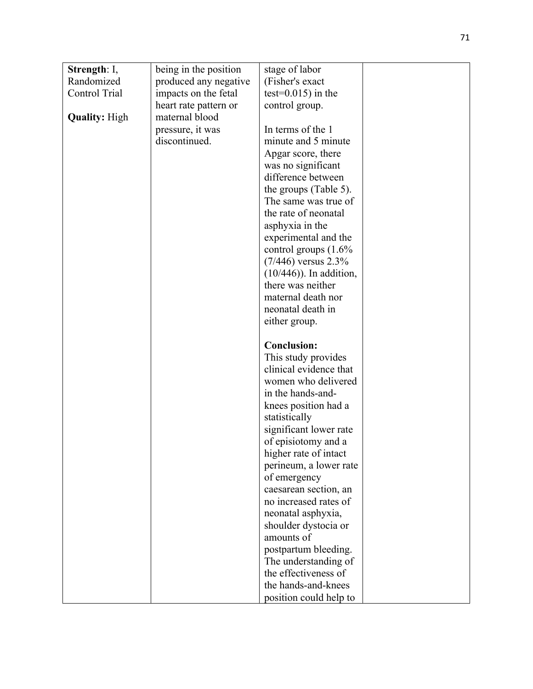| Strength: I,         | being in the position | stage of labor                               |  |
|----------------------|-----------------------|----------------------------------------------|--|
| Randomized           | produced any negative | (Fisher's exact                              |  |
| <b>Control Trial</b> | impacts on the fetal  | $test=0.015$ ) in the                        |  |
|                      | heart rate pattern or | control group.                               |  |
| <b>Quality: High</b> | maternal blood        |                                              |  |
|                      | pressure, it was      | In terms of the 1                            |  |
|                      | discontinued.         | minute and 5 minute                          |  |
|                      |                       | Apgar score, there                           |  |
|                      |                       | was no significant                           |  |
|                      |                       | difference between                           |  |
|                      |                       | the groups (Table 5).                        |  |
|                      |                       | The same was true of                         |  |
|                      |                       | the rate of neonatal                         |  |
|                      |                       | asphyxia in the                              |  |
|                      |                       | experimental and the                         |  |
|                      |                       | control groups $(1.6\%$                      |  |
|                      |                       | $(7/446)$ versus 2.3%                        |  |
|                      |                       | $(10/446)$ ). In addition,                   |  |
|                      |                       | there was neither                            |  |
|                      |                       | maternal death nor                           |  |
|                      |                       | neonatal death in                            |  |
|                      |                       | either group.                                |  |
|                      |                       |                                              |  |
|                      |                       | <b>Conclusion:</b>                           |  |
|                      |                       | This study provides                          |  |
|                      |                       | clinical evidence that                       |  |
|                      |                       | women who delivered                          |  |
|                      |                       | in the hands-and-                            |  |
|                      |                       | knees position had a                         |  |
|                      |                       | statistically                                |  |
|                      |                       | significant lower rate                       |  |
|                      |                       | of episiotomy and a<br>higher rate of intact |  |
|                      |                       | perineum, a lower rate                       |  |
|                      |                       | of emergency                                 |  |
|                      |                       | caesarean section, an                        |  |
|                      |                       | no increased rates of                        |  |
|                      |                       | neonatal asphyxia,                           |  |
|                      |                       | shoulder dystocia or                         |  |
|                      |                       | amounts of                                   |  |
|                      |                       | postpartum bleeding.                         |  |
|                      |                       | The understanding of                         |  |
|                      |                       | the effectiveness of                         |  |
|                      |                       | the hands-and-knees                          |  |
|                      |                       | position could help to                       |  |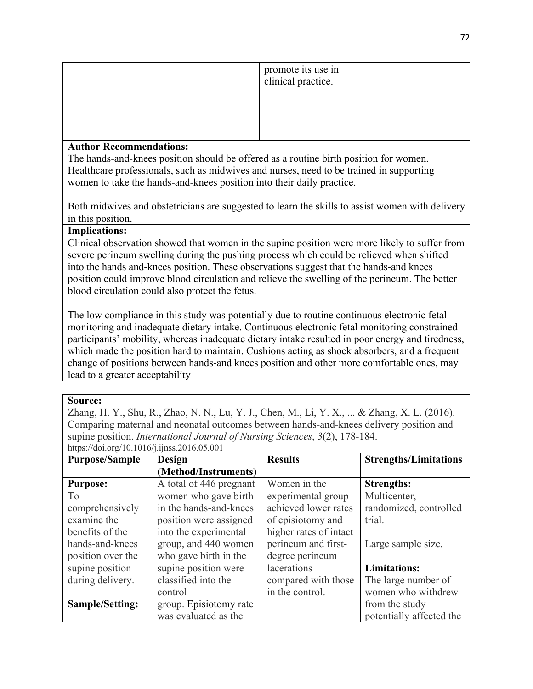|  | promote its use in<br>clinical practice. |  |
|--|------------------------------------------|--|
|  |                                          |  |
|  |                                          |  |

The hands-and-knees position should be offered as a routine birth position for women. Healthcare professionals, such as midwives and nurses, need to be trained in supporting women to take the hands-and-knees position into their daily practice.

Both midwives and obstetricians are suggested to learn the skills to assist women with delivery in this position.

## **Implications:**

Clinical observation showed that women in the supine position were more likely to suffer from severe perineum swelling during the pushing process which could be relieved when shifted into the hands and-knees position. These observations suggest that the hands-and knees position could improve blood circulation and relieve the swelling of the perineum. The better blood circulation could also protect the fetus.

The low compliance in this study was potentially due to routine continuous electronic fetal monitoring and inadequate dietary intake. Continuous electronic fetal monitoring constrained participants' mobility, whereas inadequate dietary intake resulted in poor energy and tiredness, which made the position hard to maintain. Cushions acting as shock absorbers, and a frequent change of positions between hands-and knees position and other more comfortable ones, may lead to a greater acceptability

## **Source:**

Zhang, H. Y., Shu, R., Zhao, N. N., Lu, Y. J., Chen, M., Li, Y. X., ... & Zhang, X. L. (2016). Comparing maternal and neonatal outcomes between hands-and-knees delivery position and supine position. *International Journal of Nursing Sciences*, *3*(2), 178-184.

| <b>Purpose/Sample</b> | Design                  | <b>Results</b>         | <b>Strengths/Limitations</b> |
|-----------------------|-------------------------|------------------------|------------------------------|
|                       | (Method/Instruments)    |                        |                              |
| <b>Purpose:</b>       | A total of 446 pregnant | Women in the           | <b>Strengths:</b>            |
| To                    | women who gave birth    | experimental group     | Multicenter,                 |
| comprehensively       | in the hands-and-knees  | achieved lower rates   | randomized, controlled       |
| examine the           | position were assigned  | of episiotomy and      | trial.                       |
| benefits of the       | into the experimental   | higher rates of intact |                              |
| hands-and-knees       | group, and 440 women    | perineum and first-    | Large sample size.           |
| position over the     | who gave birth in the   | degree perineum        |                              |
| supine position       | supine position were    | lacerations            | <b>Limitations:</b>          |
| during delivery.      | classified into the     | compared with those    | The large number of          |
|                       | control                 | in the control.        | women who withdrew           |
| Sample/Setting:       | group. Episiotomy rate  |                        | from the study               |
|                       | was evaluated as the    |                        | potentially affected the     |

https://doi.org/10.1016/j.jinss.2016.05.001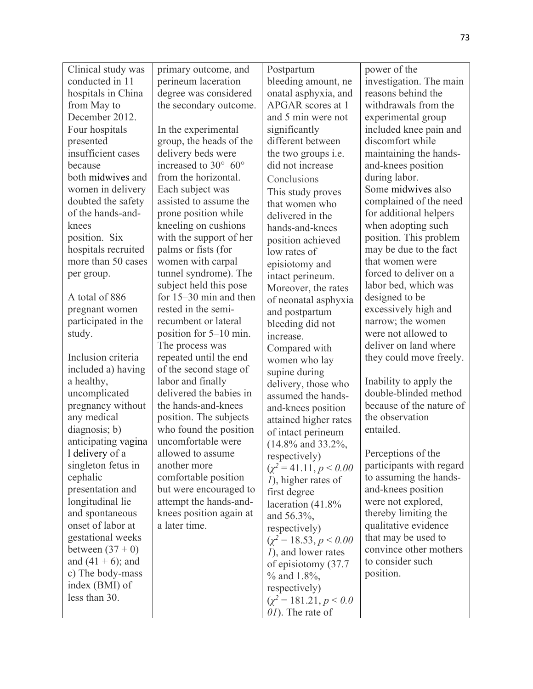| Clinical study was   | primary outcome, and                         | Postpartum                                | power of the                                    |
|----------------------|----------------------------------------------|-------------------------------------------|-------------------------------------------------|
| conducted in 11      | perineum laceration                          | bleeding amount, ne                       | investigation. The main                         |
| hospitals in China   | degree was considered                        | onatal asphyxia, and                      | reasons behind the                              |
| from May to          | the secondary outcome.                       | APGAR scores at 1                         | withdrawals from the                            |
| December 2012.       |                                              | and 5 min were not                        | experimental group                              |
| Four hospitals       | In the experimental                          | significantly                             | included knee pain and                          |
| presented            | group, the heads of the                      | different between                         | discomfort while                                |
| insufficient cases   |                                              |                                           |                                                 |
|                      | delivery beds were                           | the two groups i.e.<br>did not increase   | maintaining the hands-                          |
| because              | increased to $30^{\circ} - 60^{\circ}$       |                                           | and-knees position                              |
| both midwives and    | from the horizontal.                         | Conclusions                               | during labor.                                   |
| women in delivery    | Each subject was                             | This study proves                         | Some midwives also                              |
| doubted the safety   | assisted to assume the                       | that women who                            | complained of the need                          |
| of the hands-and-    | prone position while                         | delivered in the                          | for additional helpers                          |
| knees                | kneeling on cushions                         | hands-and-knees                           | when adopting such                              |
| position. Six        | with the support of her                      | position achieved                         | position. This problem                          |
| hospitals recruited  | palms or fists (for                          | low rates of                              | may be due to the fact                          |
| more than 50 cases   | women with carpal                            | episiotomy and                            | that women were                                 |
| per group.           | tunnel syndrome). The                        | intact perineum.                          | forced to deliver on a                          |
|                      | subject held this pose                       | Moreover, the rates                       | labor bed, which was                            |
| A total of 886       | for $15-30$ min and then                     | of neonatal asphyxia                      | designed to be                                  |
| pregnant women       | rested in the semi-                          | and postpartum                            | excessively high and                            |
| participated in the  | recumbent or lateral                         |                                           | narrow; the women                               |
| study.               | position for $5-10$ min.                     | bleeding did not                          | were not allowed to                             |
|                      | The process was                              | increase.                                 | deliver on land where                           |
| Inclusion criteria   | repeated until the end                       | Compared with                             | they could move freely.                         |
| included a) having   | of the second stage of                       | women who lay                             |                                                 |
|                      |                                              | supine during                             |                                                 |
| a healthy,           | labor and finally<br>delivered the babies in | delivery, those who                       | Inability to apply the<br>double-blinded method |
| uncomplicated        |                                              | assumed the hands-                        |                                                 |
| pregnancy without    | the hands-and-knees                          | and-knees position                        | because of the nature of                        |
| any medical          | position. The subjects                       | attained higher rates                     | the observation                                 |
| diagnosis; b)        | who found the position                       | of intact perineum                        | entailed.                                       |
| anticipating vagina  | uncomfortable were                           | (14.8% and 33.2%,                         |                                                 |
| 1 delivery of a      | allowed to assume                            | respectively)                             | Perceptions of the                              |
| singleton fetus in   | another more                                 | $\left(\chi^2 = 41.11, p \le 0.00\right)$ | participants with regard                        |
| cephalic             | comfortable position                         | $I$ ), higher rates of                    | to assuming the hands-                          |
| presentation and     | but were encouraged to                       | first degree                              | and-knees position                              |
| longitudinal lie     | attempt the hands-and-                       | laceration (41.8%                         | were not explored,                              |
| and spontaneous      | knees position again at                      | and 56.3%,                                | thereby limiting the                            |
| onset of labor at    | a later time.                                | respectively)                             | qualitative evidence                            |
| gestational weeks    |                                              | $\left(\chi^2 = 18.53, p \le 0.00\right)$ | that may be used to                             |
| between $(37 + 0)$   |                                              | <i>l</i> ), and lower rates               | convince other mothers                          |
| and $(41 + 6)$ ; and |                                              | of episiotomy (37.7)                      | to consider such                                |
| c) The body-mass     |                                              | $%$ and 1.8%,                             | position.                                       |
| index (BMI) of       |                                              |                                           |                                                 |
| less than 30.        |                                              | respectively)                             |                                                 |
|                      |                                              | $\left(\chi^2 = 181.21, p \le 0.0\right)$ |                                                 |
|                      |                                              | $01$ ). The rate of                       |                                                 |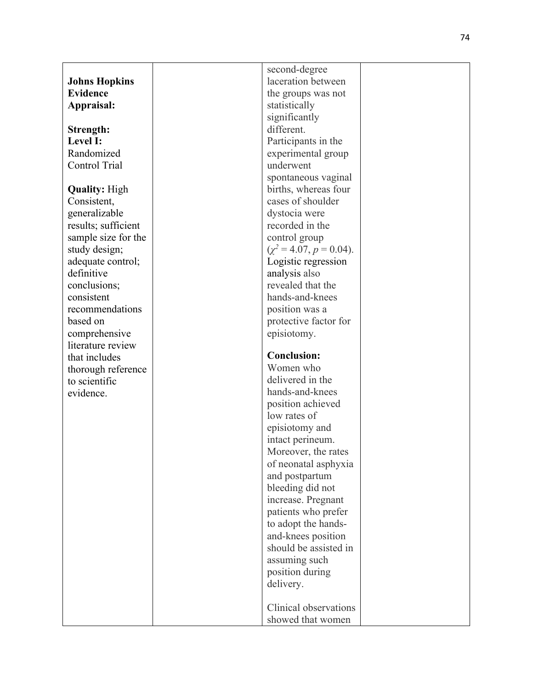|                      | second-degree                |
|----------------------|------------------------------|
| <b>Johns Hopkins</b> | laceration between           |
| <b>Evidence</b>      | the groups was not           |
| Appraisal:           | statistically                |
|                      | significantly                |
|                      | different.                   |
| Strength:            |                              |
| Level I:             | Participants in the          |
| Randomized           | experimental group           |
| <b>Control Trial</b> | underwent                    |
|                      | spontaneous vaginal          |
| <b>Quality: High</b> | births, whereas four         |
| Consistent,          | cases of shoulder            |
| generalizable        | dystocia were                |
| results; sufficient  | recorded in the              |
| sample size for the  |                              |
|                      | control group                |
| study design;        | $(\chi^2 = 4.07, p = 0.04).$ |
| adequate control;    | Logistic regression          |
| definitive           | analysis also                |
| conclusions;         | revealed that the            |
| consistent           | hands-and-knees              |
| recommendations      | position was a               |
| based on             | protective factor for        |
| comprehensive        | episiotomy.                  |
| literature review    |                              |
| that includes        | <b>Conclusion:</b>           |
|                      | Women who                    |
| thorough reference   | delivered in the             |
| to scientific        |                              |
| evidence.            | hands-and-knees              |
|                      | position achieved            |
|                      | low rates of                 |
|                      | episiotomy and               |
|                      | intact perineum.             |
|                      | Moreover, the rates          |
|                      | of neonatal asphyxia         |
|                      | and postpartum               |
|                      | bleeding did not             |
|                      | increase. Pregnant           |
|                      |                              |
|                      | patients who prefer          |
|                      | to adopt the hands-          |
|                      | and-knees position           |
|                      | should be assisted in        |
|                      | assuming such                |
|                      | position during              |
|                      | delivery.                    |
|                      |                              |
|                      | Clinical observations        |
|                      | showed that women            |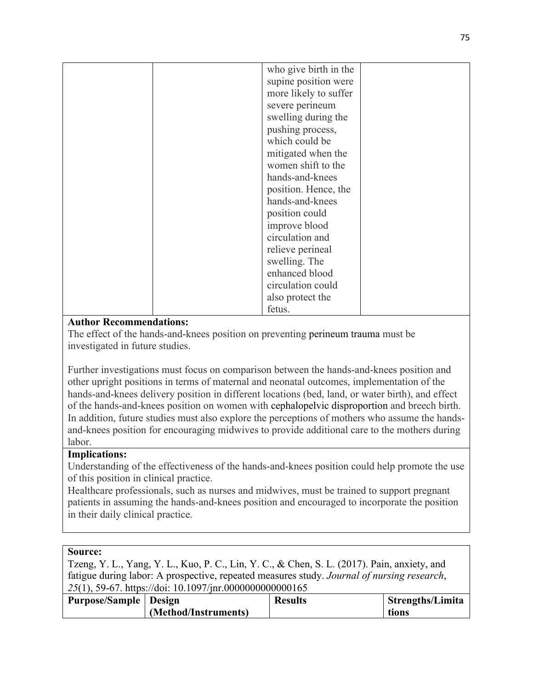|  | who give birth in the |  |
|--|-----------------------|--|
|  | supine position were  |  |
|  | more likely to suffer |  |
|  | severe perineum       |  |
|  | swelling during the   |  |
|  | pushing process,      |  |
|  | which could be        |  |
|  | mitigated when the    |  |
|  | women shift to the    |  |
|  | hands-and-knees       |  |
|  | position. Hence, the  |  |
|  | hands-and-knees       |  |
|  | position could        |  |
|  | improve blood         |  |
|  | circulation and       |  |
|  | relieve perineal      |  |
|  | swelling. The         |  |
|  | enhanced blood        |  |
|  | circulation could     |  |
|  | also protect the      |  |
|  | fetus.                |  |

The effect of the hands-and-knees position on preventing perineum trauma must be investigated in future studies.

Further investigations must focus on comparison between the hands-and-knees position and other upright positions in terms of maternal and neonatal outcomes, implementation of the hands-and-knees delivery position in different locations (bed, land, or water birth), and effect of the hands-and-knees position on women with cephalopelvic disproportion and breech birth. In addition, future studies must also explore the perceptions of mothers who assume the handsand-knees position for encouraging midwives to provide additional care to the mothers during labor.

# **Implications:**

Understanding of the effectiveness of the hands-and-knees position could help promote the use of this position in clinical practice.

Healthcare professionals, such as nurses and midwives, must be trained to support pregnant patients in assuming the hands-and-knees position and encouraged to incorporate the position in their daily clinical practice.

# **Source:**

Tzeng, Y. L., Yang, Y. L., Kuo, P. C., Lin, Y. C., & Chen, S. L. (2017). Pain, anxiety, and fatigue during labor: A prospective, repeated measures study. *Journal of nursing research*, *25*(1), 59-67. https://doi: 10.1097/jnr.0000000000000165

| <b>Purpose/Sample   Design</b> |                      | <b>Results</b> | <sup>1</sup> Strengths/Limita |
|--------------------------------|----------------------|----------------|-------------------------------|
|                                | (Method/Instruments) |                | tions                         |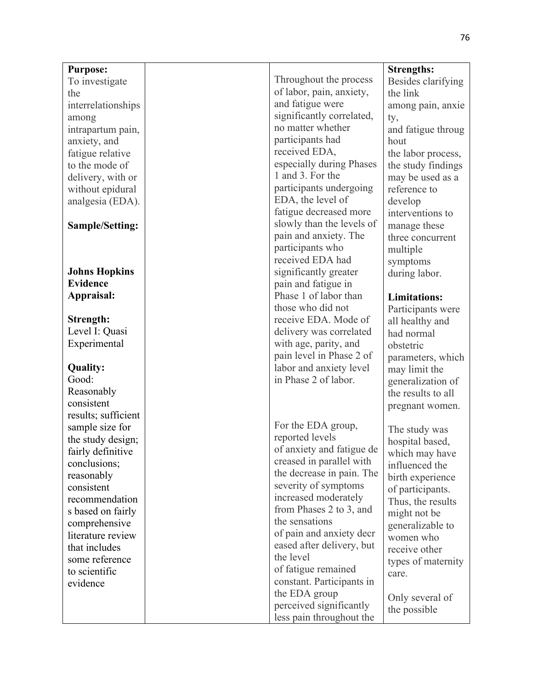| <b>Purpose:</b>        |                           | <b>Strengths:</b>   |
|------------------------|---------------------------|---------------------|
| To investigate         | Throughout the process    | Besides clarifying  |
| the                    | of labor, pain, anxiety,  | the link            |
| interrelationships     | and fatigue were          | among pain, anxie   |
| among                  | significantly correlated, | ty,                 |
| intrapartum pain,      | no matter whether         | and fatigue throug  |
| anxiety, and           | participants had          | hout                |
| fatigue relative       | received EDA,             | the labor process,  |
| to the mode of         | especially during Phases  | the study findings  |
| delivery, with or      | 1 and 3. For the          | may be used as a    |
| without epidural       | participants undergoing   | reference to        |
| analgesia (EDA).       | EDA, the level of         | develop             |
|                        | fatigue decreased more    | interventions to    |
| <b>Sample/Setting:</b> | slowly than the levels of | manage these        |
|                        | pain and anxiety. The     | three concurrent    |
|                        | participants who          | multiple            |
|                        | received EDA had          | symptoms            |
| <b>Johns Hopkins</b>   | significantly greater     | during labor.       |
| <b>Evidence</b>        | pain and fatigue in       |                     |
| Appraisal:             | Phase 1 of labor than     | <b>Limitations:</b> |
|                        | those who did not         | Participants were   |
| Strength:              | receive EDA. Mode of      | all healthy and     |
| Level I: Quasi         | delivery was correlated   | had normal          |
| Experimental           | with age, parity, and     | obstetric           |
|                        | pain level in Phase 2 of  | parameters, which   |
| <b>Quality:</b>        | labor and anxiety level   | may limit the       |
| Good:                  | in Phase 2 of labor.      | generalization of   |
| Reasonably             |                           | the results to all  |
| consistent             |                           | pregnant women.     |
| results; sufficient    |                           |                     |
| sample size for        | For the EDA group,        | The study was       |
| the study design;      | reported levels           | hospital based,     |
| fairly definitive      | of anxiety and fatigue de | which may have      |
| conclusions;           | creased in parallel with  | influenced the      |
| reasonably             | the decrease in pain. The | birth experience    |
| consistent             | severity of symptoms      | of participants.    |
| recommendation         | increased moderately      | Thus, the results   |
| s based on fairly      | from Phases 2 to 3, and   | might not be        |
| comprehensive          | the sensations            | generalizable to    |
| literature review      | of pain and anxiety decr  | women who           |
| that includes          | eased after delivery, but | receive other       |
| some reference         | the level                 | types of maternity  |
| to scientific          | of fatigue remained       | care.               |
| evidence               | constant. Participants in |                     |
|                        | the EDA group             | Only several of     |
|                        | perceived significantly   | the possible        |
|                        | less pain throughout the  |                     |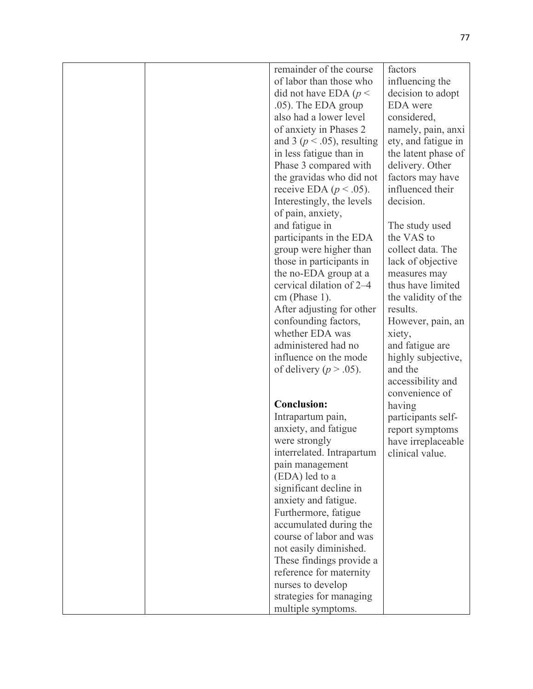| remainder of the course<br>of labor than those who<br>did not have EDA ( $p$ <<br>.05). The EDA group<br>also had a lower level<br>of anxiety in Phases 2<br>and 3 ( $p < .05$ ), resulting<br>in less fatigue than in<br>Phase 3 compared with<br>the gravidas who did not<br>receive EDA ( $p < .05$ ).<br>Interestingly, the levels<br>of pain, anxiety,<br>and fatigue in<br>participants in the EDA<br>group were higher than<br>those in participants in<br>the no-EDA group at a<br>cervical dilation of 2–4<br>cm (Phase 1).<br>After adjusting for other<br>confounding factors,<br>whether EDA was<br>administered had no<br>influence on the mode<br>of delivery ( $p > .05$ ). | factors<br>influencing the<br>decision to adopt<br><b>EDA</b> were<br>considered,<br>namely, pain, anxi<br>ety, and fatigue in<br>the latent phase of<br>delivery. Other<br>factors may have<br>influenced their<br>decision.<br>The study used<br>the VAS to<br>collect data. The<br>lack of objective<br>measures may<br>thus have limited<br>the validity of the<br>results.<br>However, pain, an<br>xiety,<br>and fatigue are<br>highly subjective,<br>and the<br>accessibility and |
|--------------------------------------------------------------------------------------------------------------------------------------------------------------------------------------------------------------------------------------------------------------------------------------------------------------------------------------------------------------------------------------------------------------------------------------------------------------------------------------------------------------------------------------------------------------------------------------------------------------------------------------------------------------------------------------------|-----------------------------------------------------------------------------------------------------------------------------------------------------------------------------------------------------------------------------------------------------------------------------------------------------------------------------------------------------------------------------------------------------------------------------------------------------------------------------------------|
| <b>Conclusion:</b><br>Intrapartum pain,<br>anxiety, and fatigue<br>were strongly<br>interrelated. Intrapartum<br>pain management<br>(EDA) led to a<br>significant decline in<br>anxiety and fatigue.<br>Furthermore, fatigue<br>accumulated during the<br>course of labor and was<br>not easily diminished.<br>These findings provide a<br>reference for maternity<br>nurses to develop<br>strategies for managing                                                                                                                                                                                                                                                                         | convenience of<br>having<br>participants self-<br>report symptoms<br>have irreplaceable<br>clinical value.                                                                                                                                                                                                                                                                                                                                                                              |
| multiple symptoms.                                                                                                                                                                                                                                                                                                                                                                                                                                                                                                                                                                                                                                                                         |                                                                                                                                                                                                                                                                                                                                                                                                                                                                                         |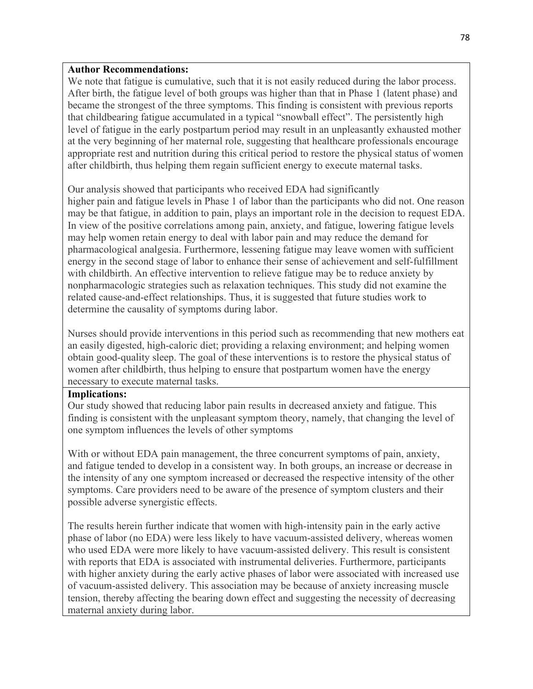We note that fatigue is cumulative, such that it is not easily reduced during the labor process. After birth, the fatigue level of both groups was higher than that in Phase 1 (latent phase) and became the strongest of the three symptoms. This finding is consistent with previous reports that childbearing fatigue accumulated in a typical "snowball effect". The persistently high level of fatigue in the early postpartum period may result in an unpleasantly exhausted mother at the very beginning of her maternal role, suggesting that healthcare professionals encourage appropriate rest and nutrition during this critical period to restore the physical status of women after childbirth, thus helping them regain sufficient energy to execute maternal tasks.

## Our analysis showed that participants who received EDA had significantly

higher pain and fatigue levels in Phase 1 of labor than the participants who did not. One reason may be that fatigue, in addition to pain, plays an important role in the decision to request EDA. In view of the positive correlations among pain, anxiety, and fatigue, lowering fatigue levels may help women retain energy to deal with labor pain and may reduce the demand for pharmacological analgesia. Furthermore, lessening fatigue may leave women with sufficient energy in the second stage of labor to enhance their sense of achievement and self-fulfillment with childbirth. An effective intervention to relieve fatigue may be to reduce anxiety by nonpharmacologic strategies such as relaxation techniques. This study did not examine the related cause-and-effect relationships. Thus, it is suggested that future studies work to determine the causality of symptoms during labor.

Nurses should provide interventions in this period such as recommending that new mothers eat an easily digested, high-caloric diet; providing a relaxing environment; and helping women obtain good-quality sleep. The goal of these interventions is to restore the physical status of women after childbirth, thus helping to ensure that postpartum women have the energy necessary to execute maternal tasks.

## **Implications:**

Our study showed that reducing labor pain results in decreased anxiety and fatigue. This finding is consistent with the unpleasant symptom theory, namely, that changing the level of one symptom influences the levels of other symptoms

With or without EDA pain management, the three concurrent symptoms of pain, anxiety, and fatigue tended to develop in a consistent way. In both groups, an increase or decrease in the intensity of any one symptom increased or decreased the respective intensity of the other symptoms. Care providers need to be aware of the presence of symptom clusters and their possible adverse synergistic effects.

The results herein further indicate that women with high-intensity pain in the early active phase of labor (no EDA) were less likely to have vacuum-assisted delivery, whereas women who used EDA were more likely to have vacuum-assisted delivery. This result is consistent with reports that EDA is associated with instrumental deliveries. Furthermore, participants with higher anxiety during the early active phases of labor were associated with increased use of vacuum-assisted delivery. This association may be because of anxiety increasing muscle tension, thereby affecting the bearing down effect and suggesting the necessity of decreasing maternal anxiety during labor.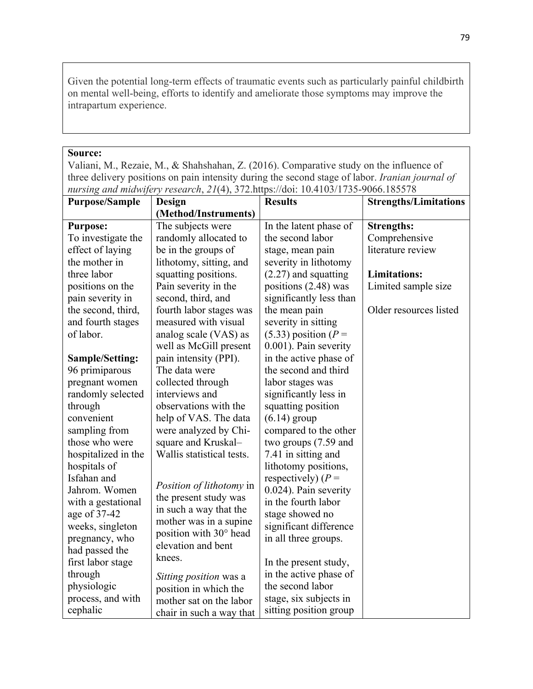Given the potential long-term effects of traumatic events such as particularly painful childbirth on mental well-being, efforts to identify and ameliorate those symptoms may improve the intrapartum experience.

#### **Source:**

Valiani, M., Rezaie, M., & Shahshahan, Z. (2016). Comparative study on the influence of three delivery positions on pain intensity during the second stage of labor. *Iranian journal of nursing and midwifery research*, *21*(4), 372.https://doi: 10.4103/1735-9066.185578

| <b>Purpose/Sample</b>  | <b>Design</b>                   | <b>Results</b>          | <b>Strengths/Limitations</b> |
|------------------------|---------------------------------|-------------------------|------------------------------|
|                        | (Method/Instruments)            |                         |                              |
| <b>Purpose:</b>        | The subjects were               | In the latent phase of  | <b>Strengths:</b>            |
| To investigate the     | randomly allocated to           | the second labor        | Comprehensive                |
| effect of laying       | be in the groups of             | stage, mean pain        | literature review            |
| the mother in          | lithotomy, sitting, and         | severity in lithotomy   |                              |
| three labor            | squatting positions.            | $(2.27)$ and squatting  | <b>Limitations:</b>          |
| positions on the       | Pain severity in the            | positions (2.48) was    | Limited sample size          |
| pain severity in       | second, third, and              | significantly less than |                              |
| the second, third,     | fourth labor stages was         | the mean pain           | Older resources listed       |
| and fourth stages      | measured with visual            | severity in sitting     |                              |
| of labor.              | analog scale (VAS) as           | $(5.33)$ position (P =  |                              |
|                        | well as McGill present          | 0.001). Pain severity   |                              |
| <b>Sample/Setting:</b> | pain intensity (PPI).           | in the active phase of  |                              |
| 96 primiparous         | The data were                   | the second and third    |                              |
| pregnant women         | collected through               | labor stages was        |                              |
| randomly selected      | interviews and                  | significantly less in   |                              |
| through                | observations with the           | squatting position      |                              |
| convenient             | help of VAS. The data           | $(6.14)$ group          |                              |
| sampling from          | were analyzed by Chi-           | compared to the other   |                              |
| those who were         | square and Kruskal-             | two groups (7.59 and    |                              |
| hospitalized in the    | Wallis statistical tests.       | 7.41 in sitting and     |                              |
| hospitals of           |                                 | lithotomy positions,    |                              |
| Isfahan and            | <i>Position of lithotomy</i> in | respectively) $(P =$    |                              |
| Jahrom. Women          | the present study was           | 0.024). Pain severity   |                              |
| with a gestational     | in such a way that the          | in the fourth labor     |                              |
| age of 37-42           | mother was in a supine          | stage showed no         |                              |
| weeks, singleton       | position with 30° head          | significant difference  |                              |
| pregnancy, who         | elevation and bent              | in all three groups.    |                              |
| had passed the         | knees.                          |                         |                              |
| first labor stage      |                                 | In the present study,   |                              |
| through                | Sitting position was a          | in the active phase of  |                              |
| physiologic            | position in which the           | the second labor        |                              |
| process, and with      | mother sat on the labor         | stage, six subjects in  |                              |
| cephalic               | chair in such a way that        | sitting position group  |                              |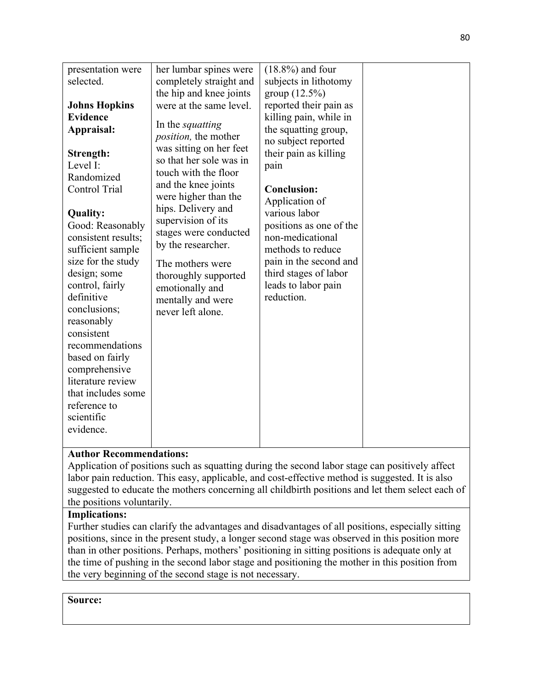| presentation were<br>selected.<br><b>Johns Hopkins</b><br><b>Evidence</b><br>Appraisal:<br>Strength:<br>Level I:<br>Randomized<br><b>Control Trial</b><br><b>Quality:</b><br>Good: Reasonably<br>consistent results;<br>sufficient sample<br>size for the study<br>design; some<br>control, fairly<br>definitive<br>conclusions;<br>reasonably<br>consistent<br>recommendations<br>based on fairly<br>comprehensive<br>literature review<br>that includes some<br>reference to<br>scientific | her lumbar spines were<br>completely straight and<br>the hip and knee joints<br>were at the same level.<br>In the <i>squatting</i><br><i>position</i> , the mother<br>was sitting on her feet<br>so that her sole was in<br>touch with the floor<br>and the knee joints<br>were higher than the<br>hips. Delivery and<br>supervision of its<br>stages were conducted<br>by the researcher.<br>The mothers were<br>thoroughly supported<br>emotionally and<br>mentally and were<br>never left alone. | $(18.8\%)$ and four<br>subjects in lithotomy<br>group $(12.5\%)$<br>reported their pain as<br>killing pain, while in<br>the squatting group,<br>no subject reported<br>their pain as killing<br>pain<br><b>Conclusion:</b><br>Application of<br>various labor<br>positions as one of the<br>non-medicational<br>methods to reduce<br>pain in the second and<br>third stages of labor<br>leads to labor pain<br>reduction. |  |
|----------------------------------------------------------------------------------------------------------------------------------------------------------------------------------------------------------------------------------------------------------------------------------------------------------------------------------------------------------------------------------------------------------------------------------------------------------------------------------------------|-----------------------------------------------------------------------------------------------------------------------------------------------------------------------------------------------------------------------------------------------------------------------------------------------------------------------------------------------------------------------------------------------------------------------------------------------------------------------------------------------------|---------------------------------------------------------------------------------------------------------------------------------------------------------------------------------------------------------------------------------------------------------------------------------------------------------------------------------------------------------------------------------------------------------------------------|--|
| evidence.                                                                                                                                                                                                                                                                                                                                                                                                                                                                                    |                                                                                                                                                                                                                                                                                                                                                                                                                                                                                                     |                                                                                                                                                                                                                                                                                                                                                                                                                           |  |

Application of positions such as squatting during the second labor stage can positively affect labor pain reduction. This easy, applicable, and cost-effective method is suggested. It is also suggested to educate the mothers concerning all childbirth positions and let them select each of the positions voluntarily.

# **Implications:**

Further studies can clarify the advantages and disadvantages of all positions, especially sitting positions, since in the present study, a longer second stage was observed in this position more than in other positions. Perhaps, mothers' positioning in sitting positions is adequate only at the time of pushing in the second labor stage and positioning the mother in this position from the very beginning of the second stage is not necessary.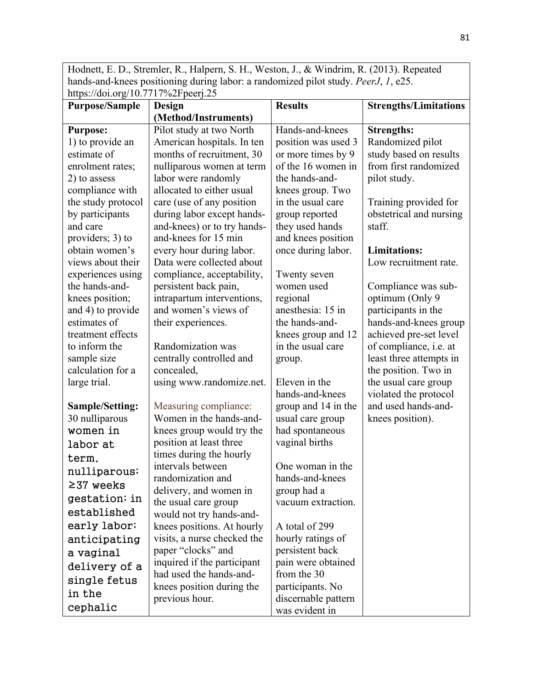Hodnett, E. D., Stremler, R., Halpern, S. H., Weston, J., & Windrim, R. (2013). Repeated hands-and-knees positioning during labor: a randomized pilot study. *PeerJ*, *1*, e25. https://doi.org/10.7717%2Fpeerj.25

| $m_{\rm p}$ , and $m_{\rm p}$ is the $n_{\rm p}$ theory. External set of $m_{\rm p}$ |                             |                     |                              |
|--------------------------------------------------------------------------------------|-----------------------------|---------------------|------------------------------|
| <b>Purpose/Sample</b>                                                                | <b>Design</b>               | <b>Results</b>      | <b>Strengths/Limitations</b> |
|                                                                                      | (Method/Instruments)        |                     |                              |
| <b>Purpose:</b>                                                                      | Pilot study at two North    | Hands-and-knees     | <b>Strengths:</b>            |
| 1) to provide an                                                                     | American hospitals. In ten  | position was used 3 | Randomized pilot             |
| estimate of                                                                          | months of recruitment, 30   | or more times by 9  | study based on results       |
| enrolment rates;                                                                     | nulliparous women at term   | of the 16 women in  | from first randomized        |
| 2) to assess                                                                         | labor were randomly         | the hands-and-      | pilot study.                 |
| compliance with                                                                      | allocated to either usual   | knees group. Two    |                              |
| the study protocol                                                                   | care (use of any position   | in the usual care   | Training provided for        |
| by participants                                                                      | during labor except hands-  | group reported      | obstetrical and nursing      |
| and care                                                                             | and-knees) or to try hands- | they used hands     | staff.                       |
| providers; 3) to                                                                     | and-knees for 15 min        | and knees position  |                              |
| obtain women's                                                                       | every hour during labor.    | once during labor.  | <b>Limitations:</b>          |
| views about their                                                                    | Data were collected about   |                     | Low recruitment rate.        |
| experiences using                                                                    | compliance, acceptability,  | Twenty seven        |                              |
| the hands-and-                                                                       | persistent back pain,       | women used          | Compliance was sub-          |
| knees position;                                                                      | intrapartum interventions,  | regional            | optimum (Only 9              |
| and 4) to provide                                                                    | and women's views of        | anesthesia: 15 in   | participants in the          |
| estimates of                                                                         | their experiences.          | the hands-and-      | hands-and-knees group        |
| treatment effects                                                                    |                             | knees group and 12  | achieved pre-set level       |
| to inform the                                                                        | Randomization was           | in the usual care   | of compliance, i.e. at       |
| sample size                                                                          | centrally controlled and    | group.              | least three attempts in      |
| calculation for a                                                                    | concealed,                  |                     | the position. Two in         |
| large trial.                                                                         | using www.randomize.net.    | Eleven in the       | the usual care group         |
|                                                                                      |                             | hands-and-knees     | violated the protocol        |
| <b>Sample/Setting:</b>                                                               | Measuring compliance:       | group and 14 in the | and used hands-and-          |
| 30 nulliparous                                                                       | Women in the hands-and-     | usual care group    | knees position).             |
| women in                                                                             | knees group would try the   | had spontaneous     |                              |
| labor at                                                                             | position at least three     | vaginal births      |                              |
| term.                                                                                | times during the hourly     |                     |                              |
| nulliparous;                                                                         | intervals between           | One woman in the    |                              |
| $\geq$ 37 weeks                                                                      | randomization and           | hands-and-knees     |                              |
|                                                                                      | delivery, and women in      | group had a         |                              |
| gestation; in                                                                        | the usual care group        | vacuum extraction.  |                              |
| established                                                                          | would not try hands-and-    |                     |                              |
| early labor;                                                                         | knees positions. At hourly  | A total of 299      |                              |
| anticipating                                                                         | visits, a nurse checked the | hourly ratings of   |                              |
| a vaginal                                                                            | paper "clocks" and          | persistent back     |                              |
| delivery of a                                                                        | inquired if the participant | pain were obtained  |                              |
| single fetus                                                                         | had used the hands-and-     | from the 30         |                              |
| in the                                                                               | knees position during the   | participants. No    |                              |
|                                                                                      | previous hour.              | discernable pattern |                              |
| cephalic                                                                             |                             | was evident in      |                              |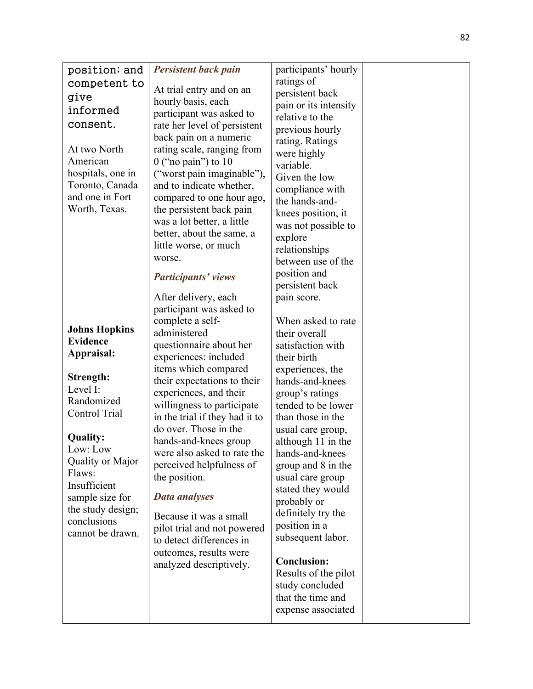| position; and        | <b>Persistent back pain</b>    | participants' hourly              |  |
|----------------------|--------------------------------|-----------------------------------|--|
| competent to         |                                | ratings of                        |  |
| give                 | At trial entry and on an       | persistent back                   |  |
|                      | hourly basis, each             | pain or its intensity             |  |
| informed             | participant was asked to       | relative to the                   |  |
| consent.             | rate her level of persistent   | previous hourly                   |  |
|                      | back pain on a numeric         | rating. Ratings                   |  |
| At two North         | rating scale, ranging from     | were highly                       |  |
| American             | $0$ ("no pain") to $10$        | variable.                         |  |
| hospitals, one in    | ("worst pain imaginable"),     | Given the low                     |  |
| Toronto, Canada      | and to indicate whether,       | compliance with                   |  |
| and one in Fort      | compared to one hour ago,      | the hands-and-                    |  |
| Worth, Texas.        | the persistent back pain       | knees position, it                |  |
|                      | was a lot better, a little     | was not possible to               |  |
|                      | better, about the same, a      | explore                           |  |
|                      | little worse, or much          | relationships                     |  |
|                      | worse.                         | between use of the                |  |
|                      |                                | position and                      |  |
|                      | <b>Participants' views</b>     | persistent back                   |  |
|                      | After delivery, each           | pain score.                       |  |
|                      | participant was asked to       |                                   |  |
|                      | complete a self-               | When asked to rate                |  |
| <b>Johns Hopkins</b> | administered                   | their overall                     |  |
| <b>Evidence</b>      | questionnaire about her        | satisfaction with                 |  |
| Appraisal:           | experiences: included          | their birth                       |  |
|                      | items which compared           | experiences, the                  |  |
| Strength:            | their expectations to their    | hands-and-knees                   |  |
| Level I:             | experiences, and their         | group's ratings                   |  |
| Randomized           | willingness to participate     | tended to be lower                |  |
| <b>Control Trial</b> | in the trial if they had it to | than those in the                 |  |
|                      | do over. Those in the          | usual care group,                 |  |
| <b>Quality:</b>      | hands-and-knees group          | although 11 in the                |  |
| Low: Low             | were also asked to rate the    | hands-and-knees                   |  |
| Quality or Major     | perceived helpfulness of       | group and 8 in the                |  |
| Flaws:               | the position.                  | usual care group                  |  |
| Insufficient         |                                | stated they would                 |  |
| sample size for      | <b>Data analyses</b>           |                                   |  |
| the study design;    |                                | probably or<br>definitely try the |  |
| conclusions          | Because it was a small         | position in a                     |  |
| cannot be drawn.     | pilot trial and not powered    | subsequent labor.                 |  |
|                      | to detect differences in       |                                   |  |
|                      | outcomes, results were         | <b>Conclusion:</b>                |  |
|                      | analyzed descriptively.        | Results of the pilot              |  |
|                      |                                | study concluded                   |  |
|                      |                                | that the time and                 |  |
|                      |                                | expense associated                |  |
|                      |                                |                                   |  |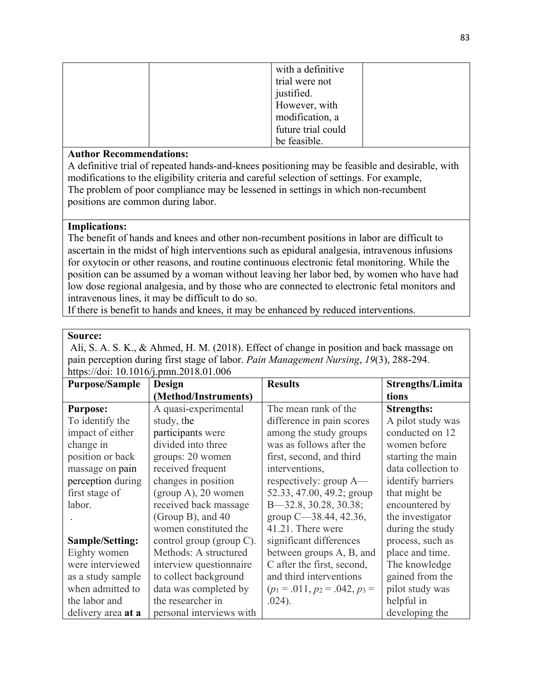|  | with a definitive  |  |
|--|--------------------|--|
|  | trial were not     |  |
|  | justified.         |  |
|  | However, with      |  |
|  | modification, a    |  |
|  | future trial could |  |
|  | be feasible.       |  |

A definitive trial of repeated hands-and-knees positioning may be feasible and desirable, with modifications to the eligibility criteria and careful selection of settings. For example, The problem of poor compliance may be lessened in settings in which non-recumbent positions are common during labor.

## **Implications:**

The benefit of hands and knees and other non-recumbent positions in labor are difficult to ascertain in the midst of high interventions such as epidural analgesia, intravenous infusions for oxytocin or other reasons, and routine continuous electronic fetal monitoring. While the position can be assumed by a woman without leaving her labor bed, by women who have had low dose regional analgesia, and by those who are connected to electronic fetal monitors and intravenous lines, it may be difficult to do so.

If there is benefit to hands and knees, it may be enhanced by reduced interventions.

## **Source:**

Ali, S. A. S. K., & Ahmed, H. M. (2018). Effect of change in position and back massage on pain perception during first stage of labor. *Pain Management Nursing*, *19*(3), 288-294. https://doi: 10.1016/j.pmn.2018.01.006

| <b>Purpose/Sample</b>  | <b>Design</b>               | <b>Results</b>              | <b>Strengths/Limita</b> |
|------------------------|-----------------------------|-----------------------------|-------------------------|
|                        | (Method/Instruments)        |                             | tions                   |
| <b>Purpose:</b>        | A quasi-experimental        | The mean rank of the        | <b>Strengths:</b>       |
| To identify the        | study, the                  | difference in pain scores   | A pilot study was       |
| impact of either       | participants were           | among the study groups      | conducted on 12         |
| change in              | divided into three          | was as follows after the    | women before            |
| position or back       | groups: 20 women            | first, second, and third    | starting the main       |
| massage on pain        | received frequent           | interventions,              | data collection to      |
| perception during      | changes in position         | respectively: group A-      | identify barriers       |
| first stage of         | $(group A)$ , 20 women      | 52.33, 47.00, 49.2; group   | that might be           |
| labor.                 | received back massage       | B-32.8, 30.28, 30.38;       | encountered by          |
|                        | (Group B), and $40$         | group C-38.44, 42.36,       | the investigator        |
|                        | women constituted the       | 41.21. There were           | during the study        |
| <b>Sample/Setting:</b> | control group (group $C$ ). | significant differences     | process, such as        |
| Eighty women           | Methods: A structured       | between groups A, B, and    | place and time.         |
| were interviewed       | interview questionnaire     | C after the first, second,  | The knowledge           |
| as a study sample      | to collect background       | and third interventions     | gained from the         |
| when admitted to       | data was completed by       | $(p_1=.011, p_2=.042, p_3=$ | pilot study was         |
| the labor and          | the researcher in           | .024).                      | helpful in              |
| delivery area at a     | personal interviews with    |                             | developing the          |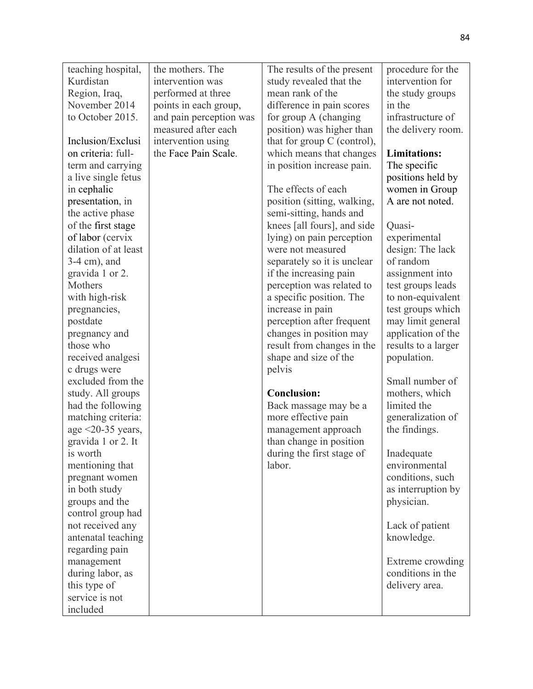| teaching hospital,      | the mothers. The        | The results of the present  | procedure for the   |
|-------------------------|-------------------------|-----------------------------|---------------------|
| Kurdistan               | intervention was        | study revealed that the     | intervention for    |
| Region, Iraq,           | performed at three      | mean rank of the            | the study groups    |
| November 2014           | points in each group,   | difference in pain scores   | in the              |
| to October 2015.        | and pain perception was | for group A (changing       | infrastructure of   |
|                         | measured after each     | position) was higher than   | the delivery room.  |
| Inclusion/Exclusi       | intervention using      | that for group C (control), |                     |
| on criteria: full-      | the Face Pain Scale.    | which means that changes    | <b>Limitations:</b> |
| term and carrying       |                         | in position increase pain.  | The specific        |
| a live single fetus     |                         |                             | positions held by   |
| in cephalic             |                         | The effects of each         | women in Group      |
| presentation, in        |                         | position (sitting, walking, | A are not noted.    |
| the active phase        |                         | semi-sitting, hands and     |                     |
| of the first stage      |                         | knees [all fours], and side | Quasi-              |
| of labor (cervix        |                         | lying) on pain perception   | experimental        |
| dilation of at least    |                         | were not measured           | design: The lack    |
| $3-4$ cm), and          |                         | separately so it is unclear | of random           |
| gravida 1 or 2.         |                         | if the increasing pain      | assignment into     |
| Mothers                 |                         | perception was related to   | test groups leads   |
| with high-risk          |                         | a specific position. The    | to non-equivalent   |
| pregnancies,            |                         | increase in pain            | test groups which   |
| postdate                |                         | perception after frequent   | may limit general   |
| pregnancy and           |                         | changes in position may     | application of the  |
| those who               |                         | result from changes in the  | results to a larger |
| received analgesi       |                         | shape and size of the       | population.         |
| c drugs were            |                         | pelvis                      |                     |
| excluded from the       |                         |                             | Small number of     |
| study. All groups       |                         | <b>Conclusion:</b>          | mothers, which      |
| had the following       |                         | Back massage may be a       | limited the         |
| matching criteria:      |                         | more effective pain         | generalization of   |
| age $\leq$ 20-35 years, |                         | management approach         | the findings.       |
| gravida 1 or 2. It      |                         | than change in position     |                     |
| is worth                |                         | during the first stage of   | Inadequate          |
| mentioning that         |                         | labor.                      | environmental       |
| pregnant women          |                         |                             | conditions, such    |
| in both study           |                         |                             | as interruption by  |
| groups and the          |                         |                             | physician.          |
| control group had       |                         |                             |                     |
| not received any        |                         |                             | Lack of patient     |
| antenatal teaching      |                         |                             | knowledge.          |
| regarding pain          |                         |                             |                     |
| management              |                         |                             | Extreme crowding    |
| during labor, as        |                         |                             | conditions in the   |
| this type of            |                         |                             | delivery area.      |
| service is not          |                         |                             |                     |
| included                |                         |                             |                     |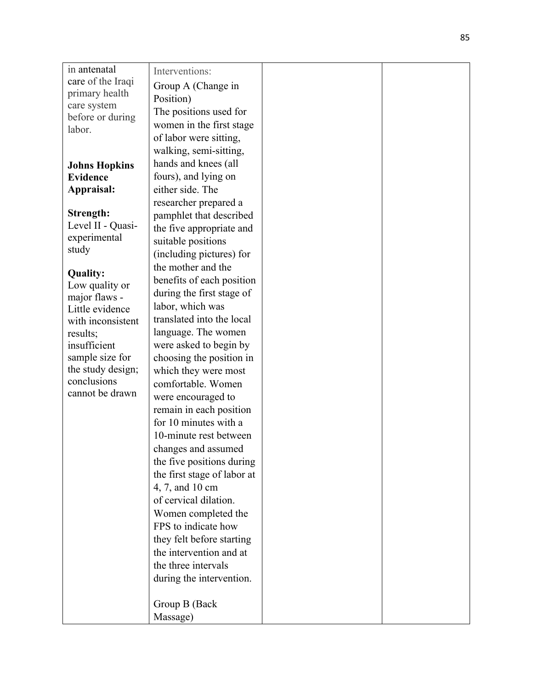| in antenatal         | Interventions:                             |  |
|----------------------|--------------------------------------------|--|
| care of the Iraqi    | Group A (Change in                         |  |
| primary health       | Position)                                  |  |
| care system          | The positions used for                     |  |
| before or during     |                                            |  |
| labor.               | women in the first stage                   |  |
|                      | of labor were sitting,                     |  |
|                      | walking, semi-sitting,                     |  |
| <b>Johns Hopkins</b> | hands and knees (all                       |  |
| <b>Evidence</b>      | fours), and lying on                       |  |
| Appraisal:           | either side. The                           |  |
|                      | researcher prepared a                      |  |
| Strength:            | pamphlet that described                    |  |
| Level II - Quasi-    | the five appropriate and                   |  |
| experimental         | suitable positions                         |  |
| study                | (including pictures) for                   |  |
| <b>Quality:</b>      | the mother and the                         |  |
| Low quality or       | benefits of each position                  |  |
| major flaws -        | during the first stage of                  |  |
| Little evidence      | labor, which was                           |  |
| with inconsistent    | translated into the local                  |  |
| results;             | language. The women                        |  |
| insufficient         | were asked to begin by                     |  |
| sample size for      | choosing the position in                   |  |
| the study design;    | which they were most                       |  |
| conclusions          | comfortable. Women                         |  |
| cannot be drawn      | were encouraged to                         |  |
|                      | remain in each position                    |  |
|                      | for 10 minutes with a                      |  |
|                      | 10-minute rest between                     |  |
|                      | changes and assumed                        |  |
|                      | the five positions during                  |  |
|                      | the first stage of labor at                |  |
|                      | 4, 7, and 10 cm                            |  |
|                      | of cervical dilation.                      |  |
|                      |                                            |  |
|                      | Women completed the<br>FPS to indicate how |  |
|                      |                                            |  |
|                      | they felt before starting                  |  |
|                      | the intervention and at                    |  |
|                      | the three intervals                        |  |
|                      | during the intervention.                   |  |
|                      |                                            |  |
|                      | Group B (Back                              |  |
|                      | Massage)                                   |  |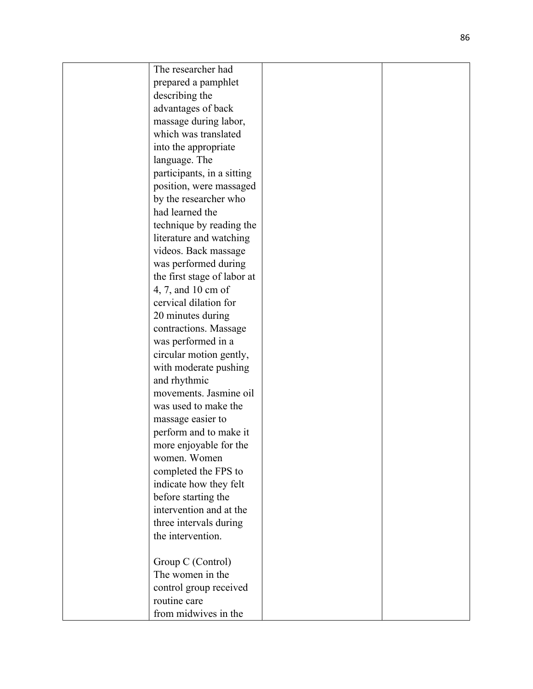| The researcher had          |  |
|-----------------------------|--|
| prepared a pamphlet         |  |
| describing the              |  |
| advantages of back          |  |
| massage during labor,       |  |
| which was translated        |  |
| into the appropriate        |  |
| language. The               |  |
| participants, in a sitting  |  |
| position, were massaged     |  |
| by the researcher who       |  |
| had learned the             |  |
| technique by reading the    |  |
| literature and watching     |  |
| videos. Back massage        |  |
| was performed during        |  |
| the first stage of labor at |  |
| 4, 7, and 10 cm of          |  |
| cervical dilation for       |  |
| 20 minutes during           |  |
| contractions. Massage       |  |
| was performed in a          |  |
| circular motion gently,     |  |
| with moderate pushing       |  |
| and rhythmic                |  |
| movements. Jasmine oil      |  |
| was used to make the        |  |
| massage easier to           |  |
| perform and to make it      |  |
| more enjoyable for the      |  |
| women. Women                |  |
| completed the FPS to        |  |
| indicate how they felt      |  |
| before starting the         |  |
| intervention and at the     |  |
| three intervals during      |  |
| the intervention.           |  |
|                             |  |
| Group C (Control)           |  |
| The women in the            |  |
| control group received      |  |
| routine care                |  |
| from midwives in the        |  |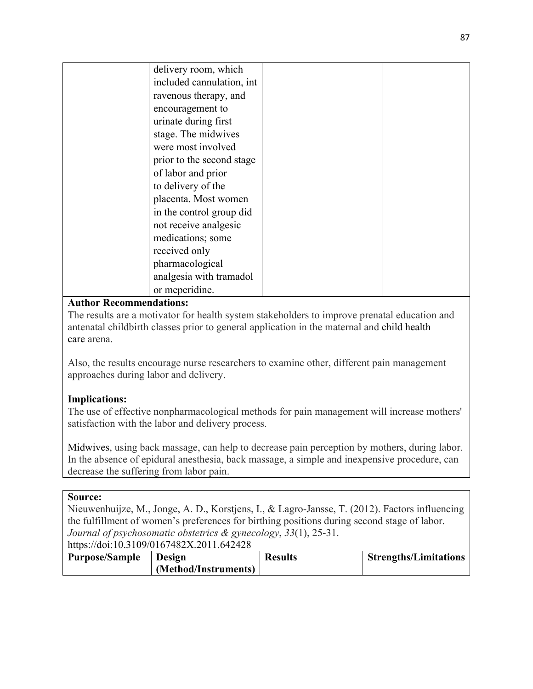|                                     | delivery room, which      |  |
|-------------------------------------|---------------------------|--|
|                                     | included cannulation, int |  |
|                                     | ravenous therapy, and     |  |
|                                     |                           |  |
|                                     | encouragement to          |  |
|                                     | urinate during first      |  |
|                                     | stage. The midwives       |  |
|                                     | were most involved        |  |
|                                     | prior to the second stage |  |
|                                     | of labor and prior        |  |
|                                     | to delivery of the        |  |
|                                     | placenta. Most women      |  |
|                                     | in the control group did  |  |
|                                     | not receive analgesic     |  |
|                                     | medications; some         |  |
|                                     | received only             |  |
|                                     | pharmacological           |  |
|                                     | analgesia with tramadol   |  |
|                                     | or meperidine.            |  |
| $\mathbf{A}$ and $\mathbf{A}$<br>T. | . .                       |  |

The results are a motivator for health system stakeholders to improve prenatal education and antenatal childbirth classes prior to general application in the maternal and child health care arena.

Also, the results encourage nurse researchers to examine other, different pain management approaches during labor and delivery.

# **Implications:**

The use of effective nonpharmacological methods for pain management will increase mothers' satisfaction with the labor and delivery process.

Midwives, using back massage, can help to decrease pain perception by mothers, during labor. In the absence of epidural anesthesia, back massage, a simple and inexpensive procedure, can decrease the suffering from labor pain.

# **Source:**

Nieuwenhuijze, M., Jonge, A. D., Korstjens, I., & Lagro-Jansse, T. (2012). Factors influencing the fulfillment of women's preferences for birthing positions during second stage of labor. *Journal of psychosomatic obstetrics & gynecology*, *33*(1), 25-31.

https://doi:10.3109/0167482X.2011.642428

| <b>Purpose/Sample</b> | Design               | <b>Results</b> | <b>Strengths/Limitations</b> |
|-----------------------|----------------------|----------------|------------------------------|
|                       | (Method/Instruments) |                |                              |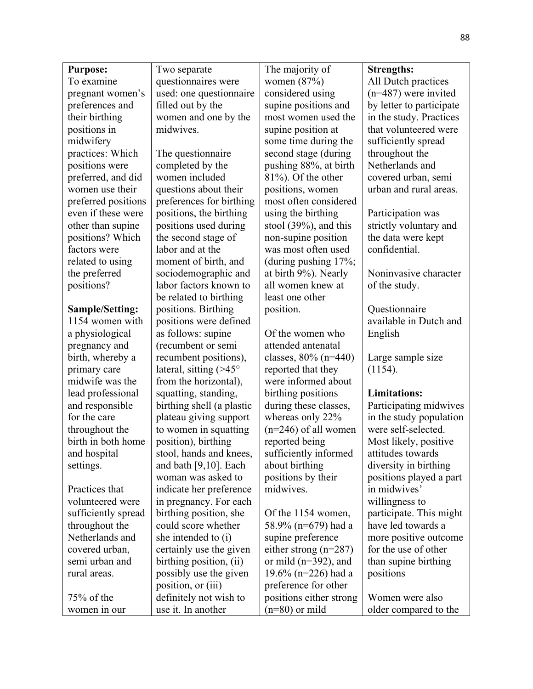| <b>Purpose:</b>     |
|---------------------|
| To examine          |
| pregnant women's    |
| preferences and     |
| their birthing      |
| positions in        |
| midwifery           |
| practices: Which    |
| positions were      |
| preferred, and did  |
| women use their     |
| preferred positions |
| even if these were  |
| other than supine   |
| positions? Which    |
| factors were        |
| related to using    |
| the preferred       |
| positions?          |

#### **Sample/Setting:**

| 1154 women with     |  |  |
|---------------------|--|--|
| a physiological     |  |  |
| pregnancy and       |  |  |
| birth, whereby a    |  |  |
| primary care        |  |  |
| midwife was the     |  |  |
| lead professional   |  |  |
| and responsible     |  |  |
| for the care        |  |  |
| throughout the      |  |  |
| birth in both home  |  |  |
| and hospital        |  |  |
| settings.           |  |  |
|                     |  |  |
| Practices that      |  |  |
| volunteered were    |  |  |
| sufficiently spread |  |  |
| throughout the      |  |  |

Netherlands and covered urban, semi urban and rural areas.

75% of the women in our Two separate questionnaires were used: one questionnaire filled out by the women and one by the midwives.

The questionnaire completed by the women included questions about their preferences for birthing positions, the birthing positions used during the second stage of labor and at the moment of birth, and sociodemographic and labor factors known to be related to birthing positions. Birthing positions were defined as follows: supine (recumbent or semi recumbent positions), lateral, sitting (>45° from the horizontal), squatting, standing, birthing shell (a plastic plateau giving support to women in squatting position), birthing stool, hands and knees, and bath [9,10]. Each woman was asked to indicate her preference in pregnancy. For each birthing position, she could score whether she intended to (i) certainly use the given birthing position, (ii) possibly use the given position, or (iii) definitely not wish to use it. In another

The majority of women (87%) considered using supine positions and most women used the supine position at some time during the second stage (during pushing 88%, at birth 81%). Of the other positions, women most often considered using the birthing stool (39%), and this non-supine position was most often used (during pushing 17%; at birth 9%). Nearly all women knew at least one other position.

Of the women who attended antenatal classes, 80% (n=440) reported that they were informed about birthing positions during these classes, whereas only 22% (n=246) of all women reported being sufficiently informed about birthing positions by their midwives.

Of the 1154 women, 58.9% (n=679) had a supine preference either strong (n=287) or mild ( $n=392$ ), and 19.6% (n=226) had a preference for other positions either strong  $(n=80)$  or mild

All Dutch practices (n=487) were invited by letter to participate in the study. Practices that volunteered were sufficiently spread throughout the

**Strengths:**

Netherlands and covered urban, semi urban and rural areas.

Participation was strictly voluntary and the data were kept confidential.

Noninvasive character of the study.

**Ouestionnaire** available in Dutch and English

Large sample size (1154).

#### **Limitations:**

Participating midwives in the study population were self-selected. Most likely, positive attitudes towards diversity in birthing positions played a part in midwives' willingness to participate. This might have led towards a more positive outcome for the use of other than supine birthing positions

Women were also older compared to the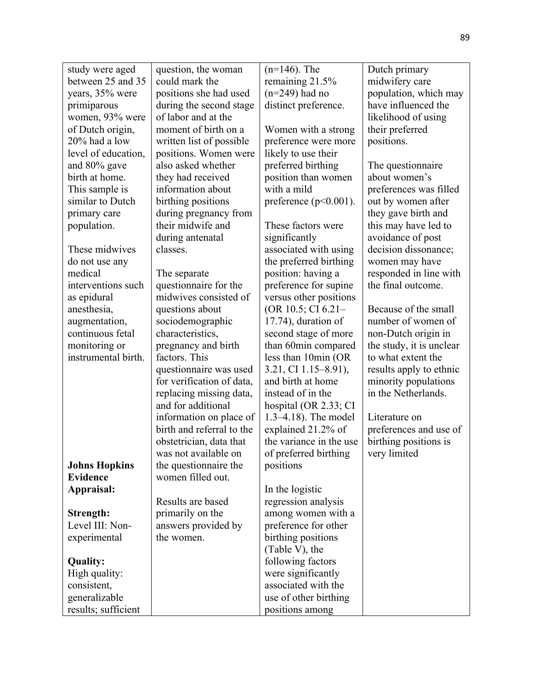| study were aged      | question, the woman                        | $(n=146)$ . The           | Dutch primary            |
|----------------------|--------------------------------------------|---------------------------|--------------------------|
| between 25 and 35    | could mark the                             | remaining 21.5%           | midwifery care           |
| years, 35% were      | positions she had used                     | $(n=249)$ had no          | population, which may    |
| primiparous          | during the second stage                    | distinct preference.      | have influenced the      |
| women, 93% were      | of labor and at the                        |                           | likelihood of using      |
| of Dutch origin,     | moment of birth on a                       | Women with a strong       | their preferred          |
| 20% had a low        | written list of possible                   | preference were more      | positions.               |
| level of education,  | positions. Women were                      | likely to use their       |                          |
| and $80\%$ gave      | also asked whether                         | preferred birthing        | The questionnaire        |
| birth at home.       | they had received                          | position than women       | about women's            |
| This sample is       | information about                          | with a mild               | preferences was filled   |
| similar to Dutch     |                                            |                           |                          |
|                      | birthing positions                         | preference ( $p<0.001$ ). | out by women after       |
| primary care         | during pregnancy from<br>their midwife and | These factors were        | they gave birth and      |
| population.          |                                            |                           | this may have led to     |
|                      | during antenatal                           | significantly             | avoidance of post        |
| These midwives       | classes.                                   | associated with using     | decision dissonance;     |
| do not use any       |                                            | the preferred birthing    | women may have           |
| medical              | The separate                               | position: having a        | responded in line with   |
| interventions such   | questionnaire for the                      | preference for supine     | the final outcome.       |
| as epidural          | midwives consisted of                      | versus other positions    |                          |
| anesthesia,          | questions about                            | (OR 10.5; CI 6.21-        | Because of the small     |
| augmentation,        | sociodemographic                           | 17.74), duration of       | number of women of       |
| continuous fetal     | characteristics,                           | second stage of more      | non-Dutch origin in      |
| monitoring or        | pregnancy and birth                        | than 60min compared       | the study, it is unclear |
| instrumental birth.  | factors. This                              | less than 10min (OR       | to what extent the       |
|                      | questionnaire was used                     | 3.21, CI 1.15–8.91),      | results apply to ethnic  |
|                      | for verification of data,                  | and birth at home         | minority populations     |
|                      | replacing missing data,                    | instead of in the         | in the Netherlands.      |
|                      | and for additional                         | hospital (OR 2.33; CI     |                          |
|                      | information on place of                    | 1.3-4.18). The model      | Literature on            |
|                      | birth and referral to the                  | explained 21.2% of        | preferences and use of   |
|                      | obstetrician, data that                    | the variance in the use   | birthing positions is    |
|                      | was not available on                       | of preferred birthing     | very limited             |
| <b>Johns Hopkins</b> | the questionnaire the                      | positions                 |                          |
| <b>Evidence</b>      | women filled out.                          |                           |                          |
| Appraisal:           |                                            | In the logistic           |                          |
|                      | Results are based                          | regression analysis       |                          |
| Strength:            | primarily on the                           | among women with a        |                          |
| Level III: Non-      | answers provided by                        | preference for other      |                          |
| experimental         | the women.                                 | birthing positions        |                          |
|                      |                                            | (Table V), the            |                          |
| <b>Quality:</b>      |                                            | following factors         |                          |
| High quality:        |                                            | were significantly        |                          |
| consistent,          |                                            | associated with the       |                          |
| generalizable        |                                            | use of other birthing     |                          |
| results; sufficient  |                                            | positions among           |                          |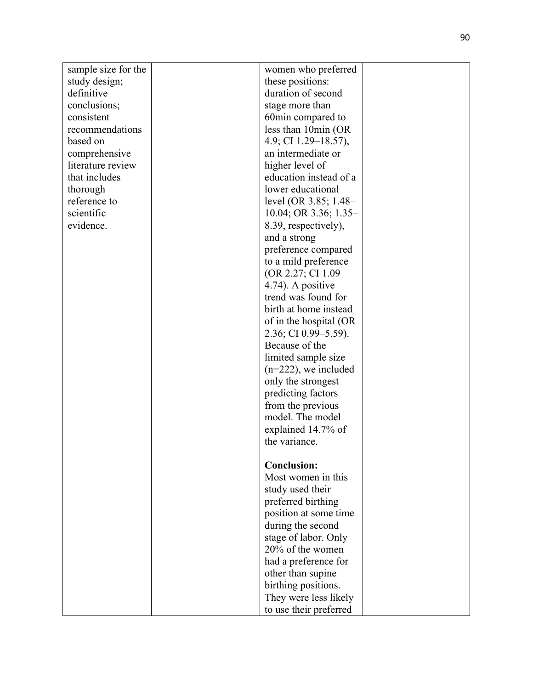| women who preferred<br>these positions:<br>study design;<br>duration of second<br>definitive<br>conclusions;<br>stage more than<br>consistent<br>60min compared to<br>recommendations<br>less than 10min (OR<br>based on<br>4.9; CI 1.29-18.57),<br>an intermediate or<br>comprehensive<br>higher level of<br>literature review<br>that includes<br>education instead of a<br>lower educational<br>thorough<br>reference to<br>level (OR 3.85; 1.48–<br>scientific<br>10.04; OR 3.36; 1.35-<br>evidence.<br>8.39, respectively),<br>and a strong<br>preference compared<br>to a mild preference<br>(OR 2.27; CI 1.09-<br>4.74). A positive<br>trend was found for<br>birth at home instead<br>of in the hospital (OR<br>$2.36;$ CI 0.99-5.59).<br>Because of the<br>limited sample size<br>$(n=222)$ , we included<br>only the strongest<br>predicting factors<br>from the previous<br>model. The model<br>explained 14.7% of<br>the variance.<br><b>Conclusion:</b><br>Most women in this<br>study used their<br>preferred birthing<br>position at some time<br>during the second<br>stage of labor. Only<br>20% of the women<br>had a preference for<br>other than supine<br>birthing positions.<br>They were less likely |                     |                        |  |
|-----------------------------------------------------------------------------------------------------------------------------------------------------------------------------------------------------------------------------------------------------------------------------------------------------------------------------------------------------------------------------------------------------------------------------------------------------------------------------------------------------------------------------------------------------------------------------------------------------------------------------------------------------------------------------------------------------------------------------------------------------------------------------------------------------------------------------------------------------------------------------------------------------------------------------------------------------------------------------------------------------------------------------------------------------------------------------------------------------------------------------------------------------------------------------------------------------------------------------|---------------------|------------------------|--|
|                                                                                                                                                                                                                                                                                                                                                                                                                                                                                                                                                                                                                                                                                                                                                                                                                                                                                                                                                                                                                                                                                                                                                                                                                             | sample size for the |                        |  |
|                                                                                                                                                                                                                                                                                                                                                                                                                                                                                                                                                                                                                                                                                                                                                                                                                                                                                                                                                                                                                                                                                                                                                                                                                             |                     |                        |  |
|                                                                                                                                                                                                                                                                                                                                                                                                                                                                                                                                                                                                                                                                                                                                                                                                                                                                                                                                                                                                                                                                                                                                                                                                                             |                     |                        |  |
|                                                                                                                                                                                                                                                                                                                                                                                                                                                                                                                                                                                                                                                                                                                                                                                                                                                                                                                                                                                                                                                                                                                                                                                                                             |                     |                        |  |
|                                                                                                                                                                                                                                                                                                                                                                                                                                                                                                                                                                                                                                                                                                                                                                                                                                                                                                                                                                                                                                                                                                                                                                                                                             |                     |                        |  |
|                                                                                                                                                                                                                                                                                                                                                                                                                                                                                                                                                                                                                                                                                                                                                                                                                                                                                                                                                                                                                                                                                                                                                                                                                             |                     |                        |  |
|                                                                                                                                                                                                                                                                                                                                                                                                                                                                                                                                                                                                                                                                                                                                                                                                                                                                                                                                                                                                                                                                                                                                                                                                                             |                     |                        |  |
|                                                                                                                                                                                                                                                                                                                                                                                                                                                                                                                                                                                                                                                                                                                                                                                                                                                                                                                                                                                                                                                                                                                                                                                                                             |                     |                        |  |
|                                                                                                                                                                                                                                                                                                                                                                                                                                                                                                                                                                                                                                                                                                                                                                                                                                                                                                                                                                                                                                                                                                                                                                                                                             |                     |                        |  |
|                                                                                                                                                                                                                                                                                                                                                                                                                                                                                                                                                                                                                                                                                                                                                                                                                                                                                                                                                                                                                                                                                                                                                                                                                             |                     |                        |  |
|                                                                                                                                                                                                                                                                                                                                                                                                                                                                                                                                                                                                                                                                                                                                                                                                                                                                                                                                                                                                                                                                                                                                                                                                                             |                     |                        |  |
|                                                                                                                                                                                                                                                                                                                                                                                                                                                                                                                                                                                                                                                                                                                                                                                                                                                                                                                                                                                                                                                                                                                                                                                                                             |                     |                        |  |
|                                                                                                                                                                                                                                                                                                                                                                                                                                                                                                                                                                                                                                                                                                                                                                                                                                                                                                                                                                                                                                                                                                                                                                                                                             |                     |                        |  |
|                                                                                                                                                                                                                                                                                                                                                                                                                                                                                                                                                                                                                                                                                                                                                                                                                                                                                                                                                                                                                                                                                                                                                                                                                             |                     |                        |  |
|                                                                                                                                                                                                                                                                                                                                                                                                                                                                                                                                                                                                                                                                                                                                                                                                                                                                                                                                                                                                                                                                                                                                                                                                                             |                     |                        |  |
|                                                                                                                                                                                                                                                                                                                                                                                                                                                                                                                                                                                                                                                                                                                                                                                                                                                                                                                                                                                                                                                                                                                                                                                                                             |                     |                        |  |
|                                                                                                                                                                                                                                                                                                                                                                                                                                                                                                                                                                                                                                                                                                                                                                                                                                                                                                                                                                                                                                                                                                                                                                                                                             |                     |                        |  |
|                                                                                                                                                                                                                                                                                                                                                                                                                                                                                                                                                                                                                                                                                                                                                                                                                                                                                                                                                                                                                                                                                                                                                                                                                             |                     |                        |  |
|                                                                                                                                                                                                                                                                                                                                                                                                                                                                                                                                                                                                                                                                                                                                                                                                                                                                                                                                                                                                                                                                                                                                                                                                                             |                     |                        |  |
|                                                                                                                                                                                                                                                                                                                                                                                                                                                                                                                                                                                                                                                                                                                                                                                                                                                                                                                                                                                                                                                                                                                                                                                                                             |                     |                        |  |
|                                                                                                                                                                                                                                                                                                                                                                                                                                                                                                                                                                                                                                                                                                                                                                                                                                                                                                                                                                                                                                                                                                                                                                                                                             |                     |                        |  |
|                                                                                                                                                                                                                                                                                                                                                                                                                                                                                                                                                                                                                                                                                                                                                                                                                                                                                                                                                                                                                                                                                                                                                                                                                             |                     |                        |  |
|                                                                                                                                                                                                                                                                                                                                                                                                                                                                                                                                                                                                                                                                                                                                                                                                                                                                                                                                                                                                                                                                                                                                                                                                                             |                     |                        |  |
|                                                                                                                                                                                                                                                                                                                                                                                                                                                                                                                                                                                                                                                                                                                                                                                                                                                                                                                                                                                                                                                                                                                                                                                                                             |                     |                        |  |
|                                                                                                                                                                                                                                                                                                                                                                                                                                                                                                                                                                                                                                                                                                                                                                                                                                                                                                                                                                                                                                                                                                                                                                                                                             |                     |                        |  |
|                                                                                                                                                                                                                                                                                                                                                                                                                                                                                                                                                                                                                                                                                                                                                                                                                                                                                                                                                                                                                                                                                                                                                                                                                             |                     |                        |  |
|                                                                                                                                                                                                                                                                                                                                                                                                                                                                                                                                                                                                                                                                                                                                                                                                                                                                                                                                                                                                                                                                                                                                                                                                                             |                     |                        |  |
|                                                                                                                                                                                                                                                                                                                                                                                                                                                                                                                                                                                                                                                                                                                                                                                                                                                                                                                                                                                                                                                                                                                                                                                                                             |                     |                        |  |
|                                                                                                                                                                                                                                                                                                                                                                                                                                                                                                                                                                                                                                                                                                                                                                                                                                                                                                                                                                                                                                                                                                                                                                                                                             |                     |                        |  |
|                                                                                                                                                                                                                                                                                                                                                                                                                                                                                                                                                                                                                                                                                                                                                                                                                                                                                                                                                                                                                                                                                                                                                                                                                             |                     |                        |  |
|                                                                                                                                                                                                                                                                                                                                                                                                                                                                                                                                                                                                                                                                                                                                                                                                                                                                                                                                                                                                                                                                                                                                                                                                                             |                     |                        |  |
|                                                                                                                                                                                                                                                                                                                                                                                                                                                                                                                                                                                                                                                                                                                                                                                                                                                                                                                                                                                                                                                                                                                                                                                                                             |                     |                        |  |
|                                                                                                                                                                                                                                                                                                                                                                                                                                                                                                                                                                                                                                                                                                                                                                                                                                                                                                                                                                                                                                                                                                                                                                                                                             |                     |                        |  |
|                                                                                                                                                                                                                                                                                                                                                                                                                                                                                                                                                                                                                                                                                                                                                                                                                                                                                                                                                                                                                                                                                                                                                                                                                             |                     |                        |  |
|                                                                                                                                                                                                                                                                                                                                                                                                                                                                                                                                                                                                                                                                                                                                                                                                                                                                                                                                                                                                                                                                                                                                                                                                                             |                     |                        |  |
|                                                                                                                                                                                                                                                                                                                                                                                                                                                                                                                                                                                                                                                                                                                                                                                                                                                                                                                                                                                                                                                                                                                                                                                                                             |                     |                        |  |
|                                                                                                                                                                                                                                                                                                                                                                                                                                                                                                                                                                                                                                                                                                                                                                                                                                                                                                                                                                                                                                                                                                                                                                                                                             |                     |                        |  |
|                                                                                                                                                                                                                                                                                                                                                                                                                                                                                                                                                                                                                                                                                                                                                                                                                                                                                                                                                                                                                                                                                                                                                                                                                             |                     |                        |  |
|                                                                                                                                                                                                                                                                                                                                                                                                                                                                                                                                                                                                                                                                                                                                                                                                                                                                                                                                                                                                                                                                                                                                                                                                                             |                     |                        |  |
|                                                                                                                                                                                                                                                                                                                                                                                                                                                                                                                                                                                                                                                                                                                                                                                                                                                                                                                                                                                                                                                                                                                                                                                                                             |                     |                        |  |
|                                                                                                                                                                                                                                                                                                                                                                                                                                                                                                                                                                                                                                                                                                                                                                                                                                                                                                                                                                                                                                                                                                                                                                                                                             |                     |                        |  |
|                                                                                                                                                                                                                                                                                                                                                                                                                                                                                                                                                                                                                                                                                                                                                                                                                                                                                                                                                                                                                                                                                                                                                                                                                             |                     |                        |  |
|                                                                                                                                                                                                                                                                                                                                                                                                                                                                                                                                                                                                                                                                                                                                                                                                                                                                                                                                                                                                                                                                                                                                                                                                                             |                     |                        |  |
|                                                                                                                                                                                                                                                                                                                                                                                                                                                                                                                                                                                                                                                                                                                                                                                                                                                                                                                                                                                                                                                                                                                                                                                                                             |                     |                        |  |
|                                                                                                                                                                                                                                                                                                                                                                                                                                                                                                                                                                                                                                                                                                                                                                                                                                                                                                                                                                                                                                                                                                                                                                                                                             |                     |                        |  |
|                                                                                                                                                                                                                                                                                                                                                                                                                                                                                                                                                                                                                                                                                                                                                                                                                                                                                                                                                                                                                                                                                                                                                                                                                             |                     |                        |  |
|                                                                                                                                                                                                                                                                                                                                                                                                                                                                                                                                                                                                                                                                                                                                                                                                                                                                                                                                                                                                                                                                                                                                                                                                                             |                     | to use their preferred |  |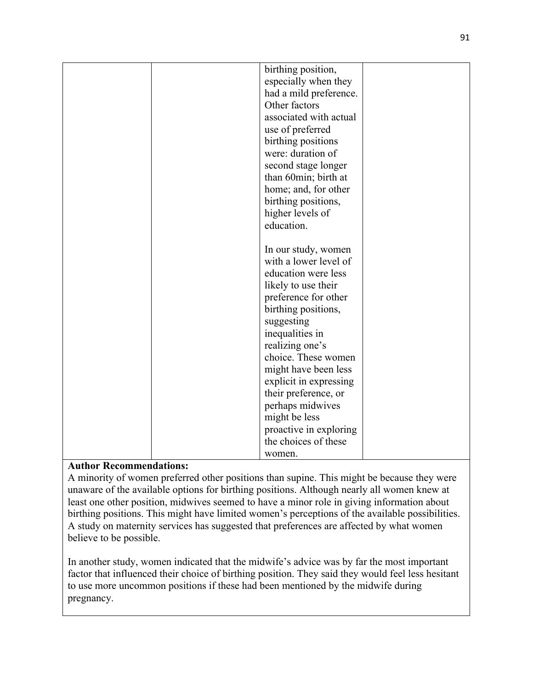| birthing position,     |
|------------------------|
| especially when they   |
| had a mild preference. |
| Other factors          |
| associated with actual |
| use of preferred       |
| birthing positions     |
| were: duration of      |
| second stage longer    |
| than 60min; birth at   |
| home; and, for other   |
| birthing positions,    |
| higher levels of       |
| education.             |
|                        |
| In our study, women    |
| with a lower level of  |
| education were less    |
| likely to use their    |
| preference for other   |
|                        |
| birthing positions,    |
| suggesting             |
| inequalities in        |
| realizing one's        |
| choice. These women    |
| might have been less   |
| explicit in expressing |
| their preference, or   |
| perhaps midwives       |
| might be less          |
| proactive in exploring |
| the choices of these   |
| women.                 |

A minority of women preferred other positions than supine. This might be because they were unaware of the available options for birthing positions. Although nearly all women knew at least one other position, midwives seemed to have a minor role in giving information about birthing positions. This might have limited women's perceptions of the available possibilities. A study on maternity services has suggested that preferences are affected by what women believe to be possible.

In another study, women indicated that the midwife's advice was by far the most important factor that influenced their choice of birthing position. They said they would feel less hesitant to use more uncommon positions if these had been mentioned by the midwife during pregnancy.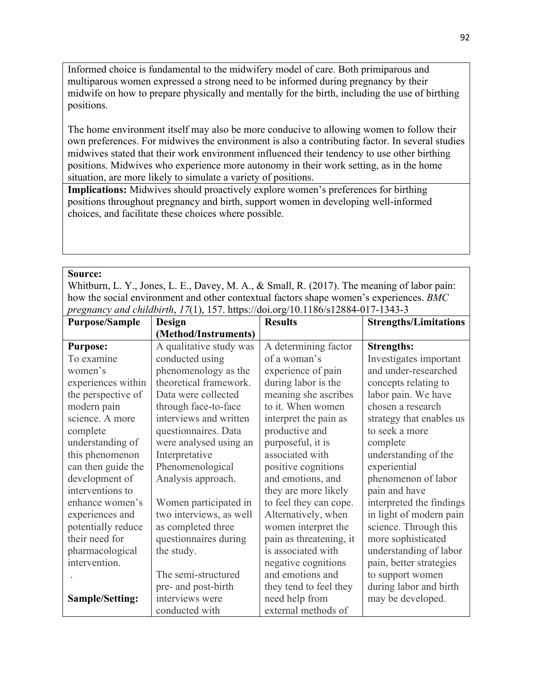Informed choice is fundamental to the midwifery model of care. Both primiparous and multiparous women expressed a strong need to be informed during pregnancy by their midwife on how to prepare physically and mentally for the birth, including the use of birthing positions.

The home environment itself may also be more conducive to allowing women to follow their own preferences. For midwives the environment is also a contributing factor. In several studies midwives stated that their work environment influenced their tendency to use other birthing positions. Midwives who experience more autonomy in their work setting, as in the home situation, are more likely to simulate a variety of positions.

**Implications:** Midwives should proactively explore women's preferences for birthing positions throughout pregnancy and birth, support women in developing well-informed choices, and facilitate these choices where possible.

#### **Source:**

Whitburn, L. Y., Jones, L. E., Davey, M. A., & Small, R. (2017). The meaning of labor pain: how the social environment and other contextual factors shape women's experiences. *BMC pregnancy and childbirth*, *17*(1), 157. https://doi.org/10.1186/s12884-017-1343-3

| <b>Purpose/Sample</b>  | <b>Design</b>           | $         -$<br><b>Results</b> | <b>Strengths/Limitations</b> |
|------------------------|-------------------------|--------------------------------|------------------------------|
|                        | (Method/Instruments)    |                                |                              |
| <b>Purpose:</b>        | A qualitative study was | A determining factor           | <b>Strengths:</b>            |
| To examine             | conducted using         | of a woman's                   | Investigates important       |
| women's                | phenomenology as the    | experience of pain             | and under-researched         |
| experiences within     | theoretical framework.  | during labor is the            | concepts relating to         |
| the perspective of     | Data were collected     | meaning she ascribes           | labor pain. We have          |
| modern pain            | through face-to-face    | to it. When women              | chosen a research            |
| science. A more        | interviews and written  | interpret the pain as          | strategy that enables us     |
| complete               | questionnaires. Data    | productive and                 | to seek a more               |
| understanding of       | were analysed using an  | purposeful, it is              | complete                     |
| this phenomenon        | Interpretative          | associated with                | understanding of the         |
| can then guide the     | Phenomenological        | positive cognitions            | experiential                 |
| development of         | Analysis approach.      | and emotions, and              | phenomenon of labor          |
| interventions to       |                         | they are more likely           | pain and have                |
| enhance women's        | Women participated in   | to feel they can cope.         | interpreted the findings     |
| experiences and        | two interviews, as well | Alternatively, when            | in light of modern pain      |
| potentially reduce     | as completed three      | women interpret the            | science. Through this        |
| their need for         | questionnaires during   | pain as threatening, it        | more sophisticated           |
| pharmacological        | the study.              | is associated with             | understanding of labor       |
| intervention.          |                         | negative cognitions            | pain, better strategies      |
|                        | The semi-structured     | and emotions and               | to support women             |
|                        | pre- and post-birth     | they tend to feel they         | during labor and birth       |
| <b>Sample/Setting:</b> | interviews were         | need help from                 | may be developed.            |
|                        | conducted with          | external methods of            |                              |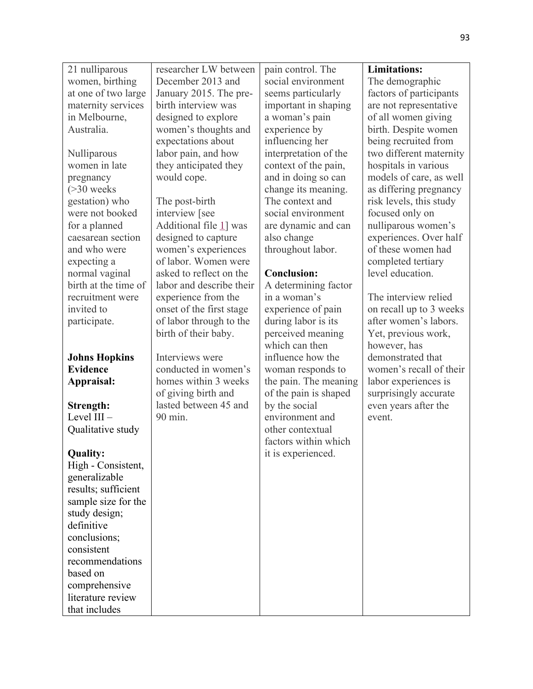| 21 nulliparous               | researcher LW between                           | pain control. The                             | <b>Limitations:</b>                              |
|------------------------------|-------------------------------------------------|-----------------------------------------------|--------------------------------------------------|
| women, birthing              | December 2013 and                               | social environment                            | The demographic                                  |
| at one of two large          | January 2015. The pre-                          | seems particularly                            | factors of participants                          |
| maternity services           | birth interview was                             | important in shaping                          | are not representative                           |
| in Melbourne,                | designed to explore                             | a woman's pain                                | of all women giving                              |
| Australia.                   | women's thoughts and                            | experience by                                 | birth. Despite women                             |
|                              | expectations about                              | influencing her                               | being recruited from                             |
| Nulliparous<br>women in late | labor pain, and how<br>they anticipated they    | interpretation of the<br>context of the pain, | two different maternity<br>hospitals in various  |
| pregnancy                    | would cope.                                     | and in doing so can                           | models of care, as well                          |
| $($ >30 weeks                |                                                 | change its meaning.                           | as differing pregnancy                           |
| gestation) who               | The post-birth                                  | The context and                               | risk levels, this study                          |
| were not booked              | interview [see                                  | social environment                            | focused only on                                  |
| for a planned                | Additional file $1$ ] was                       | are dynamic and can                           | nulliparous women's                              |
| caesarean section            | designed to capture                             | also change                                   | experiences. Over half                           |
| and who were                 | women's experiences                             | throughout labor.                             | of these women had                               |
| expecting a                  | of labor. Women were                            |                                               | completed tertiary                               |
| normal vaginal               | asked to reflect on the                         | <b>Conclusion:</b>                            | level education.                                 |
| birth at the time of         | labor and describe their                        | A determining factor                          |                                                  |
| recruitment were             | experience from the                             | in a woman's                                  | The interview relied                             |
| invited to                   | onset of the first stage                        | experience of pain                            | on recall up to 3 weeks<br>after women's labors. |
| participate.                 | of labor through to the<br>birth of their baby. | during labor is its<br>perceived meaning      | Yet, previous work,                              |
|                              |                                                 | which can then                                | however, has                                     |
| <b>Johns Hopkins</b>         | Interviews were                                 | influence how the                             | demonstrated that                                |
| <b>Evidence</b>              | conducted in women's                            | woman responds to                             | women's recall of their                          |
| Appraisal:                   | homes within 3 weeks                            | the pain. The meaning                         | labor experiences is                             |
|                              | of giving birth and                             | of the pain is shaped                         | surprisingly accurate                            |
| Strength:                    | lasted between 45 and                           | by the social                                 | even years after the                             |
| Level $III -$                | 90 min.                                         | environment and                               | event.                                           |
| Qualitative study            |                                                 | other contextual                              |                                                  |
|                              |                                                 | factors within which                          |                                                  |
| <b>Quality:</b>              |                                                 | it is experienced.                            |                                                  |
| High - Consistent,           |                                                 |                                               |                                                  |
| generalizable                |                                                 |                                               |                                                  |
| results; sufficient          |                                                 |                                               |                                                  |
| sample size for the          |                                                 |                                               |                                                  |
| study design;<br>definitive  |                                                 |                                               |                                                  |
| conclusions;                 |                                                 |                                               |                                                  |
| consistent                   |                                                 |                                               |                                                  |
| recommendations              |                                                 |                                               |                                                  |
| based on                     |                                                 |                                               |                                                  |
| comprehensive                |                                                 |                                               |                                                  |
| literature review            |                                                 |                                               |                                                  |
| that includes                |                                                 |                                               |                                                  |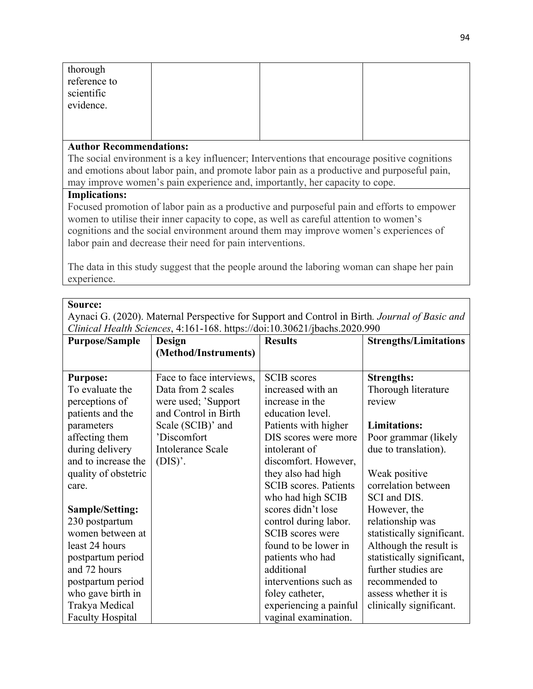| thorough<br>reference to<br>scientific |  |  |
|----------------------------------------|--|--|
| evidence.                              |  |  |

The social environment is a key influencer; Interventions that encourage positive cognitions and emotions about labor pain, and promote labor pain as a productive and purposeful pain, may improve women's pain experience and, importantly, her capacity to cope.

## **Implications:**

Focused promotion of labor pain as a productive and purposeful pain and efforts to empower women to utilise their inner capacity to cope, as well as careful attention to women's cognitions and the social environment around them may improve women's experiences of labor pain and decrease their need for pain interventions.

The data in this study suggest that the people around the laboring woman can shape her pain experience.

## **Source:**

Aynaci G. (2020). Maternal Perspective for Support and Control in Birth*. Journal of Basic and Clinical Health Sciences*, 4:161-168. https://doi:10.30621/jbachs.2020.990

| <b>Purpose/Sample</b>   | Design                   | <b>Results</b>               | <b>Strengths/Limitations</b> |
|-------------------------|--------------------------|------------------------------|------------------------------|
|                         | (Method/Instruments)     |                              |                              |
|                         |                          |                              |                              |
| <b>Purpose:</b>         | Face to face interviews, | <b>SCIB</b> scores           | <b>Strengths:</b>            |
| To evaluate the         | Data from 2 scales       | increased with an            | Thorough literature          |
| perceptions of          | were used; 'Support      | increase in the              | review                       |
| patients and the        | and Control in Birth     | education level.             |                              |
| parameters              | Scale (SCIB)' and        | Patients with higher         | <b>Limitations:</b>          |
| affecting them          | 'Discomfort              | DIS scores were more         | Poor grammar (likely         |
| during delivery         | Intolerance Scale        | intolerant of                | due to translation).         |
| and to increase the     | $(DIS)$ .                | discomfort. However,         |                              |
| quality of obstetric    |                          | they also had high           | Weak positive                |
| care.                   |                          | <b>SCIB</b> scores. Patients | correlation between          |
|                         |                          | who had high SCIB            | SCI and DIS.                 |
| Sample/Setting:         |                          | scores didn't lose           | However, the                 |
| 230 postpartum          |                          | control during labor.        | relationship was             |
| women between at        |                          | <b>SCIB</b> scores were      | statistically significant.   |
| least 24 hours          |                          | found to be lower in         | Although the result is       |
| postpartum period       |                          | patients who had             | statistically significant,   |
| and 72 hours            |                          | additional                   | further studies are          |
| postpartum period       |                          | interventions such as        | recommended to               |
| who gave birth in       |                          | foley catheter,              | assess whether it is         |
| Trakya Medical          |                          | experiencing a painful       | clinically significant.      |
| <b>Faculty Hospital</b> |                          | vaginal examination.         |                              |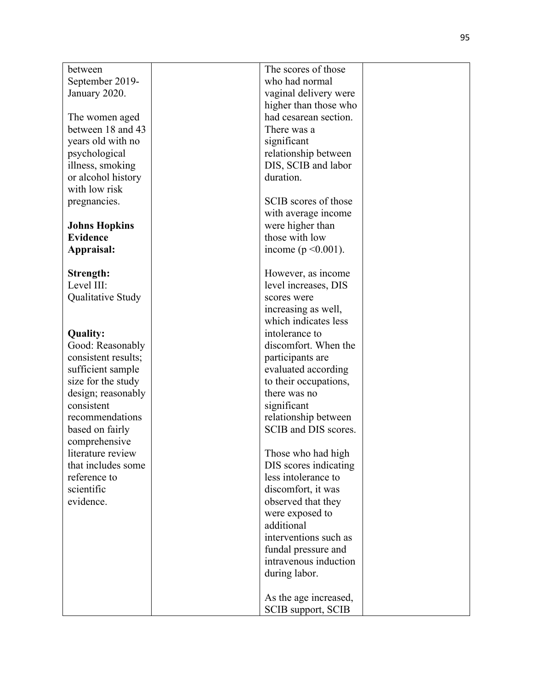| between                    | The scores of those                          |  |
|----------------------------|----------------------------------------------|--|
| September 2019-            | who had normal                               |  |
| January 2020.              | vaginal delivery were                        |  |
|                            | higher than those who                        |  |
| The women aged             | had cesarean section.                        |  |
| between 18 and 43          | There was a                                  |  |
| years old with no          | significant                                  |  |
| psychological              | relationship between                         |  |
| illness, smoking           | DIS, SCIB and labor                          |  |
| or alcohol history         | duration.                                    |  |
| with low risk              |                                              |  |
| pregnancies.               | SCIB scores of those                         |  |
|                            | with average income                          |  |
| <b>Johns Hopkins</b>       | were higher than                             |  |
| <b>Evidence</b>            | those with low                               |  |
| Appraisal:                 | income ( $p < 0.001$ ).                      |  |
|                            |                                              |  |
| Strength:                  | However, as income                           |  |
| Level III:                 | level increases, DIS                         |  |
| Qualitative Study          | scores were                                  |  |
|                            | increasing as well,                          |  |
|                            | which indicates less                         |  |
| Quality:                   | intolerance to                               |  |
| Good: Reasonably           | discomfort. When the                         |  |
| consistent results;        | participants are                             |  |
| sufficient sample          | evaluated according                          |  |
| size for the study         | to their occupations,                        |  |
| design; reasonably         | there was no                                 |  |
| consistent                 | significant                                  |  |
| recommendations            | relationship between                         |  |
| based on fairly            | SCIB and DIS scores.                         |  |
| comprehensive              |                                              |  |
| literature review          | Those who had high                           |  |
| that includes some         | DIS scores indicating<br>less intolerance to |  |
| reference to<br>scientific |                                              |  |
| evidence.                  | discomfort, it was                           |  |
|                            | observed that they                           |  |
|                            | were exposed to<br>additional                |  |
|                            | interventions such as                        |  |
|                            |                                              |  |
|                            | fundal pressure and<br>intravenous induction |  |
|                            |                                              |  |
|                            | during labor.                                |  |
|                            | As the age increased,                        |  |

SCIB support, SCIB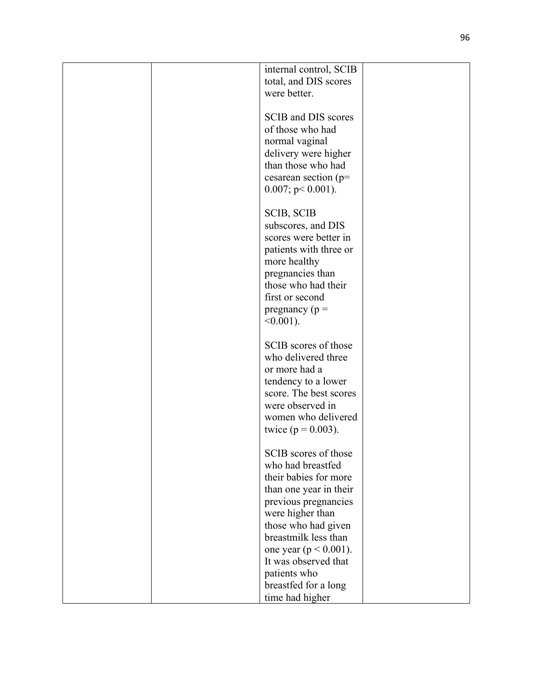| internal control, SCIB    |  |
|---------------------------|--|
|                           |  |
| total, and DIS scores     |  |
| were better.              |  |
|                           |  |
|                           |  |
| SCIB and DIS scores       |  |
| of those who had          |  |
| normal vaginal            |  |
|                           |  |
| delivery were higher      |  |
| than those who had        |  |
| cesarean section ( $p=$   |  |
| $0.007$ ; p $0.001$ ).    |  |
|                           |  |
| <b>SCIB, SCIB</b>         |  |
|                           |  |
| subscores, and DIS        |  |
| scores were better in     |  |
| patients with three or    |  |
| more healthy              |  |
| pregnancies than          |  |
| those who had their       |  |
|                           |  |
| first or second           |  |
| pregnancy ( $p =$         |  |
| $<0.001$ ).               |  |
|                           |  |
| SCIB scores of those      |  |
| who delivered three       |  |
|                           |  |
| or more had a             |  |
| tendency to a lower       |  |
| score. The best scores    |  |
| were observed in          |  |
| women who delivered       |  |
|                           |  |
| twice ( $p = 0.003$ ).    |  |
|                           |  |
| SCIB scores of those      |  |
| who had breastfed         |  |
| their babies for more     |  |
| than one year in their    |  |
|                           |  |
| previous pregnancies      |  |
| were higher than          |  |
| those who had given       |  |
| breastmilk less than      |  |
| one year ( $p < 0.001$ ). |  |
| It was observed that      |  |
|                           |  |
| patients who              |  |
| breastfed for a long      |  |
| time had higher           |  |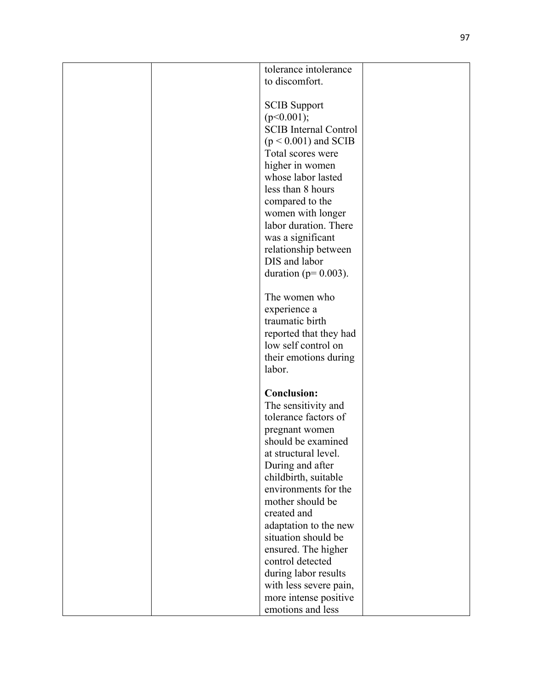| tolerance intolerance        |
|------------------------------|
| to discomfort.               |
|                              |
|                              |
| <b>SCIB</b> Support          |
| (p<0.001);                   |
| <b>SCIB</b> Internal Control |
|                              |
| $(p < 0.001)$ and SCIB       |
| Total scores were            |
| higher in women              |
| whose labor lasted           |
| less than 8 hours            |
|                              |
| compared to the              |
| women with longer            |
| labor duration. There        |
| was a significant            |
|                              |
| relationship between         |
| DIS and labor                |
| duration ( $p=0.003$ ).      |
|                              |
| The women who                |
|                              |
| experience a                 |
| traumatic birth              |
| reported that they had       |
| low self control on          |
| their emotions during        |
|                              |
| labor.                       |
|                              |
| <b>Conclusion:</b>           |
| The sensitivity and          |
| tolerance factors of         |
| pregnant women               |
|                              |
| should be examined           |
| at structural level.         |
| During and after             |
| childbirth, suitable         |
| environments for the         |
| mother should be             |
|                              |
| created and                  |
| adaptation to the new        |
| situation should be          |
| ensured. The higher          |
| control detected             |
|                              |
| during labor results         |
| with less severe pain,       |
| more intense positive        |
| emotions and less            |
|                              |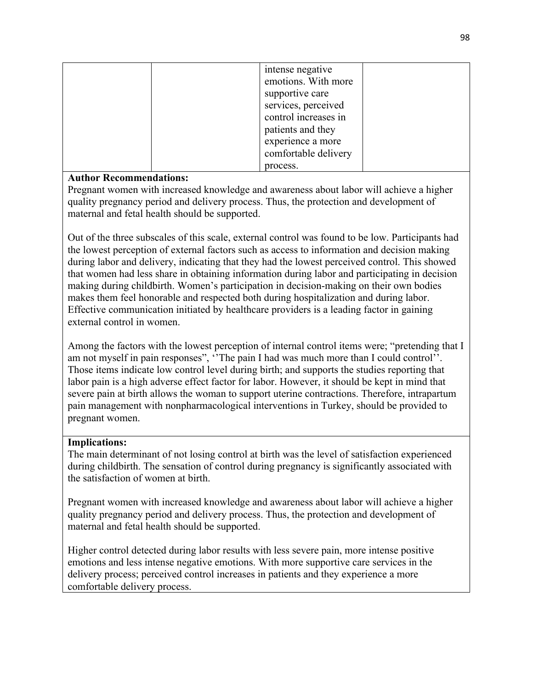|  | intense negative     |  |
|--|----------------------|--|
|  | emotions. With more  |  |
|  | supportive care      |  |
|  | services, perceived  |  |
|  | control increases in |  |
|  | patients and they    |  |
|  | experience a more    |  |
|  | comfortable delivery |  |
|  | process.             |  |

Pregnant women with increased knowledge and awareness about labor will achieve a higher quality pregnancy period and delivery process. Thus, the protection and development of maternal and fetal health should be supported.

Out of the three subscales of this scale, external control was found to be low. Participants had the lowest perception of external factors such as access to information and decision making during labor and delivery, indicating that they had the lowest perceived control. This showed that women had less share in obtaining information during labor and participating in decision making during childbirth. Women's participation in decision-making on their own bodies makes them feel honorable and respected both during hospitalization and during labor. Effective communication initiated by healthcare providers is a leading factor in gaining external control in women.

Among the factors with the lowest perception of internal control items were; "pretending that I am not myself in pain responses", ''The pain I had was much more than I could control''. Those items indicate low control level during birth; and supports the studies reporting that labor pain is a high adverse effect factor for labor. However, it should be kept in mind that severe pain at birth allows the woman to support uterine contractions. Therefore, intrapartum pain management with nonpharmacological interventions in Turkey, should be provided to pregnant women.

# **Implications:**

The main determinant of not losing control at birth was the level of satisfaction experienced during childbirth. The sensation of control during pregnancy is significantly associated with the satisfaction of women at birth.

Pregnant women with increased knowledge and awareness about labor will achieve a higher quality pregnancy period and delivery process. Thus, the protection and development of maternal and fetal health should be supported.

Higher control detected during labor results with less severe pain, more intense positive emotions and less intense negative emotions. With more supportive care services in the delivery process; perceived control increases in patients and they experience a more comfortable delivery process.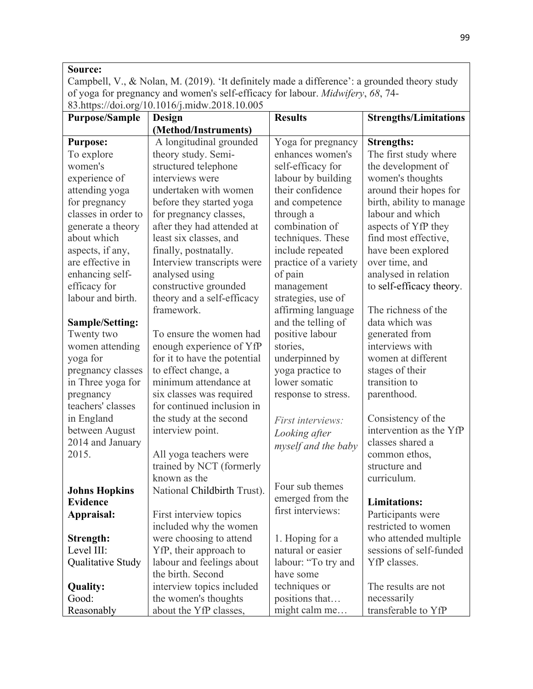# **Source:**

Campbell, V., & Nolan, M. (2019). 'It definitely made a difference': a grounded theory study of yoga for pregnancy and women's self-efficacy for labour. *Midwifery*, *68*, 74- 83.https://doi.org/10.1016/j.midw.2018.10.005

| <b>Purpose/Sample</b>  | Design                       | <b>Results</b>        | <b>Strengths/Limitations</b> |
|------------------------|------------------------------|-----------------------|------------------------------|
|                        | (Method/Instruments)         |                       |                              |
| <b>Purpose:</b>        | A longitudinal grounded      | Yoga for pregnancy    | <b>Strengths:</b>            |
| To explore             | theory study. Semi-          | enhances women's      | The first study where        |
| women's                | structured telephone         | self-efficacy for     | the development of           |
| experience of          | interviews were              | labour by building    | women's thoughts             |
| attending yoga         | undertaken with women        | their confidence      | around their hopes for       |
| for pregnancy          | before they started yoga     | and competence        | birth, ability to manage     |
| classes in order to    | for pregnancy classes,       | through a             | labour and which             |
| generate a theory      | after they had attended at   | combination of        | aspects of YfP they          |
| about which            | least six classes, and       | techniques. These     | find most effective,         |
|                        |                              |                       |                              |
| aspects, if any,       | finally, postnatally.        | include repeated      | have been explored           |
| are effective in       | Interview transcripts were   | practice of a variety | over time, and               |
| enhancing self-        | analysed using               | of pain               | analysed in relation         |
| efficacy for           | constructive grounded        | management            | to self-efficacy theory.     |
| labour and birth.      | theory and a self-efficacy   | strategies, use of    |                              |
|                        | framework.                   | affirming language    | The richness of the          |
| <b>Sample/Setting:</b> |                              | and the telling of    | data which was               |
| Twenty two             | To ensure the women had      | positive labour       | generated from               |
| women attending        | enough experience of YfP     | stories,              | interviews with              |
| yoga for               | for it to have the potential | underpinned by        | women at different           |
| pregnancy classes      | to effect change, a          | yoga practice to      | stages of their              |
| in Three yoga for      | minimum attendance at        | lower somatic         | transition to                |
| pregnancy              | six classes was required     | response to stress.   | parenthood.                  |
| teachers' classes      | for continued inclusion in   |                       |                              |
| in England             | the study at the second      | First interviews:     | Consistency of the           |
| between August         | interview point.             | Looking after         | intervention as the YfP      |
| 2014 and January       |                              | myself and the baby   | classes shared a             |
| 2015.                  | All yoga teachers were       |                       | common ethos,                |
|                        | trained by NCT (formerly     |                       | structure and                |
|                        | known as the                 |                       | curriculum.                  |
| <b>Johns Hopkins</b>   | National Childbirth Trust).  | Four sub themes       |                              |
| <b>Evidence</b>        |                              | emerged from the      | <b>Limitations:</b>          |
| Appraisal:             | First interview topics       | first interviews:     | Participants were            |
|                        | included why the women       |                       | restricted to women          |
| Strength:              | were choosing to attend      | 1. Hoping for a       | who attended multiple        |
| Level III:             | YfP, their approach to       | natural or easier     | sessions of self-funded      |
| Qualitative Study      | labour and feelings about    | labour: "To try and   | YfP classes.                 |
|                        | the birth. Second            | have some             |                              |
| <b>Quality:</b>        | interview topics included    | techniques or         | The results are not          |
| Good:                  | the women's thoughts         | positions that        | necessarily                  |
| Reasonably             | about the YfP classes,       | might calm me         | transferable to YfP          |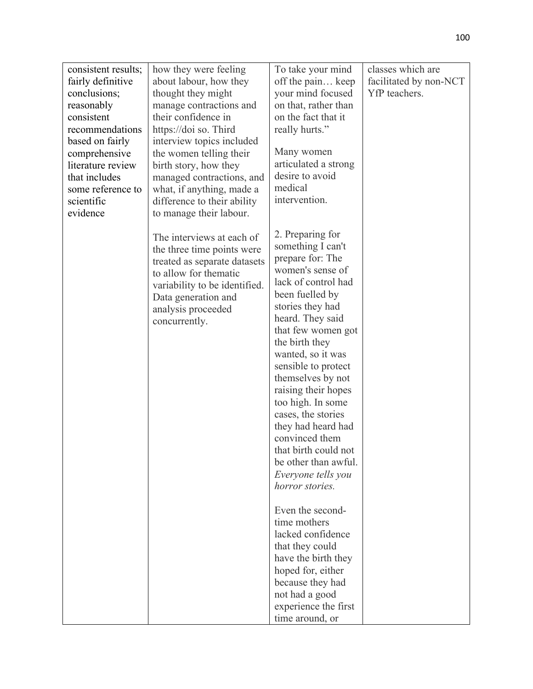| consistent results; | how they were feeling         | To take your mind    | classes which are      |
|---------------------|-------------------------------|----------------------|------------------------|
| fairly definitive   | about labour, how they        | off the pain keep    | facilitated by non-NCT |
| conclusions;        | thought they might            | your mind focused    | YfP teachers.          |
| reasonably          | manage contractions and       | on that, rather than |                        |
| consistent          | their confidence in           | on the fact that it  |                        |
| recommendations     | https://doi so. Third         | really hurts."       |                        |
| based on fairly     | interview topics included     |                      |                        |
| comprehensive       | the women telling their       | Many women           |                        |
| literature review   | birth story, how they         | articulated a strong |                        |
| that includes       | managed contractions, and     | desire to avoid      |                        |
| some reference to   | what, if anything, made a     | medical              |                        |
| scientific          | difference to their ability   | intervention.        |                        |
| evidence            | to manage their labour.       |                      |                        |
|                     |                               | 2. Preparing for     |                        |
|                     | The interviews at each of     | something I can't    |                        |
|                     | the three time points were    | prepare for: The     |                        |
|                     | treated as separate datasets  | women's sense of     |                        |
|                     | to allow for thematic         | lack of control had  |                        |
|                     | variability to be identified. | been fuelled by      |                        |
|                     | Data generation and           | stories they had     |                        |
|                     | analysis proceeded            | heard. They said     |                        |
|                     | concurrently.                 | that few women got   |                        |
|                     |                               | the birth they       |                        |
|                     |                               | wanted, so it was    |                        |
|                     |                               | sensible to protect  |                        |
|                     |                               | themselves by not    |                        |
|                     |                               | raising their hopes  |                        |
|                     |                               | too high. In some    |                        |
|                     |                               | cases, the stories   |                        |
|                     |                               | they had heard had   |                        |
|                     |                               | convinced them       |                        |
|                     |                               | that birth could not |                        |
|                     |                               | be other than awful. |                        |
|                     |                               | Everyone tells you   |                        |
|                     |                               | horror stories.      |                        |
|                     |                               | Even the second-     |                        |
|                     |                               | time mothers         |                        |
|                     |                               | lacked confidence    |                        |
|                     |                               | that they could      |                        |
|                     |                               | have the birth they  |                        |
|                     |                               | hoped for, either    |                        |
|                     |                               | because they had     |                        |
|                     |                               | not had a good       |                        |
|                     |                               | experience the first |                        |
|                     |                               | time around, or      |                        |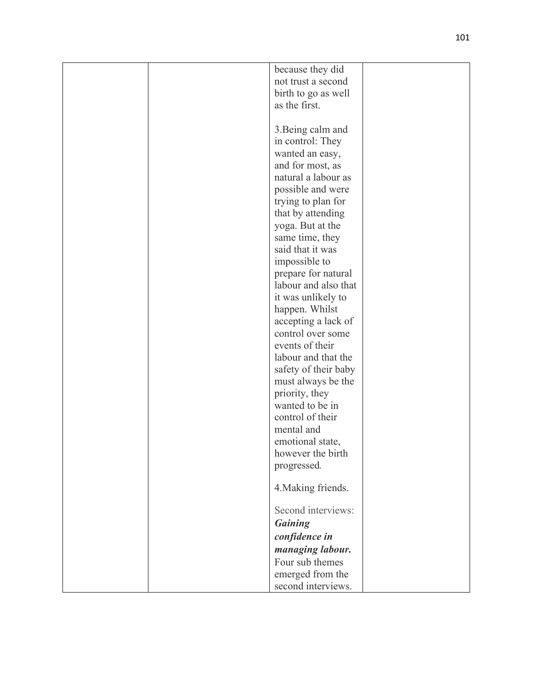|  | because they did                  |  |
|--|-----------------------------------|--|
|  | not trust a second                |  |
|  | birth to go as well               |  |
|  | as the first.                     |  |
|  |                                   |  |
|  | 3. Being calm and                 |  |
|  | in control: They                  |  |
|  | wanted an easy,                   |  |
|  | and for most, as                  |  |
|  | natural a labour as               |  |
|  | possible and were                 |  |
|  | trying to plan for                |  |
|  | that by attending                 |  |
|  | yoga. But at the                  |  |
|  | same time, they                   |  |
|  | said that it was                  |  |
|  | impossible to                     |  |
|  | prepare for natural               |  |
|  | labour and also that              |  |
|  | it was unlikely to                |  |
|  | happen. Whilst                    |  |
|  | accepting a lack of               |  |
|  | control over some                 |  |
|  | events of their                   |  |
|  | labour and that the               |  |
|  | safety of their baby              |  |
|  |                                   |  |
|  | must always be the                |  |
|  | priority, they<br>wanted to be in |  |
|  |                                   |  |
|  | control of their                  |  |
|  | mental and                        |  |
|  | emotional state,                  |  |
|  | however the birth                 |  |
|  | progressed.                       |  |
|  |                                   |  |
|  | 4. Making friends.                |  |
|  | Second interviews:                |  |
|  | <b>Gaining</b>                    |  |
|  | confidence in                     |  |
|  | managing labour.                  |  |
|  | Four sub themes                   |  |
|  |                                   |  |
|  | emerged from the                  |  |
|  | second interviews.                |  |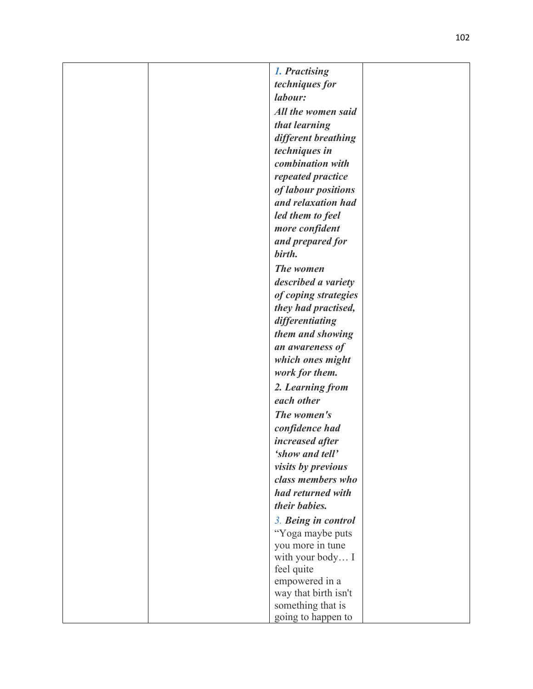|  | 1. Practising          |  |
|--|------------------------|--|
|  | techniques for         |  |
|  | labour:                |  |
|  | All the women said     |  |
|  | that learning          |  |
|  | different breathing    |  |
|  | techniques in          |  |
|  | combination with       |  |
|  | repeated practice      |  |
|  | of labour positions    |  |
|  | and relaxation had     |  |
|  | led them to feel       |  |
|  | more confident         |  |
|  | and prepared for       |  |
|  | birth.                 |  |
|  | The women              |  |
|  | described a variety    |  |
|  | of coping strategies   |  |
|  | they had practised,    |  |
|  | differentiating        |  |
|  | them and showing       |  |
|  | an awareness of        |  |
|  | which ones might       |  |
|  | work for them.         |  |
|  | 2. Learning from       |  |
|  | each other             |  |
|  | The women's            |  |
|  | confidence had         |  |
|  | <i>increased after</i> |  |
|  | 'show and tell'        |  |
|  | visits by previous     |  |
|  | class members who      |  |
|  | had returned with      |  |
|  | their babies.          |  |
|  | 3. Being in control    |  |
|  | "Yoga maybe puts       |  |
|  | you more in tune       |  |
|  | with your body I       |  |
|  | feel quite             |  |
|  | empowered in a         |  |
|  | way that birth isn't   |  |
|  | something that is      |  |
|  | going to happen to     |  |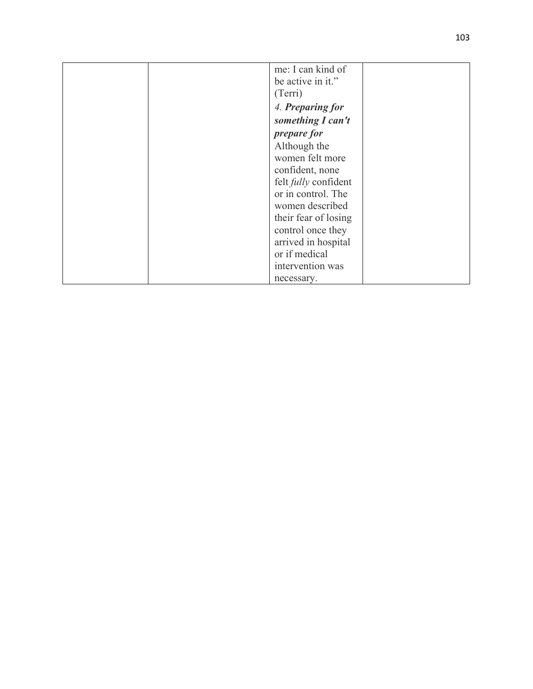| me: I can kind of    |
|----------------------|
| be active in it."    |
| (Terri)              |
| 4. Preparing for     |
| something I can't    |
| <i>prepare for</i>   |
| Although the         |
| women felt more      |
| confident, none      |
| felt fully confident |
| or in control. The   |
| women described      |
| their fear of losing |
| control once they    |
| arrived in hospital  |
| or if medical        |
| intervention was     |
| necessary.           |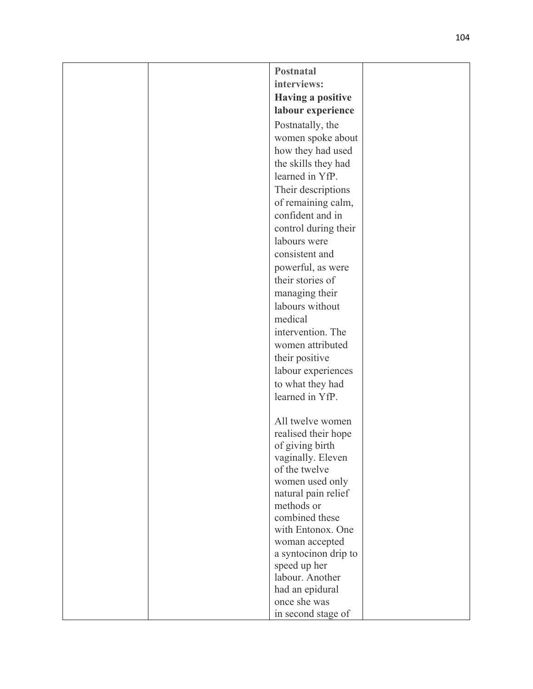| <b>Postnatal</b>         |
|--------------------------|
| interviews:              |
| <b>Having a positive</b> |
| labour experience        |
|                          |
| Postnatally, the         |
| women spoke about        |
| how they had used        |
| the skills they had      |
| learned in YfP.          |
| Their descriptions       |
| of remaining calm,       |
| confident and in         |
| control during their     |
| labours were             |
| consistent and           |
| powerful, as were        |
| their stories of         |
| managing their           |
| labours without          |
| medical                  |
| intervention. The        |
| women attributed         |
| their positive           |
|                          |
| labour experiences       |
| to what they had         |
| learned in YfP.          |
| All twelve women         |
| realised their hope      |
| of giving birth          |
| vaginally. Eleven        |
| of the twelve            |
| women used only          |
| natural pain relief      |
| methods or               |
| combined these           |
| with Entonox. One        |
| woman accepted           |
| a syntocinon drip to     |
| speed up her             |
| labour. Another          |
| had an epidural          |
| once she was             |
| in second stage of       |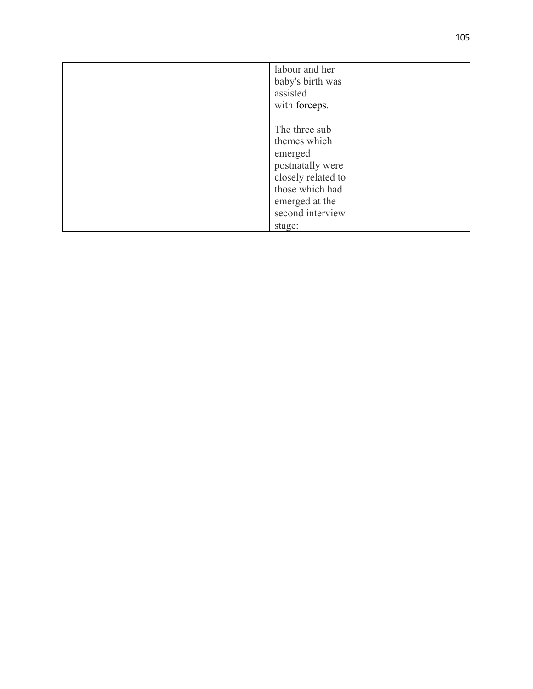| assisted<br>with forceps.                          | labour and her<br>baby's birth was                                                              |
|----------------------------------------------------|-------------------------------------------------------------------------------------------------|
| The three sub<br>themes which<br>emerged<br>stage: | postnatally were<br>closely related to<br>those which had<br>emerged at the<br>second interview |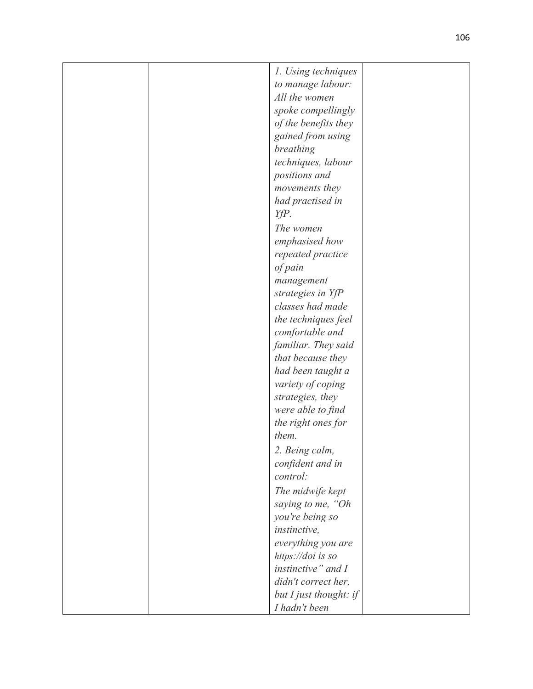|  | 1. Using techniques    |  |
|--|------------------------|--|
|  | to manage labour:      |  |
|  | All the women          |  |
|  | spoke compellingly     |  |
|  | of the benefits they   |  |
|  | gained from using      |  |
|  | breathing              |  |
|  | techniques, labour     |  |
|  | positions and          |  |
|  | <i>movements they</i>  |  |
|  | had practised in       |  |
|  | YfP.                   |  |
|  |                        |  |
|  | The women              |  |
|  | emphasised how         |  |
|  | repeated practice      |  |
|  | of pain                |  |
|  | management             |  |
|  | strategies in YfP      |  |
|  | classes had made       |  |
|  | the techniques feel    |  |
|  | comfortable and        |  |
|  | familiar. They said    |  |
|  | that because they      |  |
|  | had been taught a      |  |
|  | variety of coping      |  |
|  | strategies, they       |  |
|  | were able to find      |  |
|  | the right ones for     |  |
|  | them.                  |  |
|  | 2. Being calm,         |  |
|  | confident and in       |  |
|  | control:               |  |
|  | The midwife kept       |  |
|  | saying to me, "Oh      |  |
|  | you're being so        |  |
|  | instinctive,           |  |
|  | everything you are     |  |
|  | https://doi is so      |  |
|  | instinctive" and I     |  |
|  | didn't correct her,    |  |
|  | but I just thought: if |  |
|  | I hadn't been          |  |
|  |                        |  |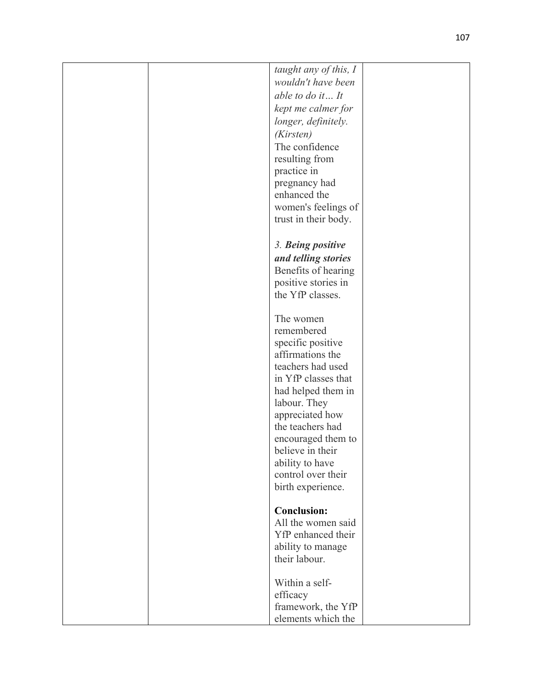| taught any of this, I |
|-----------------------|
| wouldn't have been    |
| able to do it It      |
|                       |
| kept me calmer for    |
| longer, definitely.   |
| (Kirsten)             |
|                       |
| The confidence        |
| resulting from        |
| practice in           |
| pregnancy had         |
| enhanced the          |
|                       |
| women's feelings of   |
| trust in their body.  |
|                       |
| 3. Being positive     |
|                       |
| and telling stories   |
| Benefits of hearing   |
| positive stories in   |
| the YfP classes.      |
|                       |
| The women             |
| remembered            |
|                       |
| specific positive     |
| affirmations the      |
| teachers had used     |
| in YfP classes that   |
| had helped them in    |
| labour. They          |
|                       |
| appreciated how       |
| the teachers had      |
| encouraged them to    |
| believe in their      |
| ability to have       |
| control over their    |
| birth experience.     |
|                       |
|                       |
| <b>Conclusion:</b>    |
| All the women said    |
| YfP enhanced their    |
| ability to manage     |
| their labour.         |
|                       |
| Within a self-        |
|                       |
| efficacy              |
| framework, the YfP    |
| elements which the    |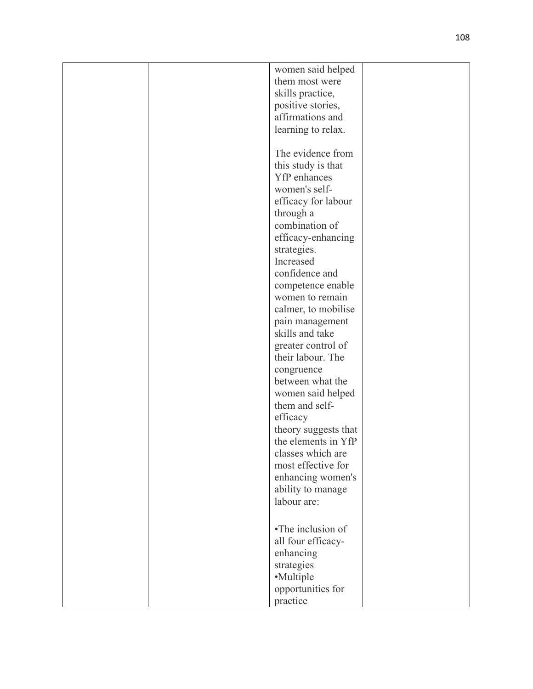| women said helped    |
|----------------------|
| them most were       |
|                      |
| skills practice,     |
| positive stories,    |
| affirmations and     |
|                      |
| learning to relax.   |
|                      |
| The evidence from    |
| this study is that   |
| YfP enhances         |
|                      |
| women's self-        |
| efficacy for labour  |
| through a            |
| combination of       |
|                      |
| efficacy-enhancing   |
| strategies.          |
| Increased            |
| confidence and       |
| competence enable    |
|                      |
| women to remain      |
| calmer, to mobilise  |
| pain management      |
| skills and take      |
| greater control of   |
|                      |
| their labour. The    |
| congruence           |
| between what the     |
| women said helped    |
| them and self-       |
|                      |
| efficacy             |
| theory suggests that |
| the elements in YfP  |
| classes which are    |
| most effective for   |
|                      |
| enhancing women's    |
| ability to manage    |
| labour are:          |
|                      |
|                      |
| •The inclusion of    |
| all four efficacy-   |
| enhancing            |
| strategies           |
|                      |
| •Multiple            |
| opportunities for    |
| practice             |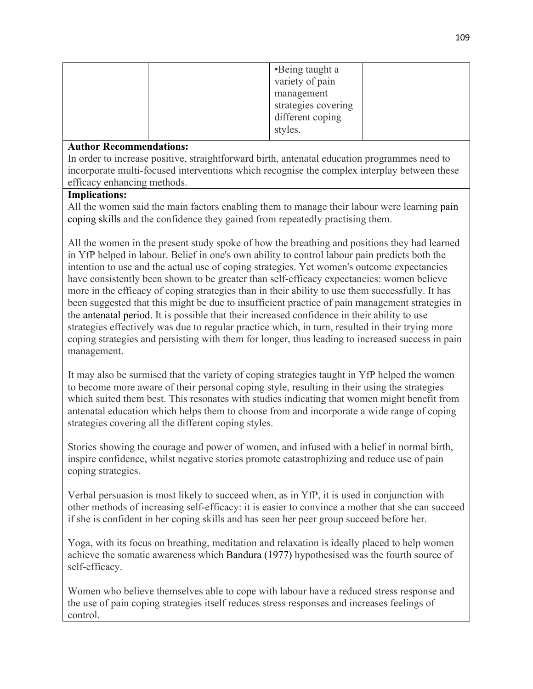|  | •Being taught a     |  |
|--|---------------------|--|
|  | variety of pain     |  |
|  | management          |  |
|  | strategies covering |  |
|  | different coping    |  |
|  | styles.             |  |

In order to increase positive, straightforward birth, antenatal education programmes need to incorporate multi-focused interventions which recognise the complex interplay between these efficacy enhancing methods.

# **Implications:**

All the women said the main factors enabling them to manage their labour were learning pain coping skills and the confidence they gained from repeatedly practising them.

All the women in the present study spoke of how the breathing and positions they had learned in YfP helped in labour. Belief in one's own ability to control labour pain predicts both the intention to use and the actual use of coping strategies. Yet women's outcome expectancies have consistently been shown to be greater than self-efficacy expectancies: women believe more in the efficacy of coping strategies than in their ability to use them successfully. It has been suggested that this might be due to insufficient practice of pain management strategies in the antenatal period. It is possible that their increased confidence in their ability to use strategies effectively was due to regular practice which, in turn, resulted in their trying more coping strategies and persisting with them for longer, thus leading to increased success in pain management.

It may also be surmised that the variety of coping strategies taught in YfP helped the women to become more aware of their personal coping style, resulting in their using the strategies which suited them best. This resonates with studies indicating that women might benefit from antenatal education which helps them to choose from and incorporate a wide range of coping strategies covering all the different coping styles.

Stories showing the courage and power of women, and infused with a belief in normal birth, inspire confidence, whilst negative stories promote catastrophizing and reduce use of pain coping strategies.

Verbal persuasion is most likely to succeed when, as in YfP, it is used in conjunction with other methods of increasing self-efficacy: it is easier to convince a mother that she can succeed if she is confident in her coping skills and has seen her peer group succeed before her.

Yoga, with its focus on breathing, meditation and relaxation is ideally placed to help women achieve the somatic awareness which Bandura (1977) hypothesised was the fourth source of self-efficacy.

Women who believe themselves able to cope with labour have a reduced stress response and the use of pain coping strategies itself reduces stress responses and increases feelings of control.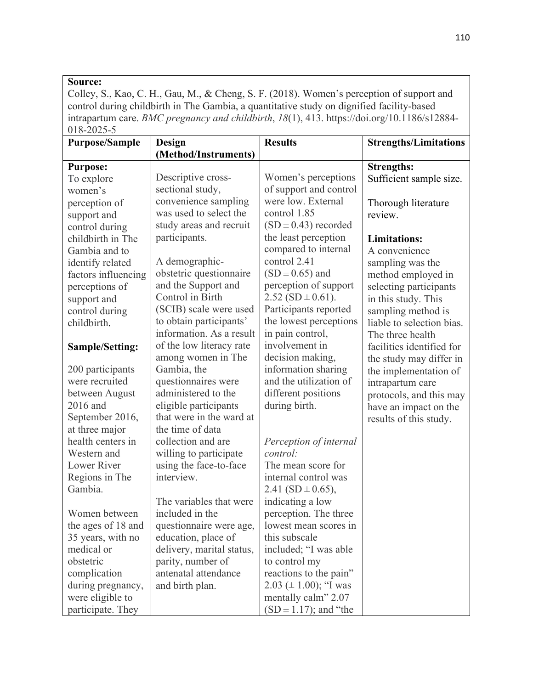#### **Source:**  Colley, S., Kao, C. H., Gau, M., & Cheng, S. F. (2018). Women's perception of support and control during childbirth in The Gambia, a quantitative study on dignified facility-based intrapartum care. *BMC pregnancy and childbirth*, *18*(1), 413. https://doi.org/10.1186/s12884- 018-2025-5 **Purpose/Sample Design (Method/Instruments) Results Strengths/Limitations Purpose:** To explore women's perception of support and control during childbirth in The Gambia and to identify related factors influencing perceptions of support and control during childbirth. **Sample/Setting:** 200 participants were recruited between August 2016 and September 2016, at three major health centers in Western and Lower River Regions in The Gambia. Women between the ages of 18 and 35 years, with no medical or obstetric complication during pregnancy, Descriptive crosssectional study, convenience sampling was used to select the study areas and recruit participants. A demographicobstetric questionnaire and the Support and Control in Birth (SCIB) scale were used to obtain participants' information. As a result of the low literacy rate among women in The Gambia, the questionnaires were administered to the eligible participants that were in the ward at the time of data collection and are willing to participate using the face-to-face interview. The variables that were included in the questionnaire were age, education, place of delivery, marital status, parity, number of antenatal attendance and birth plan. Women's perceptions of support and control were low. External control 1.85  $(SD \pm 0.43)$  recorded the least perception compared to internal control 2.41  $(SD \pm 0.65)$  and perception of support  $2.52$  (SD  $\pm$  0.61). Participants reported the lowest perceptions in pain control, involvement in decision making, information sharing and the utilization of different positions during birth. *Perception of internal control:* The mean score for internal control was 2.41 (SD  $\pm$  0.65), indicating a low perception. The three lowest mean scores in this subscale included; "I was able to control my reactions to the pain" 2.03 ( $\pm$  1.00); "I was **Strengths:** Sufficient sample size. Thorough literature review. **Limitations:** A convenience sampling was the method employed in selecting participants in this study. This sampling method is liable to selection bias. The three health facilities identified for the study may differ in the implementation of intrapartum care protocols, and this may have an impact on the results of this study.

mentally calm" 2.07  $(SD \pm 1.17)$ ; and "the

were eligible to participate. They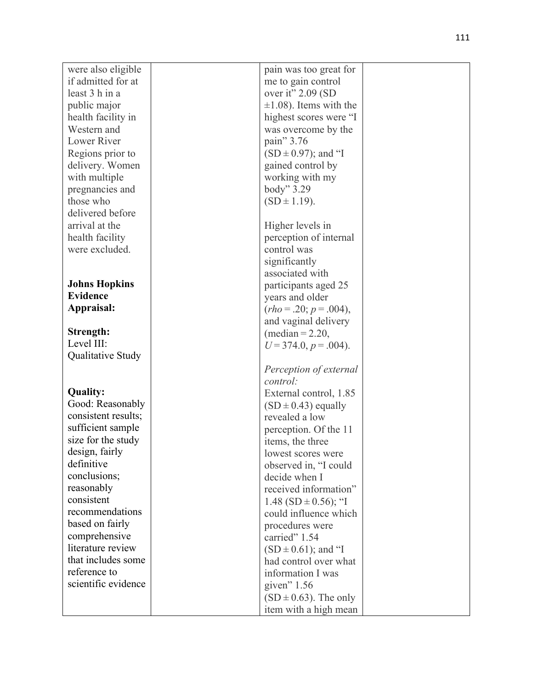| were also eligible   | pain was too great for       |  |
|----------------------|------------------------------|--|
| if admitted for at   | me to gain control           |  |
| least 3 h in a       | over it" 2.09 (SD            |  |
| public major         | $\pm 1.08$ ). Items with the |  |
| health facility in   | highest scores were "I       |  |
| Western and          | was overcome by the          |  |
| Lower River          | pain" 3.76                   |  |
| Regions prior to     | $(SD \pm 0.97)$ ; and "I     |  |
| delivery. Women      | gained control by            |  |
| with multiple        | working with my              |  |
| pregnancies and      | body" 3.29                   |  |
| those who            | $(SD \pm 1.19)$ .            |  |
| delivered before     |                              |  |
| arrival at the       | Higher levels in             |  |
| health facility      | perception of internal       |  |
| were excluded.       | control was                  |  |
|                      | significantly                |  |
|                      | associated with              |  |
| <b>Johns Hopkins</b> | participants aged 25         |  |
| <b>Evidence</b>      | years and older              |  |
| Appraisal:           | $(rho = .20; p = .004),$     |  |
|                      |                              |  |
| Strength:            | and vaginal delivery         |  |
| Level III:           | $(median = 2.20,$            |  |
| Qualitative Study    | $U = 374.0, p = .004$ ).     |  |
|                      |                              |  |
|                      | Perception of external       |  |
|                      | control:                     |  |
| <b>Quality:</b>      | External control, 1.85       |  |
| Good: Reasonably     | $(SD \pm 0.43)$ equally      |  |
| consistent results;  | revealed a low               |  |
| sufficient sample    | perception. Of the 11        |  |
| size for the study   | items, the three             |  |
| design, fairly       | lowest scores were           |  |
| definitive           | observed in, "I could        |  |
| conclusions;         | decide when I                |  |
| reasonably           | received information"        |  |
| consistent           | 1.48 (SD $\pm$ 0.56); "I     |  |
| recommendations      | could influence which        |  |
| based on fairly      | procedures were              |  |
| comprehensive        | carried" 1.54                |  |
| literature review    | $(SD \pm 0.61)$ ; and "I     |  |
| that includes some   | had control over what        |  |
| reference to         | information I was            |  |
| scientific evidence  | given" 1.56                  |  |
|                      | $(SD \pm 0.63)$ . The only   |  |
|                      | item with a high mean        |  |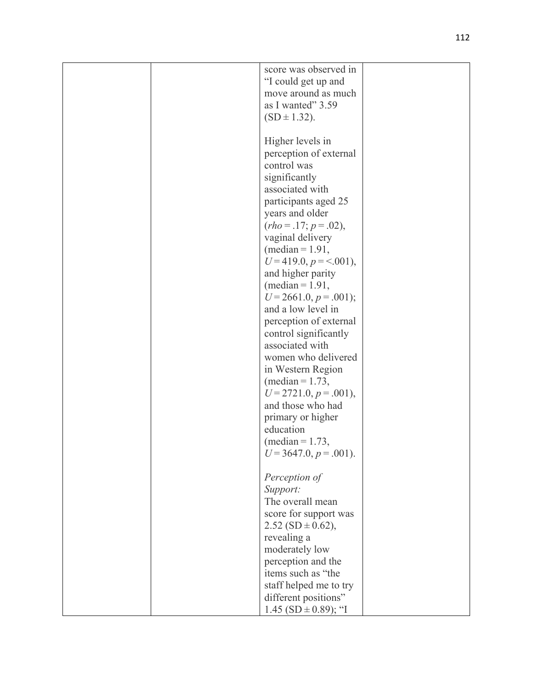|  | score was observed in    |  |
|--|--------------------------|--|
|  |                          |  |
|  | "I could get up and      |  |
|  | move around as much      |  |
|  | as I wanted" 3.59        |  |
|  |                          |  |
|  | $(SD \pm 1.32)$ .        |  |
|  |                          |  |
|  | Higher levels in         |  |
|  |                          |  |
|  | perception of external   |  |
|  | control was              |  |
|  | significantly            |  |
|  | associated with          |  |
|  |                          |  |
|  | participants aged 25     |  |
|  | years and older          |  |
|  | $(rho = .17; p = .02),$  |  |
|  |                          |  |
|  | vaginal delivery         |  |
|  | $(median = 1.91,$        |  |
|  | $U=419.0, p = 0.001$ ,   |  |
|  |                          |  |
|  | and higher parity        |  |
|  | $(median = 1.91,$        |  |
|  | $U=2661.0, p=.001);$     |  |
|  | and a low level in       |  |
|  |                          |  |
|  | perception of external   |  |
|  | control significantly    |  |
|  | associated with          |  |
|  | women who delivered      |  |
|  |                          |  |
|  | in Western Region        |  |
|  | $(median = 1.73,$        |  |
|  | $U = 2721.0, p = .001$ , |  |
|  | and those who had        |  |
|  |                          |  |
|  | primary or higher        |  |
|  | education                |  |
|  | $(median = 1.73,$        |  |
|  |                          |  |
|  | $U=3647.0, p=.001$ ).    |  |
|  |                          |  |
|  | Perception of            |  |
|  | Support:                 |  |
|  |                          |  |
|  | The overall mean         |  |
|  | score for support was    |  |
|  | $2.52$ (SD $\pm$ 0.62),  |  |
|  | revealing a              |  |
|  |                          |  |
|  | moderately low           |  |
|  | perception and the       |  |
|  | items such as "the       |  |
|  | staff helped me to try   |  |
|  |                          |  |
|  | different positions"     |  |
|  | 1.45 (SD $\pm$ 0.89); "I |  |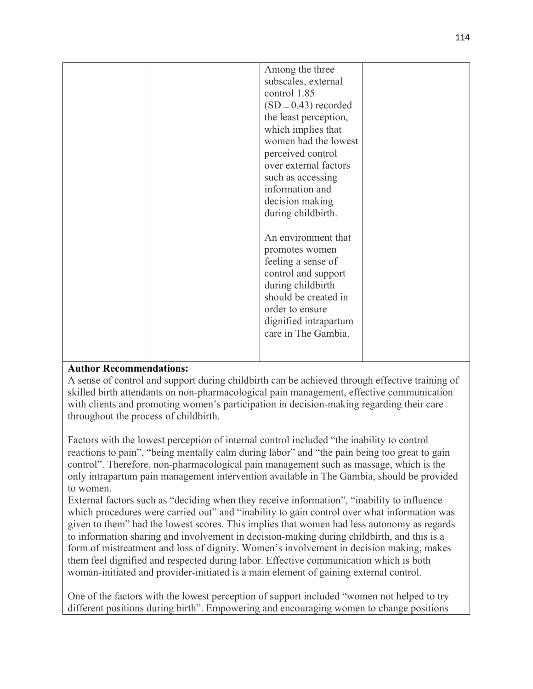| Among the three          |
|--------------------------|
| subscales, external      |
| control 1.85             |
| $(SD \pm 0.43)$ recorded |
| the least perception,    |
| which implies that       |
| women had the lowest     |
| perceived control        |
| over external factors    |
| such as accessing        |
| information and          |
| decision making          |
| during childbirth.       |
|                          |
| An environment that      |
| promotes women           |
|                          |
| feeling a sense of       |
| control and support      |
| during childbirth        |
| should be created in     |
| order to ensure          |
| dignified intrapartum    |
| care in The Gambia.      |
|                          |
|                          |

A sense of control and support during childbirth can be achieved through effective training of skilled birth attendants on non-pharmacological pain management, effective communication with clients and promoting women's participation in decision-making regarding their care throughout the process of childbirth.

Factors with the lowest perception of internal control included "the inability to control reactions to pain", "being mentally calm during labor" and "the pain being too great to gain control". Therefore, non-pharmacological pain management such as massage, which is the only intrapartum pain management intervention available in The Gambia, should be provided to women.

External factors such as "deciding when they receive information", "inability to influence which procedures were carried out" and "inability to gain control over what information was given to them" had the lowest scores. This implies that women had less autonomy as regards to information sharing and involvement in decision-making during childbirth, and this is a form of mistreatment and loss of dignity. Women's involvement in decision making, makes them feel dignified and respected during labor. Effective communication which is both woman-initiated and provider-initiated is a main element of gaining external control.

One of the factors with the lowest perception of support included "women not helped to try different positions during birth". Empowering and encouraging women to change positions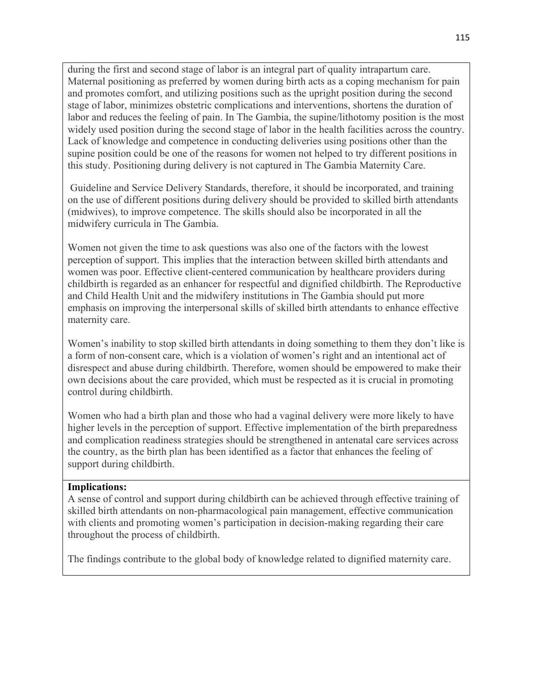during the first and second stage of labor is an integral part of quality intrapartum care. Maternal positioning as preferred by women during birth acts as a coping mechanism for pain and promotes comfort, and utilizing positions such as the upright position during the second stage of labor, minimizes obstetric complications and interventions, shortens the duration of labor and reduces the feeling of pain. In The Gambia, the supine/lithotomy position is the most widely used position during the second stage of labor in the health facilities across the country. Lack of knowledge and competence in conducting deliveries using positions other than the supine position could be one of the reasons for women not helped to try different positions in this study. Positioning during delivery is not captured in The Gambia Maternity Care.

Guideline and Service Delivery Standards, therefore, it should be incorporated, and training on the use of different positions during delivery should be provided to skilled birth attendants (midwives), to improve competence. The skills should also be incorporated in all the midwifery curricula in The Gambia.

Women not given the time to ask questions was also one of the factors with the lowest perception of support. This implies that the interaction between skilled birth attendants and women was poor. Effective client-centered communication by healthcare providers during childbirth is regarded as an enhancer for respectful and dignified childbirth. The Reproductive and Child Health Unit and the midwifery institutions in The Gambia should put more emphasis on improving the interpersonal skills of skilled birth attendants to enhance effective maternity care.

Women's inability to stop skilled birth attendants in doing something to them they don't like is a form of non-consent care, which is a violation of women's right and an intentional act of disrespect and abuse during childbirth. Therefore, women should be empowered to make their own decisions about the care provided, which must be respected as it is crucial in promoting control during childbirth.

Women who had a birth plan and those who had a vaginal delivery were more likely to have higher levels in the perception of support. Effective implementation of the birth preparedness and complication readiness strategies should be strengthened in antenatal care services across the country, as the birth plan has been identified as a factor that enhances the feeling of support during childbirth.

## **Implications:**

A sense of control and support during childbirth can be achieved through effective training of skilled birth attendants on non-pharmacological pain management, effective communication with clients and promoting women's participation in decision-making regarding their care throughout the process of childbirth.

The findings contribute to the global body of knowledge related to dignified maternity care.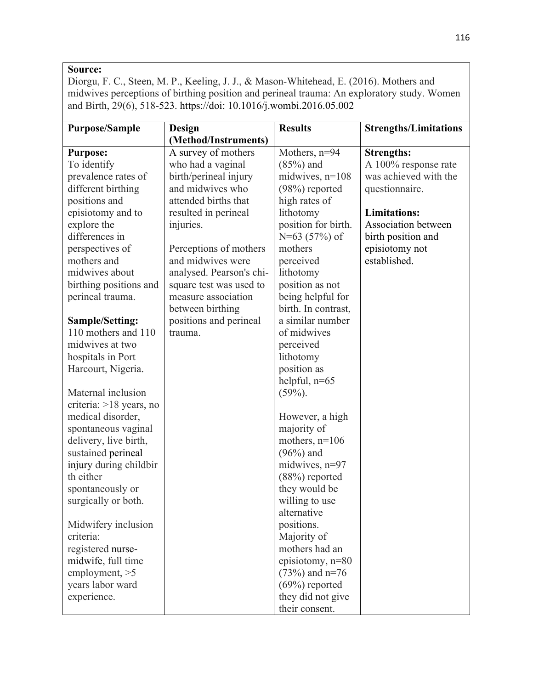# **Source:**

Diorgu, F. C., Steen, M. P., Keeling, J. J., & Mason-Whitehead, E. (2016). Mothers and midwives perceptions of birthing position and perineal trauma: An exploratory study. Women and Birth, 29(6), 518-523. https://doi: 10.1016/j.wombi.2016.05.002

| <b>Purpose/Sample</b>   |                          | <b>Results</b>      |                              |
|-------------------------|--------------------------|---------------------|------------------------------|
|                         | Design                   |                     | <b>Strengths/Limitations</b> |
|                         | (Method/Instruments)     |                     |                              |
| <b>Purpose:</b>         | A survey of mothers      | Mothers, n=94       | <b>Strengths:</b>            |
| To identify             | who had a vaginal        | $(85%)$ and         | A 100% response rate         |
| prevalence rates of     | birth/perineal injury    | midwives, $n=108$   | was achieved with the        |
| different birthing      | and midwives who         | $(98%)$ reported    | questionnaire.               |
| positions and           | attended births that     | high rates of       |                              |
| episiotomy and to       | resulted in perineal     | lithotomy           | <b>Limitations:</b>          |
| explore the             | injuries.                | position for birth. | <b>Association between</b>   |
| differences in          |                          | $N=63(57%)$ of      | birth position and           |
| perspectives of         | Perceptions of mothers   | mothers             | episiotomy not               |
| mothers and             | and midwives were        | perceived           | established.                 |
| midwives about          | analysed. Pearson's chi- | lithotomy           |                              |
| birthing positions and  | square test was used to  | position as not     |                              |
| perineal trauma.        | measure association      | being helpful for   |                              |
|                         | between birthing         | birth. In contrast, |                              |
| <b>Sample/Setting:</b>  | positions and perineal   | a similar number    |                              |
| 110 mothers and 110     | trauma.                  | of midwives         |                              |
| midwives at two         |                          | perceived           |                              |
| hospitals in Port       |                          | lithotomy           |                              |
| Harcourt, Nigeria.      |                          | position as         |                              |
|                         |                          | helpful, $n=65$     |                              |
| Maternal inclusion      |                          | $(59\%)$ .          |                              |
| criteria: >18 years, no |                          |                     |                              |
| medical disorder,       |                          | However, a high     |                              |
|                         |                          |                     |                              |
| spontaneous vaginal     |                          | majority of         |                              |
| delivery, live birth,   |                          | mothers, $n=106$    |                              |
| sustained perineal      |                          | $(96\%)$ and        |                              |
| injury during childbir  |                          | midwives, n=97      |                              |
| th either               |                          | $(88%)$ reported    |                              |
| spontaneously or        |                          | they would be       |                              |
| surgically or both.     |                          | willing to use      |                              |
|                         |                          | alternative         |                              |
| Midwifery inclusion     |                          | positions.          |                              |
| criteria:               |                          | Majority of         |                              |
| registered nurse-       |                          | mothers had an      |                              |
| midwife, full time      |                          | episiotomy, n=80    |                              |
| employment, $>5$        |                          | $(73%)$ and n=76    |                              |
| years labor ward        |                          | $(69\%)$ reported   |                              |
| experience.             |                          | they did not give   |                              |
|                         |                          | their consent.      |                              |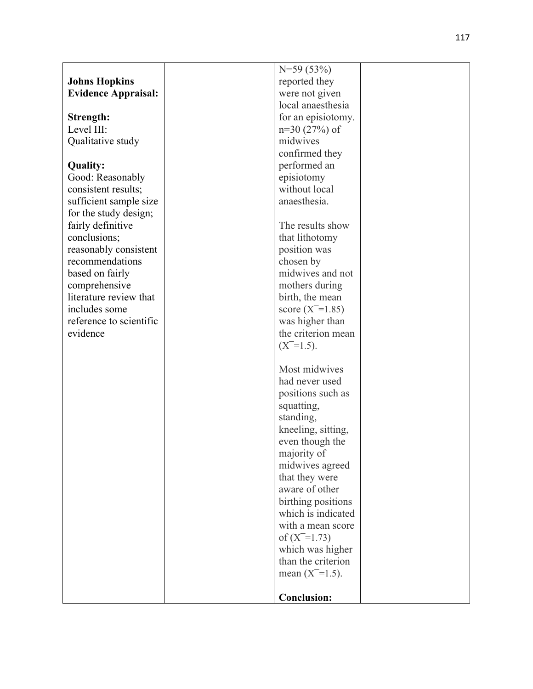|                            | $N=59(53\%)$                             |  |
|----------------------------|------------------------------------------|--|
| <b>Johns Hopkins</b>       | reported they                            |  |
| <b>Evidence Appraisal:</b> | were not given                           |  |
|                            | local anaesthesia                        |  |
| Strength:                  | for an episiotomy.                       |  |
| Level III:                 | $n=30(27%)$ of                           |  |
| Qualitative study          | midwives                                 |  |
|                            | confirmed they                           |  |
| <b>Quality:</b>            | performed an                             |  |
| Good: Reasonably           | episiotomy                               |  |
| consistent results;        | without local                            |  |
| sufficient sample size     | anaesthesia.                             |  |
| for the study design;      |                                          |  |
| fairly definitive          | The results show                         |  |
| conclusions;               | that lithotomy                           |  |
| reasonably consistent      | position was                             |  |
| recommendations            | chosen by                                |  |
| based on fairly            | midwives and not                         |  |
| comprehensive              | mothers during                           |  |
| literature review that     | birth, the mean                          |  |
| includes some              | score $(X=1.85)$                         |  |
| reference to scientific    | was higher than                          |  |
| evidence                   | the criterion mean                       |  |
|                            | $(X=1.5)$ .                              |  |
|                            |                                          |  |
|                            | Most midwives                            |  |
|                            | had never used                           |  |
|                            | positions such as                        |  |
|                            | squatting,                               |  |
|                            | standing,                                |  |
|                            | kneeling, sitting,                       |  |
|                            | even though the                          |  |
|                            | majority of                              |  |
|                            | midwives agreed                          |  |
|                            | that they were<br>aware of other         |  |
|                            |                                          |  |
|                            | birthing positions<br>which is indicated |  |
|                            | with a mean score                        |  |
|                            | of $(X=1.73)$                            |  |
|                            | which was higher                         |  |
|                            | than the criterion                       |  |
|                            | mean $(X=1.5)$ .                         |  |
|                            |                                          |  |
|                            | <b>Conclusion:</b>                       |  |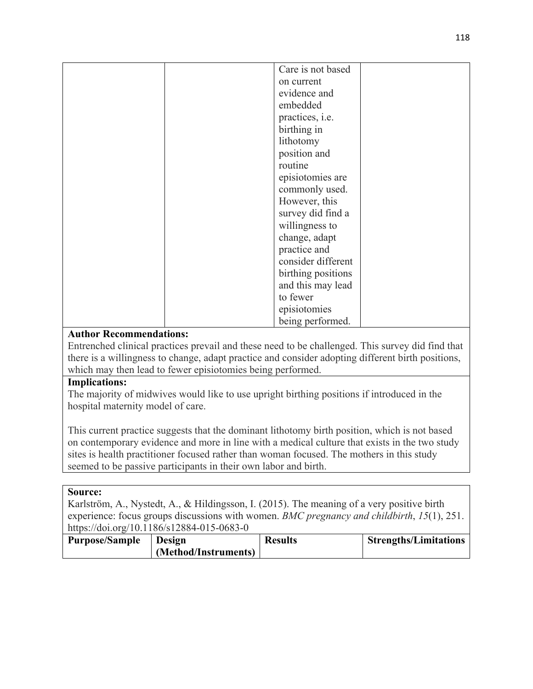| Care is not based  |
|--------------------|
| on current         |
| evidence and       |
|                    |
| embedded           |
| practices, i.e.    |
| birthing in        |
| lithotomy          |
| position and       |
| routine            |
| episiotomies are   |
| commonly used.     |
| However, this      |
| survey did find a  |
| willingness to     |
| change, adapt      |
| practice and       |
| consider different |
| birthing positions |
| and this may lead  |
| to fewer           |
| episiotomies       |
| being performed.   |

Entrenched clinical practices prevail and these need to be challenged. This survey did find that there is a willingness to change, adapt practice and consider adopting different birth positions, which may then lead to fewer episiotomies being performed.

## **Implications:**

The majority of midwives would like to use upright birthing positions if introduced in the hospital maternity model of care.

This current practice suggests that the dominant lithotomy birth position, which is not based on contemporary evidence and more in line with a medical culture that exists in the two study sites is health practitioner focused rather than woman focused. The mothers in this study seemed to be passive participants in their own labor and birth.

## **Source:**

Karlström, A., Nystedt, A., & Hildingsson, I. (2015). The meaning of a very positive birth experience: focus groups discussions with women. *BMC pregnancy and childbirth*, *15*(1), 251. https://doi.org/10.1186/s12884-015-0683-0

| <b>Purpose/Sample</b> | <b>Design</b>        | <b>Results</b> | <b>Strengths/Limitations</b> |
|-----------------------|----------------------|----------------|------------------------------|
|                       | (Method/Instruments) |                |                              |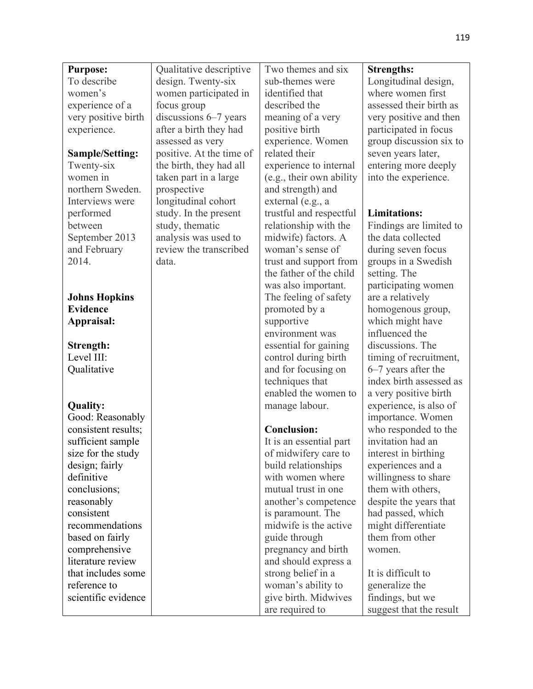| <b>Purpose:</b>                         | Qualitative descriptive  | Two themes and six          | <b>Strengths:</b>                     |
|-----------------------------------------|--------------------------|-----------------------------|---------------------------------------|
| To describe                             | design. Twenty-six       | sub-themes were             | Longitudinal design,                  |
| women's                                 | women participated in    | identified that             | where women first                     |
| experience of a                         | focus group              | described the               | assessed their birth as               |
| very positive birth                     | discussions 6–7 years    | meaning of a very           | very positive and then                |
| experience.                             | after a birth they had   | positive birth              | participated in focus                 |
|                                         | assessed as very         | experience. Women           | group discussion six to               |
| <b>Sample/Setting:</b>                  | positive. At the time of | related their               | seven years later,                    |
| Twenty-six                              | the birth, they had all  | experience to internal      | entering more deeply                  |
| women in                                | taken part in a large    | (e.g., their own ability    | into the experience.                  |
| northern Sweden.                        | prospective              | and strength) and           |                                       |
| Interviews were                         | longitudinal cohort      | external (e.g., a           |                                       |
| performed                               | study. In the present    | trustful and respectful     | <b>Limitations:</b>                   |
| between                                 | study, thematic          | relationship with the       | Findings are limited to               |
| September 2013                          | analysis was used to     | midwife) factors. A         | the data collected                    |
| and February                            | review the transcribed   | woman's sense of            | during seven focus                    |
| 2014.                                   | data.                    | trust and support from      | groups in a Swedish                   |
|                                         |                          | the father of the child     | setting. The                          |
|                                         |                          | was also important.         | participating women                   |
| <b>Johns Hopkins</b><br><b>Evidence</b> |                          | The feeling of safety       | are a relatively                      |
| Appraisal:                              |                          | promoted by a<br>supportive | homogenous group,<br>which might have |
|                                         |                          | environment was             | influenced the                        |
| Strength:                               |                          | essential for gaining       | discussions. The                      |
| Level III:                              |                          | control during birth        | timing of recruitment,                |
| Qualitative                             |                          | and for focusing on         | $6-7$ years after the                 |
|                                         |                          | techniques that             | index birth assessed as               |
|                                         |                          | enabled the women to        | a very positive birth                 |
| <b>Quality:</b>                         |                          | manage labour.              | experience, is also of                |
| Good: Reasonably                        |                          |                             | importance. Women                     |
| consistent results;                     |                          | <b>Conclusion:</b>          | who responded to the                  |
| sufficient sample                       |                          | It is an essential part     | invitation had an                     |
| size for the study                      |                          | of midwifery care to        | interest in birthing                  |
| design; fairly                          |                          | build relationships         | experiences and a                     |
| definitive                              |                          | with women where            | willingness to share                  |
| conclusions;                            |                          | mutual trust in one         | them with others,                     |
| reasonably                              |                          | another's competence        | despite the years that                |
| consistent                              |                          | is paramount. The           | had passed, which                     |
| recommendations                         |                          | midwife is the active       | might differentiate                   |
| based on fairly                         |                          | guide through               | them from other                       |
| comprehensive                           |                          | pregnancy and birth         | women.                                |
| literature review                       |                          | and should express a        |                                       |
| that includes some                      |                          | strong belief in a          | It is difficult to                    |
| reference to                            |                          | woman's ability to          | generalize the                        |
| scientific evidence                     |                          | give birth. Midwives        | findings, but we                      |
|                                         |                          | are required to             | suggest that the result               |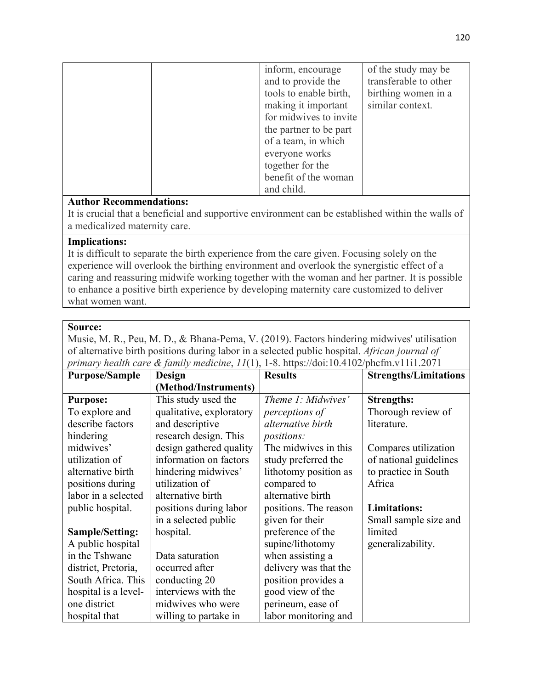|  | inform, encourage      | of the study may be   |
|--|------------------------|-----------------------|
|  | and to provide the     | transferable to other |
|  | tools to enable birth, | birthing women in a   |
|  | making it important    | similar context.      |
|  | for midwives to invite |                       |
|  | the partner to be part |                       |
|  | of a team, in which    |                       |
|  | everyone works         |                       |
|  | together for the       |                       |
|  | benefit of the woman   |                       |
|  | and child.             |                       |

It is crucial that a beneficial and supportive environment can be established within the walls of a medicalized maternity care.

# **Implications:**

It is difficult to separate the birth experience from the care given. Focusing solely on the experience will overlook the birthing environment and overlook the synergistic effect of a caring and reassuring midwife working together with the woman and her partner. It is possible to enhance a positive birth experience by developing maternity care customized to deliver what women want.

# **Source:**

Musie, M. R., Peu, M. D., & Bhana-Pema, V. (2019). Factors hindering midwives' utilisation of alternative birth positions during labor in a selected public hospital. *African journal of primary health care & family medicine*, *11*(1), 1-8. https://doi:10.4102/phcfm.v11i1.2071

| <b>Purpose/Sample</b>  | retain produce on $\alpha$ family modeoms, 11(1), 1 % https://www.10.1102/phonn.critic20/1<br><b>Design</b> | <b>Results</b>        | <b>Strengths/Limitations</b> |
|------------------------|-------------------------------------------------------------------------------------------------------------|-----------------------|------------------------------|
|                        | (Method/Instruments)                                                                                        |                       |                              |
| <b>Purpose:</b>        | This study used the                                                                                         | Theme 1: Midwives'    | <b>Strengths:</b>            |
| To explore and         | qualitative, exploratory                                                                                    | perceptions of        | Thorough review of           |
| describe factors       | and descriptive                                                                                             | alternative birth     | literature.                  |
| hindering              | research design. This                                                                                       | positions:            |                              |
| midwives'              | design gathered quality                                                                                     | The midwives in this  | Compares utilization         |
| utilization of         | information on factors                                                                                      | study preferred the   | of national guidelines       |
| alternative birth      | hindering midwives'                                                                                         | lithotomy position as | to practice in South         |
| positions during       | utilization of                                                                                              | compared to           | Africa                       |
| labor in a selected    | alternative birth                                                                                           | alternative birth     |                              |
| public hospital.       | positions during labor                                                                                      | positions. The reason | <b>Limitations:</b>          |
|                        | in a selected public                                                                                        | given for their       | Small sample size and        |
| <b>Sample/Setting:</b> | hospital.                                                                                                   | preference of the     | limited                      |
| A public hospital      |                                                                                                             | supine/lithotomy      | generalizability.            |
| in the Tshwane         | Data saturation                                                                                             | when assisting a      |                              |
| district, Pretoria,    | occurred after                                                                                              | delivery was that the |                              |
| South Africa. This     | conducting 20                                                                                               | position provides a   |                              |
| hospital is a level-   | interviews with the                                                                                         | good view of the      |                              |
| one district           | midwives who were                                                                                           | perineum, ease of     |                              |
| hospital that          | willing to partake in                                                                                       | labor monitoring and  |                              |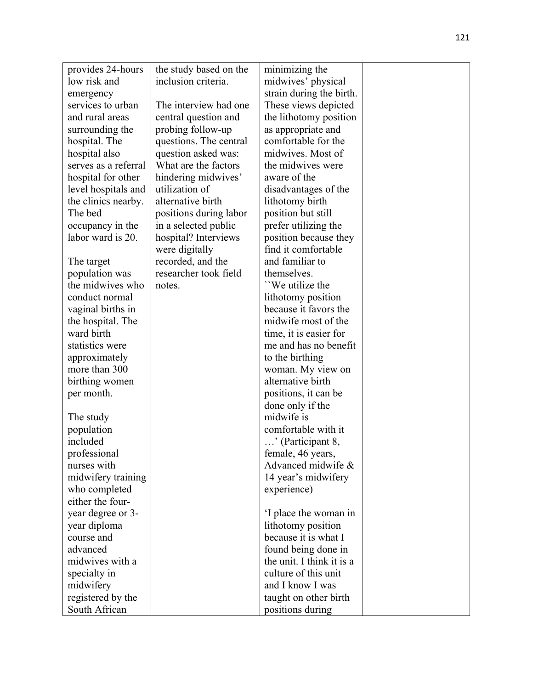| provides 24-hours    | the study based on the | minimizing the            |  |
|----------------------|------------------------|---------------------------|--|
| low risk and         | inclusion criteria.    | midwives' physical        |  |
| emergency            |                        | strain during the birth.  |  |
| services to urban    | The interview had one  | These views depicted      |  |
| and rural areas      | central question and   | the lithotomy position    |  |
| surrounding the      | probing follow-up      | as appropriate and        |  |
| hospital. The        | questions. The central | comfortable for the       |  |
| hospital also        | question asked was:    | midwives. Most of         |  |
| serves as a referral | What are the factors   | the midwives were         |  |
| hospital for other   | hindering midwives'    | aware of the              |  |
| level hospitals and  | utilization of         | disadvantages of the      |  |
| the clinics nearby.  | alternative birth      | lithotomy birth           |  |
| The bed              | positions during labor | position but still        |  |
| occupancy in the     | in a selected public   | prefer utilizing the      |  |
| labor ward is 20.    | hospital? Interviews   | position because they     |  |
|                      | were digitally         | find it comfortable       |  |
| The target           | recorded, and the      | and familiar to           |  |
| population was       | researcher took field  | themselves.               |  |
| the midwives who     | notes.                 | "We utilize the           |  |
| conduct normal       |                        | lithotomy position        |  |
| vaginal births in    |                        | because it favors the     |  |
| the hospital. The    |                        | midwife most of the       |  |
| ward birth           |                        | time, it is easier for    |  |
| statistics were      |                        | me and has no benefit     |  |
| approximately        |                        | to the birthing           |  |
| more than 300        |                        | woman. My view on         |  |
| birthing women       |                        | alternative birth         |  |
| per month.           |                        | positions, it can be      |  |
|                      |                        | done only if the          |  |
| The study            |                        | midwife is                |  |
| population           |                        | comfortable with it       |  |
| included             |                        | ' (Participant 8,         |  |
| professional         |                        | female, 46 years,         |  |
| nurses with          |                        | Advanced midwife &        |  |
| midwifery training   |                        | 14 year's midwifery       |  |
| who completed        |                        | experience)               |  |
| either the four-     |                        |                           |  |
| year degree or 3-    |                        | I place the woman in      |  |
| year diploma         |                        | lithotomy position        |  |
| course and           |                        | because it is what I      |  |
| advanced             |                        | found being done in       |  |
| midwives with a      |                        | the unit. I think it is a |  |
| specialty in         |                        | culture of this unit      |  |
| midwifery            |                        | and I know I was          |  |
| registered by the    |                        | taught on other birth     |  |
| South African        |                        | positions during          |  |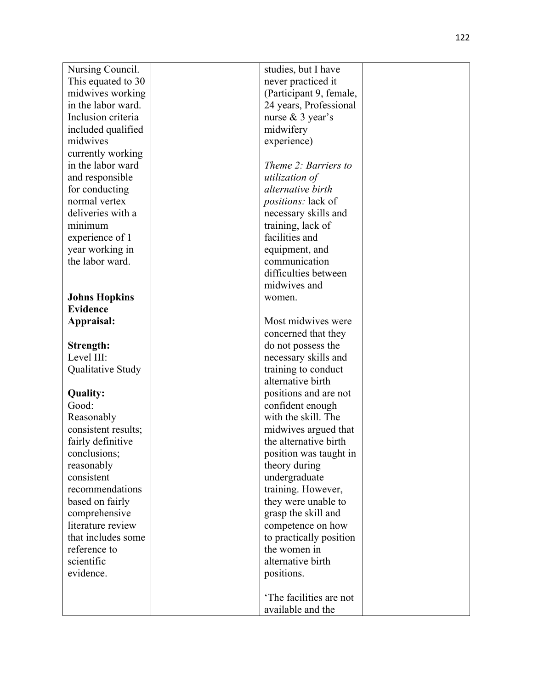| Nursing Council.     | studies, but I have       |  |
|----------------------|---------------------------|--|
| This equated to 30   | never practiced it        |  |
| midwives working     | (Participant 9, female,   |  |
| in the labor ward.   | 24 years, Professional    |  |
| Inclusion criteria   | nurse $& 3$ year's        |  |
| included qualified   | midwifery                 |  |
| midwives             | experience)               |  |
| currently working    |                           |  |
| in the labor ward    | Theme 2: Barriers to      |  |
| and responsible      | utilization of            |  |
| for conducting       | alternative birth         |  |
| normal vertex        | <i>positions:</i> lack of |  |
| deliveries with a    | necessary skills and      |  |
| minimum              | training, lack of         |  |
| experience of 1      | facilities and            |  |
| year working in      | equipment, and            |  |
| the labor ward.      | communication             |  |
|                      | difficulties between      |  |
|                      | midwives and              |  |
| <b>Johns Hopkins</b> | women.                    |  |
| <b>Evidence</b>      |                           |  |
| Appraisal:           | Most midwives were        |  |
|                      | concerned that they       |  |
| Strength:            | do not possess the        |  |
| Level III:           | necessary skills and      |  |
| Qualitative Study    | training to conduct       |  |
|                      | alternative birth         |  |
| <b>Quality:</b>      | positions and are not     |  |
| Good:                | confident enough          |  |
| Reasonably           | with the skill. The       |  |
| consistent results;  | midwives argued that      |  |
| fairly definitive    | the alternative birth     |  |
| conclusions;         | position was taught in    |  |
| reasonably           | theory during             |  |
| consistent           | undergraduate             |  |
| recommendations      | training. However,        |  |
| based on fairly      | they were unable to       |  |
| comprehensive        | grasp the skill and       |  |
| literature review    | competence on how         |  |
| that includes some   | to practically position   |  |
| reference to         | the women in              |  |
| scientific           | alternative birth         |  |
| evidence.            | positions.                |  |
|                      |                           |  |
|                      | The facilities are not    |  |
|                      | available and the         |  |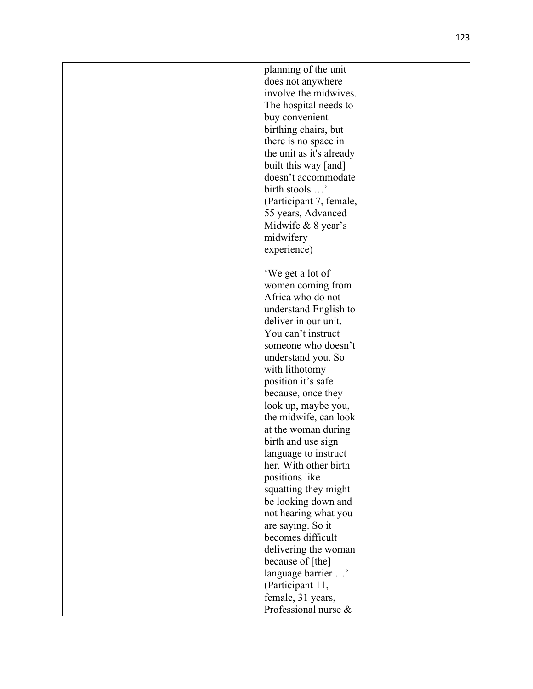|  | planning of the unit     |  |
|--|--------------------------|--|
|  | does not anywhere        |  |
|  | involve the midwives.    |  |
|  | The hospital needs to    |  |
|  | buy convenient           |  |
|  | birthing chairs, but     |  |
|  |                          |  |
|  | there is no space in     |  |
|  | the unit as it's already |  |
|  | built this way [and]     |  |
|  | doesn't accommodate      |  |
|  | birth stools '           |  |
|  | (Participant 7, female,  |  |
|  | 55 years, Advanced       |  |
|  | Midwife & 8 year's       |  |
|  | midwifery                |  |
|  |                          |  |
|  | experience)              |  |
|  |                          |  |
|  | 'We get a lot of         |  |
|  | women coming from        |  |
|  | Africa who do not        |  |
|  | understand English to    |  |
|  | deliver in our unit.     |  |
|  | You can't instruct       |  |
|  | someone who doesn't      |  |
|  | understand you. So       |  |
|  | with lithotomy           |  |
|  | position it's safe       |  |
|  | because, once they       |  |
|  | look up, maybe you,      |  |
|  |                          |  |
|  | the midwife, can look    |  |
|  | at the woman during      |  |
|  | birth and use sign       |  |
|  | language to instruct     |  |
|  | her. With other birth    |  |
|  | positions like           |  |
|  | squatting they might     |  |
|  | be looking down and      |  |
|  | not hearing what you     |  |
|  | are saying. So it        |  |
|  | becomes difficult        |  |
|  | delivering the woman     |  |
|  | because of [the]         |  |
|  | language barrier '       |  |
|  | (Participant 11,         |  |
|  |                          |  |
|  | female, 31 years,        |  |
|  | Professional nurse &     |  |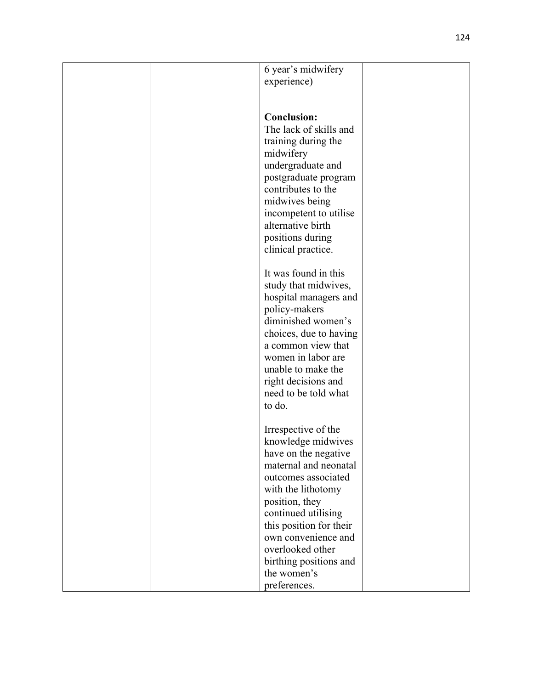| 6 year's midwifery      |  |
|-------------------------|--|
| experience)             |  |
|                         |  |
|                         |  |
|                         |  |
| <b>Conclusion:</b>      |  |
| The lack of skills and  |  |
| training during the     |  |
| midwifery               |  |
|                         |  |
| undergraduate and       |  |
| postgraduate program    |  |
| contributes to the      |  |
| midwives being          |  |
| incompetent to utilise  |  |
| alternative birth       |  |
|                         |  |
| positions during        |  |
| clinical practice.      |  |
|                         |  |
| It was found in this    |  |
| study that midwives,    |  |
|                         |  |
| hospital managers and   |  |
| policy-makers           |  |
| diminished women's      |  |
| choices, due to having  |  |
| a common view that      |  |
| women in labor are      |  |
|                         |  |
| unable to make the      |  |
| right decisions and     |  |
| need to be told what    |  |
| to do.                  |  |
|                         |  |
|                         |  |
| Irrespective of the     |  |
| knowledge midwives      |  |
| have on the negative    |  |
| maternal and neonatal   |  |
| outcomes associated     |  |
| with the lithotomy      |  |
| position, they          |  |
|                         |  |
| continued utilising     |  |
| this position for their |  |
| own convenience and     |  |
| overlooked other        |  |
| birthing positions and  |  |
| the women's             |  |
|                         |  |
| preferences.            |  |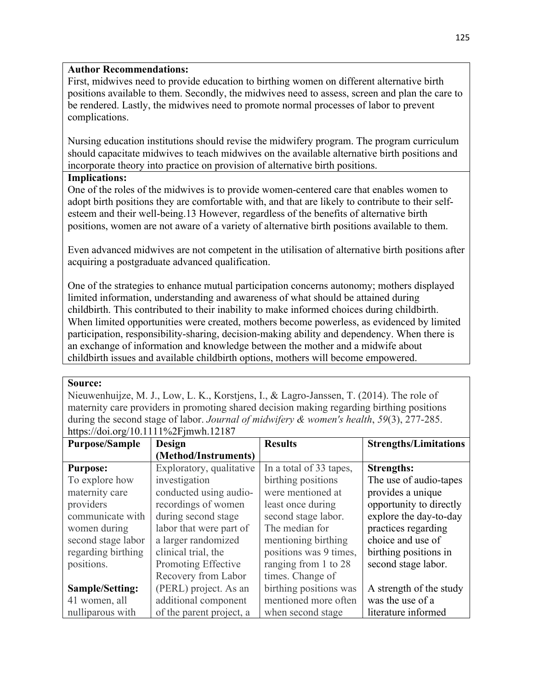First, midwives need to provide education to birthing women on different alternative birth positions available to them. Secondly, the midwives need to assess, screen and plan the care to be rendered. Lastly, the midwives need to promote normal processes of labor to prevent complications.

Nursing education institutions should revise the midwifery program. The program curriculum should capacitate midwives to teach midwives on the available alternative birth positions and incorporate theory into practice on provision of alternative birth positions.

# **Implications:**

One of the roles of the midwives is to provide women-centered care that enables women to adopt birth positions they are comfortable with, and that are likely to contribute to their selfesteem and their well-being.13 However, regardless of the benefits of alternative birth positions, women are not aware of a variety of alternative birth positions available to them.

Even advanced midwives are not competent in the utilisation of alternative birth positions after acquiring a postgraduate advanced qualification.

One of the strategies to enhance mutual participation concerns autonomy; mothers displayed limited information, understanding and awareness of what should be attained during childbirth. This contributed to their inability to make informed choices during childbirth. When limited opportunities were created, mothers become powerless, as evidenced by limited participation, responsibility-sharing, decision-making ability and dependency. When there is an exchange of information and knowledge between the mother and a midwife about childbirth issues and available childbirth options, mothers will become empowered.

## **Source:**

Nieuwenhuijze, M. J., Low, L. K., Korstjens, I., & Lagro‐Janssen, T. (2014). The role of maternity care providers in promoting shared decision making regarding birthing positions during the second stage of labor. *Journal of midwifery & women's health*, *59*(3), 277-285.

| $\mu$                 |                          |                         |                              |
|-----------------------|--------------------------|-------------------------|------------------------------|
| <b>Purpose/Sample</b> | <b>Design</b>            | <b>Results</b>          | <b>Strengths/Limitations</b> |
|                       | (Method/Instruments)     |                         |                              |
| <b>Purpose:</b>       | Exploratory, qualitative | In a total of 33 tapes, | <b>Strengths:</b>            |
| To explore how        | investigation            | birthing positions      | The use of audio-tapes       |
| maternity care        | conducted using audio-   | were mentioned at       | provides a unique            |
| providers             | recordings of women      | least once during       | opportunity to directly      |
| communicate with      | during second stage      | second stage labor.     | explore the day-to-day       |
| women during          | labor that were part of  | The median for          | practices regarding          |
| second stage labor    | a larger randomized      | mentioning birthing     | choice and use of            |
| regarding birthing    | clinical trial, the      | positions was 9 times,  | birthing positions in        |
| positions.            | Promoting Effective      | ranging from 1 to 28    | second stage labor.          |
|                       | Recovery from Labor      | times. Change of        |                              |
| Sample/Setting:       | (PERL) project. As an    | birthing positions was  | A strength of the study      |
| 41 women, all         | additional component     | mentioned more often    | was the use of a             |
| nulliparous with      | of the parent project, a | when second stage       | literature informed          |

https://doi.org/10.1111%2Fjmwh.12187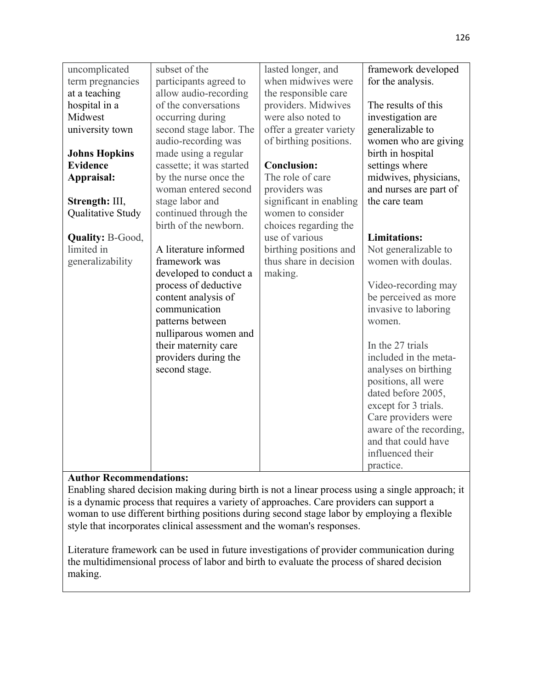| uncomplicated           | subset of the            | lasted longer, and      | framework developed     |
|-------------------------|--------------------------|-------------------------|-------------------------|
| term pregnancies        | participants agreed to   | when midwives were      | for the analysis.       |
| at a teaching           | allow audio-recording    | the responsible care    |                         |
| hospital in a           | of the conversations     | providers. Midwives     | The results of this     |
| Midwest                 | occurring during         | were also noted to      | investigation are       |
| university town         | second stage labor. The  | offer a greater variety | generalizable to        |
|                         | audio-recording was      | of birthing positions.  | women who are giving    |
| <b>Johns Hopkins</b>    | made using a regular     |                         | birth in hospital       |
| <b>Evidence</b>         | cassette; it was started | <b>Conclusion:</b>      | settings where          |
| Appraisal:              | by the nurse once the    | The role of care        | midwives, physicians,   |
|                         | woman entered second     | providers was           | and nurses are part of  |
| Strength: III,          | stage labor and          | significant in enabling | the care team           |
| Qualitative Study       | continued through the    | women to consider       |                         |
|                         | birth of the newborn.    | choices regarding the   |                         |
| <b>Quality: B-Good,</b> |                          | use of various          | <b>Limitations:</b>     |
| limited in              | A literature informed    | birthing positions and  | Not generalizable to    |
| generalizability        | framework was            | thus share in decision  | women with doulas.      |
|                         | developed to conduct a   | making.                 |                         |
|                         | process of deductive     |                         | Video-recording may     |
|                         | content analysis of      |                         | be perceived as more    |
|                         | communication            |                         | invasive to laboring    |
|                         | patterns between         |                         | women.                  |
|                         | nulliparous women and    |                         |                         |
|                         | their maternity care     |                         | In the 27 trials        |
|                         | providers during the     |                         | included in the meta-   |
|                         | second stage.            |                         | analyses on birthing    |
|                         |                          |                         | positions, all were     |
|                         |                          |                         | dated before 2005,      |
|                         |                          |                         | except for 3 trials.    |
|                         |                          |                         | Care providers were     |
|                         |                          |                         | aware of the recording, |
|                         |                          |                         | and that could have     |
|                         |                          |                         | influenced their        |
|                         |                          |                         |                         |
|                         |                          |                         | practice.               |

Enabling shared decision making during birth is not a linear process using a single approach; it is a dynamic process that requires a variety of approaches. Care providers can support a woman to use different birthing positions during second stage labor by employing a flexible style that incorporates clinical assessment and the woman's responses.

Literature framework can be used in future investigations of provider communication during the multidimensional process of labor and birth to evaluate the process of shared decision making.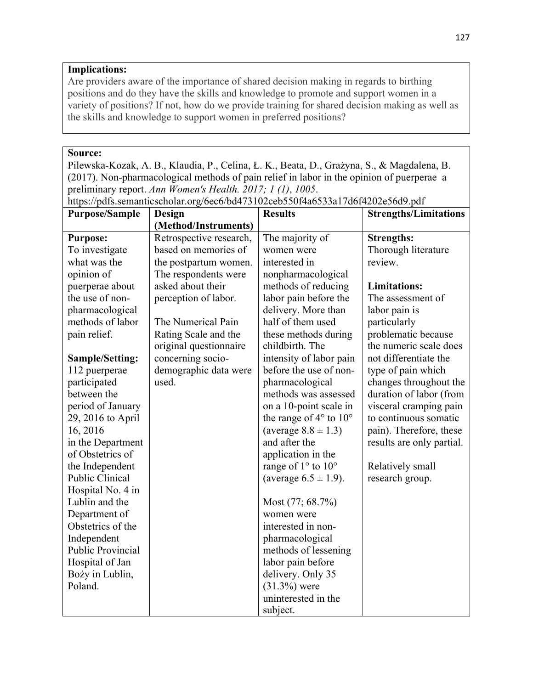# **Implications:**

Are providers aware of the importance of shared decision making in regards to birthing positions and do they have the skills and knowledge to promote and support women in a variety of positions? If not, how do we provide training for shared decision making as well as the skills and knowledge to support women in preferred positions?

#### **Source:**

Pilewska-Kozak, A. B., Klaudia, P., Celina, Ł. K., Beata, D., Grażyna, S., & Magdalena, B. (2017). Non-pharmacological methods of pain relief in labor in the opinion of puerperae–a preliminary report. *Ann Women's Health. 2017; 1 (1)*, *1005*.

| <b>Purpose/Sample</b>    | Design                  | <b>Results</b>                           | <b>Strengths/Limitations</b> |
|--------------------------|-------------------------|------------------------------------------|------------------------------|
|                          | (Method/Instruments)    |                                          |                              |
| <b>Purpose:</b>          | Retrospective research, | The majority of                          | <b>Strengths:</b>            |
| To investigate           | based on memories of    | women were                               | Thorough literature          |
| what was the             | the postpartum women.   | interested in                            | review.                      |
| opinion of               | The respondents were    | nonpharmacological                       |                              |
| puerperae about          | asked about their       | methods of reducing                      | <b>Limitations:</b>          |
| the use of non-          | perception of labor.    | labor pain before the                    | The assessment of            |
| pharmacological          |                         | delivery. More than                      | labor pain is                |
| methods of labor         | The Numerical Pain      | half of them used                        | particularly                 |
| pain relief.             | Rating Scale and the    | these methods during                     | problematic because          |
|                          | original questionnaire  | childbirth. The                          | the numeric scale does       |
| <b>Sample/Setting:</b>   | concerning socio-       | intensity of labor pain                  | not differentiate the        |
| 112 puerperae            | demographic data were   | before the use of non-                   | type of pain which           |
| participated             | used.                   | pharmacological                          | changes throughout the       |
| between the              |                         | methods was assessed                     | duration of labor (from      |
| period of January        |                         | on a 10-point scale in                   | visceral cramping pain       |
| 29, 2016 to April        |                         | the range of $4^{\circ}$ to $10^{\circ}$ | to continuous somatic        |
| 16, 2016                 |                         | (average $8.8 \pm 1.3$ )                 | pain). Therefore, these      |
| in the Department        |                         | and after the                            | results are only partial.    |
| of Obstetrics of         |                         | application in the                       |                              |
| the Independent          |                         | range of $1^{\circ}$ to $10^{\circ}$     | Relatively small             |
| Public Clinical          |                         | (average $6.5 \pm 1.9$ ).                | research group.              |
| Hospital No. 4 in        |                         |                                          |                              |
| Lublin and the           |                         | Most $(77, 68.7\%)$                      |                              |
| Department of            |                         | women were                               |                              |
| Obstetrics of the        |                         | interested in non-                       |                              |
| Independent              |                         | pharmacological                          |                              |
| <b>Public Provincial</b> |                         | methods of lessening                     |                              |
| Hospital of Jan          |                         | labor pain before                        |                              |
| Boży in Lublin,          |                         | delivery. Only 35                        |                              |
| Poland.                  |                         | $(31.3%)$ were                           |                              |
|                          |                         | uninterested in the                      |                              |
|                          |                         | subject.                                 |                              |

https://pdfs.semanticscholar.org/6ec6/bd473102ceb550f4a6533a17d6f4202e56d9.pdf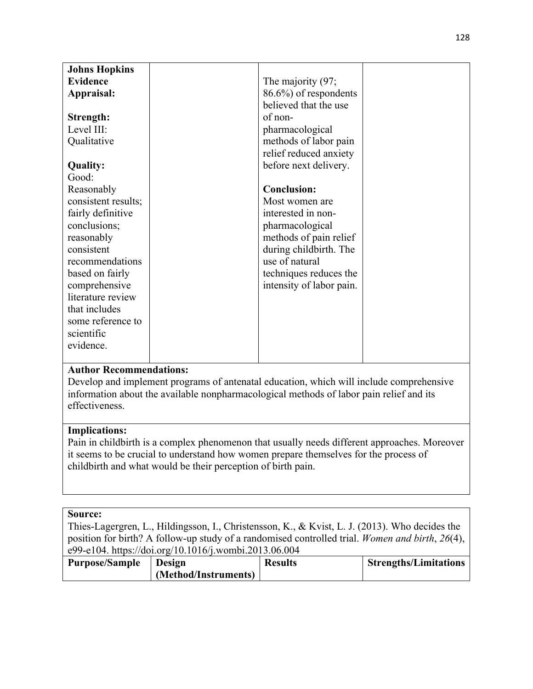| <b>Johns Hopkins</b> |                          |  |
|----------------------|--------------------------|--|
| <b>Evidence</b>      | The majority (97;        |  |
| Appraisal:           | 86.6%) of respondents    |  |
|                      | believed that the use    |  |
| Strength:            | of non-                  |  |
| Level III:           | pharmacological          |  |
| Qualitative          | methods of labor pain    |  |
|                      | relief reduced anxiety   |  |
| Quality:             | before next delivery.    |  |
| Good:                |                          |  |
| Reasonably           | <b>Conclusion:</b>       |  |
| consistent results;  | Most women are           |  |
| fairly definitive    | interested in non-       |  |
| conclusions;         | pharmacological          |  |
| reasonably           | methods of pain relief   |  |
| consistent           | during childbirth. The   |  |
| recommendations      | use of natural           |  |
| based on fairly      | techniques reduces the   |  |
| comprehensive        | intensity of labor pain. |  |
| literature review    |                          |  |
| that includes        |                          |  |
| some reference to    |                          |  |
| scientific           |                          |  |
| evidence.            |                          |  |
|                      |                          |  |
|                      |                          |  |

Develop and implement programs of antenatal education, which will include comprehensive information about the available nonpharmacological methods of labor pain relief and its effectiveness.

## **Implications:**

Pain in childbirth is a complex phenomenon that usually needs different approaches. Moreover it seems to be crucial to understand how women prepare themselves for the process of childbirth and what would be their perception of birth pain.

## **Source:**

Thies-Lagergren, L., Hildingsson, I., Christensson, K., & Kvist, L. J. (2013). Who decides the position for birth? A follow-up study of a randomised controlled trial. *Women and birth*, *26*(4), e99-e104. https://doi.org/10.1016/j.wombi.2013.06.004

| <b>Purpose/Sample</b> | Design               | <b>Results</b> | <b>Strengths/Limitations</b> |
|-----------------------|----------------------|----------------|------------------------------|
|                       | (Method/Instruments) |                |                              |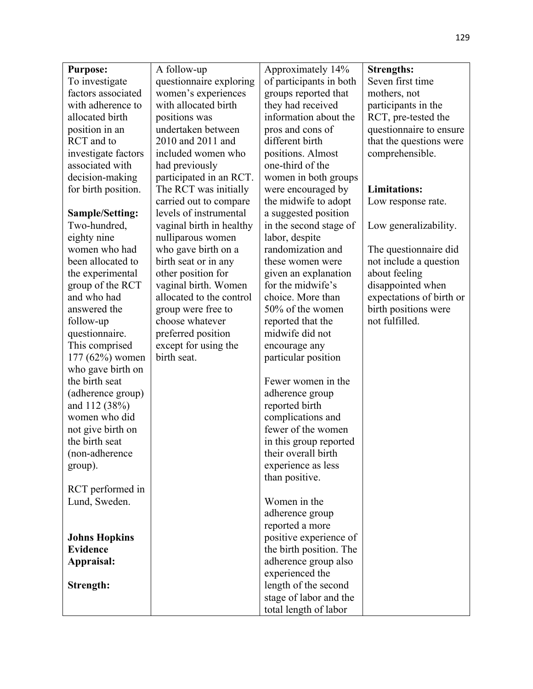| <b>Purpose:</b>                | A follow-up              | Approximately 14%                   | <b>Strengths:</b>        |
|--------------------------------|--------------------------|-------------------------------------|--------------------------|
| To investigate                 | questionnaire exploring  | of participants in both             | Seven first time         |
| factors associated             | women's experiences      | groups reported that                | mothers, not             |
| with adherence to              | with allocated birth     | they had received                   | participants in the      |
| allocated birth                | positions was            | information about the               | RCT, pre-tested the      |
| position in an                 | undertaken between       | pros and cons of                    | questionnaire to ensure  |
| RCT and to                     | 2010 and 2011 and        | different birth                     | that the questions were  |
| investigate factors            | included women who       | positions. Almost                   | comprehensible.          |
| associated with                | had previously           | one-third of the                    |                          |
| decision-making                | participated in an RCT.  | women in both groups                |                          |
| for birth position.            | The RCT was initially    | were encouraged by                  | <b>Limitations:</b>      |
|                                | carried out to compare   | the midwife to adopt                | Low response rate.       |
| <b>Sample/Setting:</b>         | levels of instrumental   | a suggested position                |                          |
| Two-hundred,                   | vaginal birth in healthy | in the second stage of              | Low generalizability.    |
| eighty nine                    | nulliparous women        | labor, despite                      |                          |
| women who had                  | who gave birth on a      | randomization and                   | The questionnaire did    |
| been allocated to              | birth seat or in any     | these women were                    | not include a question   |
| the experimental               | other position for       | given an explanation                | about feeling            |
| group of the RCT               | vaginal birth. Women     | for the midwife's                   | disappointed when        |
| and who had                    | allocated to the control | choice. More than                   | expectations of birth or |
| answered the                   | group were free to       | 50% of the women                    | birth positions were     |
| follow-up                      | choose whatever          | reported that the                   | not fulfilled.           |
| questionnaire.                 | preferred position       | midwife did not                     |                          |
| This comprised                 | except for using the     | encourage any                       |                          |
| 177 (62%) women                | birth seat.              | particular position                 |                          |
| who gave birth on              |                          |                                     |                          |
| the birth seat                 |                          | Fewer women in the                  |                          |
| (adherence group)              |                          | adherence group                     |                          |
| and 112 (38%)<br>women who did |                          | reported birth<br>complications and |                          |
| not give birth on              |                          | fewer of the women                  |                          |
| the birth seat                 |                          | in this group reported              |                          |
| (non-adherence                 |                          | their overall birth                 |                          |
| group).                        |                          | experience as less                  |                          |
|                                |                          | than positive.                      |                          |
| RCT performed in               |                          |                                     |                          |
| Lund, Sweden.                  |                          | Women in the                        |                          |
|                                |                          | adherence group                     |                          |
|                                |                          | reported a more                     |                          |
| <b>Johns Hopkins</b>           |                          | positive experience of              |                          |
| <b>Evidence</b>                |                          | the birth position. The             |                          |
| Appraisal:                     |                          | adherence group also                |                          |
|                                |                          | experienced the                     |                          |
| Strength:                      |                          | length of the second                |                          |
|                                |                          | stage of labor and the              |                          |
|                                |                          | total length of labor               |                          |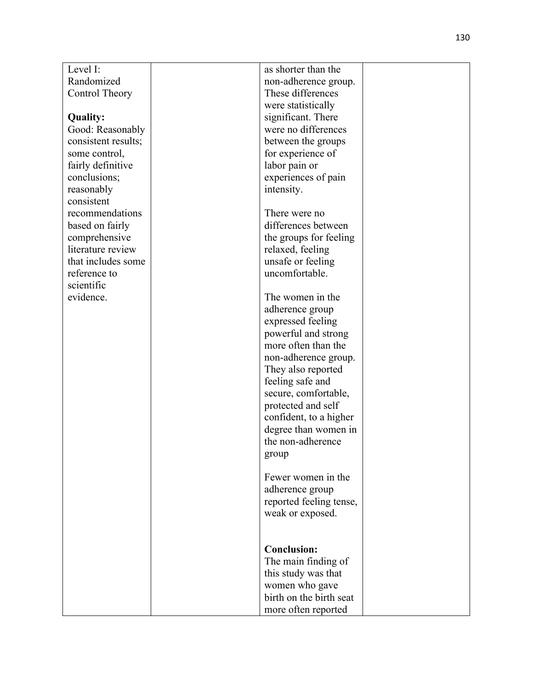| Level I:              | as shorter than the     |
|-----------------------|-------------------------|
| Randomized            | non-adherence group.    |
| <b>Control Theory</b> | These differences       |
|                       | were statistically      |
| <b>Quality:</b>       | significant. There      |
| Good: Reasonably      | were no differences     |
| consistent results;   | between the groups      |
| some control,         | for experience of       |
| fairly definitive     | labor pain or           |
| conclusions;          | experiences of pain     |
| reasonably            | intensity.              |
| consistent            |                         |
| recommendations       | There were no           |
| based on fairly       | differences between     |
| comprehensive         | the groups for feeling  |
| literature review     | relaxed, feeling        |
| that includes some    | unsafe or feeling       |
| reference to          | uncomfortable.          |
| scientific            |                         |
| evidence.             | The women in the        |
|                       | adherence group         |
|                       | expressed feeling       |
|                       | powerful and strong     |
|                       | more often than the     |
|                       | non-adherence group.    |
|                       | They also reported      |
|                       | feeling safe and        |
|                       | secure, comfortable,    |
|                       | protected and self      |
|                       | confident, to a higher  |
|                       | degree than women in    |
|                       | the non-adherence       |
|                       | group                   |
|                       |                         |
|                       | Fewer women in the      |
|                       | adherence group         |
|                       | reported feeling tense, |
|                       | weak or exposed.        |
|                       |                         |
|                       |                         |
|                       | <b>Conclusion:</b>      |
|                       | The main finding of     |
|                       | this study was that     |
|                       | women who gave          |
|                       | birth on the birth seat |
|                       | more often reported     |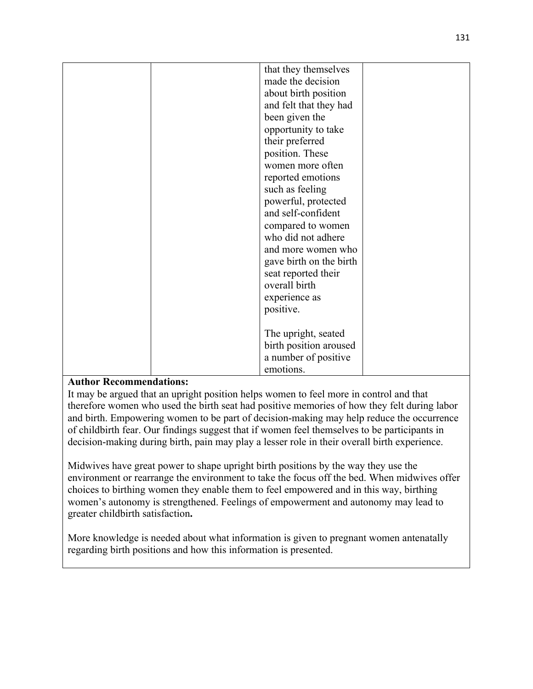| that they themselves    |
|-------------------------|
| made the decision       |
| about birth position    |
| and felt that they had  |
| been given the          |
| opportunity to take     |
| their preferred         |
| position. These         |
| women more often        |
| reported emotions       |
| such as feeling         |
| powerful, protected     |
| and self-confident      |
| compared to women       |
| who did not adhere      |
| and more women who      |
| gave birth on the birth |
| seat reported their     |
| overall birth           |
| experience as           |
| positive.               |
|                         |
| The upright, seated     |
| birth position aroused  |
| a number of positive    |
| emotions.               |
|                         |

It may be argued that an upright position helps women to feel more in control and that therefore women who used the birth seat had positive memories of how they felt during labor and birth. Empowering women to be part of decision-making may help reduce the occurrence of childbirth fear. Our findings suggest that if women feel themselves to be participants in decision-making during birth, pain may play a lesser role in their overall birth experience.

Midwives have great power to shape upright birth positions by the way they use the environment or rearrange the environment to take the focus off the bed. When midwives offer choices to birthing women they enable them to feel empowered and in this way, birthing women's autonomy is strengthened. Feelings of empowerment and autonomy may lead to greater childbirth satisfaction**.**

More knowledge is needed about what information is given to pregnant women antenatally regarding birth positions and how this information is presented.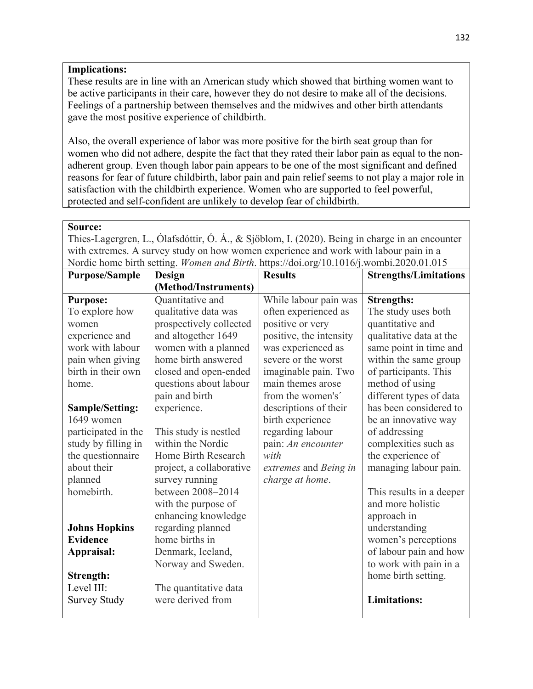# **Implications:**

These results are in line with an American study which showed that birthing women want to be active participants in their care, however they do not desire to make all of the decisions. Feelings of a partnership between themselves and the midwives and other birth attendants gave the most positive experience of childbirth.

Also, the overall experience of labor was more positive for the birth seat group than for women who did not adhere, despite the fact that they rated their labor pain as equal to the nonadherent group. Even though labor pain appears to be one of the most significant and defined reasons for fear of future childbirth, labor pain and pain relief seems to not play a major role in satisfaction with the childbirth experience. Women who are supported to feel powerful, protected and self-confident are unlikely to develop fear of childbirth.

## **Source:**

Thies-Lagergren, L., Ólafsdóttir, Ó. Á., & Sjöblom, I. (2020). Being in charge in an encounter with extremes. A survey study on how women experience and work with labour pain in a Nordic home birth setting. *Women and Birth*. https://doi.org/10.1016/j.wombi.2020.01.015

| <b>Purpose/Sample</b>  | Design                   | <b>Results</b>          | <b>Strengths/Limitations</b> |
|------------------------|--------------------------|-------------------------|------------------------------|
|                        | (Method/Instruments)     |                         |                              |
| <b>Purpose:</b>        | Quantitative and         | While labour pain was   | <b>Strengths:</b>            |
| To explore how         | qualitative data was     | often experienced as    | The study uses both          |
| women                  | prospectively collected  | positive or very        | quantitative and             |
| experience and         | and altogether 1649      | positive, the intensity | qualitative data at the      |
| work with labour       | women with a planned     | was experienced as      | same point in time and       |
| pain when giving       | home birth answered      | severe or the worst     | within the same group        |
| birth in their own     | closed and open-ended    | imaginable pain. Two    | of participants. This        |
| home.                  | questions about labour   | main themes arose       | method of using              |
|                        | pain and birth           | from the women's'       | different types of data      |
| <b>Sample/Setting:</b> | experience.              | descriptions of their   | has been considered to       |
| 1649 women             |                          | birth experience        | be an innovative way         |
| participated in the    | This study is nestled    | regarding labour        | of addressing                |
| study by filling in    | within the Nordic        | pain: An encounter      | complexities such as         |
| the questionnaire      | Home Birth Research      | with                    | the experience of            |
| about their            | project, a collaborative | extremes and Being in   | managing labour pain.        |
| planned                | survey running           | charge at home.         |                              |
| homebirth.             | between 2008-2014        |                         | This results in a deeper     |
|                        | with the purpose of      |                         | and more holistic            |
|                        | enhancing knowledge      |                         | approach in                  |
| <b>Johns Hopkins</b>   | regarding planned        |                         | understanding                |
| <b>Evidence</b>        | home births in           |                         | women's perceptions          |
| Appraisal:             | Denmark, Iceland,        |                         | of labour pain and how       |
|                        | Norway and Sweden.       |                         | to work with pain in a       |
| Strength:              |                          |                         | home birth setting.          |
| Level III:             | The quantitative data    |                         |                              |
| <b>Survey Study</b>    | were derived from        |                         | <b>Limitations:</b>          |
|                        |                          |                         |                              |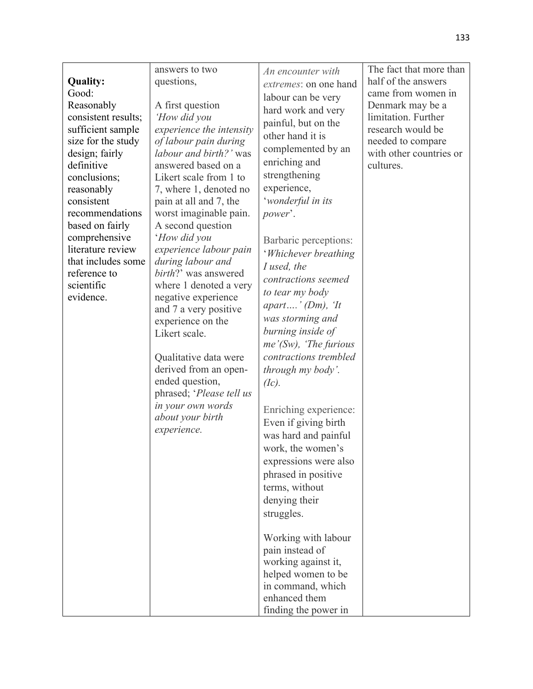| <b>Quality:</b><br>Good:                                                                                                                                                                                              | answers to two<br>questions,                                                                                                                                                                                                                                                                                                                                                                                                                                                             | An encounter with<br>extremes: on one hand<br>labour can be very                                                                                                                                                                                                                                                                                                     | The fact that more than<br>half of the answers<br>came from women in              |
|-----------------------------------------------------------------------------------------------------------------------------------------------------------------------------------------------------------------------|------------------------------------------------------------------------------------------------------------------------------------------------------------------------------------------------------------------------------------------------------------------------------------------------------------------------------------------------------------------------------------------------------------------------------------------------------------------------------------------|----------------------------------------------------------------------------------------------------------------------------------------------------------------------------------------------------------------------------------------------------------------------------------------------------------------------------------------------------------------------|-----------------------------------------------------------------------------------|
| Reasonably<br>consistent results;<br>sufficient sample<br>size for the study                                                                                                                                          | A first question<br>'How did you<br>experience the intensity<br>of labour pain during                                                                                                                                                                                                                                                                                                                                                                                                    | hard work and very<br>painful, but on the<br>other hand it is                                                                                                                                                                                                                                                                                                        | Denmark may be a<br>limitation. Further<br>research would be<br>needed to compare |
| design; fairly<br>definitive<br>conclusions;<br>reasonably<br>consistent<br>recommendations<br>based on fairly<br>comprehensive<br>literature review<br>that includes some<br>reference to<br>scientific<br>evidence. | labour and birth?' was<br>answered based on a<br>Likert scale from 1 to<br>7, where 1, denoted no<br>pain at all and 7, the<br>worst imaginable pain.<br>A second question<br><i>How did you</i><br>experience labour pain<br>during labour and<br>birth?' was answered<br>where 1 denoted a very<br>negative experience<br>and 7 a very positive<br>experience on the<br>Likert scale.<br>Qualitative data were<br>derived from an open-<br>ended question,<br>phrased; 'Please tell us | complemented by an<br>enriching and<br>strengthening<br>experience,<br>'wonderful in its<br>power'.<br>Barbaric perceptions:<br>'Whichever breathing<br>I used, the<br>contractions seemed<br>to tear my body<br>apart' $(Dm)$ , 'It<br>was storming and<br>burning inside of<br>$me'$ (Sw), 'The furious'<br>contractions trembled<br>through my body'.<br>$(Ic)$ . | with other countries or<br>cultures.                                              |
|                                                                                                                                                                                                                       | in your own words<br>about your birth<br>experience.                                                                                                                                                                                                                                                                                                                                                                                                                                     | Enriching experience:<br>Even if giving birth<br>was hard and painful<br>work, the women's<br>expressions were also<br>phrased in positive<br>terms, without<br>denying their<br>struggles.<br>Working with labour<br>pain instead of<br>working against it,<br>helped women to be<br>in command, which<br>enhanced them<br>finding the power in                     |                                                                                   |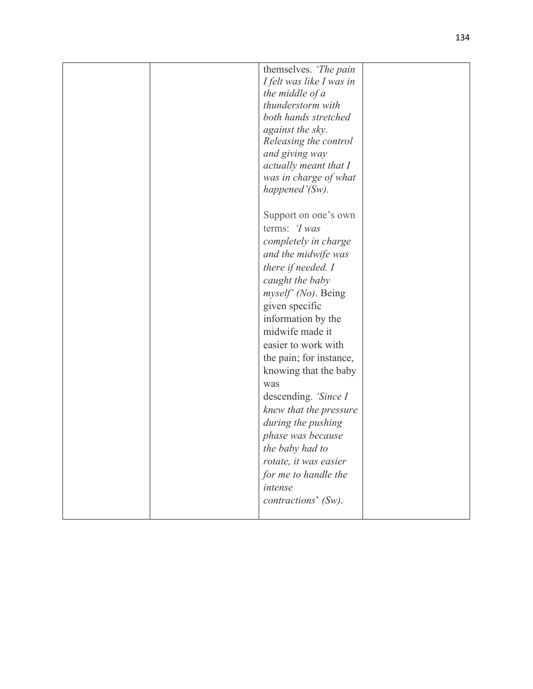|  | themselves. 'The pain                       |  |
|--|---------------------------------------------|--|
|  | I felt was like I was in<br>the middle of a |  |
|  | thunderstorm with                           |  |
|  | both hands stretched                        |  |
|  | against the sky.                            |  |
|  | Releasing the control                       |  |
|  | and giving way                              |  |
|  | actually meant that I                       |  |
|  | was in charge of what                       |  |
|  | happened'(Sw).                              |  |
|  | Support on one's own                        |  |
|  | terms: 'I was                               |  |
|  | completely in charge                        |  |
|  | and the midwife was                         |  |
|  | there if needed. I                          |  |
|  |                                             |  |
|  | caught the baby                             |  |
|  | myself' (No). Being                         |  |
|  | given specific                              |  |
|  | information by the                          |  |
|  | midwife made it                             |  |
|  | easier to work with                         |  |
|  | the pain; for instance,                     |  |
|  | knowing that the baby                       |  |
|  | was                                         |  |
|  | descending. 'Since I                        |  |
|  | knew that the pressure                      |  |
|  | during the pushing                          |  |
|  | phase was because                           |  |
|  | the baby had to                             |  |
|  | rotate, it was easier                       |  |
|  | for me to handle the                        |  |
|  | intense                                     |  |
|  | contractions' (Sw).                         |  |
|  |                                             |  |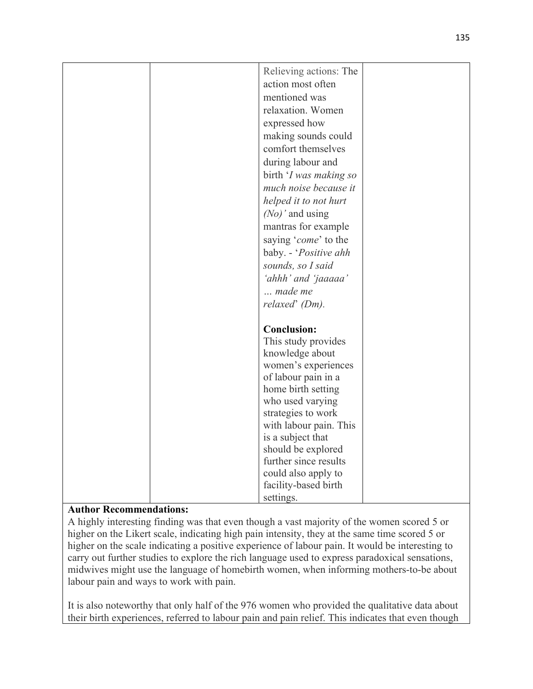| Relieving actions: The |
|------------------------|
| action most often      |
| mentioned was          |
| relaxation. Women      |
| expressed how          |
| making sounds could    |
| comfort themselves     |
| during labour and      |
| birth 'I was making so |
| much noise because it  |
| helped it to not hurt  |
| $(No)'$ and using      |
| mantras for example    |
| saying 'come' to the   |
| baby. - 'Positive ahh  |
| sounds, so I said      |
| 'ahhh' and 'jaaaaa'    |
| made me                |
| relaxed' (Dm).         |
|                        |
| <b>Conclusion:</b>     |
| This study provides    |
| knowledge about        |
| women's experiences    |
| of labour pain in a    |
| home birth setting     |
| who used varying       |
| strategies to work     |
| with labour pain. This |
| is a subject that      |
| should be explored     |
| further since results  |
| could also apply to    |
| facility-based birth   |
| settings.              |

A highly interesting finding was that even though a vast majority of the women scored 5 or higher on the Likert scale, indicating high pain intensity, they at the same time scored 5 or higher on the scale indicating a positive experience of labour pain. It would be interesting to carry out further studies to explore the rich language used to express paradoxical sensations, midwives might use the language of homebirth women, when informing mothers-to-be about labour pain and ways to work with pain.

It is also noteworthy that only half of the 976 women who provided the qualitative data about their birth experiences, referred to labour pain and pain relief. This indicates that even though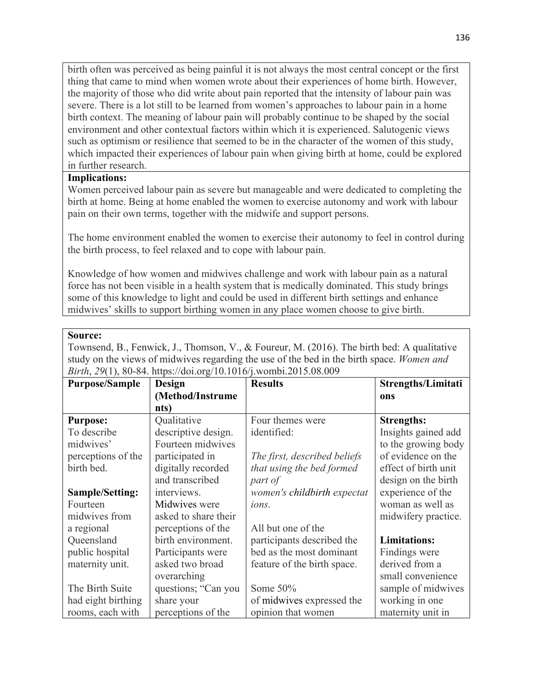birth often was perceived as being painful it is not always the most central concept or the first thing that came to mind when women wrote about their experiences of home birth. However, the majority of those who did write about pain reported that the intensity of labour pain was severe. There is a lot still to be learned from women's approaches to labour pain in a home birth context. The meaning of labour pain will probably continue to be shaped by the social environment and other contextual factors within which it is experienced. Salutogenic views such as optimism or resilience that seemed to be in the character of the women of this study, which impacted their experiences of labour pain when giving birth at home, could be explored in further research.

## **Implications:**

Women perceived labour pain as severe but manageable and were dedicated to completing the birth at home. Being at home enabled the women to exercise autonomy and work with labour pain on their own terms, together with the midwife and support persons.

The home environment enabled the women to exercise their autonomy to feel in control during the birth process, to feel relaxed and to cope with labour pain.

Knowledge of how women and midwives challenge and work with labour pain as a natural force has not been visible in a health system that is medically dominated. This study brings some of this knowledge to light and could be used in different birth settings and enhance midwives' skills to support birthing women in any place women choose to give birth.

# **Source:**

Townsend, B., Fenwick, J., Thomson, V., & Foureur, M. (2016). The birth bed: A qualitative study on the views of midwives regarding the use of the bed in the birth space. *Women and Birth*, 20(1), 80-84. https://doi.org/10.1016/j.wombi.2015.08.009

| <b>Purpose/Sample</b> | <i>Dti th</i> , 27(1), 60 o i. https://woi.org/10.1010/j.woinoi.2013.00.007<br><b>Design</b> | <b>Results</b>               | Strengths/Limitati   |
|-----------------------|----------------------------------------------------------------------------------------------|------------------------------|----------------------|
|                       | (Method/Instrume)                                                                            |                              | ons                  |
|                       | nts)                                                                                         |                              |                      |
| <b>Purpose:</b>       | Qualitative                                                                                  | Four themes were             | <b>Strengths:</b>    |
| To describe           | descriptive design.                                                                          | identified:                  | Insights gained add  |
| midwives'             | Fourteen midwives                                                                            |                              | to the growing body  |
| perceptions of the    | participated in                                                                              | The first, described beliefs | of evidence on the   |
| birth bed.            | digitally recorded                                                                           | that using the bed formed    | effect of birth unit |
|                       | and transcribed                                                                              | part of                      | design on the birth  |
| Sample/Setting:       | interviews.                                                                                  | women's childbirth expectat  | experience of the    |
| Fourteen              | Midwives were                                                                                | ions.                        | woman as well as     |
| midwives from         | asked to share their                                                                         |                              | midwifery practice.  |
| a regional            | perceptions of the                                                                           | All but one of the           |                      |
| Queensland            | birth environment.                                                                           | participants described the   | <b>Limitations:</b>  |
| public hospital       | Participants were                                                                            | bed as the most dominant     | Findings were        |
| maternity unit.       | asked two broad                                                                              | feature of the birth space.  | derived from a       |
|                       | overarching                                                                                  |                              | small convenience    |
| The Birth Suite       | questions; "Can you                                                                          | Some $50\%$                  | sample of midwives   |
| had eight birthing    | share your                                                                                   | of midwives expressed the    | working in one       |
| rooms, each with      | perceptions of the                                                                           | opinion that women           | maternity unit in    |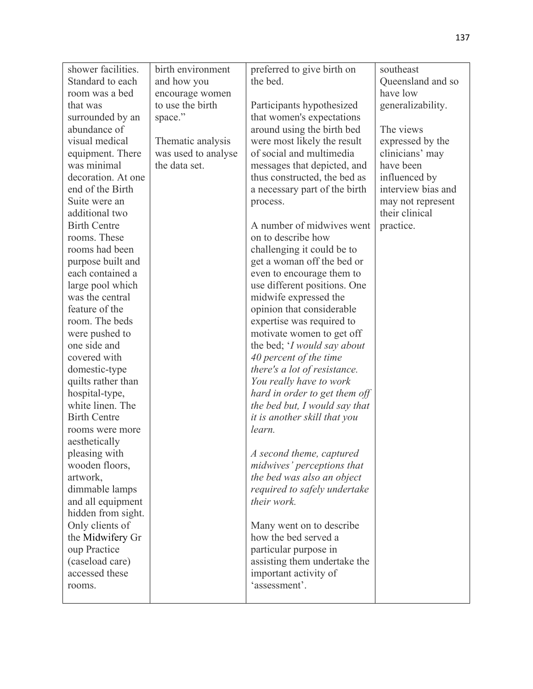| shower facilities.  | birth environment   | preferred to give birth on          | southeast          |
|---------------------|---------------------|-------------------------------------|--------------------|
| Standard to each    | and how you         | the bed.                            | Queensland and so  |
| room was a bed      | encourage women     |                                     | have low           |
| that was            | to use the birth    | Participants hypothesized           | generalizability.  |
| surrounded by an    | space."             | that women's expectations           |                    |
| abundance of        |                     | around using the birth bed          | The views          |
| visual medical      | Thematic analysis   | were most likely the result         | expressed by the   |
| equipment. There    | was used to analyse | of social and multimedia            | clinicians' may    |
| was minimal         | the data set.       | messages that depicted, and         | have been          |
| decoration. At one  |                     | thus constructed, the bed as        | influenced by      |
| end of the Birth    |                     | a necessary part of the birth       | interview bias and |
| Suite were an       |                     | process.                            | may not represent  |
| additional two      |                     |                                     | their clinical     |
| <b>Birth Centre</b> |                     | A number of midwives went           | practice.          |
| rooms. These        |                     | on to describe how                  |                    |
| rooms had been      |                     | challenging it could be to          |                    |
| purpose built and   |                     | get a woman off the bed or          |                    |
| each contained a    |                     | even to encourage them to           |                    |
| large pool which    |                     | use different positions. One        |                    |
| was the central     |                     | midwife expressed the               |                    |
| feature of the      |                     | opinion that considerable           |                    |
| room. The beds      |                     | expertise was required to           |                    |
| were pushed to      |                     | motivate women to get off           |                    |
| one side and        |                     | the bed; 'I would say about         |                    |
| covered with        |                     | 40 percent of the time              |                    |
| domestic-type       |                     | there's a lot of resistance.        |                    |
| quilts rather than  |                     | You really have to work             |                    |
| hospital-type,      |                     | hard in order to get them off       |                    |
| white linen. The    |                     | the bed but, I would say that       |                    |
| <b>Birth Centre</b> |                     | <i>it is another skill that you</i> |                    |
| rooms were more     |                     | learn.                              |                    |
| aesthetically       |                     |                                     |                    |
| pleasing with       |                     | A second theme, captured            |                    |
| wooden floors,      |                     | midwives' perceptions that          |                    |
| artwork,            |                     | the bed was also an object          |                    |
| dimmable lamps      |                     | required to safely undertake        |                    |
| and all equipment   |                     | their work.                         |                    |
| hidden from sight.  |                     |                                     |                    |
| Only clients of     |                     | Many went on to describe            |                    |
| the Midwifery Gr    |                     | how the bed served a                |                    |
| oup Practice        |                     | particular purpose in               |                    |
| (caseload care)     |                     | assisting them undertake the        |                    |
| accessed these      |                     | important activity of               |                    |
| rooms.              |                     | 'assessment'.                       |                    |
|                     |                     |                                     |                    |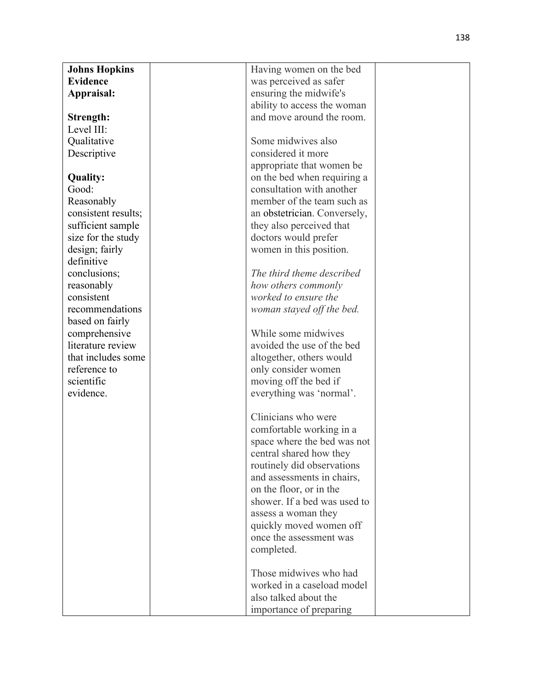| <b>Johns Hopkins</b> | Having women on the bed                            |
|----------------------|----------------------------------------------------|
| <b>Evidence</b>      | was perceived as safer                             |
|                      |                                                    |
| Appraisal:           | ensuring the midwife's                             |
|                      | ability to access the woman                        |
| Strength:            | and move around the room.                          |
| Level III:           |                                                    |
| Qualitative          | Some midwives also                                 |
| Descriptive          | considered it more                                 |
|                      | appropriate that women be                          |
| <b>Quality:</b>      | on the bed when requiring a                        |
| Good:                | consultation with another                          |
| Reasonably           | member of the team such as                         |
| consistent results;  | an obstetrician. Conversely,                       |
| sufficient sample    | they also perceived that                           |
| size for the study   | doctors would prefer                               |
| design; fairly       | women in this position.                            |
| definitive           |                                                    |
| conclusions;         | The third theme described                          |
| reasonably           | how others commonly                                |
| consistent           | worked to ensure the                               |
| recommendations      | woman stayed off the bed.                          |
| based on fairly      |                                                    |
| comprehensive        | While some midwives                                |
| literature review    | avoided the use of the bed                         |
| that includes some   | altogether, others would                           |
| reference to         | only consider women                                |
| scientific           | moving off the bed if                              |
| evidence.            | everything was 'normal'.                           |
|                      |                                                    |
|                      | Clinicians who were                                |
|                      | comfortable working in a                           |
|                      | space where the bed was not                        |
|                      | central shared how they                            |
|                      | routinely did observations                         |
|                      | and assessments in chairs,                         |
|                      | on the floor, or in the                            |
|                      | shower. If a bed was used to                       |
|                      | assess a woman they                                |
|                      |                                                    |
|                      | quickly moved women off<br>once the assessment was |
|                      |                                                    |
|                      | completed.                                         |
|                      | Those midwives who had                             |
|                      |                                                    |
|                      | worked in a caseload model                         |
|                      | also talked about the                              |
|                      | importance of preparing                            |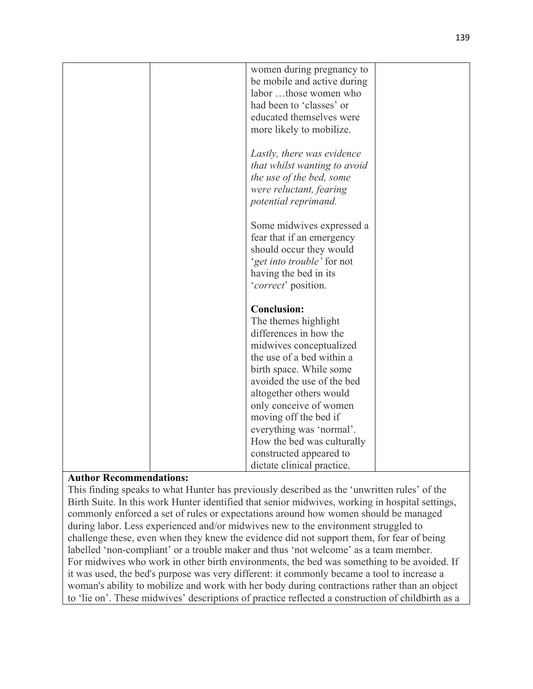|  | women during pregnancy to    |  |
|--|------------------------------|--|
|  | be mobile and active during  |  |
|  | labor those women who        |  |
|  | had been to 'classes' or     |  |
|  | educated themselves were     |  |
|  | more likely to mobilize.     |  |
|  |                              |  |
|  | Lastly, there was evidence   |  |
|  | that whilst wanting to avoid |  |
|  | the use of the bed, some     |  |
|  | were reluctant, fearing      |  |
|  | potential reprimand.         |  |
|  |                              |  |
|  | Some midwives expressed a    |  |
|  | fear that if an emergency    |  |
|  | should occur they would      |  |
|  | 'get into trouble' for not   |  |
|  | having the bed in its        |  |
|  | 'correct' position.          |  |
|  |                              |  |
|  | <b>Conclusion:</b>           |  |
|  | The themes highlight         |  |
|  | differences in how the       |  |
|  | midwives conceptualized      |  |
|  | the use of a bed within a    |  |
|  | birth space. While some      |  |
|  | avoided the use of the bed   |  |
|  | altogether others would      |  |
|  | only conceive of women       |  |
|  | moving off the bed if        |  |
|  | everything was 'normal'.     |  |
|  | How the bed was culturally   |  |
|  | constructed appeared to      |  |
|  | dictate clinical practice.   |  |

This finding speaks to what Hunter has previously described as the 'unwritten rules' of the Birth Suite. In this work Hunter identified that senior midwives, working in hospital settings, commonly enforced a set of rules or expectations around how women should be managed during labor. Less experienced and/or midwives new to the environment struggled to challenge these, even when they knew the evidence did not support them, for fear of being labelled 'non-compliant' or a trouble maker and thus 'not welcome' as a team member. For midwives who work in other birth environments, the bed was something to be avoided. If it was used, the bed's purpose was very different: it commonly became a tool to increase a woman's ability to mobilize and work with her body during contractions rather than an object to 'lie on'. These midwives' descriptions of practice reflected a construction of childbirth as a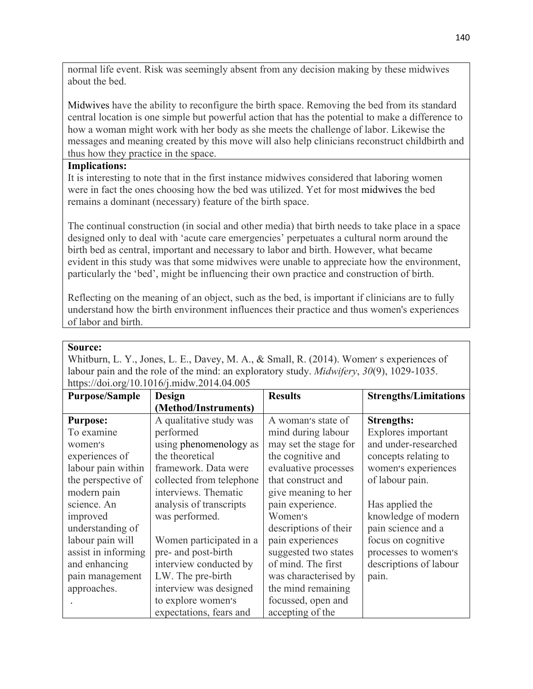normal life event. Risk was seemingly absent from any decision making by these midwives about the bed.

Midwives have the ability to reconfigure the birth space. Removing the bed from its standard central location is one simple but powerful action that has the potential to make a difference to how a woman might work with her body as she meets the challenge of labor. Likewise the messages and meaning created by this move will also help clinicians reconstruct childbirth and thus how they practice in the space.

# **Implications:**

It is interesting to note that in the first instance midwives considered that laboring women were in fact the ones choosing how the bed was utilized. Yet for most midwives the bed remains a dominant (necessary) feature of the birth space.

The continual construction (in social and other media) that birth needs to take place in a space designed only to deal with 'acute care emergencies' perpetuates a cultural norm around the birth bed as central, important and necessary to labor and birth. However, what became evident in this study was that some midwives were unable to appreciate how the environment, particularly the 'bed', might be influencing their own practice and construction of birth.

Reflecting on the meaning of an object, such as the bed, is important if clinicians are to fully understand how the birth environment influences their practice and thus women's experiences of labor and birth.

## **Source:**

Whitburn, L. Y., Jones, L. E., Davey, M. A., & Small, R. (2014). Women's experiences of labour pain and the role of the mind: an exploratory study. *Midwifery*, *30*(9), 1029-1035. https://doi.org/10.1016/j.midw.2014.04.005

| <b>Purpose/Sample</b> | Design                   | <b>Results</b>        | <b>Strengths/Limitations</b> |
|-----------------------|--------------------------|-----------------------|------------------------------|
|                       | (Method/Instruments)     |                       |                              |
| <b>Purpose:</b>       | A qualitative study was  | A woman's state of    | <b>Strengths:</b>            |
| To examine            | performed                | mind during labour    | Explores important           |
| women's               | using phenomenology as   | may set the stage for | and under-researched         |
| experiences of        | the theoretical          | the cognitive and     | concepts relating to         |
| labour pain within    | framework. Data were     | evaluative processes  | women's experiences          |
| the perspective of    | collected from telephone | that construct and    | of labour pain.              |
| modern pain           | interviews. Thematic     | give meaning to her   |                              |
| science. An           | analysis of transcripts  | pain experience.      | Has applied the              |
| improved              | was performed.           | Women's               | knowledge of modern          |
| understanding of      |                          | descriptions of their | pain science and a           |
| labour pain will      | Women participated in a  | pain experiences      | focus on cognitive           |
| assist in informing   | pre- and post-birth      | suggested two states  | processes to women's         |
| and enhancing         | interview conducted by   | of mind. The first    | descriptions of labour       |
| pain management       | LW. The pre-birth        | was characterised by  | pain.                        |
| approaches.           | interview was designed   | the mind remaining    |                              |
|                       | to explore women's       | focussed, open and    |                              |
|                       | expectations, fears and  | accepting of the      |                              |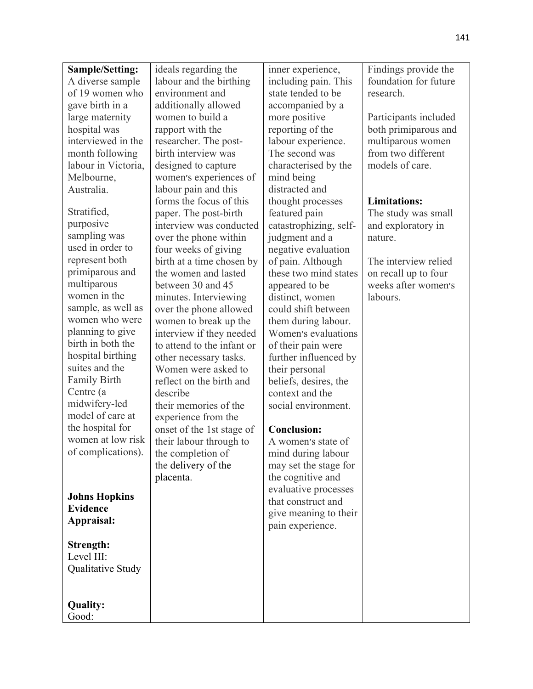| <b>Sample/Setting:</b> | ideals regarding the       | inner experience,      | Findings provide the  |
|------------------------|----------------------------|------------------------|-----------------------|
| A diverse sample       | labour and the birthing    | including pain. This   | foundation for future |
| of 19 women who        | environment and            | state tended to be     | research.             |
| gave birth in a        | additionally allowed       | accompanied by a       |                       |
| large maternity        | women to build a           | more positive          | Participants included |
| hospital was           | rapport with the           | reporting of the       | both primiparous and  |
| interviewed in the     | researcher. The post-      | labour experience.     | multiparous women     |
| month following        | birth interview was        | The second was         | from two different    |
| labour in Victoria,    | designed to capture        | characterised by the   | models of care.       |
| Melbourne,             | women's experiences of     | mind being             |                       |
| Australia.             | labour pain and this       | distracted and         |                       |
|                        | forms the focus of this    | thought processes      | <b>Limitations:</b>   |
| Stratified,            | paper. The post-birth      | featured pain          | The study was small   |
| purposive              | interview was conducted    | catastrophizing, self- | and exploratory in    |
| sampling was           | over the phone within      | judgment and a         | nature.               |
| used in order to       | four weeks of giving       | negative evaluation    |                       |
| represent both         | birth at a time chosen by  | of pain. Although      | The interview relied  |
| primiparous and        | the women and lasted       | these two mind states  | on recall up to four  |
| multiparous            | between 30 and 45          | appeared to be         | weeks after women's   |
| women in the           | minutes. Interviewing      | distinct, women        | labours.              |
| sample, as well as     | over the phone allowed     | could shift between    |                       |
| women who were         | women to break up the      | them during labour.    |                       |
| planning to give       | interview if they needed   | Women's evaluations    |                       |
| birth in both the      | to attend to the infant or | of their pain were     |                       |
| hospital birthing      | other necessary tasks.     | further influenced by  |                       |
| suites and the         | Women were asked to        | their personal         |                       |
| <b>Family Birth</b>    | reflect on the birth and   | beliefs, desires, the  |                       |
| Centre (a              | describe                   | context and the        |                       |
| midwifery-led          | their memories of the      | social environment.    |                       |
| model of care at       | experience from the        |                        |                       |
| the hospital for       | onset of the 1st stage of  | <b>Conclusion:</b>     |                       |
| women at low risk      | their labour through to    | A women's state of     |                       |
| of complications).     | the completion of          | mind during labour     |                       |
|                        | the delivery of the        | may set the stage for  |                       |
|                        | placenta.                  | the cognitive and      |                       |
| <b>Johns Hopkins</b>   |                            | evaluative processes   |                       |
| <b>Evidence</b>        |                            | that construct and     |                       |
| Appraisal:             |                            | give meaning to their  |                       |
|                        |                            | pain experience.       |                       |
| Strength:              |                            |                        |                       |
| Level III:             |                            |                        |                       |
| Qualitative Study      |                            |                        |                       |
|                        |                            |                        |                       |
|                        |                            |                        |                       |
| <b>Quality:</b>        |                            |                        |                       |
| Good:                  |                            |                        |                       |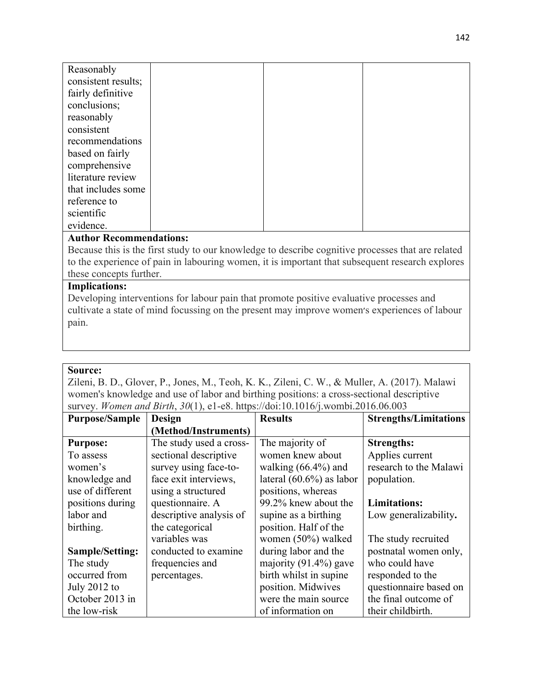| Reasonably          |  |  |
|---------------------|--|--|
| consistent results; |  |  |
| fairly definitive   |  |  |
| conclusions;        |  |  |
| reasonably          |  |  |
| consistent          |  |  |
| recommendations     |  |  |
| based on fairly     |  |  |
| comprehensive       |  |  |
| literature review   |  |  |
| that includes some  |  |  |
| reference to        |  |  |
| scientific          |  |  |
| evidence.           |  |  |

Because this is the first study to our knowledge to describe cognitive processes that are related to the experience of pain in labouring women, it is important that subsequent research explores these concepts further.

# **Implications:**

Developing interventions for labour pain that promote positive evaluative processes and cultivate a state of mind focussing on the present may improve women׳s experiences of labour pain.

## **Source:**

Zileni, B. D., Glover, P., Jones, M., Teoh, K. K., Zileni, C. W., & Muller, A. (2017). Malawi women's knowledge and use of labor and birthing positions: a cross-sectional descriptive survey. *Women and Birth*, *30*(1), e1-e8. https://doi:10.1016/j.wombi.2016.06.003

| <b>Purpose/Sample</b> | Design                  | <b>Results</b>              | <b>Strengths/Limitations</b> |
|-----------------------|-------------------------|-----------------------------|------------------------------|
|                       | (Method/Instruments)    |                             |                              |
| <b>Purpose:</b>       | The study used a cross- | The majority of             | <b>Strengths:</b>            |
| To assess             | sectional descriptive   | women knew about            | Applies current              |
| women's               | survey using face-to-   | walking $(66.4\%)$ and      | research to the Malawi       |
| knowledge and         | face exit interviews,   | lateral $(60.6\%)$ as labor | population.                  |
| use of different      | using a structured      | positions, whereas          |                              |
| positions during      | questionnaire. A        | 99.2% knew about the        | <b>Limitations:</b>          |
| labor and             | descriptive analysis of | supine as a birthing        | Low generalizability.        |
| birthing.             | the categorical         | position. Half of the       |                              |
|                       | variables was           | women (50%) walked          | The study recruited          |
| Sample/Setting:       | conducted to examine    | during labor and the        | postnatal women only,        |
| The study             | frequencies and         | majority $(91.4\%)$ gave    | who could have               |
| occurred from         | percentages.            | birth whilst in supine.     | responded to the             |
| July $2012$ to        |                         | position. Midwives          | questionnaire based on       |
| October 2013 in       |                         | were the main source        | the final outcome of         |
| the low-risk          |                         | of information on           | their childbirth.            |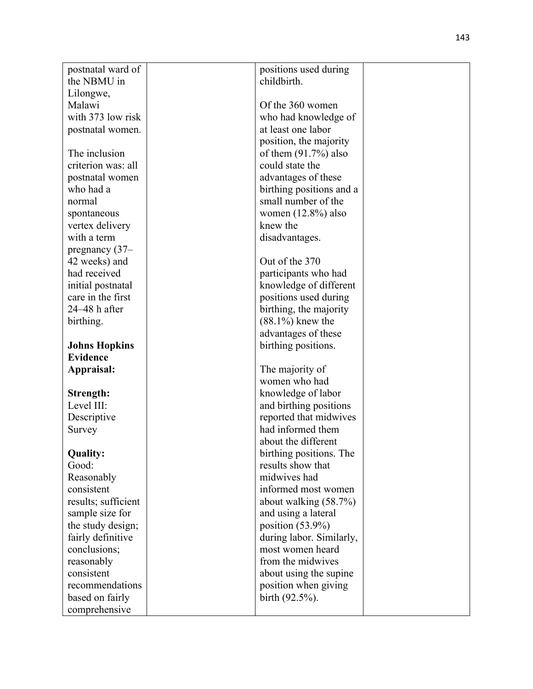| postnatal ward of                      | positions used during    |  |
|----------------------------------------|--------------------------|--|
| the NBMU in                            | childbirth.              |  |
| Lilongwe,                              |                          |  |
| Malawi                                 | Of the 360 women         |  |
| with 373 low risk                      | who had knowledge of     |  |
| postnatal women.                       | at least one labor       |  |
|                                        | position, the majority   |  |
| The inclusion                          | of them $(91.7%)$ also   |  |
| criterion was: all                     | could state the          |  |
| postnatal women                        | advantages of these      |  |
| who had a                              | birthing positions and a |  |
| normal                                 | small number of the      |  |
| spontaneous                            | women $(12.8\%)$ also    |  |
| vertex delivery                        | knew the                 |  |
| with a term                            | disadvantages.           |  |
| pregnancy $(37 -$                      |                          |  |
| 42 weeks) and                          | Out of the 370           |  |
| had received                           | participants who had     |  |
| initial postnatal                      | knowledge of different   |  |
| care in the first                      | positions used during    |  |
| $24 - 48$ h after                      | birthing, the majority   |  |
| birthing.                              | $(88.1\%)$ knew the      |  |
|                                        | advantages of these      |  |
| <b>Johns Hopkins</b>                   | birthing positions.      |  |
| <b>Evidence</b>                        |                          |  |
| Appraisal:                             | The majority of          |  |
|                                        | women who had            |  |
| Strength:                              | knowledge of labor       |  |
| Level III:                             | and birthing positions   |  |
| Descriptive                            | reported that midwives   |  |
| Survey                                 | had informed them        |  |
|                                        | about the different      |  |
| <b>Quality:</b>                        | birthing positions. The  |  |
| Good:                                  | results show that        |  |
| Reasonably                             | midwives had             |  |
| consistent                             | informed most women      |  |
| results; sufficient                    | about walking $(58.7%)$  |  |
| sample size for                        | and using a lateral      |  |
| the study design;<br>fairly definitive | position $(53.9\%)$      |  |
|                                        | during labor. Similarly, |  |
|                                        |                          |  |
| conclusions;                           | most women heard         |  |
| reasonably                             | from the midwives        |  |
| consistent                             | about using the supine   |  |
| recommendations                        | position when giving     |  |
| based on fairly<br>comprehensive       | birth (92.5%).           |  |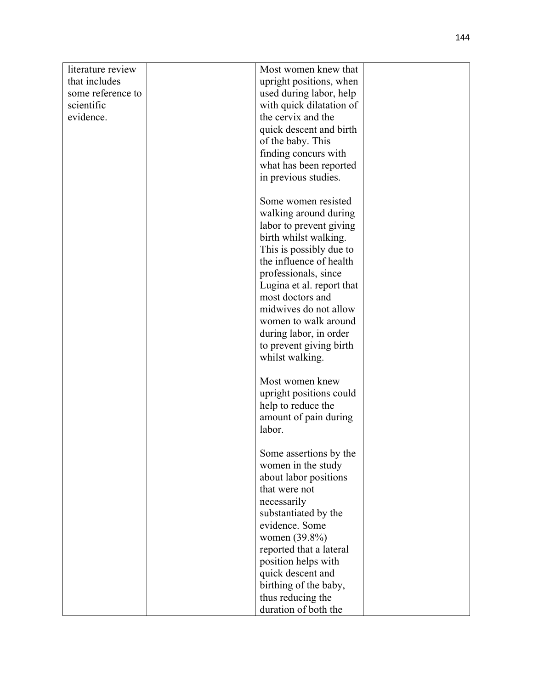| literature review | Most women knew that                         |
|-------------------|----------------------------------------------|
| that includes     | upright positions, when                      |
| some reference to | used during labor, help                      |
| scientific        | with quick dilatation of                     |
| evidence.         | the cervix and the                           |
|                   | quick descent and birth                      |
|                   | of the baby. This                            |
|                   | finding concurs with                         |
|                   | what has been reported                       |
|                   | in previous studies.                         |
|                   |                                              |
|                   | Some women resisted                          |
|                   | walking around during                        |
|                   | labor to prevent giving                      |
|                   | birth whilst walking.                        |
|                   | This is possibly due to                      |
|                   | the influence of health                      |
|                   | professionals, since                         |
|                   | Lugina et al. report that                    |
|                   | most doctors and                             |
|                   | midwives do not allow                        |
|                   | women to walk around                         |
|                   | during labor, in order                       |
|                   | to prevent giving birth                      |
|                   | whilst walking.                              |
|                   |                                              |
|                   | Most women knew                              |
|                   | upright positions could                      |
|                   | help to reduce the                           |
|                   | amount of pain during                        |
|                   | labor.                                       |
|                   |                                              |
|                   | Some assertions by the<br>women in the study |
|                   | about labor positions                        |
|                   | that were not                                |
|                   | necessarily                                  |
|                   | substantiated by the                         |
|                   | evidence. Some                               |
|                   | women (39.8%)                                |
|                   | reported that a lateral                      |
|                   | position helps with                          |
|                   | quick descent and                            |
|                   | birthing of the baby,                        |
|                   | thus reducing the                            |
|                   | duration of both the                         |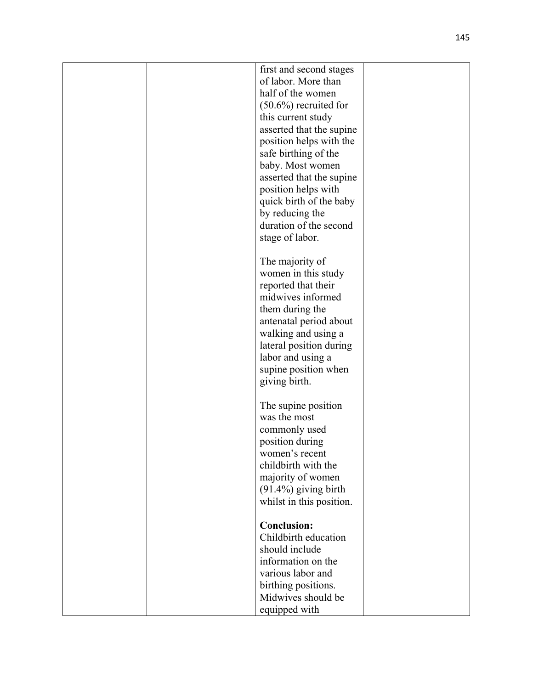|  | first and second stages  |  |
|--|--------------------------|--|
|  | of labor. More than      |  |
|  | half of the women        |  |
|  |                          |  |
|  | $(50.6\%)$ recruited for |  |
|  | this current study       |  |
|  | asserted that the supine |  |
|  | position helps with the  |  |
|  | safe birthing of the     |  |
|  | baby. Most women         |  |
|  | asserted that the supine |  |
|  | position helps with      |  |
|  | quick birth of the baby  |  |
|  | by reducing the          |  |
|  | duration of the second   |  |
|  | stage of labor.          |  |
|  |                          |  |
|  | The majority of          |  |
|  | women in this study      |  |
|  | reported that their      |  |
|  | midwives informed        |  |
|  |                          |  |
|  | them during the          |  |
|  | antenatal period about   |  |
|  | walking and using a      |  |
|  | lateral position during  |  |
|  | labor and using a        |  |
|  | supine position when     |  |
|  | giving birth.            |  |
|  |                          |  |
|  | The supine position      |  |
|  | was the most             |  |
|  | commonly used            |  |
|  | position during          |  |
|  | women's recent           |  |
|  | childbirth with the      |  |
|  | majority of women        |  |
|  | $(91.4\%)$ giving birth  |  |
|  |                          |  |
|  | whilst in this position. |  |
|  |                          |  |
|  | <b>Conclusion:</b>       |  |
|  | Childbirth education     |  |
|  | should include           |  |
|  | information on the       |  |
|  | various labor and        |  |
|  | birthing positions.      |  |
|  | Midwives should be       |  |
|  | equipped with            |  |
|  |                          |  |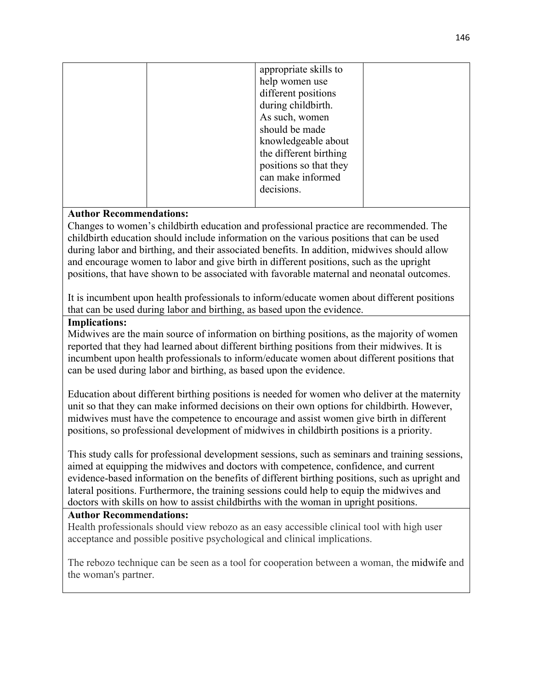|  | appropriate skills to<br>help women use<br>different positions<br>during childbirth.<br>As such, women<br>should be made<br>knowledgeable about<br>the different birthing<br>positions so that they<br>can make informed<br>decisions. |  |
|--|----------------------------------------------------------------------------------------------------------------------------------------------------------------------------------------------------------------------------------------|--|
|--|----------------------------------------------------------------------------------------------------------------------------------------------------------------------------------------------------------------------------------------|--|

## **Author Recommendations:**

Changes to women's childbirth education and professional practice are recommended. The childbirth education should include information on the various positions that can be used during labor and birthing, and their associated benefits. In addition, midwives should allow and encourage women to labor and give birth in different positions, such as the upright positions, that have shown to be associated with favorable maternal and neonatal outcomes.

It is incumbent upon health professionals to inform/educate women about different positions that can be used during labor and birthing, as based upon the evidence.

### **Implications:**

Midwives are the main source of information on birthing positions, as the majority of women reported that they had learned about different birthing positions from their midwives. It is incumbent upon health professionals to inform/educate women about different positions that can be used during labor and birthing, as based upon the evidence.

Education about different birthing positions is needed for women who deliver at the maternity unit so that they can make informed decisions on their own options for childbirth. However, midwives must have the competence to encourage and assist women give birth in different positions, so professional development of midwives in childbirth positions is a priority.

This study calls for professional development sessions, such as seminars and training sessions, aimed at equipping the midwives and doctors with competence, confidence, and current evidence-based information on the benefits of different birthing positions, such as upright and lateral positions. Furthermore, the training sessions could help to equip the midwives and doctors with skills on how to assist childbirths with the woman in upright positions.

### **Author Recommendations:**

Health professionals should view rebozo as an easy accessible clinical tool with high user acceptance and possible positive psychological and clinical implications.

The rebozo technique can be seen as a tool for cooperation between a woman, the midwife and the woman's partner.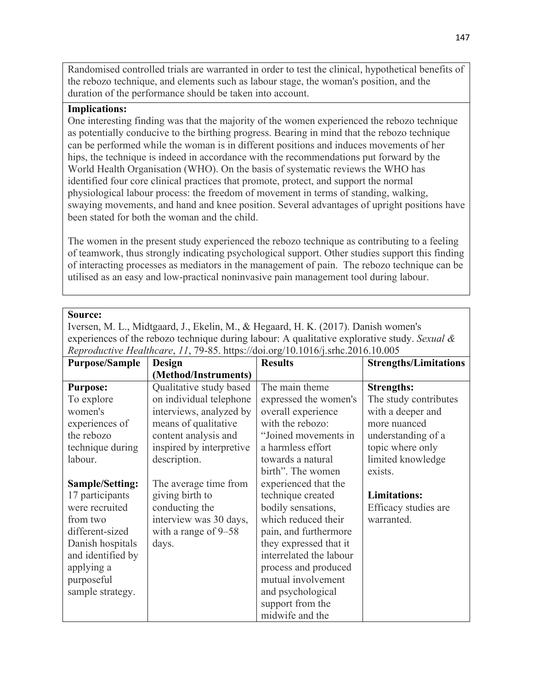Randomised controlled trials are warranted in order to test the clinical, hypothetical benefits of the rebozo technique, and elements such as labour stage, the woman's position, and the duration of the performance should be taken into account.

## **Implications:**

One interesting finding was that the majority of the women experienced the rebozo technique as potentially conducive to the birthing progress. Bearing in mind that the rebozo technique can be performed while the woman is in different positions and induces movements of her hips, the technique is indeed in accordance with the recommendations put forward by the World Health Organisation (WHO). On the basis of systematic reviews the WHO has identified four core clinical practices that promote, protect, and support the normal physiological labour process: the freedom of movement in terms of standing, walking, swaying movements, and hand and knee position. Several advantages of upright positions have been stated for both the woman and the child.

The women in the present study experienced the rebozo technique as contributing to a feeling of teamwork, thus strongly indicating psychological support. Other studies support this finding of interacting processes as mediators in the management of pain. The rebozo technique can be utilised as an easy and low-practical noninvasive pain management tool during labour.

### **Source:**

Iversen, M. L., Midtgaard, J., Ekelin, M., & Hegaard, H. K. (2017). Danish women's experiences of the rebozo technique during labour: A qualitative explorative study. *Sexual & Reproductive Healthcare*, *11*, 79-85. https://doi.org/10.1016/j.srhc.2016.10.005

| <b>Purpose/Sample</b>  | Design                   | <b>Results</b>          | <b>Strengths/Limitations</b> |
|------------------------|--------------------------|-------------------------|------------------------------|
|                        | (Method/Instruments)     |                         |                              |
| <b>Purpose:</b>        | Qualitative study based  | The main theme          | <b>Strengths:</b>            |
| To explore             | on individual telephone  | expressed the women's   | The study contributes        |
| women's                | interviews, analyzed by  | overall experience      | with a deeper and            |
| experiences of         | means of qualitative     | with the rebozo:        | more nuanced                 |
| the rebozo             | content analysis and     | "Joined movements in    | understanding of a           |
| technique during       | inspired by interpretive | a harmless effort       | topic where only             |
| labour.                | description.             | towards a natural       | limited knowledge            |
|                        |                          | birth". The women       | exists.                      |
| <b>Sample/Setting:</b> | The average time from    | experienced that the    |                              |
| 17 participants        | giving birth to          | technique created       | <b>Limitations:</b>          |
| were recruited         | conducting the           | bodily sensations,      | Efficacy studies are         |
| from two               | interview was 30 days,   | which reduced their     | warranted.                   |
| different-sized        | with a range of $9-58$   | pain, and furthermore   |                              |
| Danish hospitals       | days.                    | they expressed that it  |                              |
| and identified by      |                          | interrelated the labour |                              |
| applying a             |                          | process and produced    |                              |
| purposeful             |                          | mutual involvement      |                              |
| sample strategy.       |                          | and psychological       |                              |
|                        |                          | support from the        |                              |
|                        |                          | midwife and the         |                              |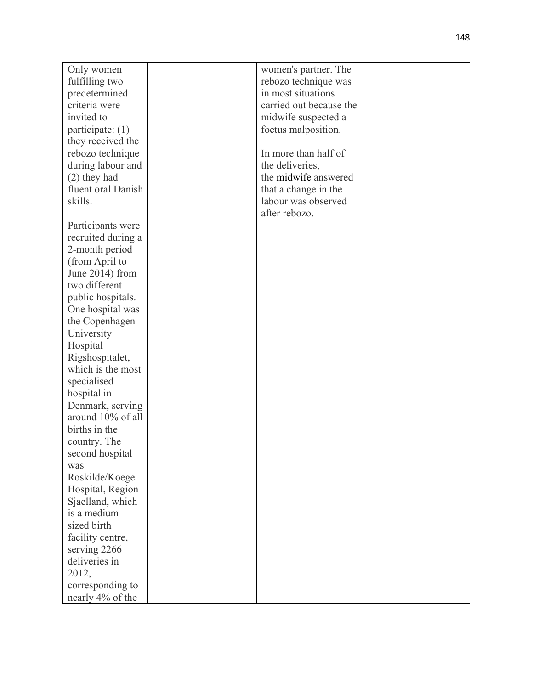| Only women         | women's partner. The    |  |
|--------------------|-------------------------|--|
| fulfilling two     | rebozo technique was    |  |
| predetermined      | in most situations      |  |
| criteria were      | carried out because the |  |
| invited to         | midwife suspected a     |  |
| participate: (1)   | foetus malposition.     |  |
| they received the  |                         |  |
| rebozo technique   | In more than half of    |  |
| during labour and  | the deliveries,         |  |
| $(2)$ they had     | the midwife answered    |  |
| fluent oral Danish | that a change in the    |  |
| skills.            | labour was observed     |  |
|                    | after rebozo.           |  |
|                    |                         |  |
| Participants were  |                         |  |
| recruited during a |                         |  |
| 2-month period     |                         |  |
| (from April to     |                         |  |
| June $2014$ ) from |                         |  |
| two different      |                         |  |
| public hospitals.  |                         |  |
| One hospital was   |                         |  |
| the Copenhagen     |                         |  |
| University         |                         |  |
| Hospital           |                         |  |
| Rigshospitalet,    |                         |  |
| which is the most  |                         |  |
| specialised        |                         |  |
| hospital in        |                         |  |
| Denmark, serving   |                         |  |
| around 10% of all  |                         |  |
|                    |                         |  |
| births in the      |                         |  |
| country. The       |                         |  |
| second hospital    |                         |  |
| was                |                         |  |
| Roskilde/Koege     |                         |  |
| Hospital, Region   |                         |  |
| Sjaelland, which   |                         |  |
| is a medium-       |                         |  |
| sized birth        |                         |  |
| facility centre,   |                         |  |
| serving 2266       |                         |  |
| deliveries in      |                         |  |
| 2012,              |                         |  |
| corresponding to   |                         |  |
|                    |                         |  |
| nearly 4% of the   |                         |  |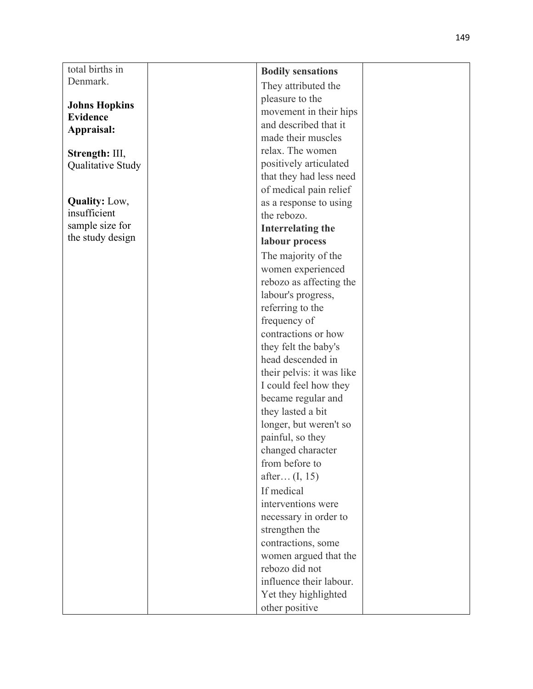| total births in      | <b>Bodily sensations</b>  |  |
|----------------------|---------------------------|--|
| Denmark.             | They attributed the       |  |
|                      | pleasure to the           |  |
| <b>Johns Hopkins</b> | movement in their hips    |  |
| <b>Evidence</b>      | and described that it     |  |
| Appraisal:           | made their muscles        |  |
| Strength: III,       | relax. The women          |  |
| Qualitative Study    | positively articulated    |  |
|                      | that they had less need   |  |
|                      | of medical pain relief    |  |
| <b>Quality:</b> Low, | as a response to using    |  |
| insufficient         | the rebozo.               |  |
| sample size for      | <b>Interrelating the</b>  |  |
| the study design     | labour process            |  |
|                      | The majority of the       |  |
|                      | women experienced         |  |
|                      | rebozo as affecting the   |  |
|                      | labour's progress,        |  |
|                      | referring to the          |  |
|                      | frequency of              |  |
|                      | contractions or how       |  |
|                      | they felt the baby's      |  |
|                      | head descended in         |  |
|                      | their pelvis: it was like |  |
|                      | I could feel how they     |  |
|                      | became regular and        |  |
|                      | they lasted a bit         |  |
|                      | longer, but weren't so    |  |
|                      | painful, so they          |  |
|                      | changed character         |  |
|                      | from before to            |  |
|                      | after $(I, 15)$           |  |
|                      | If medical                |  |
|                      | interventions were        |  |
|                      | necessary in order to     |  |
|                      | strengthen the            |  |
|                      | contractions, some        |  |
|                      | women argued that the     |  |
|                      | rebozo did not            |  |
|                      | influence their labour.   |  |
|                      | Yet they highlighted      |  |
|                      | other positive            |  |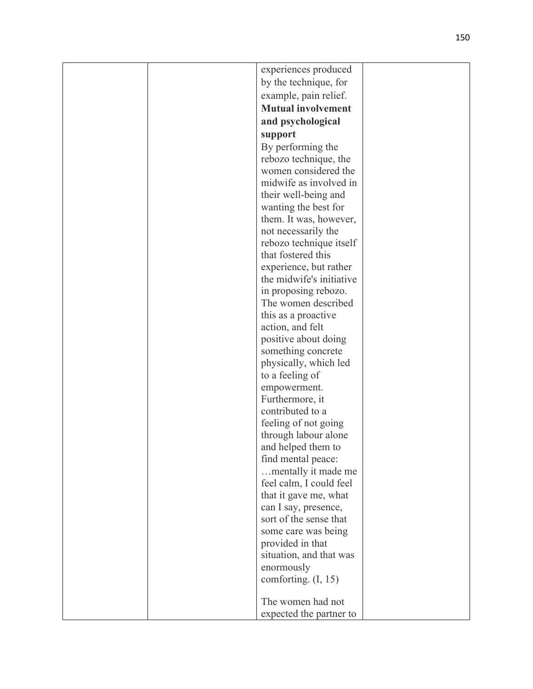|  | experiences produced                        |  |
|--|---------------------------------------------|--|
|  | by the technique, for                       |  |
|  | example, pain relief.                       |  |
|  | <b>Mutual involvement</b>                   |  |
|  | and psychological                           |  |
|  | support                                     |  |
|  | By performing the                           |  |
|  | rebozo technique, the                       |  |
|  | women considered the                        |  |
|  | midwife as involved in                      |  |
|  | their well-being and                        |  |
|  | wanting the best for                        |  |
|  | them. It was, however,                      |  |
|  | not necessarily the                         |  |
|  | rebozo technique itself                     |  |
|  | that fostered this                          |  |
|  | experience, but rather                      |  |
|  | the midwife's initiative                    |  |
|  | in proposing rebozo.                        |  |
|  | The women described                         |  |
|  | this as a proactive                         |  |
|  | action, and felt<br>positive about doing    |  |
|  | something concrete                          |  |
|  | physically, which led                       |  |
|  | to a feeling of                             |  |
|  | empowerment.                                |  |
|  | Furthermore, it                             |  |
|  | contributed to a                            |  |
|  | feeling of not going                        |  |
|  | through labour alone                        |  |
|  | and helped them to                          |  |
|  | find mental peace:                          |  |
|  | mentally it made me                         |  |
|  | feel calm, I could feel                     |  |
|  | that it gave me, what                       |  |
|  | can I say, presence,                        |  |
|  | sort of the sense that                      |  |
|  | some care was being                         |  |
|  | provided in that<br>situation, and that was |  |
|  | enormously                                  |  |
|  | comforting. (I, 15)                         |  |
|  |                                             |  |
|  | The women had not                           |  |
|  | expected the partner to                     |  |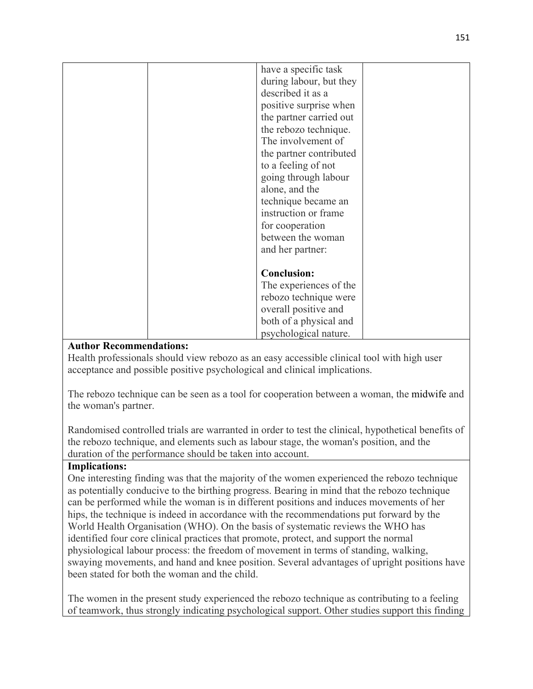|  | have a specific task    |  |
|--|-------------------------|--|
|  | during labour, but they |  |
|  | described it as a       |  |
|  | positive surprise when  |  |
|  | the partner carried out |  |
|  | the rebozo technique.   |  |
|  | The involvement of      |  |
|  | the partner contributed |  |
|  | to a feeling of not     |  |
|  | going through labour    |  |
|  | alone, and the          |  |
|  | technique became an     |  |
|  | instruction or frame    |  |
|  | for cooperation         |  |
|  | between the woman       |  |
|  | and her partner:        |  |
|  |                         |  |
|  | <b>Conclusion:</b>      |  |
|  | The experiences of the  |  |
|  | rebozo technique were   |  |
|  |                         |  |
|  | overall positive and    |  |
|  | both of a physical and  |  |
|  | psychological nature.   |  |

# **Author Recommendations:**

Health professionals should view rebozo as an easy accessible clinical tool with high user acceptance and possible positive psychological and clinical implications.

The rebozo technique can be seen as a tool for cooperation between a woman, the midwife and the woman's partner.

Randomised controlled trials are warranted in order to test the clinical, hypothetical benefits of the rebozo technique, and elements such as labour stage, the woman's position, and the duration of the performance should be taken into account.

## **Implications:**

One interesting finding was that the majority of the women experienced the rebozo technique as potentially conducive to the birthing progress. Bearing in mind that the rebozo technique can be performed while the woman is in different positions and induces movements of her hips, the technique is indeed in accordance with the recommendations put forward by the World Health Organisation (WHO). On the basis of systematic reviews the WHO has identified four core clinical practices that promote, protect, and support the normal physiological labour process: the freedom of movement in terms of standing, walking, swaying movements, and hand and knee position. Several advantages of upright positions have been stated for both the woman and the child.

The women in the present study experienced the rebozo technique as contributing to a feeling of teamwork, thus strongly indicating psychological support. Other studies support this finding